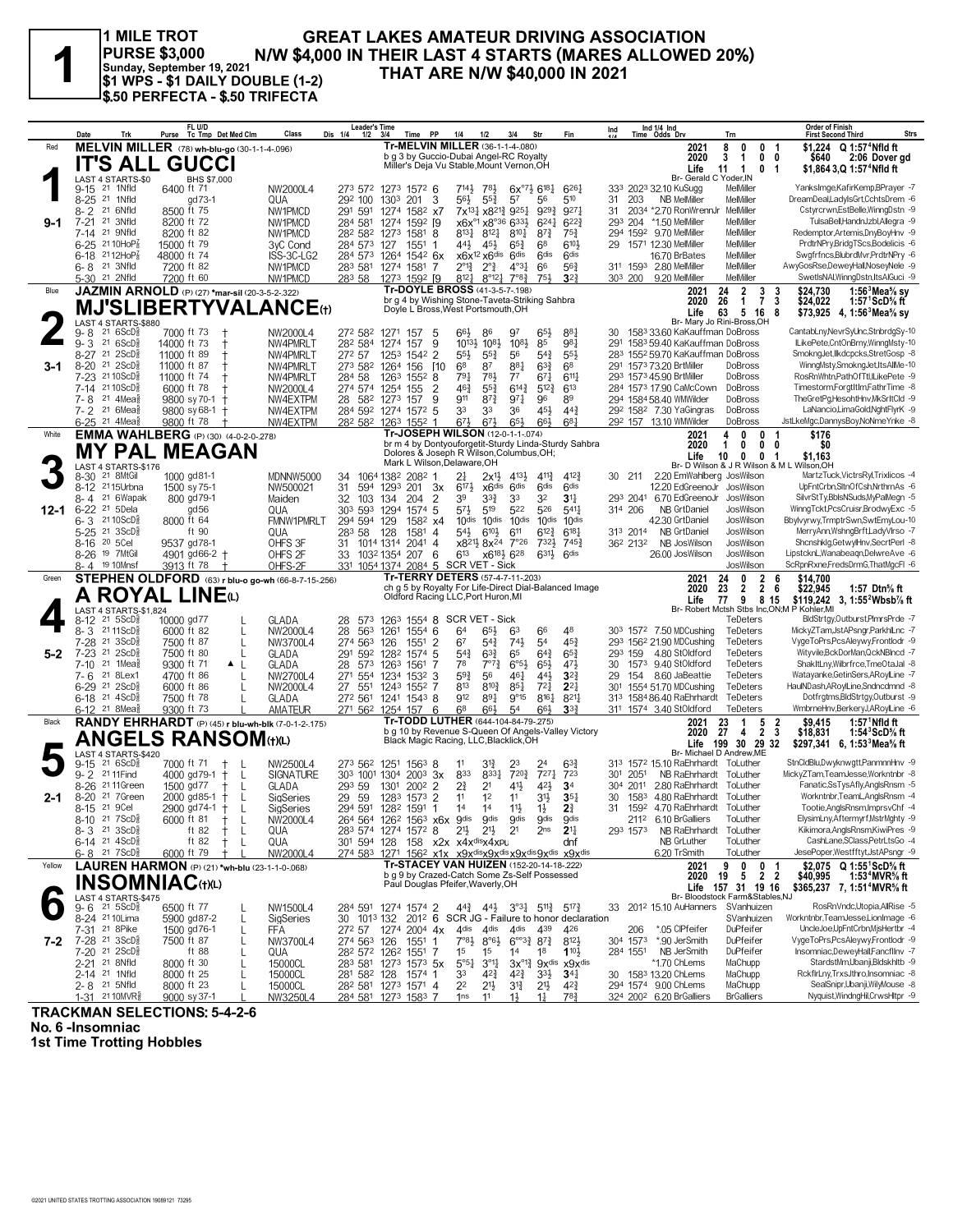#### **GREAT LAKES AMATEUR DRIVING ASSOCIATION PURSE \$3,000 N/W \$4,000 IN THEIR LAST 4 STARTS (MARES ALLOWED 20%)**<br> **Sunday, September 19, 2021**<br> **S1 WPS - \$1 DAILY DOUBLE (1-2)** THAT ARE N/W \$40,000 IN 2021 **1 MILE TROT \$1 WPS - \$1 DAILY DOUBLE (1-2) \$.50 PERFECTA - \$.50 TRIFECTA**

|         | Trk<br>Date                                                             | FL U/D<br>Purse Tc Tmp Det Med Clm                       | Class                          | <b>Leader's Time</b><br>Dis 1/4<br>$1/2$ $3/4$ | Time PP                                                                                                                             | 1/4<br>1/2                                                              | 3/4<br>Str                                                                                                        | Fin                                     | Ind                   | Ind 1/4 Ind<br>Time Odds Drv     |                                                                    | Trn                                                    | <b>Order of Finish</b><br>Strs<br><b>First Second Third</b>                              |
|---------|-------------------------------------------------------------------------|----------------------------------------------------------|--------------------------------|------------------------------------------------|-------------------------------------------------------------------------------------------------------------------------------------|-------------------------------------------------------------------------|-------------------------------------------------------------------------------------------------------------------|-----------------------------------------|-----------------------|----------------------------------|--------------------------------------------------------------------|--------------------------------------------------------|------------------------------------------------------------------------------------------|
| Red     |                                                                         | MELVIN MILLER (78) wh-blu-go (30-1-1-4-096)              |                                |                                                | Tr-MELVIN MILLER (36-1-1-4-.080)<br>b g 3 by Guccio-Dubai Angel-RC Royalty                                                          |                                                                         |                                                                                                                   |                                         |                       |                                  | 2021                                                               | 8<br>0<br>0                                            | \$1.224 Q 1:57 <sup>4</sup> Nfld ft<br>-1                                                |
|         | IT'S ALL                                                                | <b>GUCCI</b>                                             |                                |                                                | Miller's Deja Vu Stable, Mount Vernon, OH                                                                                           |                                                                         |                                                                                                                   |                                         |                       |                                  | 2020<br>Life                                                       | 3<br>0<br>-1<br>11<br>0<br>- 1                         | 0<br>2:06 Dover gd<br>\$640<br>\$1,864 3,Q 1:57 <sup>+</sup> Nfld ft<br>- 1              |
|         | LAST 4 STARTS-\$0<br>21 1Nfld<br>$9 - 15$                               | BHS \$7,000<br>6400 ft 71                                | NW2000L4                       |                                                | 273 572 1273 1572 6                                                                                                                 | 7141<br>781                                                             | $6x^{07}\frac{1}{2}618\frac{1}{4}$                                                                                | $6^{26}$ <sup>1</sup>                   |                       |                                  | Br- Gerald C Yoder, IN<br>333 2023 32.10 KuSugg                    | MelMiller                                              | YanksImge,KafirKemp,BPrayer -7                                                           |
|         | 21 1Nfld<br>$8 - 25$                                                    | gd 73-1                                                  | QUA                            | 292 100                                        | 1303 201<br>3                                                                                                                       | 56}<br>$55\frac{3}{4}$                                                  | 57<br>56                                                                                                          | 510                                     | 31                    | 203                              | <b>NB MelMiller</b>                                                | MelMiller                                              | DreamDeal,LadyIsGrt,CchtsDrem -6                                                         |
| $9-1$   | $8 - 2$<br>21 6Nfld<br>$7 - 21$<br>21 3Nfld                             | 8500 ft 75<br>8200 ft 72                                 | NW1PMCD<br>NW1PMCD             | 291 591<br>284 581                             | 1274 1582 x7<br>1592 [9<br>1274                                                                                                     | x6x <sup>o1</sup> x8°36 633}                                            | 7x <sup>13</sup> 4 x8 <sup>21</sup> 4 9 <sup>25</sup> 4 9 <sup>29</sup> 4<br>$6^{24}$                             | 927<br>$6^{22}$                         | 31<br>293 204         |                                  | 2034 *2.70 RonWrennJr<br>*1.50 MelMiller                           | MelMiller<br>MelMiller                                 | Cstyrcrwn,EstBelle,WinngDstn -9<br>TulsaBell,HandnJzbl,Allegra -9                        |
|         | $7 - 14$<br>21 9Nfld                                                    | 8200 ft 82                                               | NW1PMCD                        |                                                | 28 <sup>2</sup> 58 <sup>2</sup> 127 <sup>3</sup> 158 <sup>1</sup> 8                                                                 | $8^{13}\frac{1}{4}$<br>$8^{12}\frac{1}{4}$                              | $8^{10}\frac{1}{4}$<br>$8^{73}$                                                                                   | $75\frac{3}{4}$                         |                       |                                  | 294 1592 9.70 MelMiller                                            | MelMiller                                              | Redemptor, Artemis, DnyBoyHnv -9                                                         |
|         | 6-25 21 10HoP3<br>$6-18$ 2112HoP <sub>8</sub>                           | 15000 ft 79<br>48000 ft 74                               | 3yC Cond<br>ISS-3C-LG2         | 284 573 127                                    | 1551<br>-1<br>284 573 1264 1542 6x                                                                                                  | 44}<br>45}<br>$x6x^{12}x6$ dis                                          | $65\frac{3}{4}$<br>68<br>6 <sup>dis</sup><br>6 <sup>dis</sup>                                                     | 6103<br><b>Gdis</b>                     | 29                    |                                  | 1571 12.30 MelMiller<br>16.70 BrBates                              | MelMiller<br>MelMiller                                 | PrdtrNPry,BridgTScs,Bodelicis -6<br>Swgfrfncs, BlubrdMvr, PrdtrNPry -6                   |
|         | 21 3Nfld<br>6-8                                                         | 7200 ft 82                                               | NW1PMCD                        | 283 581                                        | 1274 1581<br>-7                                                                                                                     | $2^{\circ}1_{4}^{3}$<br>$2^{\circ}$                                     | $4^{\circ}3\frac{1}{4}$<br>66                                                                                     | 56 <sup>3</sup>                         |                       |                                  | 311 1593 2.80 MelMiller                                            | MelMiller                                              | AwyGosRse,DeweyHall,NoseyNele -9                                                         |
|         | 5-30 <sup>21</sup> 2Nfld                                                | 7200 ft 60                                               | NW1PMCD                        | 283 58                                         | 1273 1592 [9<br>Tr-DOYLE BROSS (41-3-5-7-198)                                                                                       | $8^{12}$<br>$8^{\circ}12\frac{1}{4}$                                    | 7°8 <sup>3</sup><br>751                                                                                           | $3^{2}$                                 | 303 200               |                                  | 9.20 MelMiller                                                     | MelMiller                                              | SwetlsNAI, WinngDstn, ItsAlGuci -9                                                       |
| Blue    |                                                                         | JAZMIN ARNOLD (P) (27) *mar-sil (20-3-5-2-.322)          |                                |                                                | br g 4 by Wishing Stone-Taveta-Striking Sahbra                                                                                      |                                                                         |                                                                                                                   |                                         |                       |                                  | 2021<br>2020                                                       | $\overline{2}$<br>24<br>3<br>26<br>$\overline{7}$<br>1 | 1:56 $3$ Mea $\%$ sy<br>\$24,730<br>-3<br>3<br>\$24.022<br>1:57 $^1$ ScD% ft             |
|         | LAST 4 STARTS-\$880                                                     | <b>MJ'SLIBERTYVALANCE(t)</b>                             |                                |                                                | Doyle L Bross, West Portsmouth, OH                                                                                                  |                                                                         |                                                                                                                   |                                         |                       |                                  | Life                                                               | 63<br>5 16<br>Br- Mary Jo Rini-Bross, OH               | - 8<br>\$73,925 4, 1:56 <sup>3</sup> Mea <sup>5</sup> / <sub>8</sub> sy                  |
|         | 216SCD<br>9-8                                                           | 7000 ft 73                                               | NW2000L4                       | 272 582 1271                                   | 157<br>5                                                                                                                            | $66\frac{1}{2}$<br>86                                                   | 97<br>$65\frac{1}{2}$                                                                                             | 881                                     | 30                    |                                  | 1583 33.60 KaKauffman DoBross                                      |                                                        | CantabLny, NevrSyUnc, StnbrdgSy-10                                                       |
|         | $9 - 3$<br>21 6ScD<br>$8 - 27$<br>21 2 ScD                              | 14000 ft 73<br>$^{+}$<br>11000 ft 89                     | NW4PMRLT<br>NW4PMRLT           | 282 584<br>272 57                              | 1274 157<br>9<br>1253 1542 2                                                                                                        | $10^{8}$<br>$10^{13}$<br>$55\frac{1}{2}$<br>$55\frac{3}{4}$             | 1083<br>85<br>56<br>$5^{4}$                                                                                       | 981<br>$55\frac{1}{2}$                  | 291                   |                                  | 1583 59.40 KaKauffman DoBross<br>283 1552 59.70 KaKauffman DoBross |                                                        | ILikePete,CntOnBrny,WinngMsty-10<br>SmokngJet,Ilkdcpcks,StretGosp -8                     |
| 3-1     | $21\;\;2$ ScD $\frac{1}{2}$<br>8-20                                     | 11000 ft 87                                              | NW4PMRLT                       |                                                | 273 582 1264 156<br><b>F10</b>                                                                                                      | 68<br>87                                                                | 881<br>$63\frac{3}{4}$                                                                                            | 68                                      |                       |                                  | 291 1573 73.20 BrtMiller                                           | DoBross                                                | WinngMsty,SmokngJet,ItsAllMe-10                                                          |
|         | 21 10 ScD<br>7-23<br>7-14 2110ScD                                       | 11000 ft 74<br>6000 ft 78                                | NW4PMRLT<br>NW2000L4           | 284 58                                         | 1263<br>1552<br>8<br>$\overline{2}$<br>274 574 1254 155                                                                             | $79\frac{1}{4}$<br>781<br>$46\frac{3}{4}$<br>$55\frac{3}{4}$            | $7^7$<br>$67\frac{1}{4}$<br>$6^{14}\frac{3}{4}$<br>$5^{12}\frac{3}{4}$                                            | $6^{11}$<br>613                         |                       |                                  | 293 1573 45.90 BrtMiller<br>284 1573 17.90 CaMcCown                | DoBross<br>DoBross                                     | RosRnWhtn,PathOfTtl,ILikePete -9<br>Timestorm,ForgtItIm,FathrTime -8                     |
|         | $21.4$ Mea $\frac{1}{2}$<br>7-8                                         | 9800 sy 70-1<br>$^{\mathrm{+}}$                          | NW4EXTPM                       | 28                                             | 582 1273<br>9<br>157                                                                                                                | 911<br>$8^{7}$                                                          | $97\frac{1}{4}$<br>96                                                                                             | 89                                      |                       |                                  | 294 1584 58.40 WMWilder                                            | DoBross                                                | TheGretPg,HesohtHnv,MkSrItCld -9                                                         |
|         | $7 - 2$<br>$21.6$ Mea $\frac{1}{2}$<br>6-25 <sup>21</sup> 4Mea          | 9800 sy 68-1<br>t<br>9800 ft 78                          | NW4EXTPM                       |                                                | 284 592 1274 1572 5                                                                                                                 | 33<br>33                                                                | 45}<br>36                                                                                                         | $44\frac{3}{4}$<br>$6^{8}1$             |                       |                                  | 292 1582 7.30 YaGingras<br>292 157 13.10 WMWilder                  | DoBross<br>DoBross                                     | LaNancio,LimaGold,NghtFlyrK -9<br>JstLkeMgc,DannysBoy,NoNmeYnke -8                       |
| White   |                                                                         | <b>EMMA WAHLBERG</b> (P) (30) (4-0-2-0-278)              | NW4EXTPM                       |                                                | 28 <sup>2</sup> 58 <sup>2</sup> 126 <sup>3</sup> 155 <sup>2</sup> 1<br>Tr-JOSEPH WILSON (12-0-1-1-.074)                             | $67\frac{1}{2}$<br>$67\frac{1}{2}$                                      | $65\frac{1}{2}$<br>$66\frac{1}{2}$                                                                                |                                         |                       |                                  | 2021                                                               | 0<br>0<br>4                                            | \$176                                                                                    |
|         |                                                                         | MY PAL MEAGAN                                            |                                |                                                | br m 4 by Dontyouforgetit-Sturdy Linda-Sturdy Sahbra<br>Dolores & Joseph R Wilson, Columbus, OH;                                    |                                                                         |                                                                                                                   |                                         |                       |                                  | 2020<br>Life                                                       | 0<br>1<br>0<br>10<br>0<br>0                            | 0<br>\$0<br>-1                                                                           |
|         | LAST 4 STARTS-\$176                                                     |                                                          |                                |                                                | Mark L Wilson, Delaware, OH                                                                                                         |                                                                         |                                                                                                                   |                                         |                       |                                  |                                                                    |                                                        | \$1,163<br>Br- D Wilson & J R Wilson & M L Wilson, OH                                    |
|         | 8-30 <sup>21</sup> 8MtGil<br>8-12 <sup>21</sup> 15Urbna                 | 1000 gd81-1<br>1500 sy 75-1                              | MDNNW5000<br>NW500021          | 34<br>31<br>594                                | 1064 1382 2082 1<br>1293<br>201<br>3x                                                                                               | 2 <sup>1</sup><br>x6 <sup>dis</sup><br>$6^{17}\frac{1}{2}$              | $2x^{1\frac{1}{2}}$ 4 <sup>13</sup> / <sub>2</sub><br>$4^{11}\frac{3}{4}$<br>6 <sup>dis</sup><br>6 <sup>dis</sup> | $4^{12}\frac{3}{4}$<br>6 <sup>dis</sup> | 30.                   | 211                              | 2.20 EmWahlberg JosWilson<br>12.20 EdGreenoJr                      | JosWilson                                              | MartzTuck, VictrsRyl, Trixlicos -4<br>UpFntCrbn.SltnOfCsh.NrthrnAs -6                    |
|         | 8-4 21 6 Wapak                                                          | 800 gd79-1                                               | Maiden                         | 32<br>103                                      | 134<br>204<br>2                                                                                                                     | 39<br>$3^{34}$                                                          | 32<br>33                                                                                                          | 3 <sup>11</sup>                         |                       |                                  | 293 2041 6.70 EdGreenoJr                                           | JosWilson                                              | SilvrStTy,BblsNSuds,MyPalMegn -5                                                         |
| 12-1    | $6 - 22$<br>21 5Dela<br>$6 - 3$<br>21 10 ScD <sup>3</sup>               | gd56<br>8000 ft 64                                       | QUA<br>FMNW1PMRLT              | 303 593 1294<br>294 594 129                    | 5<br>1574<br>1582 x4                                                                                                                | $5^{7}\frac{1}{2}$<br>519<br>10 <sub>dis</sub><br>10 <sup>dis</sup>     | 522<br>526<br>$10$ dis<br>10 <sup>dis</sup>                                                                       | 541<br>$10$ dis                         | 314 206               |                                  | NB GrtDaniel<br>42.30 GrtDaniel                                    | JosWilson<br>JosWilson                                 | WinngTckt,PcsCruisr,BrodwyExc -5<br>Bbylvyrwy,TrmptrSwn,SwtEmyLou-10                     |
|         | $5 - 25$<br>21 3 ScD <sup>5</sup>                                       | ft 90                                                    | QUA                            | 283 58                                         | 128<br>1581<br>$\overline{4}$                                                                                                       | $54\frac{1}{2}$<br>$6^{10}\frac{1}{2}$                                  | 611<br>$6^{12}\frac{3}{4}$                                                                                        | $6^{18}$                                |                       | 313 2014                         | NB GrtDaniel                                                       | JosWilson                                              | MerryAnn,WshngBrft,LadyVlrso -7                                                          |
|         | 8-16 <sup>20</sup> 5Cel<br>8-26 19 7MtGil                               | 9537 gd78-1                                              | OHFS 3F                        | 31                                             | 1014 1314<br>2041 4                                                                                                                 | x821} 8x24                                                              | $7^{\circ}26$<br>732}                                                                                             | $7^{45\frac{3}{4}}$                     |                       | 36 <sup>2</sup> 213 <sup>2</sup> | NB JosWilson                                                       | JosWilson<br>JosWilson                                 | Shcnshkig,GetwylHnv,SecrtPerl -8<br>LipstcknL, Wanabeagn, DelwreAve -6                   |
|         | 8-4 19 10Mnsf                                                           | 4901 gd66-2 +<br>3913 ft 78                              | OHFS <sub>2F</sub><br>OHFS-2F  | 33                                             | 6<br>1032 1354 207<br>331 1054 1374 2084 5 SCR VET - Sick                                                                           | 613                                                                     | x6 <sup>181</sup> 2 6 <sup>28</sup><br>$631\frac{1}{2}$                                                           | 6 <sup>dis</sup>                        |                       |                                  | 26.00 JosWilson                                                    | JosWilson                                              | ScRpnRxne,FredsDrmG,ThatMgcFl -6                                                         |
| Green   |                                                                         |                                                          |                                |                                                |                                                                                                                                     |                                                                         |                                                                                                                   |                                         |                       |                                  |                                                                    |                                                        |                                                                                          |
|         |                                                                         | STEPHEN OLDFORD (63) r blu-o go-wh (66-8-7-15-.256)      |                                |                                                | Tr-TERRY DETERS (57-4-7-11-203)                                                                                                     |                                                                         |                                                                                                                   |                                         |                       |                                  | 2021                                                               | 0<br>$\mathbf{2}$<br>24                                | \$14,700<br>6                                                                            |
|         |                                                                         | A ROYAL LINEധ                                            |                                |                                                | ch g 5 by Royalty For Life-Direct Dial-Balanced Image<br>Oldford Racing LLC, Port Huron, MI                                         |                                                                         |                                                                                                                   |                                         |                       |                                  | 2020<br>Life                                                       | $\overline{2}$<br>23<br>2<br>77<br>9                   | -6<br>\$22,945<br>1:57 Dtn $\%$ ft<br>8 15<br>\$119,242<br>3. 1:55 <sup>2</sup> Wbsb% ft |
|         | LAST 4 STARTS-\$1,824<br>8-12 21 5ScD <sup>5</sup>                      | 10000 gd77                                               | GLADA                          |                                                | 28 573 1263 1554 8 SCR VET - Sick                                                                                                   |                                                                         |                                                                                                                   |                                         |                       |                                  |                                                                    | Br- Robert Mctsh Stbs Inc,ON;M<br>TeDeters             | P Kohler, MI<br>BldStrtgy,Outburst,PlmrsPrde -7                                          |
|         | 8-3 2111ScD                                                             | 6000 ft 82                                               | NW2000L4                       | 28<br>563                                      | 1261<br>$155^{4}$ 6                                                                                                                 | 64<br>$65\frac{1}{2}$                                                   | 63<br>66                                                                                                          | 48                                      |                       |                                  | 303 1572 7.50 MDCushing                                            | TeDeters                                               | MickyZTam,JstAPsngr,ParkhlLnc -7                                                         |
|         | 7-28<br>21 3ScD <sup>3</sup><br>$7 - 23$<br>$21\;\;2$ ScD $\frac{1}{2}$ | 7500 ft 87<br>$\mathbf{I}$<br>7500 ft 80<br>$\mathbf{I}$ | NW3700L4<br>GLADA              | 274 563<br>291 592                             | 1551<br>$\overline{2}$<br>126<br>1574 5<br>1282                                                                                     | 67<br>$5^{4}3$<br>$5^{4}$<br>$63\frac{3}{4}$                            | $74\frac{1}{2}$<br>54<br>65<br>$64\frac{3}{4}$                                                                    | $45\frac{3}{4}$<br>$65\frac{3}{4}$      | 293 159               |                                  | 293 1562 21.90 MDCushing<br>4.80 StOldford                         | TeDeters<br>TeDeters                                   | VygeToPrs,PcsAleywy,Frontlodr -9<br>Wityvile, BckDorMan, QckNBlncd -7                    |
| $5-2$   | 21 1Mea<br>$7 - 10$                                                     | 9300 ft 71<br>▲ L                                        | GLADA                          | 28<br>573                                      | 1263<br>1561<br>7                                                                                                                   | 78<br>$7^{\circ}7^{\circ}$                                              | $6^{\circ 5\frac{1}{2}}$<br>$65\frac{1}{2}$                                                                       | 471                                     | 30                    |                                  | 1573 9.40 StOldford                                                | TeDeters                                               | ShakItLny, Wilbrfrce, TmeOtaJal -8                                                       |
|         | 21 8Lex1<br>7-6<br>6-29 21 2ScDs                                        | 4700 ft 86<br>6000 ft 86                                 | NW2700L4<br>NW2000L4           | 554<br>271<br>27<br>551                        | 1234 1532 3<br>1243 1552 7                                                                                                          | $59\frac{3}{4}$<br>56<br>813<br>$8^{10}\frac{3}{4}$                     | $46\frac{1}{4}$<br>$44\frac{1}{2}$<br>$85\frac{1}{4}$<br>$72\frac{1}{4}$                                          | $3^{2}$<br>$2^{2}$                      | 29<br>30 <sup>1</sup> | 154                              | 8.60 JaBeattie<br>1554 51.70 MDCushing                             | TeDeters<br>TeDeters                                   | Watayanke, Getin Sers, A RoylLine - 7<br>HaulNDash, ARoylLine, Sndncdmnd -8              |
|         | 6-18 $^{21}$ 4ScD <sup>3</sup>                                          | 7500 ft 78                                               | GLADA                          | 272 561                                        | 1241 1543 8                                                                                                                         | 912<br>891                                                              | $9^{\circ}15$<br>8161                                                                                             | 821                                     |                       |                                  | 313 1584 86.40 RaEhrhardt                                          | TeDeters                                               | Dotfrgtms, BldStrtgy, Outburst -9                                                        |
|         | 6-12 <sup>21</sup> 8 Mea                                                | 9300 ft 73                                               | <b>AMATEUR</b>                 |                                                | 271 562 1254 157<br>6                                                                                                               | 68<br>66}                                                               | 54<br>66}                                                                                                         | 3 <sup>3</sup>                          |                       |                                  | 311 1574 3.40 StOldford                                            | TeDeters                                               | WmbrneHnv,BerkeryJ,ARoylLine -6                                                          |
| Black   |                                                                         | RANDY EHRHARDT (P) (45) r blu-wh-blk (7-0-1-2-.175)      |                                |                                                | Tr-TODD LUTHER (644-104-84-79-.275)<br>b g 10 by Revenue S-Queen Of Angels-Valley Victory<br>Black Magic Racing, LLC, Blacklick, OH |                                                                         |                                                                                                                   |                                         |                       |                                  | 2021<br>2020                                                       | 5<br>23<br>$\mathbf{1}$<br>27<br>$\overline{2}$<br>4   | $1:571$ Nfld ft<br>-2<br>\$9.415<br>- 3<br>\$18,831<br>1:54 $3$ ScD $\%$ ft              |
|         | LAST 4 STARTS-\$420                                                     | <b>ANGELS RANSOM</b> thu                                 |                                |                                                |                                                                                                                                     |                                                                         |                                                                                                                   |                                         |                       |                                  |                                                                    | Life 199 30 29 32<br>Br- Michael D Andrew, ME          | \$297,341 6, 1:53 Mea % ft                                                               |
|         | 21 6ScD <sup>5</sup><br>$9 - 15$<br>21 11 Find<br>$9 - 2$               | 7000 ft 71<br>$\pm$<br>4000 gd79-1<br>L<br>$^{+}$        | NW2500L4<br><b>SIGNATURE</b>   | 273 562 1251                                   | $156^3$ 8<br>303 1001 1304 2003 3x                                                                                                  | 31}<br>11<br>833<br>8331                                                | 23<br>24<br>$7^{20\frac{3}{4}}$<br>$7^{27}$ <sup>1</sup>                                                          | $63\frac{3}{4}$<br>723                  | 301 2051              |                                  | 313 1572 15.10 RaEhrhardt ToLuther<br>NB RaEhrhardt                | ToLuther                                               | StnCldBlu,Dwyknwgtt,PanmnnHnv -9<br>MickyZTam,TeamJesse,Workntnbr -8                     |
|         | 8-26 21 11 Green                                                        | 1500 gd77                                                | GLADA                          | 293 59                                         | 2002<br>$\overline{2}$<br>1301                                                                                                      | $2\frac{3}{4}$<br>2 <sup>1</sup>                                        | 41}<br>42}                                                                                                        | 3 <sup>4</sup>                          | 304 2011              |                                  | 2.80 RaEhrhardt                                                    | ToLuther                                               | Fanatic,SsTysAfly,AnglsRnsm -5                                                           |
| $2 - 1$ | 21 7Green<br>$8 - 20$<br>21 9 Cel<br>8-15                               | 2000 gd85-1<br>$\pm$<br>$\mathbf{L}$                     | SigSeries                      | 29 59                                          | 1283 1573 2                                                                                                                         | 11<br>1 <sup>2</sup><br>14<br>14                                        | 31}<br>11                                                                                                         | $35\frac{1}{4}$<br>$2\frac{3}{4}$       | 30<br>31              |                                  | 1583 4.80 RaEhrhardt<br>1592 4.70 RaEhrhardt                       | ToLuther<br>ToLuther                                   | Workntnbr, TeamL, AnglsRnsm -4<br>Tootie, AnglsRnsm, ImprsvChf -4                        |
|         | 8-10 21 7 ScD                                                           | 2900 gd74-1 +<br>6000 ft 81<br>$\pm$                     | SigSeries<br>NW2000L4          |                                                | 294 591 1282 1591 1<br>264 564 1262 1563 x6x 9dis                                                                                   | <b>g</b> dis                                                            | $11\frac{1}{2}$<br>$1\frac{1}{2}$<br><b>g</b> dis<br><b>gdis</b>                                                  | <b>gdis</b>                             |                       | 211 <sup>2</sup>                 | 6.10 BrGalliers                                                    | ToLuther                                               | ElysimLny, Aftermyrf, MstrMghty -9                                                       |
|         | 8-3 <sup>21</sup> 3ScD <sup>3</sup><br>$6-14$ 21 $4$ ScD <sup>5</sup>   | ft $82$<br>$\pm$<br>L                                    | QUA                            |                                                | 283 574 1274 1572 8                                                                                                                 | $2^{11}$ $2^{11}$                                                       | 2 <sup>1</sup><br>2 <sub>ns</sub>                                                                                 | $2^{11}$                                |                       | 293 1573                         | NB RaEhrhardt ToLuther<br>NB GrLuther                              | ToLuther                                               | Kikimora, AnglsRnsm, KiwiPres -9<br>CashLane.SClass.PetrLtsGo -4                         |
|         | $6 - 8$ 21 7 ScD <sup>5</sup>                                           | ft $82$<br>$^+$<br>L<br>6000 ft 79<br>$^+$               | QUA<br>NW2000L4                |                                                | 301 594 128 158 x2x x4xdisx4xpu<br>274 583 1271 1562 x1x x9xdisx9xdisx9xdis9xdis9xdisx9xdis                                         |                                                                         |                                                                                                                   | dnf                                     |                       |                                  | 6.20 TrSmith                                                       | ToLuther                                               | JesePoper, Westfftyt, JstAPsngr -9                                                       |
| Yellow  |                                                                         | LAUREN HARMON (P) (21) *wh-blu (23-1-1-0-.068)           |                                |                                                | Tr-STACEY VAN HUIZEN (152-20-14-18-.222)                                                                                            |                                                                         |                                                                                                                   |                                         |                       |                                  | 2021                                                               | 9<br>0<br>0                                            | \$2,075 Q 1:55 <sup>1</sup> ScD% ft<br>-1                                                |
|         | <b>INSOMNIAC(t)(L)</b>                                                  |                                                          |                                |                                                | b g 9 by Crazed-Catch Some Zs-Self Possessed<br>Paul Douglas Pfeifer, Waverly, OH                                                   |                                                                         |                                                                                                                   |                                         |                       |                                  | 2020                                                               | $19 \quad 5 \quad 2 \quad 2$<br>Life 157 31 19 16      | \$40,995<br>1:53*MVR% ft<br>\$365,237 7, 1:51 <sup>4</sup> MVR% ft                       |
|         | LAST 4 STARTS-\$475<br>$9 - 6$ 21 5 ScD <sup>5</sup>                    | 6500 ft 77                                               | NW1500L4                       |                                                | 284 591 1274 1574 2                                                                                                                 |                                                                         | 443 443 3°31 5113 5173                                                                                            |                                         |                       |                                  | 33 2012 15.10 AuHanners                                            | Br- Bloodstock Farm&Stables,NJ<br>SVanhuizen           | RosRnVndc,Utopia,AllRise -5                                                              |
|         | 8-24 21 10 Lima                                                         | 5900 gd87-2<br>L                                         | SigSeries                      |                                                | 30 1013 132 2012 6 SCR JG - Failure to honor declaration                                                                            |                                                                         |                                                                                                                   |                                         |                       |                                  |                                                                    | SVanhuizen                                             | Workntnbr,TeamJesse,LionImage -6                                                         |
| 7-2     | 7-31 <sup>21</sup> 8 Pike<br>7-28 <sup>21</sup> 3ScD <sup>5</sup>       | 1500 gd76-1<br>7500 ft 87                                | FFA<br>NW3700L4                | 274 563 126                                    | 27 <sup>2</sup> 57 1274 2004 4x<br>1551<br>$\mathbf{1}$                                                                             | 4 <sub>dis</sub><br>4dis<br>$7°8\frac{1}{2}$<br>$8^{\circ}6\frac{1}{2}$ | 4 <sub>dis</sub><br>439<br>$6^{\circ}3^3$ $87^3$                                                                  | 426<br>8123                             |                       | 206<br>304 1573                  | *.05 CIPfeifer<br>*.90 JerSmith                                    | DuPfeifer<br>DuPfeifer                                 | UncleJoe,UpFntCrbn,MjsHertbr -4<br>VygeToPrs,PcsAleywy,Frontlodr -9                      |
|         | 7-20 <sup>21</sup> 2ScD <sup>3</sup>                                    | ft 88                                                    | QUA                            |                                                | 28 <sup>2</sup> 57 <sup>2</sup> 126 <sup>2</sup> 155 <sup>1</sup> 7                                                                 | 1 <sup>5</sup><br>1 <sup>5</sup>                                        | 14<br>18                                                                                                          | $1^{10\frac{1}{2}}$                     |                       | 284 1551                         | NB JerSmith                                                        | DuPfeifer                                              | Insomniac,DeweyHall,FancfIlnv -7                                                         |
|         | 2-21 <sup>21</sup> 8Nfld<br>2-14 21 1Nfld                               | 8000 ft 30<br>8000 ft 25                                 | 15000CL                        |                                                | 283 581 1273 1573 5x<br>1574 1                                                                                                      | $5^{\circ 5}$ <sup>1</sup><br>$3^{01}$<br>33<br>$4^{2}\frac{3}{4}$      | $3x^{q_12}$ $9x^{q_1s}$ $x9x^{q_1s}$<br>$3^{3}\frac{1}{2}$<br>$4^{2}\frac{3}{4}$                                  | $34\frac{1}{4}$                         |                       |                                  | *1.70 ChLems<br>30 1583 13.20 ChLems                               | MaChupp<br>MaChupp                                     | StardstMm,Ubanji,Bldskhltb -9<br>RckflrLny,TrxsJthro,Insomniac -8                        |
|         | 2-8 21 5Nfld<br>1-31 21 10MVR <sup>§</sup>                              | 8000 ft 23<br>9000 sy 37-1                               | 15000CL<br>15000CL<br>NW3250L4 | 281 582 128                                    | 28 <sup>2</sup> 58 <sup>1</sup> 127 <sup>3</sup> 157 <sup>1</sup> 4<br>284 581 1273 1583 7                                          | 22<br>$21\frac{1}{2}$<br>11<br>1 <sub>ns</sub>                          | $3^{12}$<br>2 <sup>11</sup><br>$1\frac{1}{2}$<br>$1\frac{1}{4}$                                                   | $4^{2}\frac{3}{4}$<br>$78\frac{3}{4}$   |                       |                                  | 294 1574 9.00 ChLems<br>324 200 <sup>2</sup> 6.20 BrGalliers       | MaChupp<br><b>BrGalliers</b>                           | SealSnipr,Ubanji,WilyMouse -8<br>Nyquist, WindngHil, CrwsHltpr -9                        |

**TRACKMAN SELECTIONS: 5-4-2-6**

**No. 6 -Insomniac**

**1st Time Trotting Hobbles**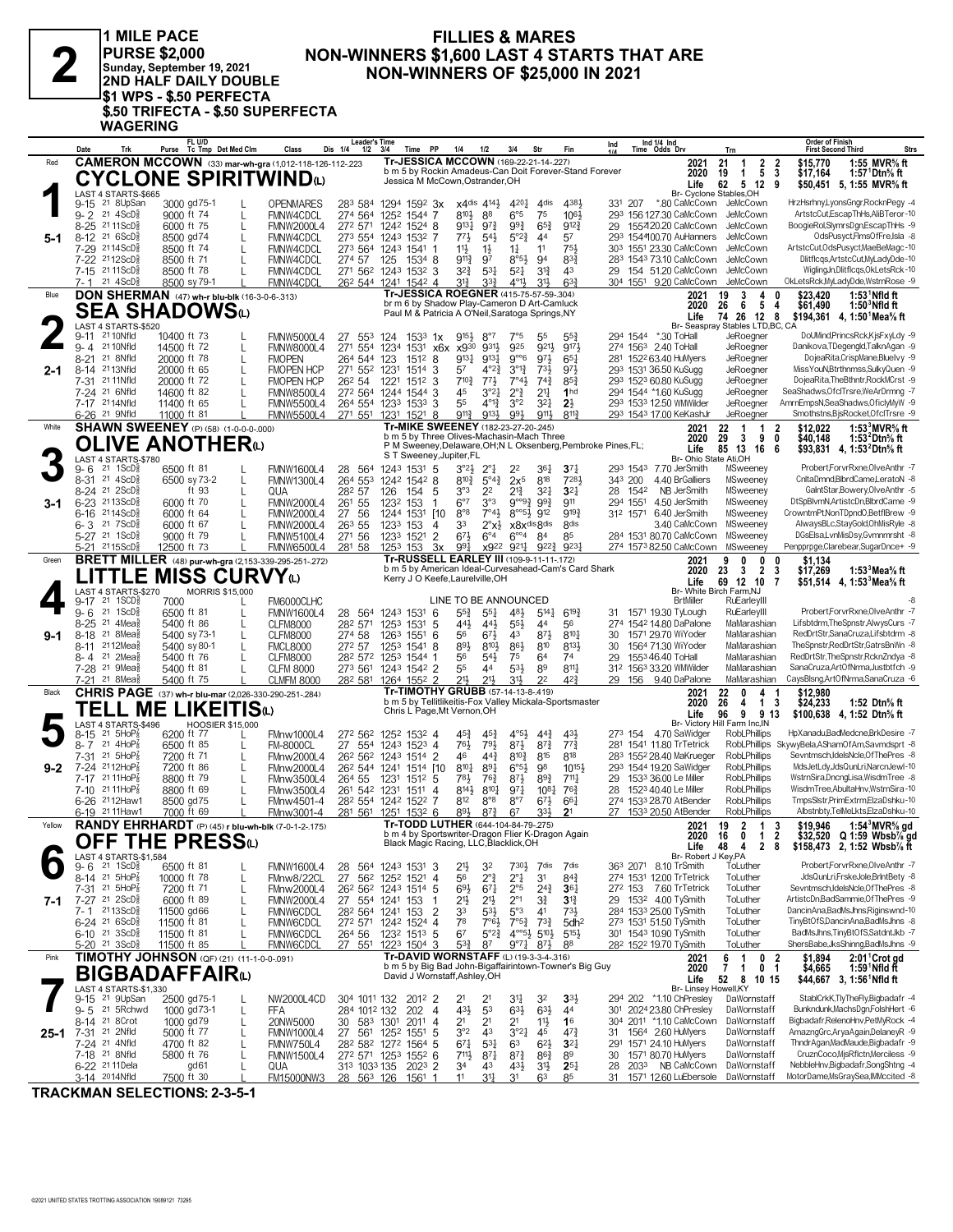$\mathbf{Z}$ 

1 MILE PACE<br>|PURSE \$2,000<br>|Sunday, September 19, 2021<br>|2ND HALF DAILY DOUBLE SIND HALP DAILY DOOBLE<br>
\$1 WPS - \$.50 PERFECTA<br>
\$.50 TRIFECTA - \$.50 SUPERFECTA<br>
WAGERING

#### **FILLIES & MARES** NON-WINNERS \$1,600 LAST 4 STARTS THAT ARE **NON-WINNERS OF \$25,000 IN 2021**

|          | Date         | Trk                                                                       | Purse                      | FL U/D                     | Tc Tmp Det Med Clm                               | Class                                                        | <b>Leader's Time</b><br>$1/2$ $3/4$<br>Dis 1/4                             |                                                     | Time                  | PP                               | 1/4                                                                                   | 1/2                                           | 3/4                                                                                 | Str                               | Fin                                                     | Ind                                                           |                      | Ind 1/4 Ind<br>Time Odds Drv                        | Trn                                                        | <b>Order of Finish</b><br><b>First Second Third</b><br><b>Strs</b>                        |
|----------|--------------|---------------------------------------------------------------------------|----------------------------|----------------------------|--------------------------------------------------|--------------------------------------------------------------|----------------------------------------------------------------------------|-----------------------------------------------------|-----------------------|----------------------------------|---------------------------------------------------------------------------------------|-----------------------------------------------|-------------------------------------------------------------------------------------|-----------------------------------|---------------------------------------------------------|---------------------------------------------------------------|----------------------|-----------------------------------------------------|------------------------------------------------------------|-------------------------------------------------------------------------------------------|
| Red      |              |                                                                           |                            |                            |                                                  | <b>CAMERON MCCOWN</b> (33) mar-wh-gra (1,012-118-126-112-223 |                                                                            |                                                     |                       |                                  | Tr-JESSICA MCCOWN (169-22-21-14-.227)                                                 |                                               |                                                                                     |                                   |                                                         | b m 5 by Rockin Amadeus-Can Doit Forever-Stand Forever        |                      | 2021<br>2020                                        | $\overline{2}$<br>21<br>$\overline{1}$<br>19<br>5<br>-1    | 1:55 MVR% ft<br>$\overline{\mathbf{2}}$<br>\$15.770<br>3<br>\$17,164<br>1:57 Dtn% ft      |
|          |              |                                                                           |                            |                            |                                                  | <b>CYCLONE SPIRITWIND</b> W                                  |                                                                            |                                                     |                       |                                  | Jessica M McCown, Ostrander, OH                                                       |                                               |                                                                                     |                                   |                                                         |                                                               |                      | Life                                                | 62 5 12                                                    | 9<br>\$50,451 5, 1:55 MVR% ft                                                             |
|          |              | LAST 4 STARTS-\$665<br>9-15 <sup>21</sup> 8UpSan                          |                            | 3000 gd75-1                |                                                  | <b>OPENMARES</b>                                             | 283 584 1294 1592 3x                                                       |                                                     |                       |                                  | x4dis 4141                                                                            |                                               | 4201                                                                                | 4 <sub>dis</sub>                  | 4384                                                    |                                                               | 331 207              | *.80 CaMcCown JeMcCown                              | Br- Cyclone Stables, OH                                    | HrzHsrhny,LyonsGngr,RocknPegy -4                                                          |
|          |              | 9-2 21 4ScD <sup>3</sup>                                                  |                            | 9000 ft 74                 | L                                                | FMNW4CDCL                                                    | 274 564                                                                    | 1252 1544 7                                         |                       |                                  | 810}                                                                                  | 88                                            | $6^{\circ}5$                                                                        | 75                                | $10^{6}$                                                |                                                               |                      | 293 156 127.30 CaMcCown                             | JeMcCown                                                   | ArtstcCut,EscapThHs,AliBTeror-10                                                          |
| 5-1      |              | 8-25 21 11 ScD <sup>5</sup><br>8-12 <sup>21</sup> 6ScD                    |                            | 6000 ft 75<br>8500 gd74    | L<br>L                                           | <b>FMNW2000L4</b><br>FMNW4CDCL                               | 272 571<br>273 554 1243                                                    | 1242 1524 8                                         | 1532 7                |                                  | 9131<br>771                                                                           | $97\frac{3}{4}$<br>$5^{4}$                    | 993<br>$5^{\circ}2^{\frac{3}{4}}$                                                   | $65\frac{3}{4}$<br>4 <sup>4</sup> | $9^{12}\frac{3}{4}$<br>57                               | 29                                                            |                      | 155420.20 CaMcCown<br>293 154400.70 AuHanners       | JeMcCown<br>JeMcCown                                       | BoogieRol,SlymrsDgn,EscapThHs -9<br>OdsPusyct,FlmsOfFre,Isla -8                           |
|          |              | 7-29 2114ScD                                                              |                            | 8500 ft 74                 | L                                                | FMNW4CDCL                                                    | 273 564 1243 1541 1                                                        |                                                     |                       |                                  | $11\frac{1}{2}$                                                                       | $1\frac{1}{2}$                                | $1\frac{1}{4}$                                                                      | 11                                | 751                                                     |                                                               |                      | 303 1551 23.30 CaMcCown                             | JeMcCown                                                   | ArtstcCut, OdsPusyct, MaeBeMagc-10                                                        |
|          |              | 7-22 2112ScD<br>7-15 21 11 ScD <sup>5</sup>                               |                            | 8500 ft 71<br>8500 ft 78   | L                                                | FMNW4CDCL<br>FMNW4CDCL                                       | 274 57<br>271 562 1243 1532 3                                              | 125                                                 | 1534 8                |                                  | $9^{11}\frac{3}{4}$<br>$3^{2}\frac{3}{4}$                                             | 97<br>$5^{31}$                                | $8^{\circ 5\frac{1}{2}}$<br>$5^{21}$                                                | 94<br>$3^{13}$                    | $8^{3}{}_{2}^{3}$<br>43                                 |                                                               |                      | 283 1543 73.10 CaMcCown<br>29 154 51.20 CaMcCown    | JeMcCown<br>JeMcCown                                       | Dlitflcqs,ArtstcCut,MyLadyDde-10<br>WiglingJn,Dlitflcgs,OkLetsRck-10                      |
|          | 7- 1         | $21 \text{ } 4$ ScD $\frac{1}{2}$                                         |                            | 8500 sy 79-1               |                                                  | FMNW4CDCL                                                    | 26 <sup>2</sup> 544 1241 1542 4                                            |                                                     |                       |                                  | 31}                                                                                   | 3 <sup>3</sup>                                | 4°1}                                                                                | 3 <sup>1</sup>                    | $63\frac{3}{4}$                                         |                                                               |                      | 304 1551 9.20 CaMcCown                              | JeMcCown                                                   | OkLetsRck,MyLadyDde,WstrnRose -9                                                          |
| Blue     |              |                                                                           |                            |                            | DON SHERMAN (47) wh-r blu-blk (16-3-0-6-.313)    |                                                              |                                                                            |                                                     |                       |                                  | Tr-JESSICA ROEGNER (415-75-57-59-.304)<br>br m 6 by Shadow Play-Cameron D Art-Camluck |                                               |                                                                                     |                                   |                                                         |                                                               |                      | 2021<br>2020                                        | 3<br>19<br>4<br>26<br>5<br>6                               | \$23.420<br>$1:531$ Nfld ft<br>\$61,490<br>4<br>1:50 $^{\circ}$ Nfld ft                   |
|          |              | SEA SHADOWSധ<br>LAST 4 STARTS-\$520                                       |                            |                            |                                                  |                                                              |                                                                            |                                                     |                       |                                  | Paul M & Patricia A O'Neil, Saratoga Springs, NY                                      |                                               |                                                                                     |                                   |                                                         |                                                               |                      | Life                                                | 74 26 12<br>Br- Seaspray Stables LTD, BC, CA               | 8<br>\$194.361 4.1:50 Mea % ft                                                            |
|          | 9-11         | 21 10Nfld                                                                 | 10400 ft 73                |                            |                                                  | <b>FMNW5000L4</b>                                            | 27<br>553 124                                                              |                                                     | $153^3$ 1x            |                                  | $9^{15}\frac{1}{2}$                                                                   | $8^{\circ}7$                                  | 7°5                                                                                 | 55                                | $55\frac{3}{4}$                                         |                                                               |                      | 294 1544 *.30 ToHall                                | JeRoegner                                                  | DoUMind,PrincsRck,KjsFxyLdy -9                                                            |
|          | 9-4          | 21 10Nfld<br>8-21 <sup>21</sup> 8Nfld                                     | 14500 ft 72<br>20000 ft 78 |                            | L<br>L                                           | <b>FMNW8000L4</b><br><b>FMOPEN</b>                           | 271 554<br>264 544 123                                                     | 1234                                                | 1531<br>1512          | x6x<br>-8                        | x930<br>$9^{13}$                                                                      | 9311<br>$913\frac{1}{4}$                      | 925<br>$9^{\circ}6$                                                                 | 9211<br>971                       | 9171<br>$65\frac{1}{4}$                                 |                                                               |                      | 274 1563 2.40 ToHall<br>281 1522 63.40 HuMyers      | JeRoegner<br>JeRoegner                                     | Danikova, TDegengld, TalknAgan -9<br>DojeaRita,CrispMane,Bluelvy -9                       |
| $2 - 1$  | $8 - 14$     | 2113Nfld                                                                  |                            | 20000 ft 65                | L                                                | <b>FMOPEN HCP</b>                                            | 271 552                                                                    | 1231                                                | 1514                  | 3                                | 57                                                                                    | $4^{\circ}2^{\frac{3}{4}}$                    | $3^{012}$                                                                           | $73\frac{1}{2}$                   | $97\frac{1}{2}$                                         |                                                               |                      | 293 1531 36.50 KuSugg                               | JeRoegner                                                  | MissYouN,Btrthnmss,SulkyQuen -9                                                           |
|          |              | 7-31 21 11 Nfld<br>7-24 <sup>21</sup> 6Nfld                               | 14600 ft 82                | 20000 ft 72                | L                                                | <b>FMOPEN HCP</b><br><b>FMNW8500L4</b>                       | 26 <sup>2</sup> 54<br>272 564 1244                                         | 1221                                                | 1512<br>1544          | 3<br>3                           | $7^{10}$<br>45                                                                        | $77\frac{1}{2}$<br>$3^{\circ}2^{\frac{1}{4}}$ | 7°43<br>$2^{\circ}$ $\frac{3}{4}$                                                   | $74\frac{3}{4}$<br>21             | $85\frac{3}{4}$<br>1 <sub>hd</sub>                      |                                                               |                      | 293 1523 60.80 KuSugg<br>294 1544 *1.60 KuSugg      | JeRoegner<br>JeRoegner                                     | DojeaRita, The Bthntr, RockMCrst -9<br>SeaShadws, Of clTrsre, WeArDrmng -7                |
|          |              | 7-17 2114Nfld                                                             | 11400 ft 65                |                            | L                                                | <b>FMNW5500L4</b>                                            | 264 554 1233                                                               |                                                     | 1533                  | 3                                | 55                                                                                    | $4^{013}$                                     | 3°2                                                                                 | $3^{2}$                           | $2\frac{1}{2}$                                          |                                                               |                      | 293 1533 12.50 WMWilder                             | JeRoegner                                                  | AmrnEmpsN,SeaShadws,OficlyMyW -9<br>Smothstns,BjsRocket,OfclTrsre -9                      |
| White    |              | 6-26 <sup>21</sup> 9Nfld                                                  | 11000 ft 81                |                            | <b>SHAWN SWEENEY</b> (P) (58) (1-0-0-0-000)      | <b>FMNW5500L4</b>                                            | 271 551 1231                                                               |                                                     | $152^1$ 8             |                                  | $9^{11}\frac{3}{4}$<br>Tr-MIKE SWEENEY (182-23-27-20-.245)                            | 9133                                          | 991                                                                                 | 9111                              | $8^{11}\frac{3}{4}$                                     |                                                               |                      | 293 1543 17.00 KeKashJr<br>2021                     | JeRoegner<br>22<br>$\overline{1}$<br>$\mathbf{1}$          | \$12.022<br>1:53 $3$ MVR $\%$ ft<br>2                                                     |
|          |              |                                                                           |                            |                            | OLIVE ANOTHERധ                                   |                                                              |                                                                            |                                                     |                       |                                  | b m 5 by Three Olives-Machasin-Mach Three                                             |                                               |                                                                                     |                                   |                                                         | P M Sweeney, Delaware, OH; N L Oksenberg, Pembroke Pines, FL; |                      | 2020                                                | 29<br>9<br>3<br>85 13 16                                   | 0<br>\$40.148<br>1:53 $^{\prime}$ Dtn $\%$ ft                                             |
|          |              | LAST 4 STARTS-\$780                                                       |                            |                            |                                                  |                                                              |                                                                            |                                                     |                       |                                  | S T Sweeney, Jupiter, FL                                                              |                                               |                                                                                     |                                   |                                                         |                                                               |                      | Life<br>Br- Ohio State Ati,OH                       |                                                            | \$93.831 4.1:53 <sup>2</sup> Dtn <sup>5</sup> / <sub>8</sub> ft<br>- 6                    |
|          | 9- 6         | 21 1ScD <sup>3</sup><br>8-31 21 4ScD                                      |                            | 6500 ft 81<br>6500 sy 73-2 | L                                                | <b>FMNW1600L4</b><br><b>FMNW1300L4</b>                       | 28 564<br>264 553                                                          | 1243 1531 5<br>1242 1542 8                          |                       |                                  | $3^{\circ}2\frac{1}{2}$<br>810}                                                       | $2^{\circ}$<br>$5^\circ 4\frac{3}{4}$         | 2 <sup>2</sup><br>$2x^5$                                                            | 361<br>818                        | $3^{7}{}_{4}$<br>7281                                   |                                                               | 343 200              | 293 1543 7.70 JerSmith<br>4.40 BrGalliers           | MSweeney<br>MSweeney                                       | Probert,ForvrRxne,OlveAnthr -7<br>CnitaDmnd,BibrdCame,LeratoN -8                          |
|          |              | 8-24 <sup>21</sup> 2ScD                                                   |                            | ft 93                      | L                                                | QUA                                                          | 282 57                                                                     | 126                                                 | 154                   | 5                                | 3°3                                                                                   | 2 <sup>2</sup>                                | $2^{13}$                                                                            | $3^{2}$                           | 3 <sup>2</sup>                                          |                                                               | 28 1542              | NB JerSmith                                         | MSweeney                                                   | GaintStar,Bowery,OlveAnthr -5                                                             |
| 3-1      |              | 6-23 2113ScD<br>6-16 2114ScD                                              |                            | 6000 ft 70<br>6000 ft 64   | L<br>$\mathbf{I}$                                | <b>FMNW2000L4</b><br><b>FMNW2000L4</b>                       | 261 55<br>27<br>-56                                                        | 1232<br>1244 1531 [10]                              | 153                   | -1                               | $6^{\circ}7$<br>$8^{\circ}8$                                                          | 3°3<br>7°43                                   | $9^{\circ\circ}9^3$ $9^93$<br>$8^{\circ 6}\frac{1}{2}$ 912                          |                                   | 911<br>9193                                             |                                                               | 294 1551<br>312 1571 | 4.50 JerSmith<br>6.40 JerSmith                      | MSweeney<br>MSweenev                                       | DtSpBlvmN, ArtistcDn, BlbrdCame -9<br>CrowntmPt,NonTDpndO,BetflBrew -9                    |
|          |              | $6 - 3$ 21 7 ScD <sup>5</sup>                                             |                            | 6000 ft 67                 | L                                                | <b>FMNW2000L4</b>                                            | 263 55                                                                     | 1233                                                | 153                   | 4                                | 33                                                                                    | $2^{\circ}x^{\frac{1}{2}}$                    | x8xdis8dis                                                                          |                                   | <b>8dis</b>                                             |                                                               |                      | 3.40 CaMcCown                                       | MSweeney                                                   | AlwaysBLc,StayGold,OhMisRyle -8                                                           |
|          |              | 5-27 <sup>21</sup> 1ScDi<br>5-21 2115ScD                                  | 12500 ft 73                | 9000 ft 79                 | L                                                | <b>FMNW5100L4</b><br><b>FMNW6500L4</b>                       | 271 56<br>281 58                                                           | 1233<br>1253 153                                    | 1521                  | $\overline{2}$<br>3x             | 673<br>$99\frac{1}{4}$                                                                | $6^{\circ}4$<br>x922 9211                     | $6^{\circ 4}$                                                                       | 84<br>$9^{22}\frac{3}{4}$         | 85<br>923                                               |                                                               |                      | 284 1531 80.70 CaMcCown<br>274 1573 82.50 CaMcCown  | MSweeney<br>MSweeney                                       | DGsElsa,LvnMisDsy,Gvmnmrsht -8<br>Penpprpge,Clarebear,SugarDnce+ -9                       |
| Green    |              |                                                                           |                            |                            |                                                  | BRETT MILLER (48) pur-wh-gra (2,153-339-295-251-272)         |                                                                            |                                                     |                       |                                  | Tr-RUSSELL EARLEY III (109-9-11-11-172)                                               |                                               |                                                                                     |                                   | b m 5 by American Ideal-Curvesahead-Cam's Card Shark    |                                                               |                      | 2021                                                | 0<br>0<br>9                                                | \$1,134<br>0                                                                              |
|          |              | <b>_ITTLE</b>                                                             |                            |                            | <b>MISS CURVY</b>                                |                                                              |                                                                            |                                                     |                       |                                  | Kerry J O Keefe, Laurelville, OH                                                      |                                               |                                                                                     |                                   |                                                         |                                                               |                      | 2020<br>Life                                        | 23<br>$\overline{2}$<br>3<br>69 12 10                      | \$17,269<br>3<br>1:53 $3$ Mea $\%$ ft<br>7<br>\$51,514 4, 1:53 Mea % ft                   |
|          | 9-17         | LAST 4 STARTS-\$270<br>21 1SCD                                            | 7000                       |                            | <b>MORRIS \$15,000</b>                           | FM6000CLHC                                                   |                                                                            |                                                     |                       |                                  | LINE TO BE ANNOUNCED                                                                  |                                               |                                                                                     |                                   |                                                         |                                                               |                      | <b>BrtMiller</b>                                    | Br- White Birch Farm, NJ<br>RuEarleyIII                    |                                                                                           |
|          | 9-6          | 21 1ScD                                                                   |                            | 6500 ft 81                 | L                                                | <b>FMNW1600L4</b>                                            | 28 564 1243 1531 6                                                         |                                                     |                       |                                  | $55\frac{3}{4}$                                                                       | $55\frac{1}{4}$                               | 481                                                                                 | $5^{14}$                          | $6^{19}$                                                |                                                               |                      | 31 1571 19.30 TyLough                               | RuEarleyIII                                                | Probert,ForvrRxne,OlveAnthr -7                                                            |
| 9-1      | $8 - 18$     | 8-25 <sup>21</sup> 4Mea<br>21 8Mea                                        |                            | 5400 ft 86<br>5400 sy 73-1 | L<br>L                                           | <b>CLFM8000</b><br><b>CLFM8000</b>                           | 282 571<br>274 58                                                          | 125 <sup>3</sup><br>1263                            | 1531<br>1551          | 5<br>6                           | 44}<br>56                                                                             | 443<br>$6^{7}\frac{1}{2}$                     | $55\frac{1}{2}$<br>43                                                               | 44<br>$8^{7}\frac{1}{2}$          | 56<br>$8^{10}$                                          | 30                                                            |                      | 274 1542 14.80 DaPalone<br>1571 29.70 WiYoder       | MaMarashian<br>MaMarashian                                 | Lifsbtdrm, The Spnstr, AlwysCurs -7<br>RedDrtStr,SanaCruza,Lifsbtdrm -8                   |
|          | 8-11         | 2112Mea                                                                   |                            | 5400 sy 80-1               | L                                                | <b>FMCL8000</b>                                              | 272 57                                                                     | 125 <sup>3</sup>                                    | 1541                  | 8                                | 893                                                                                   | 8104                                          | $86\frac{1}{2}$<br>75                                                               | 810                               | 8131<br>74                                              | 30                                                            |                      | 1564 71.30 WiYoder                                  | MaMarashian                                                | TheSpnstr,RedDrtStr,GatrsBnWn -8<br>RedDrtStr, The Spnstr, Rckn Zndya -8                  |
|          |              | 8-4 <sup>21</sup> 2Mea<br>7-28 <sup>21</sup> 9Mea                         |                            | 5400 ft 76<br>5400 ft 81   | L<br>L                                           | <b>CLFM8000</b><br><b>CLFM 8000</b>                          | 282 572 1253<br>273 561                                                    | 1243 1542 2                                         | 1544                  |                                  | 56<br>55                                                                              | $5^{4}$<br>44                                 | $5^{3}$                                                                             | 64<br>89                          | $8^{11}$                                                | 29                                                            |                      | 155346.40 ToHall<br>312 1563 33.20 WMWilder         | MaMarashian<br>MaMarashian                                 | SanaCruza, ArtOfNrma, Justbtfch -9                                                        |
|          |              | 7-21 <sup>21</sup> 8Mea                                                   |                            | 5400 ft 75                 |                                                  | <b>CLMFM 8000</b>                                            | 28 <sup>2</sup> 581 1264 1552 2                                            |                                                     |                       |                                  | 21}<br>Tr-TIMOTHY GRUBB (57-14-13-8-.419)                                             | $21\frac{1}{2}$                               | 31}                                                                                 | 2 <sup>2</sup>                    | 42 <sup>3</sup>                                         |                                                               |                      | 29 156 9.40 DaPalone                                | MaMarashian                                                | CaysBlsng,ArtOfNrma,SanaCruza -6                                                          |
| Black    |              |                                                                           |                            |                            | TELL ME LIKEITIS $\omega$                        | CHRIS PAGE (37) wh-r blu-mar (2,026-330-290-251-284)         |                                                                            |                                                     |                       |                                  |                                                                                       |                                               |                                                                                     |                                   | b m 5 by Tellitlikeitis-Fox Valley Mickala-Sportsmaster |                                                               |                      | 2021<br>2020                                        | 22<br>$\mathbf{0}$<br>4<br>26<br>4<br>$\mathbf{1}$         | \$12,980<br>-1<br>\$24,233<br>-3<br>1:52 Dtn% ft                                          |
|          |              | LAST 4 STARTS-\$496                                                       |                            |                            | <b>HOOSIER \$15,000</b>                          |                                                              |                                                                            |                                                     |                       |                                  | Chris L Page, Mt Vernon, OH                                                           |                                               |                                                                                     |                                   |                                                         |                                                               |                      | Life                                                | 9<br>96<br>Br- Victory Hill Farm Inc, IN                   | 913<br>\$100,638 4, 1:52 Dtn <sup>5</sup> / <sub>8</sub> ft                               |
|          | 8-15<br>8- 7 | 21 5HoP<br>21 4HoP                                                        |                            | 6200 ft 77<br>6500 ft 85   | L                                                | FMnw1000L4<br><b>FM-8000CL</b>                               | 272 562 1252 1532 4<br>27 554 1243 1523 4                                  |                                                     |                       |                                  | 45}<br>76}                                                                            | $45\frac{3}{4}$<br>791                        | $4^{\circ}5\frac{1}{2}$<br>871                                                      | $4^{4^{3}_{2}}$<br>$8^{73}$       | 431<br>$77\frac{3}{4}$                                  |                                                               |                      | 273 154 4.70 SaWidger<br>281 1541 11.80 TrTetrick   | <b>RobLPhillips</b>                                        | HpXanadu,BadMedcne,BrkDesire -7<br>RobLPhillips SkywyBela,AShamOfAm,Savmdsprt -8          |
|          | 7-31         | 21 5HoP                                                                   |                            | 7200 ft 71                 | L                                                | FMnw2000L4                                                   | 26 <sup>2</sup> 56 <sup>2</sup> 124 <sup>3</sup> 1514 2                    |                                                     |                       |                                  | 46                                                                                    | $44\frac{3}{4}$                               | $8^{10}\frac{3}{4}$                                                                 | 815                               | 818                                                     |                                                               |                      | 283 1552 28.40 MaKrueger                            | RobLPhillips                                               | Sevntmsch.IdelsNcle.OfThePres -8                                                          |
| $9-2$    | 7-17         | 7-24 2112HoP<br>21 11 Ho <sup>P</sup>                                     |                            | 7200 ft 86<br>8800 ft 79   | L<br>L                                           | FMnw2000L4<br>FMnw3500L4                                     | 262 544 1241<br>264 55                                                     | 1231                                                | 1514 [10<br>$151^2$ 5 |                                  | 8101<br>781                                                                           | 891<br>76}                                    | $6^{o5}\frac{1}{2}$<br>873                                                          | 98<br>$89\frac{3}{4}$             | 10153<br>$711\frac{1}{4}$                               |                                                               |                      | 293 1544 19.20 SaWidger<br>29 1533 36.00 Le Miller  | <b>RobLPhillips</b><br><b>RobLPhillips</b>                 | MdsJetLdv.JdsQunLriNarcnJewl-10<br>WstrnSira,DncngLisa,WisdmTree -8                       |
|          |              | 7-10 21 11HoP                                                             |                            | 8800 ft 69                 | L                                                | FMnw3500L4                                                   | 261 542 1231                                                               |                                                     | 1511 4                |                                  | 8141                                                                                  | $8^{10}$                                      | $97\frac{1}{4}$                                                                     | $10^{8}$                          | $76\frac{3}{4}$                                         | 28                                                            |                      | 1523 40.40 Le Miller                                | <b>RobLPhillips</b>                                        | WisdmTree,AbultaHnv,WstrnSira-10                                                          |
|          |              | 6-26 2112Haw1<br>6-19 21 11 Haw1                                          |                            | 8500 gd75<br>7000 ft 69    | L                                                | FMnw4501-4<br>FMnw3001-4                                     | 282 554 1242 1522<br>281 561 1251 1532 6                                   |                                                     |                       | 7                                | 812<br>893                                                                            | $8^{\circ}8$<br>$8^{7\frac{3}{4}}$            | $8^{\circ}7$<br>67                                                                  | $6^{7}\frac{1}{2}$<br>33}         | 66 <sup>1</sup><br>2 <sup>1</sup>                       |                                                               |                      | 274 1533 28.70 AtBender<br>27 1533 20.50 AtBender   | <b>RobLPhillips</b><br>RobLPhillips                        | TmpsSlstr,PrimExtrm,ElzaDshku-10<br>Albstnbty,TelMeLkts,ElzaDshku-10                      |
| Yellow   |              |                                                                           |                            |                            |                                                  | RANDY EHRHARDT (P) (45) r blu-wh-blk (7-0-1-2-175)           |                                                                            |                                                     |                       |                                  | Tr-TODD LUTHER (644-104-84-79-.275)                                                   |                                               |                                                                                     |                                   |                                                         |                                                               |                      | 2021                                                | $\overline{2}$<br>19<br>$\overline{1}$                     | -3<br>\$19,946<br>1:54 $3$ MVR $\%$ gd                                                    |
|          |              |                                                                           |                            |                            | OFF THE PRESS $\omega$                           |                                                              |                                                                            |                                                     |                       |                                  | Black Magic Racing, LLC, Blacklick, OH                                                |                                               |                                                                                     |                                   | b m 4 by Sportswriter-Dragon Flier K-Dragon Again       |                                                               |                      | 2020<br>Life                                        | 16<br>0<br>1<br>48<br>$\mathbf{2}$<br>4                    | 2<br>\$32,520 Q 1:59 Wbsb% gd<br>8<br>\$158,473 2, 1:52 Wbsb% ft                          |
|          |              | LAST 4 STARTS-\$1,584<br>$9 - 6$ 21 1ScD $\frac{5}{8}$                    |                            | 6500 ft 81                 |                                                  | <b>FMNW1600L4</b>                                            | 28 564 1243 1531 3                                                         |                                                     |                       |                                  | $21\frac{1}{2}$                                                                       | 32                                            | $730\frac{1}{2}$                                                                    | 7dis                              | 7dis                                                    |                                                               |                      | Br- Robert J Key, PA<br>363 2071 8.10 TrSmith       | ToLuther                                                   | Probert,ForvrRxne,OlveAnthr -7                                                            |
|          |              | 8-14 21 5HoP <sup>7</sup>                                                 | 10000 ft 78                |                            | L                                                | FMnw8/22CL                                                   | 27                                                                         | 56 <sup>2</sup> 125 <sup>2</sup> 152 <sup>1</sup> 4 |                       |                                  | 56                                                                                    | $2^{\circ}$ <sub>4</sub>                      | $2^{\circ}$ $\frac{1}{4}$                                                           | 3 <sup>1</sup>                    | $84\frac{3}{4}$                                         |                                                               |                      | 274 1531 12.00 TrTetrick                            | ToLuther                                                   | JdsQunLri,FrskeJole,BrIntBety -8                                                          |
| 7-1      |              | 7-31 21 5HoP3<br>7-27 21 2ScD <sup>5</sup>                                |                            | 7200 ft 71<br>6000 ft 89   | L<br>L                                           | FMnw2000L4<br><b>FMNW2000L4</b>                              | 26 <sup>2</sup> 56 <sup>2</sup> 124 <sup>3</sup> 1514 5<br>27 554 1241 153 |                                                     |                       |                                  | $69\frac{1}{2}$<br>21}                                                                | $67\frac{1}{4}$<br>$21\frac{1}{2}$            | $2^{\circ 5}$<br>$2^{\circ}1$                                                       | $2^{4^{3}_{4}}$<br>$3\frac{3}{4}$ | $36\frac{1}{4}$<br>$3^{13}$                             |                                                               |                      | 272 153 7.60 TrTetrick<br>29 1532 4.00 TySmith      | ToLuther<br>ToLuther                                       | Sevntmsch, IdelsNcle, Of The Pres -8<br>ArtistcDn,BadSammie,OfThePres -9                  |
|          |              | 7-1 2113ScD                                                               |                            | 11500 gd66                 | L                                                | FMNW6CDCL                                                    | 28 <sup>2</sup> 564 1241 153                                               |                                                     |                       | 2                                | 33                                                                                    | $5^{3}\frac{1}{2}$                            | 5°3                                                                                 | 4 <sup>1</sup>                    | $73\frac{1}{2}$                                         |                                                               |                      | 284 1533 25.00 TySmith                              | ToLuther                                                   | DancinAna,BadMsJhns,Riginswnd-10                                                          |
|          |              | $6 - 24$ 21 $6$ ScD $\frac{5}{8}$<br>6-10 <sup>21</sup> 3ScD <sup>3</sup> | 11500 ft 81<br>11500 ft 81 |                            | L                                                | FMNW6CDCL<br>FMNW6CDCL                                       | 272 571 1242 1524 4<br>264 56                                              | 1232 1513 5                                         |                       |                                  | 78<br>6 <sup>7</sup>                                                                  | 7°63<br>$5^{\circ}2^{\frac{3}{4}}$            | $7^{\circ}5^{\frac{3}{4}}$<br>$4^{\circ}5\frac{1}{2}$ 5 <sup>10</sup> $\frac{1}{2}$ | $73\frac{3}{4}$                   | 5dh <sup>2</sup><br>$5^{15}\frac{1}{2}$                 |                                                               |                      | 273 1531 51.50 TySmith<br>301 1543 10.90 TySmith    | ToLuther<br>ToLuther                                       | TinyBtOfS,DancinAna,BadMsJhns -8<br>BadMsJhns, TinyBtOfS, SatdntJkb -7                    |
|          |              | $5-20$ 21 3ScD <sup>5</sup>                                               | 11500 ft 85                |                            |                                                  | FMNW6CDCL                                                    | 27 551 1223 1504 3                                                         |                                                     |                       |                                  | $5^{3}\frac{3}{4}$                                                                    | 87                                            | $9^{\circ}7\frac{1}{4}$                                                             | $8^{71}$                          | 88                                                      |                                                               |                      | 282 1522 19.70 TySmith                              | ToLuther                                                   | ShersBabe,JksShinng,BadMsJhns -9                                                          |
| Pink     |              |                                                                           |                            |                            | <b>TIMOTHY JOHNSON</b> (QF) (21) (11-1-0-0-.091) |                                                              |                                                                            |                                                     |                       |                                  | Tr-DAVID WORNSTAFF (L) (19-3-3-4-.316)                                                |                                               |                                                                                     |                                   | b m 5 by Big Bad John-Bigaffairintown-Towner's Big Guy  |                                                               |                      | 2021<br>2020                                        | $\overline{1}$<br>0<br>6<br>$\mathbf{7}$<br>$\overline{1}$ | $2:011$ Crot gd<br>$\overline{2}$<br>\$1,894<br>0 <sub>1</sub><br>\$4,665<br>1:59 Nfld ft |
|          |              | <b>BIGBADAFFAIR</b><br><b>LAST 4 STARTS-\$1.330</b>                       |                            |                            |                                                  |                                                              |                                                                            |                                                     |                       |                                  | David J Wornstaff, Ashley, OH                                                         |                                               |                                                                                     |                                   |                                                         |                                                               |                      | Life<br>Br- Linsey Howell, KY                       | 52 8 10 15                                                 | \$44,667 3, 1:56 Nfld ft                                                                  |
|          |              | 9-15 21 9UpSan                                                            |                            | 2500 gd75-1                |                                                  | NW2000L4CD                                                   | 304 1011 132                                                               |                                                     | 2012 2                |                                  | 2 <sup>1</sup>                                                                        | 2 <sup>1</sup>                                | 34                                                                                  | 32                                | 3 <sup>31</sup>                                         |                                                               |                      | 294 202 *1.10 ChPresley                             | DaWornstaff                                                | StablCrkK, TlyTheFly, Bigbadafr -4                                                        |
|          |              | 9-5 21 5Rchwd<br>8-14 21 8 Crot                                           |                            | 1000 gd73-1<br>1000 ad79   | L<br>L                                           | FFA<br>20NW5000                                              | 284 1012 132<br>30                                                         | 583 1301                                            | 202<br>2011           | $\overline{4}$<br>$\overline{4}$ | $43\frac{1}{2}$<br>2 <sup>1</sup>                                                     | 53<br>2 <sup>1</sup>                          | $63\frac{1}{2}$<br>2 <sup>1</sup>                                                   | $63\frac{1}{2}$<br>11号            | 4 <sup>4</sup><br>1 <sup>6</sup>                        |                                                               |                      | 301 2024 23.80 ChPresley<br>304 2011 *1.10 CaMcCown | DaWornstaff<br>DaWornstaff                                 | Bunkndunk, MachsDgn, FolshHert -6<br>Bigbadafr, RelenoHnv, PetMyRock -4                   |
| $25 - 1$ |              | 7-31 <sup>21</sup> 2Nfld                                                  |                            | 5000 ft 77                 | L                                                | <b>FMNW1000L4</b>                                            | 27 561 1252                                                                |                                                     | 1551                  | 5                                | 3°2                                                                                   | 4 <sup>3</sup>                                | $3^{°2}$                                                                            | 45                                | $47\frac{3}{4}$                                         |                                                               |                      | 31 1564 2.60 HuMyers                                | DaWornstaff                                                | AmazngGrc,AryaAgain,DelaneyR -9                                                           |
|          |              | 7-24 <sup>21</sup> 4Nfld<br>7-18 21 8Nfld                                 |                            | 4700 ft 82<br>5800 ft 76   | L<br>L                                           | FMNW750L4<br><b>FMNW1500L4</b>                               | 282 582 1272 1564 5<br>272 571 1253 1552 6                                 |                                                     |                       |                                  | $67\frac{1}{4}$<br>$711\frac{1}{2}$                                                   | $5^{31}$<br>$8^{7}\frac{1}{4}$                | 6 <sup>3</sup><br>$8^{7}\frac{3}{4}$                                                | $6^{21}$<br>$86\frac{3}{4}$       | 3 <sup>2</sup><br>89                                    | 30                                                            |                      | 291 1571 24.10 HuMyers<br>1571 80.70 HuMyers        | DaWornstaff<br>DaWornstaff                                 | ThndrAgan, MadMaude, Bigbadafr -9<br>CruznCoco, MisRflctn, Merciless -9                   |
|          |              | 6-22 2111Dela                                                             |                            | gd61                       | $\mathbf{I}$                                     | QUA                                                          | 313 1033 135                                                               |                                                     | $2023$ 2              |                                  | 3 <sup>4</sup>                                                                        | 43                                            | $43\frac{1}{2}$                                                                     | 3 <sup>1</sup>                    | $2^{51}$                                                |                                                               |                      | 28 2033 NB CaMcCown                                 | DaWornstaff                                                | NebbleHnv, Bigbadafr, Song Shtng -4                                                       |
|          |              | 3-14 2014Nfld                                                             |                            | 7500 ft 30                 |                                                  | FM15000NW3                                                   | 28 563 126                                                                 |                                                     | 1561                  |                                  | 11                                                                                    | 3 <sup>11</sup>                               | 3 <sup>1</sup>                                                                      | 63                                | 85                                                      |                                                               |                      | 31 1571 12.60 LuEbersole                            | DaWornstaff                                                | MotorDame, MsGraySea, IMMccited -8                                                        |

**TRACKMAN SELECTIONS: 2-3-5-1**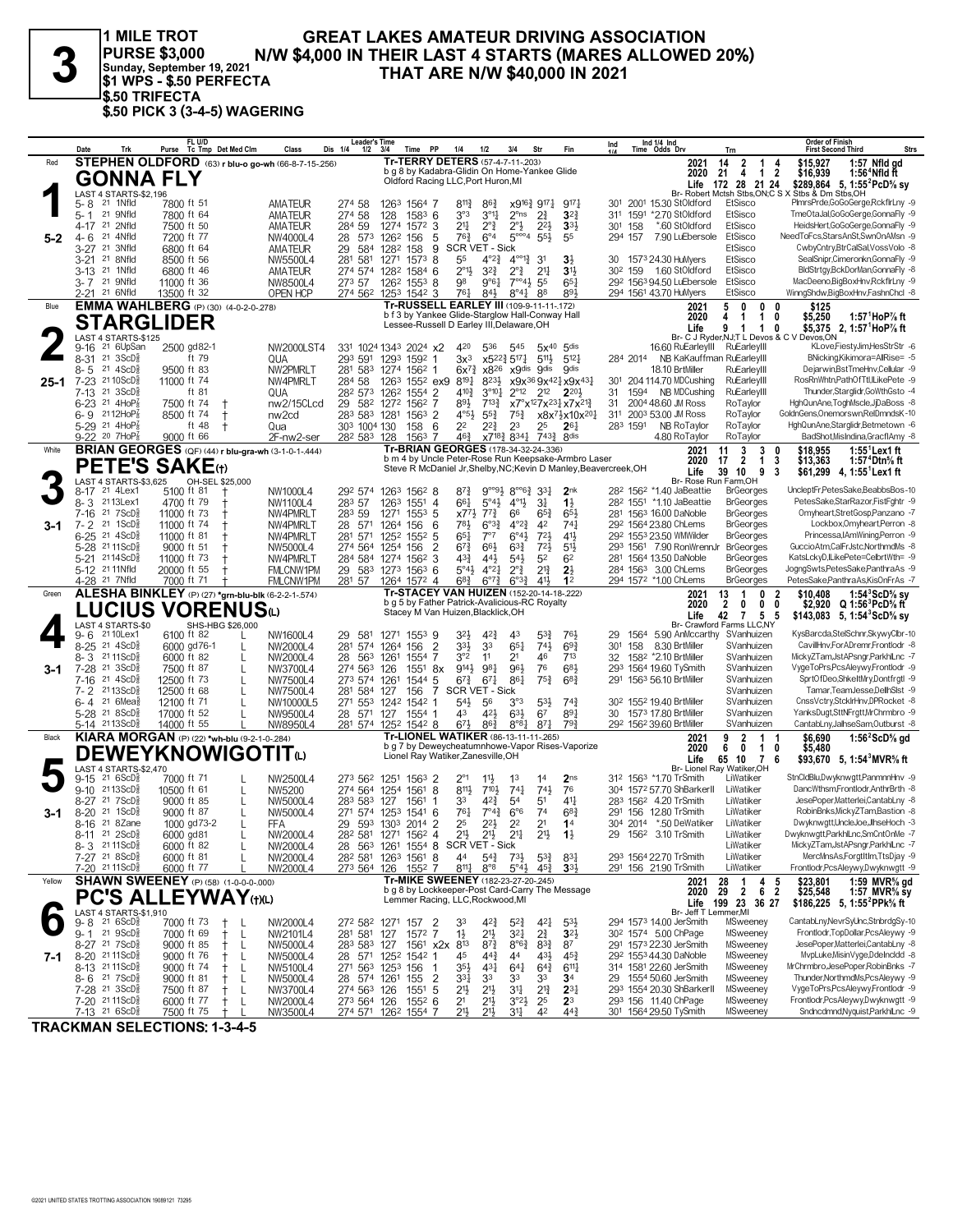**PURSE \$3,000 Sunday, September 19, 2021 \$1 WPS - \$.50 PERFECTA \$.50 TRIFECTA \$.50 PICK 3 (3-4-5) WAGERING**

# 1 MILE TROT GREAT LAKES AMATEUR DRIVING ASSOCIATION<br>
PURSE \$3,000 N/W \$4,000 IN THEIR LAST 4 STARTS (MARES ALLOWED 20%)<br> **3** sunday, September 19, 2021<br> **31 WPS - \$.50 PERFECTA** THAT ARE N/W \$40,000 IN 2021

|          | Date<br>Trk                                                       | FL U/D<br>Tc Tmp Det Med Clm<br>Purse               | Class                           | <b>Leader's Time</b><br>Dis 1/4<br>$1/2$ $3/4$ | Time                                                                                      | <b>PP</b>                                                                          | 1/4<br>1/2                                                                        | 3/4                                                                     | Str                                                           | Fin                                                                                                                       | Ind        |             | Ind $1/4$ Ind<br>Time Odds Drv                      | Trn                                    | <b>Order of Finish</b><br><b>Strs</b><br><b>First Second Third</b>                                                       |
|----------|-------------------------------------------------------------------|-----------------------------------------------------|---------------------------------|------------------------------------------------|-------------------------------------------------------------------------------------------|------------------------------------------------------------------------------------|-----------------------------------------------------------------------------------|-------------------------------------------------------------------------|---------------------------------------------------------------|---------------------------------------------------------------------------------------------------------------------------|------------|-------------|-----------------------------------------------------|----------------------------------------|--------------------------------------------------------------------------------------------------------------------------|
| Red      |                                                                   | STEPHEN OLDFORD (63) r blu-o go-wh (66-8-7-15-.256) |                                 |                                                |                                                                                           | Tr-TERRY DETERS (57-4-7-11-203)                                                    |                                                                                   |                                                                         |                                                               |                                                                                                                           |            |             | 2021                                                | $\overline{2}$<br>14<br>$\mathbf{1}$   | \$15,927<br>1:57 Nfld gd<br>4                                                                                            |
|          | <b>GONNA FLY</b>                                                  |                                                     |                                 |                                                |                                                                                           | b g 8 by Kadabra-Glidin On Home-Yankee Glide<br>Oldford Racing LLC, Port Huron, MI |                                                                                   |                                                                         |                                                               |                                                                                                                           |            |             | 2020                                                | 21<br>4                                | $1\quad 2$<br>\$16,939<br>1:56 <sup>4</sup> Nfld ft                                                                      |
|          | LAST 4 STARTS-\$2,196                                             |                                                     |                                 |                                                |                                                                                           |                                                                                    |                                                                                   |                                                                         |                                                               |                                                                                                                           |            |             | Life                                                | 172 28 21 24                           | \$289,864 5, 1:55 <sup>2</sup> PcD <sup>5</sup> / <sub>8</sub> sy<br>Br- Robert Mctsh Stbs, ON; C S X Stbs & Dm Stbs, OH |
|          | 5-8<br>21 1Nfld                                                   | 7800 ft 51                                          | AMATEUR                         | 274 58                                         | 1263 1564 7                                                                               |                                                                                    | 8113<br>$86\frac{3}{4}$                                                           |                                                                         | $x9^{16}\frac{3}{4}$ 917 $\frac{1}{4}$                        | 917                                                                                                                       |            |             | 301 2001 15.30 StOldford                            | EtSisco                                | PImrsPrde,GoGoGerge,RckflrLny -9                                                                                         |
|          | 21 9Nfld<br>$5 - 1$                                               | 7800 ft 64                                          | AMATEUR                         | 274 58                                         | 128                                                                                       | $1583$ 6                                                                           | 3°3<br>$3^{01}$                                                                   | $2^{\circ}$ ns                                                          | $2\frac{3}{4}$                                                | $3^{2}$                                                                                                                   |            |             | 311 1591 *2.70 StOldford                            | EtSisco                                | TmeOtaJal,GoGoGerge,GonnaFly -9                                                                                          |
|          | 21 2Nfld<br>4-17                                                  | 7500 ft 50                                          | AMATEUR                         | 59<br>284                                      | 1274                                                                                      | $157^2$ 3                                                                          | $2^{\circ}$<br>21‡                                                                | $2^{\circ}$                                                             | $2^{2}$                                                       | 3 <sup>3</sup>                                                                                                            | 301        | 158         | *.60 StOldford                                      | EtSisco                                | HeidsHert,GoGoGerge,GonnaFly -9                                                                                          |
| $5 - 2$  | 21 4Nfld<br>$4 - 6$                                               | 7200 ft 77                                          | NW4000L4                        | 28<br>573                                      | 1262<br>156                                                                               | 5                                                                                  | $76\frac{3}{4}$<br>$6^{\circ}4$                                                   | $5^{\circ\circ\circ}4$                                                  | $55\frac{1}{2}$                                               | 55                                                                                                                        | 294 157    |             | 7.90 LuEbersole                                     | EtSisco                                | NeedToFcs,StarsAnSt,SwnOnAMsn -9                                                                                         |
|          | $3 - 27$<br>21<br>3Nfld                                           | 6800 ft 64                                          | AMATEUR                         | 29<br>584                                      | 1282<br>158                                                                               | 9                                                                                  | SCR VET - Sick                                                                    |                                                                         |                                                               |                                                                                                                           |            |             |                                                     | EtSisco<br>EtSisco                     | CwbyCntry,BtrCalSal,VossVolo -8                                                                                          |
|          | 21 8Nfld<br>$3 - 21$<br>21 1Nfld<br>$3-13$                        | 8500 ft 56<br>6800 ft 46                            | NW5500L4<br>AMATEUR             | 281 581                                        | 1271<br>274 574 1282 1584 6                                                               | $1573$ 8                                                                           | 55<br>$4^{\circ}2^{\frac{3}{4}}$<br>$2^{\circ}1\frac{1}{2}$<br>$3^{2}\frac{3}{4}$ | $4^{\circ}$ <sup>1</sup> $\frac{3}{4}$<br>$2^{\circ}$                   | 31<br>2 <sup>11</sup>                                         | $3\frac{1}{2}$<br>3 <sup>1</sup>                                                                                          | 302 159    |             | 30 1573 24.30 HuMyers<br>1.60 StOldford             | EtSisco                                | SealSnipr,Cimeronkn,GonnaFly -9<br>BldStrtgy,BckDorMan,GonnaFly -8                                                       |
|          | 21 9Nfld<br>3- 7                                                  | 11000 ft 36                                         | NW8500L4                        | 273 57                                         | 126 <sup>2</sup> 155 <sup>3</sup> 8                                                       |                                                                                    | 98<br>$9°6\frac{1}{4}$                                                            | $7^{\circ\circ}$ 4 $\frac{1}{2}$                                        | 55                                                            | 65                                                                                                                        |            |             | 292 1563 94.50 LuEbersole                           | EtSisco                                | MacDeeno,BigBoxHnv,RckflrLny -9                                                                                          |
|          | 2-21 <sup>21</sup> 6Nfld                                          | 13500 ft 32                                         | <b>OPEN HCP</b>                 |                                                | 274 562 1253 1542 3                                                                       |                                                                                    | 761<br>841                                                                        | $8^{\circ}4^{\circ}$                                                    | 88                                                            | 893                                                                                                                       |            |             | 294 1561 43.70 HuMyers                              | EtSisco                                | WinngShdw,BigBoxHnv,FashnChcl -8                                                                                         |
| Blue     |                                                                   | <b>EMMA WAHLBERG</b> (P) (30) (4-0-2-0-278)         |                                 |                                                |                                                                                           | Tr-RUSSELL EARLEY III (109-9-11-11-172)                                            |                                                                                   |                                                                         |                                                               |                                                                                                                           |            |             | 2021                                                | 5<br>0<br>$\mathbf 0$                  | \$125<br>0                                                                                                               |
|          | <b>STARGLIDER</b>                                                 |                                                     |                                 |                                                |                                                                                           | b f 3 by Yankee Glide-Starglow Hall-Conway Hall                                    |                                                                                   |                                                                         |                                                               |                                                                                                                           |            |             | 2020                                                | $\mathbf 1$<br>4<br>-1                 | 0<br>\$5,250<br>1:57 $^1$ HoP $\%$ ft                                                                                    |
|          |                                                                   |                                                     |                                 |                                                |                                                                                           | Lessee-Russell D Earley III, Delaware, OH                                          |                                                                                   |                                                                         |                                                               |                                                                                                                           |            |             | Life                                                | $\mathbf{1}$<br>-1                     | \$5,375 2, 1:57 <sup>1</sup> HoP% ft<br>0<br>Br- C J Ryder, NJ; T L Devos & C V Devos, ON                                |
|          | LAST 4 STARTS-\$125<br>21 6UpSan<br>$9 - 16$                      | 2500 gd82-1                                         | NW2000LST4                      |                                                | 331 1024 1343 2024 x2                                                                     |                                                                                    | 536<br>420                                                                        | 545                                                                     |                                                               | 5x40 5dis                                                                                                                 |            |             | 16.60 RuEarleyIII RuEarleyIII                       |                                        | KLove,FiestyJim,HesStrStr -6                                                                                             |
|          | $8 - 31$<br>$21 \text{ } 3ScD\frac{5}{8}$                         | ft 79                                               | QUA                             | 293 591                                        | 1293 1592 1                                                                               |                                                                                    | $3x^3$                                                                            | x522} 517}                                                              | 5113                                                          | $5^{12}$                                                                                                                  | 284 2014   |             | NB KaKauffman RuEarlevIII                           |                                        | BNicking, Kikimora=AllRise= -5                                                                                           |
|          | $21.4$ ScD $\frac{5}{2}$<br>8-5                                   | 9500 ft 83                                          | NW2PMRLT                        |                                                | 281 583 1274 1562 1                                                                       |                                                                                    | $6x^{7}\frac{3}{4}$<br>x8 <sup>26</sup>                                           |                                                                         | x9dis 9dis                                                    | .<br>Odis                                                                                                                 |            |             | 18.10 BrtMiller                                     | RuEarleyIII                            | Dejarwin, Bst TmeHnv, Cellular -9                                                                                        |
| $25 - 1$ | 7-23 2110ScD <sup>5</sup>                                         | 11000 ft 74                                         | NW4PMRLT                        | 284 58                                         | 1263                                                                                      | $155^2$ ex9                                                                        | $8^{19}\frac{1}{4}$<br>8233                                                       |                                                                         |                                                               | x9x <sup>36</sup> 9x <sup>42</sup> }x9x <sup>43</sup> }                                                                   |            |             | 301 204 114.70 MDCushing                            | RuEarleyIII                            | RosRnWhtn,PathOfTtl,ILikePete -9                                                                                         |
|          | 21 3ScD<br>7-13                                                   | ft 81                                               | QUA                             |                                                | 28 <sup>2</sup> 573 126 <sup>2</sup> 1554 2                                               |                                                                                    | $3^{\circ}10\frac{1}{4}$<br>410}<br>893                                           | $2^{\circ}$ 12                                                          | $2^{12}$                                                      | $2^{20}$                                                                                                                  | 31         |             | 1594 NB MDCushing                                   | RuEarleyIII<br>RoTaylor                | Thunder, Starglidr, GoWth Gsto -4<br>HghQunAne,ToghMscle,JjDaBoss -8                                                     |
|          | $6-23$ 21 4HoP <sub>8</sub><br>$6 - 9$ 2112HoP                    | 7500 ft 74<br>8500 ft 74<br>$\pm$                   | nw2/15CLcd<br>nw <sub>2cd</sub> | 29                                             | 582 1272 1562 7<br>283 583 1281 1563 2                                                    |                                                                                    | $7^{13}\frac{3}{4}$<br>$4^{\circ}5\frac{1}{2}$<br>$55\frac{3}{4}$                 | $75\frac{3}{4}$                                                         |                                                               | x7°x <sup>12</sup> 7x <sup>231</sup> <sub>4</sub> x7x <sup>21</sup><br>x8x <sup>71</sup> <sub>2</sub> x10x <sup>201</sup> | 31         |             | 2004 48.60 JM Ross<br>311 2003 53.00 JM Ross        | RoTaylor                               | GoldnGens, Onemorswn, RelDmndsK-10                                                                                       |
|          | $5-29$ 21 $4HOP_8^7$                                              | ft 48<br>$^{\mathrm{+}}$                            | Qua                             | 303 1004 130                                   | 158                                                                                       | - 6                                                                                | 22<br>22}                                                                         | 2 <sup>3</sup>                                                          | 25                                                            | $26\frac{1}{4}$                                                                                                           | 283 1591   |             | NB RoTaylor                                         | RoTaylor                               | HghQunAne,Starglidr,Betmetown -6                                                                                         |
|          | 9-22 20 7HoP3                                                     | 9000 ft 66                                          | 2F-nw2-ser                      | 282 583 128                                    |                                                                                           | $1563$ 7                                                                           | $46\frac{3}{4}$                                                                   | x7 <sup>18</sup> / <sub>2</sub> 834 <sup>1</sup>                        | 7433                                                          | 8 <sup>dis</sup>                                                                                                          |            |             | 4.80 RoTaylor                                       | RoTaylor                               | BadShot, MisIndina, GracfIAmy -8                                                                                         |
| White    |                                                                   | BRIAN GEORGES (QF) (44) r blu-gra-wh (3-1-0-1-.444) |                                 |                                                |                                                                                           | Tr-BRIAN GEORGES (178-34-32-24-.336)                                               |                                                                                   |                                                                         |                                                               |                                                                                                                           |            |             | 2021                                                | 3<br>3<br>11                           | $1:551$ Lex 1 ft<br>\$18.955<br>0                                                                                        |
|          | <b>PETE'S SAKE</b> (t)                                            |                                                     |                                 |                                                |                                                                                           |                                                                                    |                                                                                   |                                                                         |                                                               | b m 4 by Uncle Peter-Rose Run Keepsake-Armbro Laser<br>Steve R McDaniel Jr, Shelby, NC; Kevin D Manley, Beavercreek, OH   |            |             | 2020                                                | $\overline{2}$<br>$\mathbf{1}$<br>17   | 3<br>\$13,363<br>1:57 ° Dtn% ft                                                                                          |
|          |                                                                   |                                                     |                                 |                                                |                                                                                           |                                                                                    |                                                                                   |                                                                         |                                                               |                                                                                                                           |            |             | Life<br>Br- Rose Run Farm, OH                       | 39 10<br>9                             | 3<br>\$61,299 4, 1:55 Lex1 ft                                                                                            |
|          | LAST 4 STARTS-\$3,625<br>21 4Lex1<br>8-17                         | OH-SEL \$25,000<br>5100 ft 81                       | NW1000L4                        |                                                | 292 574 1263 1562 8                                                                       |                                                                                    | 87}                                                                               | $9^{\circ 9}$ <sup>4</sup> $8^{\circ 6}$ <sup>4</sup> $33$ <sup>1</sup> |                                                               | 2 <sub>nk</sub>                                                                                                           |            |             | 28 <sup>2</sup> 156 <sup>2</sup> *1.40 JaBeattie    | <b>BrGeorges</b>                       | UncleptFr.PetesSake.BeabbsBos-10                                                                                         |
|          | 8-3<br>2113Lex1                                                   | 4700 ft 79                                          | NW1100L4                        | 283 57                                         | 1263 1551                                                                                 | $\overline{4}$                                                                     | 661<br>$5^{\circ}4\frac{1}{2}$                                                    | $4^{01}\frac{1}{2}$                                                     | 3 <sup>1</sup>                                                | $1\frac{1}{2}$                                                                                                            |            |             | 282 1551 *1.10 JaBeattie                            | <b>BrGeorges</b>                       | PetesSake.StarRazor.FistFahtr -9                                                                                         |
|          | 21 7 ScD<br>7-16                                                  | 11000 ft 73<br>$\pm$                                | NW4PMRLT                        | 283 59                                         | 1271 1553 5                                                                               |                                                                                    | $x77\frac{1}{2}$<br>$7^{7}\frac{3}{4}$                                            | 66                                                                      | $65\frac{3}{4}$                                               | 65                                                                                                                        |            |             | 281 1563 16.00 DaNoble                              | <b>BrGeorges</b>                       | Omyheart,StretGosp,Panzano -7                                                                                            |
| 3-1      | $7 - 2$<br>21 1ScD <sup>3</sup>                                   | 11000 ft 74<br>t                                    | NW4PMRLT                        | 28 571                                         | 1264<br>156                                                                               | 6                                                                                  | $6^{o3}\frac{3}{4}$<br>783                                                        | $4^{\circ}2^{\frac{3}{2}}$                                              | 42                                                            | 74 <sub>7</sub>                                                                                                           |            |             | 292 1564 23.80 ChLems                               | <b>BrGeorges</b>                       | Lockbox, Omyheart, Perron -8                                                                                             |
|          | $6 - 25$<br>$21 \text{ } 4\text{ScD}^5_8$                         | 11000 ft 81                                         | NW4PMRLT                        | 281 571                                        | 1252 1552 5                                                                               |                                                                                    | $65\frac{1}{4}$<br>$7^{\circ}7$                                                   | $6^{\circ}4\frac{1}{2}$                                                 | 721                                                           | 41}                                                                                                                       |            |             | 292 1553 23.50 WMWilder                             | <b>BrGeorges</b>                       | Princessa, IAmWining, Perron -9<br>GuccioAtm.CalFrJstc.NorthmdMs -8                                                      |
|          | 5-28 2111ScD <sup>5</sup><br>5-21 2114ScD <sup>5</sup>            | 9000 ft 51<br>11000 ft 73                           | NW5000L4<br>NW4PMRLT            |                                                | 274 564 1254 156<br>284 584 1274 1562 3                                                   | $\overline{2}$                                                                     | $6^{73}$<br>66}<br>$43\frac{3}{4}$<br>443                                         | $63\frac{3}{4}$<br>$54\frac{1}{2}$                                      | $72\frac{1}{2}$<br>52                                         | 5 <sup>1</sup><br>6 <sup>2</sup>                                                                                          |            |             | 293 1561 7.90 RonWrennJr<br>281 1564 13.50 DaNoble  | <b>BrGeorges</b><br><b>BrGeorges</b>   | KatsLckyD,ILikePete=CelbrtWth= -9                                                                                        |
|          | 5-12 21 11 Nfld                                                   | 20000 ft 55                                         | FMLCNW1PM                       |                                                | 29 583 1273 1563 6                                                                        |                                                                                    | 5°43<br>$4^{o}2^{1}$                                                              | $2^{\circ}$ $\frac{3}{4}$                                               | $2^{13}$                                                      | $2\frac{1}{2}$                                                                                                            |            |             | 284 1563 3.00 ChLems                                | <b>BrGeorges</b>                       | JogngSwts,PetesSake,PanthraAs -9                                                                                         |
|          | 4-28 <sup>21</sup> 7Nfld                                          | 7000 ft 71                                          | FMLCNW1PM                       | 281 57                                         | 1264 1572 4                                                                               |                                                                                    | $6^{8}$ <sub>4</sub><br>$6^{07}\frac{3}{4}$                                       | $6^{o_{32}}$                                                            | 411                                                           | 1 <sup>2</sup>                                                                                                            |            |             | 294 1572 *1.00 ChLems                               | <b>BrGeorges</b>                       | PetesSake,PanthraAs,KisOnFrAs -7                                                                                         |
|          |                                                                   |                                                     |                                 |                                                |                                                                                           |                                                                                    |                                                                                   |                                                                         |                                                               |                                                                                                                           |            |             |                                                     |                                        |                                                                                                                          |
| Green    |                                                                   |                                                     |                                 |                                                |                                                                                           | Tr-STACEY VAN HUIZEN (152-20-14-18-.222)                                           |                                                                                   |                                                                         |                                                               |                                                                                                                           |            |             | 2021                                                | 13<br>0<br>-1                          | 2<br>\$10,408<br>1:54 <sup>3</sup> ScD% sv                                                                               |
|          |                                                                   | ALESHA BINKLEY (P) (27) *grn-blu-blk (6-2-2-1-574)  |                                 |                                                |                                                                                           | b g 5 by Father Patrick-Avalicious-RC Royalty                                      |                                                                                   |                                                                         |                                                               |                                                                                                                           |            |             | 2020                                                | $\overline{2}$<br>0<br>0               | \$2,920 $Q 1:56^3$ PcD% ft<br>0                                                                                          |
|          |                                                                   | <b>LUCIUS VORENUS</b> ധ                             |                                 |                                                |                                                                                           | Stacey M Van Huizen, Blacklick, OH                                                 |                                                                                   |                                                                         |                                                               |                                                                                                                           |            |             | Life                                                | 42 7<br>5                              | - 5<br>\$143,083 5, 1:54 $SCD\%$ sy                                                                                      |
|          | LAST 4 STARTS-\$0                                                 | SHS-HBG \$26,000                                    |                                 |                                                |                                                                                           |                                                                                    |                                                                                   |                                                                         |                                                               |                                                                                                                           |            |             |                                                     | Br- Crawford Farms LLC,NY              |                                                                                                                          |
|          | 21 10 Lex 1<br>$9 - 6$<br>$8 - 25$<br>21 4ScD <sup>3</sup>        | 6100 ft 82<br>6000 gd76-1<br>L                      | NW1600L4<br>NW2000L4            | 581<br>29<br>281 574                           | 1271 1553 9<br>156<br>1264                                                                | $\overline{2}$                                                                     | 423<br>32}<br>33}<br>33                                                           | 43<br>$65\frac{1}{4}$                                                   | $5^{3}_{4}$<br>$74\frac{1}{2}$                                | 761<br>69 <sub>3</sub>                                                                                                    | 29.<br>301 | 1564<br>158 | 5.90 AnMccarthy SVanhuizen<br>8.30 BrtMiller        | SVanhuizen                             | KysBarcda,StelSchnr,SkywyClbr-10<br>CavillHnv,ForADremr,Frontlodr -8                                                     |
|          | $8 - 3$<br>21 11 ScD                                              | 6000 ft 82<br>L                                     | NW2000L4                        | 28<br>563                                      | 1261                                                                                      | $1554$ 7                                                                           | 3°2<br>11                                                                         | 2 <sup>1</sup>                                                          | 46                                                            | 713                                                                                                                       | 32         |             | 1582 *2.10 BrtMiller                                | SVanhuizen                             | MickyZTam,JstAPsngr,ParkhlLnc -7                                                                                         |
| 3-1      | 7-28 <sup>21</sup> 3ScD                                           | 7500 ft 87<br>L                                     | NW3700L4                        | 274 563 126                                    | 1551                                                                                      | 8x                                                                                 | 9143<br>981                                                                       | 96}                                                                     | 76                                                            | $6^{8}$                                                                                                                   |            |             | 293 1564 19.60 TySmith                              | SVanhuizen                             | VygeToPrs,PcsAleywy,Frontlodr -9                                                                                         |
|          | 21 4ScD <sup>5</sup><br>7-16                                      | 12500 ft 73<br>L                                    | NW7500L4                        | 273 574 1261                                   |                                                                                           | 1544 5                                                                             | $67\frac{3}{4}$<br>$67\frac{1}{4}$                                                | 861                                                                     | $75\frac{3}{4}$                                               | $6^{8}3$                                                                                                                  | 291        |             | 1563 56.10 BrtMiller                                | SVanhuizen                             | SprtOfDeo,ShkeltMry,Dontfrgtl -9                                                                                         |
|          | 7-2 2113ScD                                                       | 12500 ft 68                                         | NW7500L4                        | 281 584 127                                    | 156                                                                                       | $\overline{7}$                                                                     | SCR VET - Sick                                                                    |                                                                         |                                                               |                                                                                                                           |            |             |                                                     | SVanhuizen                             | Tamar, TeamJesse, Dellh Sist -9                                                                                          |
|          | $6 - 4$<br>21 6Mea                                                | 12100 ft 71<br>$\mathbf{I}$                         | NW10000L5                       |                                                | 271 553 1242 1542 1                                                                       |                                                                                    | 54}<br>56<br>43                                                                   | 3°3                                                                     | 533                                                           | 743                                                                                                                       |            |             | 30 <sup>2</sup> 155 <sup>2</sup> 19.40 BrtMiller    | SVanhuizen                             | CnssVctry,StckIrHnv,DPRocket -8<br>YanksDugt,SttNFrgtt,MrChrmbro -9                                                      |
|          | 5-28 <sup>21</sup> 8ScD <sup>5</sup><br>5-14 2113ScD <sup>3</sup> | 17000 ft 52<br>14000 ft 55                          | NW9500L4<br>NW8950L4            |                                                | 28 571 127 1554 1<br>281 574 1252 1542 8                                                  |                                                                                    | 421<br>$6^{7}\frac{1}{2}$<br>$86\frac{3}{4}$                                      | $63\frac{1}{2}$<br>$8^{\circ}8^{\frac{1}{4}}$                           | 6 <sup>7</sup><br>871                                         | 891<br>$79\frac{3}{4}$                                                                                                    |            |             | 30 1573 17.80 BrtMiller<br>292 1562 39.60 BrtMiller | SVanhuizen<br>SVanhuizen               | CantabLny,JalhseSam,Outburst -8                                                                                          |
| Black    |                                                                   | KIARA MORGAN (P) (22) *wh-blu (9-2-1-0-284)         |                                 |                                                |                                                                                           | Tr-LIONEL WATIKER (86-13-11-11-265)                                                |                                                                                   |                                                                         |                                                               |                                                                                                                           |            |             | 2021                                                | $\overline{2}$<br>9<br>-1              | \$6,690<br>1:56 <sup>2</sup> ScD <sup>5</sup> / <sub>8</sub> gd                                                          |
|          |                                                                   |                                                     |                                 |                                                |                                                                                           |                                                                                    |                                                                                   |                                                                         |                                                               | b g 7 by Deweycheatumnhowe-Vapor Rises-Vaporize                                                                           |            |             | 2020                                                | 6<br>0<br>$\mathbf{1}$                 | 0<br>\$5,480                                                                                                             |
|          |                                                                   | <b>DEWEYKNOWIGOTIT</b> <sup>tu</sup>                |                                 |                                                |                                                                                           | Lionel Ray Watiker, Zanesville, OH                                                 |                                                                                   |                                                                         |                                                               |                                                                                                                           |            |             | Life                                                | 65 10<br>7                             | -6<br>\$93,670 5, 1:54 MVR% ft                                                                                           |
|          | LAST 4 STARTS-\$2,470<br>216SCD <sub>8</sub><br>9-15              | 7000 ft 71                                          | NW2500L4                        | 273 562                                        | 1251 1563 2                                                                               |                                                                                    | $2^{\circ_1}$<br>$11\frac{1}{2}$                                                  | 1 <sup>3</sup>                                                          | 14                                                            | 2 <sub>ns</sub>                                                                                                           |            |             | 312 1563 *1.70 TrSmith                              | Br- Lionel Rav Watiker.OH<br>LiWatiker | StnCldBlu,Dwyknwgtt,PanmnnHnv -9                                                                                         |
|          | $9 - 10$<br>$2113$ ScD $\frac{5}{8}$                              | 10500 ft 61                                         | NW5200                          |                                                | 274 564 1254 1561                                                                         | 8                                                                                  | 8111,<br>$7^{10}$                                                                 | $74\frac{1}{4}$                                                         | $74\frac{1}{2}$                                               | 76                                                                                                                        |            |             | 304 1572 57.70 ShBarkerll                           | LiWatiker                              | DancWthsm,Frontlodr,AnthrBrth -8                                                                                         |
|          | 217SCD <sub>8</sub><br>$8-27$                                     | 9000 ft 85<br>L                                     | NW5000L4                        | 283 583 127                                    | 1561                                                                                      | 1                                                                                  | 33<br>42}                                                                         | 5 <sup>4</sup>                                                          | 5 <sup>1</sup>                                                | 41}                                                                                                                       |            |             | 283 1562 4.20 TrSmith                               | LiWatiker                              | JesePoper,Matterlei,CantabLny -8                                                                                         |
| 3-1      | 21 1ScD<br>$8 - 20$                                               | 9000 ft 87<br>L                                     | NW5000L4                        |                                                | 271 574 1253 1541 6                                                                       |                                                                                    | 761<br>$7^{\circ}4^3$                                                             | $6^{\circ}6$                                                            | 74                                                            | 68                                                                                                                        |            |             | 291 156 12.80 TrSmith                               | LiWatiker                              | RobinBnks, MickyZTam, Bastion -8                                                                                         |
|          | 8-16 21 8Zane                                                     | 1000 gd73-2<br>$\mathbf{I}$                         | FFA                             |                                                | 29 593 1303 2014 2                                                                        |                                                                                    | 25<br>22}                                                                         | 2 <sup>2</sup>                                                          | 2 <sup>1</sup>                                                | 1 <sup>4</sup>                                                                                                            |            |             | 304 2014 *.50 DeWatiker                             | LiWatiker                              | Dwyknwgtt, UncleJoe, JlhseHoch -3                                                                                        |
|          | 8-11 <sup>21</sup> 2ScD <sup>3</sup>                              | 6000 gd81                                           | NW2000L4                        |                                                | 28 <sup>2</sup> 581 1271 156 <sup>2</sup> 4                                               |                                                                                    | $21\frac{1}{2}$<br>21}                                                            | $21\frac{1}{4}$                                                         | $21\frac{1}{2}$                                               | $1\frac{1}{2}$                                                                                                            | 29         |             | 156 <sup>2</sup> 3.10 TrSmith                       | LiWatiker                              | Dwyknwgtt,ParkhlLnc,SmCntOnMe -7                                                                                         |
|          | 8-3 2111ScD <sup>3</sup>                                          | 6000 ft 82<br>L                                     | NW2000L4                        |                                                | 28 563 1261 1554 8 SCR VET - Sick                                                         |                                                                                    |                                                                                   |                                                                         |                                                               |                                                                                                                           |            |             |                                                     | LiWatiker                              | MickyZTam,JstAPsngr,ParkhlLnc -7<br>MercMnsAs,ForgtItIm,TtsDjay -9                                                       |
|          | 7-27 21 8ScD <sup>5</sup><br>7-20 2111ScD <sup>3</sup>            | 6000 ft 81<br>6000 ft 77                            | NW2000L4<br>NW2000L4            |                                                | 28 <sup>2</sup> 58 <sup>1</sup> 126 <sup>3</sup> 156 <sup>1</sup> 8<br>273 564 126 1552 7 |                                                                                    | 44<br>$5^{4}$<br>8111<br>$8^{\circ}8$                                             | $73\frac{1}{2}$                                                         | $5^{3}\frac{3}{4}$<br>$5^{\circ}4\frac{1}{2}$ $45\frac{3}{4}$ | 831<br>$3^{3}$                                                                                                            |            |             | 293 1564 22.70 TrSmith<br>291 156 21.90 TrSmith     | LiWatiker<br>LiWatiker                 | Frontlodr, PcsAleywy, Dwyknwgtt -9                                                                                       |
| Yellow   |                                                                   | <b>SHAWN SWEENEY</b> (P) (58) (1-0-0-0-.000)        |                                 |                                                |                                                                                           | Tr-MIKE SWEENEY (182-23-27-20-.245)                                                |                                                                                   |                                                                         |                                                               |                                                                                                                           |            |             | 2021                                                | 28<br>1                                | $4\quad 5$<br>1:59 MVR% gd<br>\$23,801                                                                                   |
|          |                                                                   |                                                     |                                 |                                                |                                                                                           | b g 8 by Lockkeeper-Post Card-Carry The Message                                    |                                                                                   |                                                                         |                                                               |                                                                                                                           |            |             | 2020                                                | 29<br>$2 \t6 \t2$                      | \$25,548<br>1:57 MVR $\frac{5}{8}$ sy                                                                                    |
|          |                                                                   | <b>PC'S ALLEYWAY(t)(L)</b>                          |                                 |                                                |                                                                                           | Lemmer Racing, LLC, Rockwood, MI                                                   |                                                                                   |                                                                         |                                                               |                                                                                                                           |            |             |                                                     | Life 199 23 36 27                      | \$186,225 5, 1:55 PPk <sup>5</sup> / <sub>8</sub> ft                                                                     |
|          | LAST 4 STARTS-\$1,910<br>$216$ ScD $\frac{5}{8}$<br>9-8           | 7000 ft 73<br>$^+$<br>L                             |                                 |                                                |                                                                                           |                                                                                    | $4^{2}\frac{3}{4}$                                                                |                                                                         | 421                                                           |                                                                                                                           |            |             | Br- Jeff T Lemmer, MI<br>294 1573 14.00 JerSmith    | MSweeney                               | CantabLny, NevrSyUnc, StnbrdgSy-10                                                                                       |
|          | 9-1 21 9ScD                                                       | 7000 ft 69<br>L<br>$^+$                             | NW2000L4<br>NW2101L4            |                                                | 272 582 1271 157<br>281 581 127 1572 7                                                    | $\overline{2}$                                                                     | 33<br>21}<br>$1\frac{1}{2}$                                                       | $5^{2}\frac{3}{4}$<br>$3^{24}$                                          | $2^{3}_{4}$                                                   | $5^{3}\frac{1}{2}$<br>$3^{21}$                                                                                            |            |             | 30 <sup>2</sup> 1574 5.00 ChPage                    | MSweeney                               | Frontlodr, TopDollar, PcsAleywy -9                                                                                       |
|          | 8-27 21 7ScD <sup>5</sup>                                         | 9000 ft 85<br>L<br>$^+$                             | NW5000L4                        | 283 583 127                                    |                                                                                           | $156^1$ x2x                                                                        | 813<br>$8^{7}\frac{3}{4}$                                                         | $8^{\circ}6\frac{3}{4}$                                                 | $8^{3}\frac{3}{4}$                                            | 87                                                                                                                        |            |             | 291 1573 22.30 JerSmith                             | MSweeney                               | JesePoper,Matterlei,CantabLny -8                                                                                         |
| 7-1      | 8-20 <sup>21</sup> 11ScD <sup>5</sup>                             | 9000 ft 76<br>$^+$<br>L                             | NW5000L4                        |                                                | 28 571 1252 1542 1                                                                        |                                                                                    | 45<br>$44\frac{3}{4}$                                                             | 44                                                                      | 43}                                                           | $45\frac{3}{4}$                                                                                                           |            |             | 292 1553 44.30 DaNoble                              | MSweeney                               | MvpLuke, Misin Vyge, Ddelncldd -8                                                                                        |
|          | 8-13 2111ScD <sup>3</sup>                                         | 9000 ft 74<br>ŧ<br>L                                | NW5100L4                        |                                                | 271 563 1253 156                                                                          | $\mathbf 1$                                                                        | $35\frac{1}{2}$<br>431                                                            | $64\frac{1}{4}$                                                         | $64\frac{3}{4}$                                               | $6^{11}$                                                                                                                  |            |             | 314 1581 22.60 JerSmith                             | MSweeney                               | MrChrmbro, JesePoper, RobinBnks -7                                                                                       |
|          | 8-6 <sup>21</sup> 7ScD <sup>3</sup>                               | 9000 ft 81<br>L                                     | NW5000L4                        |                                                | 28 574 1261 155                                                                           | 2                                                                                  | 331<br>33                                                                         | 33                                                                      | 33                                                            | 34                                                                                                                        |            |             | 29 1554 50.60 JerSmith                              | MSweeney                               | Thunder, NorthmdMs, PcsAleywy -9<br>VygeToPrs,PcsAleywy,Frontlodr -9                                                     |
|          | 7-28 21 3ScD <sup>5</sup><br>7-20 2111ScD <sup>5</sup>            | 7500 ft 87<br>L<br>6000 ft 77<br>L                  | NW3700L4<br>NW2000L4            | 274 563 126<br>273 564 126                     | 1551                                                                                      | -5<br>$155^2$ 6                                                                    | 21}<br>2 <sup>11</sup><br>2 <sup>1</sup><br>2 <sup>11</sup>                       | 34<br>$3^{o_2}\frac{1}{2}$                                              | $2^{13}$<br>25                                                | $2^{3}\frac{1}{4}$<br>2 <sup>3</sup>                                                                                      |            |             | 293 1554 20.30 ShBarkerII<br>293 156 11.40 ChPage   | MSweeney<br>MSweeney                   | Frontlodr, PcsAleywy, Dwyknwgtt -9                                                                                       |

**TRACKMAN SELECTIONS: 1-3-4-5**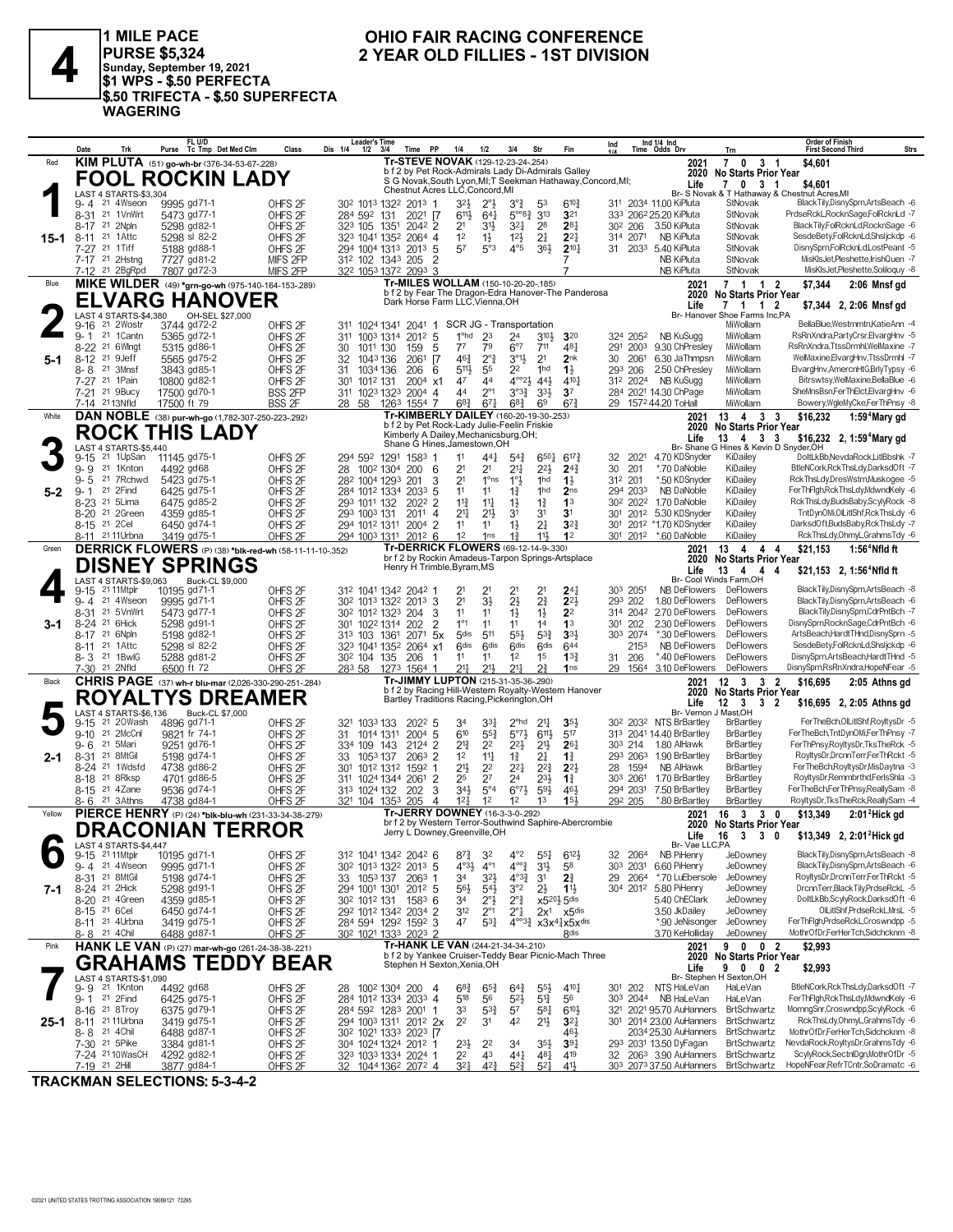

1 MILE PACE | I WILL PACE<br>|PURSE \$5,324<br>|Sunday, September 19, 2021<br>|\$1 WPS - \$.50 PERFECTA<br>!\$.50 TRIFECTA - \$.50 SUPERFECTA **WAGERING** 

### OHIO FAIR RACING CONFERENCE 2 YEAR OLD FILLIES - 1ST DIVISION

|          | Date            | Trk                                                   | FL U/D<br>Purse Tc Tmp Det Med Clm                               | Class                                    | <b>Leader's Time</b><br>Dis 1/4<br>$1/2$ $3/4$ | Time PP                                                                                          | 1/4                                       | 1/2                                | 3/4                                         | Str                               | Fin                                                                                      | Ind             |                                  | Ind 1/4 Ind<br>Time Odds Drv                                               | Trn                                                       | Order of Finish<br><b>First Second Third</b>                            | Strs |
|----------|-----------------|-------------------------------------------------------|------------------------------------------------------------------|------------------------------------------|------------------------------------------------|--------------------------------------------------------------------------------------------------|-------------------------------------------|------------------------------------|---------------------------------------------|-----------------------------------|------------------------------------------------------------------------------------------|-----------------|----------------------------------|----------------------------------------------------------------------------|-----------------------------------------------------------|-------------------------------------------------------------------------|------|
| Red      |                 |                                                       | KIM PLUTA (51) go-wh-br (376-34-53-67-228)                       |                                          |                                                | Tr-STEVE NOVAK (129-12-23-24-254)<br>b f 2 by Pet Rock-Admirals Lady Di-Admirals Galley          |                                           |                                    |                                             |                                   |                                                                                          |                 |                                  | 2021                                                                       | 7 0 3 1                                                   | \$4,601                                                                 |      |
|          |                 |                                                       | <b>FOOL ROCKIN LADY</b>                                          |                                          |                                                | S G Novak, South Lyon, MI; T Seekman Hathaway, Concord, MI;                                      |                                           |                                    |                                             |                                   |                                                                                          |                 |                                  | 2020<br>Life                                                               | No Starts Prior Year<br>7 0 3 1                           | \$4,601                                                                 |      |
|          |                 | LAST 4 STARTS-\$3,304                                 |                                                                  |                                          |                                                | Chestnut Acres LLC, Concord, MI                                                                  |                                           |                                    |                                             |                                   |                                                                                          |                 |                                  |                                                                            |                                                           | Br- S Novak & T Hathaway & Chestnut Acres.MI                            |      |
|          |                 | 9-4 <sup>21</sup> 4Wseon<br>8-31 21 1 Vn Wrt          | 9995 gd71-1                                                      | OHFS <sub>2F</sub>                       |                                                | 30 <sup>2</sup> 101 <sup>3</sup> 132 <sup>2</sup> 201 <sup>3</sup> 1                             | 3 <sup>2</sup>                            | $2^{\circ}$                        | $3^{\circ}$                                 | 53<br>3 <sup>13</sup>             | $6^{10}\frac{3}{4}$<br>3 <sup>21</sup>                                                   |                 |                                  | 311 2034 11.00 KiPluta<br>333 2062 25.20 KiPluta                           | StNovak<br>StNovak                                        | BlackTily,DisnySprn,ArtsBeach -6<br>PrdseRckL,RocknSage,FolRcknLd -7    |      |
|          | 8-17            | 21 2Npln                                              | 5473 gd77-1<br>5298 gd82-1                                       | OHFS <sub>2F</sub><br>OHFS <sub>2F</sub> | 284 592 131<br>323 105 1351                    | $2021$ [7<br>2042 2                                                                              | $6^{11}$<br>2 <sup>1</sup>                | $64\frac{1}{4}$<br>31}             | $5^{\circ\circ}8\frac{3}{4}$<br>321         | 28                                | $2^{8}$                                                                                  |                 | 30 <sup>2</sup> 206              | 3.50 KiPluta                                                               | StNovak                                                   | BlackTily,FolRcknLd,RocknSage -6                                        |      |
| $15 - 1$ | $8 - 11$        | 21 1Attc                                              | 5298 sl 82-2                                                     | OHFS <sub>2F</sub>                       |                                                | 323 1041 1352 2064 4                                                                             | 1 <sup>2</sup>                            | $1\frac{1}{2}$                     | $12\frac{1}{2}$                             | 2 <sup>1</sup>                    | $2^{2}$                                                                                  |                 | 314 2071                         | <b>NB KiPluta</b>                                                          | StNovak                                                   | SesdeBety,FolRcknLd,ShsIjckdp -6                                        |      |
|          |                 | 7-27 21 1Tiff                                         | 5188 gd88-1                                                      | OHFS <sub>2F</sub>                       |                                                | 294 1004 1313 2013 5                                                                             | 57                                        | $5^{\circ}3$                       | $4^{\circ}5$                                | 36}                               | $2^{10}\frac{1}{4}$                                                                      |                 |                                  | 31 2033 5.40 KiPluta                                                       | StNovak                                                   | DisnvSprnFolRcknLdLostPeant -5                                          |      |
|          |                 | 7-17 <sup>21</sup> 2Hstng                             | 7727 gd81-2                                                      | MIFS 2FP                                 |                                                | 312 102 1343 205<br>$\overline{2}$                                                               |                                           |                                    |                                             |                                   | 7                                                                                        |                 |                                  | NB KiPluta<br>NB KiPluta                                                   | StNovak<br>StNovak                                        | MisKIsJet,Pleshette,IrishQuen -7<br>MisKIsJet,Pleshette,Soliloquy -8    |      |
| Blue     |                 | 7-12 <sup>21</sup> 2BgRpd                             | 7807 gd72-3<br>MIKE WILDER (49) *grn-go-wh (975-140-164-153-289) | MIFS 2FP                                 |                                                | 322 1053 1372 2093 3<br>Tr-MILES WOLLAM (150-10-20-20-185)                                       |                                           |                                    |                                             |                                   |                                                                                          |                 |                                  | 2021                                                                       | $7 1 1 2$                                                 | \$7,344<br>2:06 Mnsf gd                                                 |      |
|          |                 |                                                       |                                                                  |                                          |                                                | b f 2 by Fear The Dragon-Edra Hanover-The Panderosa                                              |                                           |                                    |                                             |                                   |                                                                                          |                 |                                  | 2020                                                                       | No Starts Prior Year                                      |                                                                         |      |
|          |                 | <b>LAST 4 STARTS-\$4.380</b>                          | <b>ELVARG HANOVER</b>                                            |                                          |                                                | Dark Horse Farm LLC, Vienna, OH                                                                  |                                           |                                    |                                             |                                   |                                                                                          |                 |                                  | Life                                                                       | 7 1 1 2                                                   | \$7,344 2, 2:06 Mnsf gd                                                 |      |
|          | 9-16            | 21 2Wostr                                             | OH-SEL \$27,000<br>3744 gd72-2                                   | OHFS <sub>2F</sub>                       |                                                | 311 1024 1341 2041 1                                                                             | SCR JG - Transportation                   |                                    |                                             |                                   |                                                                                          |                 |                                  |                                                                            | Br- Hanover Shoe Farms Inc,PA<br>MiWollam                 | BellaBlue, Westrnmtn, KatieAnn - 4                                      |      |
|          |                 | 9-1 21 1 Cantn                                        | 5365 gd72-1                                                      | OHFS <sub>2F</sub>                       |                                                | 311 1003 1314 2012 5                                                                             | 1 <sup>o</sup> hd                         | 23                                 | 24                                          | $3^{10}$                          | 320                                                                                      |                 | 324 2052                         | <b>NB KuSugg</b>                                                           | MiWollam                                                  | RsRnXndra,PartyCrsr,ElvargHnv -5                                        |      |
|          | $8 - 22$        | 21 6WInat                                             | 5315 gd86-1                                                      | OHFS <sub>2F</sub>                       | 30<br>1011 130                                 | 5<br>159                                                                                         | 77                                        | 79                                 | $6^{\circ}7$                                | 711                               | 481                                                                                      |                 |                                  | 291 2003 9.30 ChPresley                                                    | MiWollam                                                  | RsRnXndra,TtssDrmhl,WelMaxine -7<br>WelMaxine, ElvargHnv, TtssDrmhl -7  |      |
| 5-1      | $8 - 12$<br>8-8 | 21 9Jeff<br>21 3Mnsf                                  | 5565 gd75-2<br>3843 gd85-1                                       | OHFS <sub>2F</sub><br>OHFS <sub>2F</sub> | 32<br>1043136<br>1034 136<br>31                | - 17<br>2061<br>206<br>6                                                                         | $46\frac{3}{4}$<br>$5^{11}$               | $2^{\circ}3$<br>55                 | $3^{01}$<br>2 <sup>2</sup>                  | 2 <sup>1</sup><br>1hd             | 2nk<br>$1\frac{1}{2}$                                                                    | 30              | 2061<br>293 206                  | 6.30 JaThmpsn<br>2.50 ChPresley                                            | MiWollam<br>MiWollam                                      | ElvargHnv, AmercnHtG, BrlyTypsy -6                                      |      |
|          |                 | 7-27 21 1Pain                                         | 10800 gd82-1                                                     | OHFS <sub>2F</sub>                       | 30 <sup>1</sup><br>1012 131                    | $2004$ x1                                                                                        | 47                                        | 44                                 | $4^{\circ}2\frac{1}{2}$                     | $44\frac{1}{2}$                   | 4101                                                                                     |                 | 312 2024                         | NB KuSugg                                                                  | MiWollam                                                  | Bitrswtsy, WelMaxine, BellaBlue -6                                      |      |
|          |                 | 7-21 21 9Bucy                                         | 17500 gd70-1                                                     | <b>BSS 2FP</b>                           |                                                | 311 1023 1323 2004 4                                                                             | 44                                        | $2^{\circ}1$                       | $3^{03}\frac{3}{4}$                         | $3^{3}\frac{1}{2}$                | 3 <sup>7</sup>                                                                           |                 |                                  | 284 2021 14.30 ChPage                                                      | MiWollam                                                  | SheMnsBsn,FerThElct,ElvargHnv -6                                        |      |
|          |                 | 7-14 2113Nfld                                         | 17500 ft 79                                                      | <b>BSS 2F</b>                            |                                                | 28 58 1263 1554 7<br>Tr-KIMBERLY DAILEY (160-20-19-30-.253)                                      | $68\frac{3}{4}$                           | $67\frac{1}{4}$                    | $68\frac{3}{4}$                             | 69                                | $67\frac{3}{4}$                                                                          |                 |                                  | 29 1572 44.20 ToHall                                                       | MiWollam                                                  | Bowery,WgleMyCke,FerThPnsy -8                                           |      |
| White    |                 |                                                       | DAN NOBLE (38) pur-wh-go (1,782-307-250-223-.292)                |                                          |                                                | b f 2 by Pet Rock-Lady Julie-Feelin Friskie                                                      |                                           |                                    |                                             |                                   |                                                                                          |                 |                                  | 2021<br>2020                                                               | 13 4<br>3<br>-3<br>No Starts Prior Year                   | \$16,232<br>1:59 <sup>4</sup> Mary gd                                   |      |
|          |                 |                                                       | <b>ROCK THIS LADY</b>                                            |                                          |                                                | Kimberly A Dailey, Mechanicsburg, OH;<br>Shane G Hines, Jamestown, OH                            |                                           |                                    |                                             |                                   |                                                                                          |                 |                                  | Life                                                                       | $13 \quad 4 \quad 3$<br>-3                                | \$16,232 2, 1:59 <sup>4</sup> Mary gd                                   |      |
|          | $9 - 15$        | LAST 4 STARTS-\$5,440<br>21 1UpSan                    | 11145 gd75-1                                                     | OHFS <sub>2F</sub>                       |                                                | 294 592 1291 1583 1                                                                              | 11                                        | 441                                | $5^{4}$                                     | 6501                              | $6^{17\frac{3}{4}}$                                                                      | 32              | 2021                             | 4.70 KDSnyder                                                              | Br- Shane G Hines & Kevin D Snyder, OH<br>KiDailey        | DoltLkBb, NevdaRock, LitlBbshk -7                                       |      |
|          | $9 - 9$         | 21 1Knton                                             | 4492 gd68                                                        | OHFS <sub>2F</sub>                       | 28<br>1002 1304                                | 200 <sub>6</sub>                                                                                 | 2 <sup>1</sup>                            | 2 <sup>1</sup>                     | $2^{11}$                                    | $2^{2}$                           | $2^{4^3}$                                                                                | 30              | 201                              | *.70 DaNoble                                                               | KiDailey                                                  | BtleNCork, Rck ThsLdy, DarksdOft -7                                     |      |
|          | $9 - 5$         | 21 7 Rchwd                                            | 5423 gd75-1                                                      | OHFS <sub>2F</sub>                       |                                                | 282 1004 1293 201<br>3                                                                           | 2 <sup>1</sup>                            | $1°$ ns                            | 1°3                                         | 1hd                               | $1\frac{1}{2}$                                                                           |                 | 312 201                          | *.50 KDSnyder                                                              | KiDailey                                                  | RckThsLdy,DresWstrn,Muskogee -5                                         |      |
| $5-2$    | 9-1             | 21 2Find<br>21 5Lima                                  | 6425 gd75-1                                                      | OHFS <sub>2F</sub>                       |                                                | 284 1012 1334 2033 5                                                                             | 11                                        | 11                                 | $1\frac{3}{4}$                              | 1hd                               | 2 <sub>ns</sub>                                                                          |                 | 294 2033                         | NB DaNoble<br>1.70 DaNoble                                                 | KiDailey<br>KiDailey                                      | FerThFlgh,RckThsLdy,MdwndKely -6<br>RckThsLdv.BudsBaby.ScvlvRock -8     |      |
|          | $8 - 23$        | 8-20 21 2Green                                        | 6475 gd85-2<br>4359 gd85-1                                       | OHFS <sub>2F</sub><br>OHFS <sub>2F</sub> | 293 1011 132<br>293 1003 131                   | 2022 2<br>$201^1$ 4                                                                              | $11\frac{3}{4}$<br>$2^{11}$               | $11\frac{1}{4}$<br>$21\frac{1}{2}$ | $1\frac{1}{2}$<br>3 <sup>1</sup>            | $1\frac{3}{4}$<br>3 <sup>1</sup>  | 1 <sup>3</sup><br>3 <sup>1</sup>                                                         |                 | 30 <sup>2</sup> 202 <sup>2</sup> | 301 2012 5.30 KDSnyder                                                     | KiDailey                                                  | TntDynOMi,OILitIShf,RckThsLdy -6                                        |      |
|          |                 | 8-15 21 2Cel                                          | 6450 gd74-1                                                      | OHFS <sub>2F</sub>                       | 294 1012 1311                                  | 2004 2                                                                                           | 11                                        | 11                                 | $1\frac{1}{2}$                              | 2 <sup>1</sup>                    | $3^{2}$                                                                                  | 30 <sup>1</sup> |                                  | 2012 *1.70 KDSnyder                                                        | KiDailey                                                  | DarksdOft,BudsBaby,RckThsLdy -7                                         |      |
|          |                 | 8-11 <sup>21</sup> 11 Urbna                           | 3419 gd75-1                                                      | OHFS <sub>2F</sub>                       |                                                | 294 1003 1311 2012 6                                                                             | 1 <sup>2</sup>                            | 1 <sub>ns</sub>                    | $1\frac{3}{4}$                              | 11                                | 1 <sup>2</sup>                                                                           |                 | 301 2012                         | *.60 DaNoble                                                               | KiDailey                                                  | RckThsLdy,OhmyL,GrahmsTdy -6                                            |      |
| Green    |                 |                                                       | DERRICK FLOWERS (P) (38) *blk-red-wh (58-11-11-10-.352)          |                                          |                                                | <b>Tr-DERRICK FLOWERS (69-12-14-9-.330)</b><br>br f 2 by Rockin Amadeus-Tarpon Springs-Artsplace |                                           |                                    |                                             |                                   |                                                                                          |                 |                                  | 2021                                                                       | 13 4 4 4<br>2020 No Starts Prior Year                     | \$21,153<br>$1:564$ Nfld ft                                             |      |
|          |                 |                                                       | <b>DISNEY SPRINGS</b>                                            |                                          |                                                | Henry H Trimble, Byram, MS                                                                       |                                           |                                    |                                             |                                   |                                                                                          |                 |                                  | Life                                                                       | 13<br>$\overline{4}$<br>4<br>4                            | \$21,153 2, 1:56 <sup>4</sup> Nfld ft                                   |      |
|          |                 | LAST 4 STARTS-\$9,063                                 | Buck-CL \$9,000                                                  |                                          |                                                |                                                                                                  |                                           |                                    |                                             |                                   |                                                                                          |                 |                                  |                                                                            | Br- Cool Winds Farm.OH                                    |                                                                         |      |
|          | $9 - 4$         | 9-15 21 11 Mtplr<br>21 4Wseon                         | 10195 gd71-1<br>9995 gd71-1                                      | OHFS <sub>2F</sub><br>OHFS <sub>2F</sub> |                                                | 312 1041 1342 2042 1<br>30 <sup>2</sup> 101 <sup>3</sup> 132 <sup>2</sup> 201 <sup>3</sup> 3     | 2 <sup>1</sup><br>2 <sup>1</sup>          | 2 <sup>1</sup><br>$3\frac{1}{2}$   | 2 <sup>1</sup><br>$2\frac{1}{2}$            | 2 <sup>1</sup><br>$2^{3}_{4}$     | 24 <sub>1</sub><br>$2^{2}$                                                               |                 | 303 2051<br>293 202              | NB DeFlowers<br>1.80 DeFlowers                                             | DeFlowers<br>DeFlowers                                    | BlackTily,DisnySprn,ArtsBeach -8<br>BlackTily,DisnySprn,ArtsBeach -6    |      |
|          | 8-31            | 21 5VnWrt                                             | 5473 gd77-1                                                      | OHFS <sub>2F</sub>                       |                                                | 30 <sup>2</sup> 101 <sup>2</sup> 132 <sup>3</sup> 204<br>3                                       | 11                                        | 11                                 | $1\frac{1}{2}$                              | $1\frac{1}{2}$                    | 2 <sup>2</sup>                                                                           |                 | 314 2042                         | 2.70 DeFlowers                                                             | DeFlowers                                                 | BlackTily,DisnySprn,CdrPntBch -7                                        |      |
| 3-1      |                 | 8-24 <sup>21</sup> 6Hick                              | 5298 gd91-1                                                      | OHFS <sub>2F</sub>                       |                                                | 301 1022 1314 202<br>$\overline{2}$                                                              | $1^{\circ}1$                              | 11                                 | 11                                          | 14                                | 1 <sup>3</sup>                                                                           | 301             | 202                              | 2.30 DeFlowers                                                             | <b>DeFlowers</b>                                          | DisnySprn,RocknSage,CdrPntBch -6                                        |      |
|          | $8 - 11$        | 8-17 21 6Npln<br>21 1 Attc                            | 5198 gd82-1<br>5298 sl 82-2                                      | OHFS <sub>2F</sub><br>OHFS <sub>2F</sub> | 313 103 1361                                   | $2071$ 5x<br>323 1041 1352 2064 x1                                                               | 5 <sub>dis</sub><br>6 <sup>dis</sup>      | 511<br>6 <sub>dis</sub>            | $55\frac{1}{2}$<br>6 <sup>dis</sup>         | $5^{3}{}_{2}^{3}$<br><b>Gdis</b>  | 3 <sup>3</sup><br>644                                                                    |                 | 303 2074<br>2153                 | *.30 DeFlowers<br>NB DeFlowers                                             | <b>DeFlowers</b><br>DeFlowers                             | ArtsBeach,HardtTHnd,DisnySprn -5<br>SesdeBety,FolRcknLd,ShsIjckdp -6    |      |
|          |                 | 8-3 <sup>21</sup> 1BwlG                               | 5288 gd81-2                                                      | OHFS <sub>2F</sub>                       | 30 <sup>2</sup> 104 135                        | 206                                                                                              | 11                                        | 11                                 | 1 <sup>2</sup>                              | 1 <sup>5</sup>                    | 13 <sub>1</sub>                                                                          | 31              | 206                              | *.40 DeFlowers                                                             | DeFlowers                                                 | DisnySprn,ArtsBeach,HardtTHnd -5                                        |      |
|          |                 | 7-30 <sup>21</sup> 2Nfld                              | 6500 ft 72                                                       | OHFS <sub>2F</sub>                       | 283 58                                         | 1273 1564 1                                                                                      | 211                                       | $21\frac{1}{2}$                    | $2^{11}$                                    | 21                                | 1 <sub>ns</sub>                                                                          |                 | 29 1564                          | 3.10 DeFlowers                                                             | DeFlowers                                                 | DisnySprn,RsRnXndra,HopeNFear -5                                        |      |
| Black    |                 |                                                       | <b>CHRIS PAGE</b> (37) wh-r blu-mar (2,026-330-290-251-284)      |                                          |                                                | Tr-JIMMY LUPTON (215-31-35-36-290)<br>b f 2 by Racing Hill-Western Royalty-Western Hanover       |                                           |                                    |                                             |                                   |                                                                                          |                 |                                  | 2021                                                                       | $\overline{\mathbf{2}}$                                   | \$16,695<br>2:05 Athns gd                                               |      |
|          |                 |                                                       | ROYALTYS DREAMER                                                 |                                          |                                                | Bartley Traditions Racing, Pickerington, OH                                                      |                                           |                                    |                                             |                                   |                                                                                          |                 |                                  | Life                                                                       | 2020 No Starts Prior Year<br>$12 \quad 3 \quad 3 \quad 2$ | \$16,695 2, 2:05 Athns gd                                               |      |
|          |                 | LAST 4 STARTS-\$6,136                                 | Buck-CL \$7,000                                                  |                                          |                                                |                                                                                                  |                                           |                                    |                                             |                                   |                                                                                          |                 |                                  | Br- Vernon J Mast, OH                                                      |                                                           | FerTheBch, OlLitIShf, RoyltysDr -5                                      |      |
|          | $9 - 15$        | 21 20Wash<br>9-10 <sup>21</sup> 2McCnl                | 4896 gd71-1<br>9821 fr 74-1                                      | OHFS <sub>2F</sub><br>OHFS <sub>2F</sub> | 321 1033 133<br>1014 1311<br>31                | 2022 5<br>$2004$ 5                                                                               | 34<br>610                                 | $33\frac{1}{4}$<br>$55\frac{3}{4}$ | 2 <sup>ohd</sup><br>$5^{\circ}7\frac{1}{2}$ | $2^{11}$<br>$6^{11}$              | 3 <sub>5</sub><br>517                                                                    |                 |                                  | 30 <sup>2</sup> 203 <sup>2</sup> NTS BrBartley<br>313 2041 14.40 BrBartley | <b>BrBartley</b><br><b>BrBartley</b>                      | FerTheBch,TntDynOMi,FerThPnsy -7                                        |      |
|          | $9 - 6$         | 21 5Mari                                              | 9251 gd76-1                                                      | OHFS <sub>2F</sub>                       | 334 109 143                                    | 2124 2                                                                                           | $2^{13}$                                  | 22                                 | $2^{21}$                                    | 2 <sup>1</sup>                    | $26\frac{1}{4}$                                                                          |                 | 303 214                          | 1.80 AlHawk                                                                | <b>BrBartley</b>                                          | FerThPnsy,RoyltysDr,TksTheRck -5                                        |      |
| 2-1      |                 | 8-31 21 8MtGil                                        | 5198 gd74-1                                                      | OHFS <sub>2F</sub>                       | 33<br>1053 137                                 | 2063<br>2                                                                                        | 1 <sup>2</sup>                            | $11\frac{1}{4}$                    | $1\frac{3}{4}$                              | 24                                | $1\frac{3}{4}$                                                                           |                 | 293 2063                         | 1.90 BrBartley                                                             | <b>BrBartley</b>                                          | RoyltysDr,DrcnnTerr,FerThRckt -5                                        |      |
|          |                 | 8-24 <sup>21</sup> 1Wdsfd<br>8-18 <sup>21</sup> 8Rksp | 4738 gd86-2<br>4701 gd86-5                                       | OHFS <sub>2F</sub><br>OHFS <sub>2F</sub> | 30 <sup>1</sup><br>1012 1312                   | 1592<br>-1<br>311 1024 1344 2061<br>$\overline{2}$                                               | $21\frac{1}{2}$<br>25                     | 2 <sup>2</sup><br>2 <sup>7</sup>   | $2^{2}$<br>24                               | $2^{2^{3}}$<br>$2^{3}\frac{1}{2}$ | $2^{2}$<br>$1\frac{3}{4}$                                                                | 28              | 1594<br>303 2061                 | NB AlHawk<br>1.70 BrBartley                                                | <b>BrBartley</b><br><b>BrBartley</b>                      | FerTheBch,RoyltysDr,MisDaytna -3<br>RoyltysDr, Remmbrthd, FerlsShla -3  |      |
|          |                 | 8-15 <sup>21</sup> 4Zane                              | 9536 gd74-1                                                      | OHFS <sub>2F</sub>                       |                                                | 313 1024 132 202<br>3                                                                            | $34\frac{1}{2}$                           | $5^{\circ}4$                       | $6^{07}\frac{1}{2}$                         | $59\frac{1}{2}$                   | $46\frac{1}{2}$                                                                          |                 | 294 2031                         | 7.50 BrBartley                                                             | <b>BrBartley</b>                                          | FerTheBch,FerThPnsy,ReallySam -8                                        |      |
|          |                 | 8-6 <sup>21</sup> 3Athns                              | 4738 gd84-1                                                      | OHFS <sub>2F</sub>                       |                                                | 321 104 1353 205<br>$\overline{4}$                                                               | $12\frac{1}{4}$                           | 1 <sup>2</sup>                     | 1 <sup>2</sup>                              | 1 <sup>3</sup>                    | 15 <sup>1</sup>                                                                          |                 | 292 205                          | *.80 BrBartley                                                             | <b>BrBartley</b>                                          | RoyltysDr, Tks TheRck, ReallySam -4                                     |      |
| Yellow   |                 |                                                       | PIERCE HENRY (P) (24) *blk-blu-wh (231-33-34-38-279)             |                                          |                                                | Tr-JERRY DOWNEY (16-3-3-0-292)<br>br f 2 by Western Terror-Southwind Saphire-Abercrombie         |                                           |                                    |                                             |                                   |                                                                                          |                 |                                  | 2021                                                                       | 16 3<br>30<br>2020 No Starts Prior Year                   | \$13,349<br>$2:012$ Hick gd                                             |      |
|          |                 |                                                       | DRACONIAN TERROR                                                 |                                          |                                                | Jerry L Downey, Greenville, OH                                                                   |                                           |                                    |                                             |                                   |                                                                                          |                 |                                  |                                                                            | Life 16 3 3 0                                             | \$13,349 2, $2:01^2$ Hick gd                                            |      |
|          |                 | LAST 4 STARTS-\$4,447                                 |                                                                  |                                          |                                                |                                                                                                  |                                           |                                    |                                             |                                   |                                                                                          |                 |                                  | Br- Vae LLC,PA                                                             |                                                           |                                                                         |      |
|          |                 | 9-15 21 11 Mtplr<br>9-4 <sup>21</sup> 4Wseon          | 10195 gd71-1<br>9995 gd71-1                                      | OHFS <sub>2F</sub><br>OHFS <sub>2F</sub> |                                                | 312 1041 1342 2042 6<br>30 <sup>2</sup> 101 <sup>3</sup> 132 <sup>2</sup> 201 <sup>3</sup> 5     | $8^{7}\frac{3}{4}$<br>$4^{03}\frac{1}{2}$ | 32<br>$4^{\circ}1$                 | $4^{\circ}2$<br>$4^{\circ}\frac{3}{4}$      | $55\frac{1}{4}$<br>3 <sup>1</sup> | $6^{12}\frac{1}{2}$<br>58                                                                | 32              | 2064<br>303 2031                 | NB PiHenry<br>6.60 PiHenry                                                 | JeDowney<br>JeDowney                                      | BlackTily,DisnySprn,ArtsBeach -8<br>BlackTilv.DisnvSprn.ArtsBeach -6    |      |
|          |                 | 8-31 21 8MtGil                                        | 5198 gd74-1                                                      | OHFS <sub>2F</sub>                       |                                                | 33 1053 137 2063 1                                                                               | 3 <sup>4</sup>                            | $3^{21}$                           | $4^{03}\frac{3}{4}$                         | 3 <sup>1</sup>                    | $2\frac{3}{4}$                                                                           | 29              | 2064                             | *.70 LuEbersole                                                            | JeDowney                                                  | RoyltysDr,DrcnnTerr,FerThRckt -5                                        |      |
| 7-1      |                 | 8-24 <sup>21</sup> 2Hick                              | 5298 gd91-1                                                      | OHFS <sub>2F</sub>                       |                                                | 294 1001 1301 2012 5                                                                             | $56\frac{1}{2}$                           | $5^{41}$                           | 3°2                                         | $2\frac{1}{2}$                    | $11\frac{1}{2}$                                                                          |                 |                                  | 304 2012 5.80 PiHenry                                                      | JeDowney                                                  | DrcnnTerr,BlackTily,PrdseRckL -5                                        |      |
|          |                 | 8-20 <sup>21</sup> 4Green                             | 4359 gd85-1                                                      | OHFS <sub>2F</sub>                       |                                                | 30 <sup>2</sup> 101 <sup>2</sup> 131 158 <sup>3</sup> 6                                          | 3 <sup>4</sup>                            | $2^{\circ}$                        | $2^{\circ}$ $\frac{3}{4}$                   |                                   | $x5^{20}\frac{1}{2}5$ dis                                                                |                 |                                  | 5.40 ChEClark                                                              | JeDowney                                                  | DoltLkBb,ScylyRock,DarksdOft -6<br>OILitIShf,PrdseRckL,MrsL -5          |      |
|          |                 | 8-15 <sup>21</sup> 6 Cel<br>8-11 <sup>21</sup> 4Urbna | 6450 gd74-1<br>3419 gd75-1                                       | OHFS <sub>2F</sub><br>OHFS <sub>2F</sub> |                                                | 292 1012 1342 2034 2<br>284 594 1292 1592 3                                                      | 312<br>47                                 | $2^{\circ}1$<br>$5^{31}$           | $2^{\circ}1$                                |                                   | $2x^1$ $x5$ dis<br>$4^{\circ\circ}3^3$ x3x <sup>41</sup> <sub>4</sub> x5x <sup>dis</sup> |                 |                                  | 3.50 JkDailey<br>*.90 JeNisonger                                           | JeDowney<br>JeDowney                                      | FerThFlgh,PrdseRckL,Croswndpp -5                                        |      |
|          |                 | 8-8 21 4 Chil                                         | 6488 gd87-1                                                      | OHFS <sub>2F</sub>                       |                                                | 30 <sup>2</sup> 102 <sup>1</sup> 133 <sup>3</sup> 202 <sup>3</sup> 2                             |                                           |                                    |                                             |                                   | 8 <sup>dis</sup>                                                                         |                 |                                  | 3.70 KeHolliday                                                            | JeDowney                                                  | MothrOfDr,FerHerTch,Sidchcknm -8                                        |      |
| Pink     |                 |                                                       | HANK LE VAN (P) (27) mar-wh-go (261-24-38-38-.221)               |                                          |                                                | Tr-HANK LE VAN (244-21-34-34-.210)<br>b f 2 by Yankee Cruiser-Teddy Bear Picnic-Mach Three       |                                           |                                    |                                             |                                   |                                                                                          |                 |                                  | 2021                                                                       | 9 0 0 2                                                   | \$2,993                                                                 |      |
|          |                 |                                                       | <b>GRAHAMS TEDDY</b>                                             | <b>BEAR</b>                              |                                                | Stephen H Sexton, Xenia, OH                                                                      |                                           |                                    |                                             |                                   |                                                                                          |                 |                                  | Life                                                                       | 2020 No Starts Prior Year<br>9 0 0 2                      | \$2,993                                                                 |      |
|          |                 | LAST 4 STARTS-\$1.090                                 |                                                                  |                                          |                                                |                                                                                                  |                                           |                                    |                                             |                                   |                                                                                          |                 |                                  |                                                                            | Br- Stephen H Sexton.OH                                   |                                                                         |      |
|          |                 | 9-9 <sup>21</sup> 1Knton                              | 4492 gd68                                                        | OHFS <sub>2F</sub>                       |                                                | 28 100 <sup>2</sup> 130 <sup>4</sup> 200 4                                                       | $6^{8}$                                   | $65\frac{3}{4}$                    | $64\frac{3}{4}$                             | $55\frac{1}{2}$                   | 4101                                                                                     |                 |                                  | 301 202 NTS HaLeVan                                                        | HaLeVan                                                   | BtleNCork, Rck ThsLdy, DarksdOft -7<br>FerThFigh,RckThsLdy,MdwndKely -6 |      |
|          |                 | 9-1 21 2 Find<br>8-16 <sup>21</sup> 8 Troy            | 6425 gd75-1<br>6375 gd79-1                                       | OHFS <sub>2F</sub><br>OHFS <sub>2F</sub> |                                                | 284 1012 1334 2033 4<br>284 592 1283 2001 1                                                      | 518<br>33                                 | 56<br>$5^{3}\frac{3}{4}$           | $5^{21}$<br>57                              | $5^{13}$<br>581                   | 56<br>610}                                                                               |                 |                                  | 303 2044 NB HaLeVan<br>321 2021 95.70 AuHanners                            | HaLeVan<br>BrtSchwartz                                    | MornngSnr,Croswndpp,ScylyRock -6                                        |      |
| 25-1     |                 | 8-11 <sup>21</sup> 11 Urbna                           | 3419 gd75-1                                                      | OHFS <sub>2F</sub>                       |                                                | 294 1003 1311 2012 2x                                                                            | 2 <sup>2</sup>                            | 3 <sup>1</sup>                     | 42                                          | 2 <sup>1</sup>                    | 3 <sup>2</sup>                                                                           |                 |                                  | 301 2014 23.00 AuHanners BrtSchwartz                                       |                                                           | RckThsLdy,OhmyL,GrahmsTdy -6                                            |      |
|          | 8-8             | 21 4 Chil                                             | 6488 gd87-1                                                      | OHFS <sub>2F</sub>                       |                                                | 30 <sup>2</sup> 102 <sup>1</sup> 133 <sup>3</sup> 202 <sup>3</sup> [7                            |                                           |                                    |                                             |                                   | $46\frac{1}{2}$                                                                          |                 |                                  | 2034 25.30 AuHanners BrtSchwartz                                           |                                                           | MothrOfDr,FerHerTch,Sidchcknm -8                                        |      |
|          |                 | 7-30 <sup>21</sup> 5 Pike<br>7-24 2110WasCH           | 3384 gd81-1<br>4292 gd82-1                                       | OHFS <sub>2F</sub><br>OHFS <sub>2F</sub> |                                                | 304 1024 1324 2012 1<br>323 1033 1334 2024 1                                                     | $2^{3}\frac{1}{2}$<br>2 <sup>2</sup>      | 2 <sup>2</sup><br>43               | 34<br>$44\frac{1}{4}$                       | $35\frac{1}{2}$<br>481            | $39\frac{1}{4}$<br>419                                                                   |                 |                                  | 293 2031 13.50 DyFagan<br>32 2063 3.90 AuHanners BrtSchwartz               | <b>BrtSchwartz</b>                                        | NevdaRock,RoyltysDr,GrahmsTdy -6<br>ScylyRock,SectnlDgn,MothrOfDr -5    |      |
|          |                 | 7-19 21 2Hill                                         | 3877 gd84-1                                                      | OHFS <sub>2F</sub>                       |                                                | 32 1044 1362 2072 4                                                                              | 3 <sup>2</sup>                            | 42 <sup>3</sup>                    | 52 <sup>3</sup>                             | 52 <sub>7</sub>                   | 411                                                                                      |                 |                                  |                                                                            | 303 2073 37.50 AuHanners BrtSchwartz                      | HopeNFear, RefrTCntr, SoDramatc -6                                      |      |

**TRACKMAN SELECTIONS: 5-3-4-2**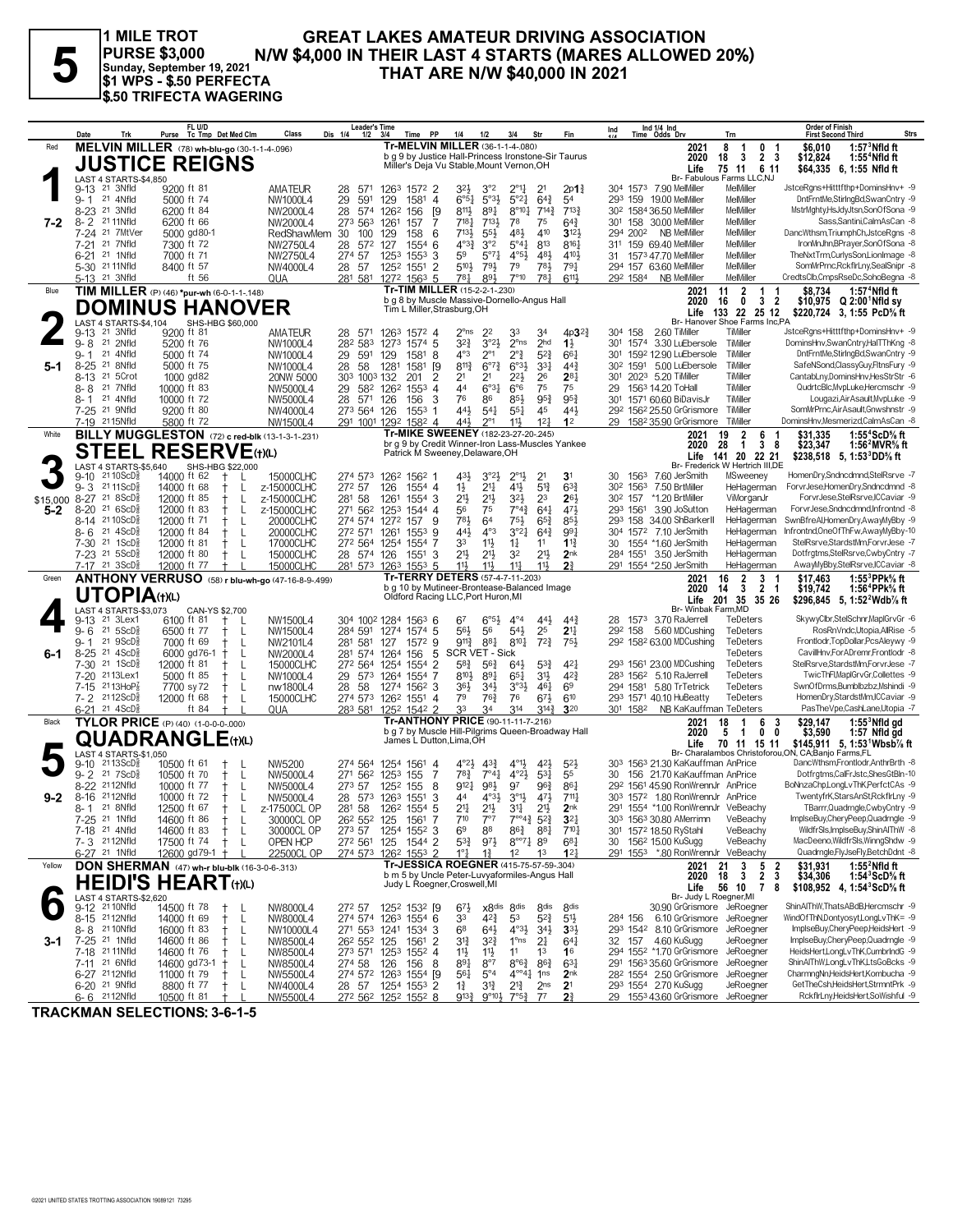**PURSE \$3,000 Sunday, September 19, 2021 \$1 WPS - \$.50 PERFECTA \$.50 TRIFECTA WAGERING**

# **FURSE \$3,000**<br>
PURSE \$3,000 N/W \$4,000 IN THEIR LAST 4 STARTS (MARES ALLOWED 20%)<br> **Sunday, September 19, 2021**<br> **IMAT ARE N/W \$40,000 IN 2021**<br> **1 MILE TROT**<br> **1 MILE TROT**<br> **1 MILE TROT**<br> **1 MILE TROT**<br> **1 MILE TROT**<br>

|                 | Trk<br>Date                                                   | FL U/D<br>Purse Tc Tmp Det Med Clm                              | Class<br>Dis 1/4             | <b>Leader's Time</b><br>1/2<br>Time PP<br>3/4                                      | Fin<br>1/4<br>1/2<br>3/4<br>Str                                                                                                                                                    | Ind 1/4 Ind<br>Time Odds Drv<br>Ind                                                 | Trn                                                              | <b>Order of Finish</b><br><b>First Second Third</b><br>Strs                                                                 |
|-----------------|---------------------------------------------------------------|-----------------------------------------------------------------|------------------------------|------------------------------------------------------------------------------------|------------------------------------------------------------------------------------------------------------------------------------------------------------------------------------|-------------------------------------------------------------------------------------|------------------------------------------------------------------|-----------------------------------------------------------------------------------------------------------------------------|
| Red             |                                                               | MELVIN MILLER (78) wh-blu-go (30-1-1-4-096)                     |                              |                                                                                    | Tr-MELVIN MILLER (36-1-1-4-.080)                                                                                                                                                   | 2021                                                                                | 8<br>0<br>-1<br>-1                                               | $1:573$ Nfld ft<br>\$6.010                                                                                                  |
|                 |                                                               | <b>JUSTICE REIGNS</b>                                           |                              |                                                                                    | b q 9 by Justice Hall-Princess Ironstone-Sir Taurus<br>Miller's Deja Vu Stable, Mount Vernon, OH                                                                                   | 2020<br>Life                                                                        | $\overline{2}$<br>-3<br>- 3<br>18<br>75 11<br>6 11               | \$12,824<br>1:55 <sup>4</sup> Nfld ft<br>\$64.335 6.1:55 Nfld ft                                                            |
|                 | LAST 4 STARTS-\$4,850                                         |                                                                 |                              |                                                                                    |                                                                                                                                                                                    |                                                                                     | Br- Fabulous Farms LLC,NJ                                        |                                                                                                                             |
|                 | 21 3Nfld<br>$9 - 13$<br>9-1 21 4Nfld                          | 9200 ft 81<br>5000 ft 74                                        | AMATEUR<br>NW1000L4<br>29    | 28<br>571<br>1263 1572 2<br>591<br>129<br>1581 4                                   | 3 <sup>2</sup><br>3°2<br>$2^{\circ}1\frac{1}{4}$<br>2 <sup>1</sup><br>2p1 <sub>4</sub><br>$5°3\frac{1}{2}$<br>$6^{4}$<br>$6°5\frac{1}{4}$<br>$5^{\circ}2\frac{1}{4}$<br>54         | 304 1573 7.90 MelMiller<br>293 159 19.00 MelMiller                                  | MelMiller<br>MelMiller                                           | JstceRgns+Hitttfthp+DominsHnv+ -9<br>DntFrntMe,StirIngBd,SwanCntry -9                                                       |
|                 | $8 - 23$<br>21 3Nfld                                          | 6200 ft 84                                                      | NW2000L4                     | 28<br><sup>[9</sup><br>574<br>1262<br>156                                          | 8111<br>$8^{\circ}10^{\frac{1}{4}}$<br>$7^{14}$<br>$7^{13}$<br>891                                                                                                                 | 30 <sup>2</sup> 1584 36.50 MelMiller                                                | MelMiller                                                        | MstrMghty,HsJdyJtsn,SonOfSona -9                                                                                            |
| 7-2             | $8 - 2$<br>21 11Nfld<br>21 7MtVer<br>7-24                     | 6200 ft 66<br>5000 gd80-1                                       | NW2000L4<br>RedShawMem<br>30 | 273 563<br>1261<br>157<br>7<br>100<br>129<br>158<br>6                              | $7^{18}$ <sup>1</sup><br>7131<br>78<br>75<br>$64\frac{3}{4}$<br>$7^{13}$<br>$55\frac{1}{2}$<br>481<br>410<br>$3^{12}$                                                              | 301 158 30.00 MelMiller<br><b>NB MelMiller</b><br>294 2002                          | MelMiller<br>MelMiller                                           | Sass, Santini, CalmAsCan - 8<br>DancWthsm, TriumphCh, JstceRgns -8                                                          |
|                 | 21 7Nfld<br>$7 - 21$                                          | 7300 ft 72                                                      | NW2750L4                     | 28<br>127<br>1554<br>572<br>6                                                      | $4^{o_3}\frac{3}{4}$<br>3°2<br>813<br>$5^{\circ 4}$<br>$8^{16}$                                                                                                                    | 311 159 69.40 MelMiller                                                             | MelMiller                                                        | IronMnJhn,BPrayer,SonOfSona -8                                                                                              |
|                 | 6-21 <sup>21</sup> 1Nfld                                      | 7000 ft 71                                                      | NW2750L4                     | 274 57<br>1253<br>1553<br>3                                                        | 59<br>481<br>$5^{\circ}7\frac{1}{4}$<br>$4^{\circ}5\frac{1}{2}$<br>$4^{10}$<br>5104<br>781                                                                                         | 1573 47.70 MelMiller<br>31                                                          | MelMiller<br>MelMiller                                           | TheNxtTrm,CurlysSon,LionImage -8<br>SomMrPrnc,RckflrLny,SealSnipr -8                                                        |
|                 | 5-30 21 11 Nfld<br>5-13 <sup>21</sup> 3Nfld                   | 8400 ft 57<br>ft 56                                             | NW4000L4<br>QUA              | 1252<br>$\overline{2}$<br>28 57<br>1551<br>281 581<br>1272 1563 5                  | 79<br>793<br>$79\frac{1}{4}$<br>781<br>$78\frac{1}{4}$<br>893<br>$7^{\circ}10$<br>6113                                                                                             | 294 157 63.60 MelMiller<br>NB MelMiller<br>292 1584                                 | MelMiller                                                        | CredtsClb.CmpsRseDc.SohoBeana -8                                                                                            |
| Blue            |                                                               | TIM MILLER (P) (46) *pur-wh (6-0-1-1-.148)                      |                              |                                                                                    | <b>Tr-TIM MILLER (15-2-2-1-.230)</b>                                                                                                                                               | 2021                                                                                | 11<br>$\overline{2}$<br>$\mathbf{1}$<br>-1                       | \$8,734<br>1:57 <sup>4</sup> Nfld ft                                                                                        |
|                 |                                                               | <b>DOMINUS HANOVER</b>                                          |                              | Tim L Miller, Strasburg, OH                                                        | b g 8 by Muscle Massive-Dornello-Angus Hall                                                                                                                                        | 2020<br>Life                                                                        | $\ddot{\mathbf{0}}$<br>3<br>16<br>-2<br>133<br>22 25 12          | \$10,975 Q 2:00 Nfld sv<br>\$220,724 3, 1:55 PcD% ft                                                                        |
|                 | LAST 4 STARTS-\$4,104<br>9-13 <sup>21</sup> 3Nfld             | SHS-HBG \$60,000<br>9200 ft 81                                  |                              |                                                                                    | 4p3 <sup>2</sup>                                                                                                                                                                   | 304 158<br>2.60 TiMiller                                                            | Br- Hanover Shoe Farms Inc,PA<br>TiMiller                        | JstceRgns+Hitttfthp+DominsHnv+ -9                                                                                           |
|                 | 21 2Nfld<br>$9 - 8$                                           | 5200 ft 76                                                      | <b>AMATEUR</b><br>NW1000L4   | 28 571<br>1263<br>1572 4<br>282 583<br>1574 5<br>1273                              | $2^{\circ}$ ns<br>2 <sup>2</sup><br>33<br>34<br>3°2 <sup>1</sup><br>2 <sub>hd</sub><br>$3^{2}$<br>$2^{\circ}$ ns<br>$1\frac{1}{2}$                                                 | 301 1574 3.30 LuEbersole                                                            | TiMiller                                                         | DominsHnv,SwanCntry,HalTThKng -8                                                                                            |
|                 | 21 4Nfld<br>9-1                                               | 5000 ft 74                                                      | NW1000L4                     | 29<br>591<br>129<br>1581 8                                                         | $4^{\circ}3$<br>$2^{\circ}1$<br>$2^{\circ}$<br>$5^{2}$<br>$66\frac{1}{4}$                                                                                                          | 1592 12.90 LuEbersole<br>301                                                        | TiMiller                                                         | DntFrntMe,StirIngBd,SwanCntry -9                                                                                            |
| 5-1             | $8 - 25$<br>21 8Nfld<br>21 5Crot<br>8-13                      | 5000 ft 75<br>1000 gd82                                         | NW1000L4<br>20NW 5000        | 58<br>1281<br>28<br>1581<br>[9<br>303 1003 132<br>201<br>2                         | $8^{11}\frac{3}{4}$<br>$6^{07}\frac{3}{4}$<br>$6^{03}\frac{1}{2}$<br>3 <sup>31</sup><br>44 <sup>3</sup><br>$2^{8}$<br>2 <sup>1</sup><br>$2^{21}$<br>26<br>2 <sup>1</sup>           | 5.00 LuEbersole<br>30 <sup>2</sup> 1591<br>2023 5.20 TiMiller<br>301                | TiMiller<br>TiMiller                                             | SafeNSond,ClassyGuy,FltnsFury -9<br>CantabLny,DominsHnv,HesStrStr -6                                                        |
|                 | 21 7Nfld<br>8-8                                               | 10000 ft 83                                                     | NW5000L4                     | 582 1262<br>1553<br>29<br>$\overline{4}$                                           | 75<br>6°3 <sub>1</sub><br>44<br>$6^{\circ}6$<br>75                                                                                                                                 | 1563 14.20 ToHall<br>29                                                             | TiMiller                                                         | QudrtcBlc,MvpLuke,Hercmschr -9                                                                                              |
|                 | 21 4Nfld<br>$8 - 1$<br>7-25 <sup>21</sup> 9Nfld               | 10000 ft 72<br>9200 ft 80                                       | NW5000L4<br>NW4000L4         | 28<br>571<br>126<br>3<br>156<br>273 564 126<br>1553<br>-1                          | 95 <sub>4</sub><br>76<br>86<br>$95\frac{3}{4}$<br>$85\frac{1}{2}$<br>$44\frac{1}{2}$<br>$54\frac{1}{4}$<br>45<br>$44\frac{1}{2}$<br>$55\frac{1}{4}$                                | 1571 60.60 BiDavisJr<br>301<br>292 1562 25.50 GrGrismore                            | TiMiller<br>TiMiller                                             | Lougazi, Air Asault, MypLuke -9<br>SomMrPrnc, Air Asault, Gnwshnstr -9                                                      |
|                 | 7-19 2115Nfld                                                 | 5800 ft 72                                                      | NW1500L4                     | 291 1001 1292<br>1582 4                                                            | 441<br>$2^{\circ}1$<br>11}<br>12 <sup>1</sup><br>1 <sup>2</sup>                                                                                                                    | 29 158 <sup>2</sup> 35.90 GrGrismore                                                | TiMiller                                                         | DominsHnv.Mesmerizd.CalmAsCan -8                                                                                            |
| White           |                                                               | BILLY MUGGLESTON (72) c red-blk (13-1-3-1-231)                  |                              |                                                                                    | Tr-MIKE SWEENEY (182-23-27-20-.245)<br>br g 9 by Credit Winner-Iron Lass-Muscles Yankee                                                                                            | 2021<br>2020                                                                        | 2<br>19<br>6<br>$\overline{1}$<br>$\mathbf{3}$<br>28<br>- 8      | \$31,335<br>1:55 <sup>4</sup> ScD% ft<br>\$23,347<br>1:56 <sup>2</sup> MVR% ft                                              |
|                 |                                                               | <b>STEEL RESERVE</b> (t)(L)                                     |                              |                                                                                    | Patrick M Sweeney, Delaware, OH                                                                                                                                                    | Life                                                                                | 141 20 22 21                                                     | \$238,518 5, 1:53 DD % ft                                                                                                   |
|                 | LAST 4 STARTS-\$5,640<br>$2110$ ScD $\frac{5}{8}$<br>$9 - 10$ | SHS-HBG \$22,000<br>14000 ft 62<br>Ť                            | 15000CLHC                    | 274 573<br>126 <sup>2</sup> 156 <sup>2</sup> 1                                     | 3 <sup>1</sup><br>$43\frac{1}{2}$<br>$3^{o_2}\frac{1}{2}$<br>$2^{01}\frac{1}{2}$<br>2 <sup>1</sup>                                                                                 | 30<br>1563<br>7.60 JerSmith                                                         | Br- Frederick W Hertrich III,DE<br>MSweeney                      | HomenDry,Sndncdmnd,StelRsrve -7                                                                                             |
|                 | $9 - 3$<br>21 11 ScD $\frac{3}{8}$                            | 14000 ft 68<br>L                                                | z-15000CLHC                  | 272 57<br>126<br>1554 4                                                            | $1\frac{1}{2}$<br>$21\frac{1}{4}$<br>$4^{11}$<br>$5^{13}$<br>$6^{3}\frac{3}{4}$                                                                                                    | 30 <sup>2</sup> 156 <sup>3</sup> 7.50 BrtMiller                                     | HeHagerman                                                       | ForvrJese,HomenDry,Sndncdmnd -8                                                                                             |
| \$15,000<br>5-2 | 8-27 21 8 ScD<br>$8 - 20$<br>21 6 ScD <sup>3</sup>            | 12000 ft 85<br>$^+$<br>L<br>12000 ft 83<br>$^{+}$<br>L          | z-15000CLHC<br>z-15000CLHC   | 281 58<br>1261<br>1554 3<br>271 562<br>1253<br>1544 4                              | $3^{21}$<br>2 <sup>1</sup><br>$21\frac{1}{2}$<br>23<br>26 <sub>3</sub><br>75<br>$7^{\circ}4^{\frac{3}{4}}$<br>$64\frac{1}{4}$<br>471<br>56                                         | *1.20 BrtMiller<br>30 <sup>2</sup> 157<br>3.90 JoSutton<br>293 1561                 | ViMorganJr<br>HeHagerman                                         | ForvrJese,StelRsrve,ICCaviar -9<br>ForvrJese,Sndncdmnd,Infrontnd -8                                                         |
|                 | 8-14 2110ScD                                                  | L<br>12000 ft 71<br>$^+$                                        | 20000CLHC                    | 274 574 1272<br>9<br>157                                                           | 781<br>6 <sup>4</sup><br>$75\frac{1}{2}$<br>$65\frac{3}{4}$<br>$85\frac{1}{2}$                                                                                                     | 293 158 34.00 ShBarkerII                                                            | HeHagerman                                                       | SwnBfreAl,HomenDry,AwayMyBby -9                                                                                             |
|                 | 21 4ScD <sup>5</sup><br>8-6<br>7-30 21 1ScD <sup>5</sup>      | 12000 ft 84<br>Ť<br>L                                           | 20000CLHC                    | 272 571 1261<br>$155^3$ 9<br>272 564                                               | 443<br>$4^{\circ}3$<br>$3^{°2}4$<br>$64\frac{3}{4}$<br>991                                                                                                                         | 304 1572 7.10 JerSmith<br>30<br>1554 *1.60 JerSmith                                 | HeHagerman<br>HeHagerman                                         | Infrontnd,OneOfThFw,AwayMyBby-10<br>StelRsrve,StardstMm,ForvrJese -7                                                        |
|                 | 7-23 21 5ScD                                                  | 12000 ft 81<br>L<br>12000 ft 80<br>-L<br>$^+$                   | 17000CLHC<br>15000CLHC       | 7<br>1254<br>1554<br>28 574 126<br>1551<br>3                                       | $11\frac{1}{2}$<br>33<br>$1\frac{1}{4}$<br>$1^{13}$<br>11<br>2 <sup>11</sup><br>2 <sup>11</sup><br>$21\frac{1}{2}$<br>32<br>2 <sub>nk</sub>                                        | 284 1551 3.50 JerSmith                                                              | HeHagerman                                                       | Dotfrgtms,StelRsrve,CwbyCntry -7                                                                                            |
|                 | 7-17 21 3ScD}                                                 | 12000 ft 77<br>ANTHONY VERRUSO (58) r blu-wh-go (47-16-8-9-499) | 15000CLHC                    | 281 573 1263 1553 5                                                                | 11<br>113<br>$11\frac{1}{4}$<br>11}<br>2 <sup>3</sup><br>Tr-TERRY DETERS (57-4-7-11-203)                                                                                           | 291 1554 *2.50 JerSmith                                                             | HeHagerman                                                       | AwayMyBby,StelRsrve,ICCaviar -8                                                                                             |
| Green           |                                                               |                                                                 |                              |                                                                                    |                                                                                                                                                                                    |                                                                                     | 16<br>2<br>3<br>- 1                                              | 1:55 $3$ PPk $\%$ ft<br>\$17,463                                                                                            |
|                 |                                                               |                                                                 |                              |                                                                                    | b g 10 by Mutineer-Brontease-Balanced Image                                                                                                                                        | 2021<br>2020                                                                        | 3<br>$\overline{2}$<br>14<br>$\overline{\mathbf{1}}$             | 1:56 <sup>4</sup> PPk% ft<br>\$19,742                                                                                       |
|                 | <b>UTOPIA(t)(L)</b>                                           |                                                                 |                              |                                                                                    | Oldford Racing LLC, Port Huron, MI                                                                                                                                                 | Life                                                                                | 201 35 35 26                                                     | \$296,845 5, 1:52 Wdb % ft                                                                                                  |
|                 | LAST 4 STARTS-\$3,073<br>21 3Lex1<br>9-13                     | CAN-YS \$2,700<br>6100 ft 81<br>L                               | NW1500L4                     | 304 1002 1284 1563 6                                                               | $6^{\circ 5\frac{1}{2}}$<br>$4^{\circ}4$<br>$44\frac{1}{2}$<br>67<br>$44\frac{3}{4}$                                                                                               | Br- Winbak Farm, MD<br>1573 3.70 RaJerrell<br>28                                    | TeDeters                                                         | SkywyClbr,StelSchnr,MaplGrvGr -6                                                                                            |
|                 | 21 5 ScD <sup>3</sup><br>$9 - 6$                              | 6500 ft 77<br>L                                                 | NW1500L4                     | 284 591<br>$1574$ 5<br>1274                                                        | 25<br>2 <sup>11</sup><br>56}<br>56<br>$54\frac{1}{2}$                                                                                                                              | 5.60 MDCushing<br>292 158                                                           | TeDeters                                                         | RosRnVndc,Utopia,AllRise -5                                                                                                 |
| 6-1             | 219SCD <sub>8</sub><br>9-1<br>$8 - 25$<br>21 4ScD3            | 7000 ft 69<br>-L<br>6000 gd76-1<br>$^+$<br>L                    | NW2101L4<br>NW2000L4         | 1572 9<br>281<br>127<br>581<br>5<br>281 574 1264<br>156                            | $9^{11}\frac{3}{4}$<br>881<br>$8^{10}\frac{1}{4}$<br>$72\frac{3}{4}$<br>75}<br>SCR VET - Sick                                                                                      | 292 1582 63.00 MDCushing                                                            | TeDeters<br>TeDeters                                             | Frontlodr, TopDollar, PcsAleywy -9<br>CavilHnv.ForADremr.Frontlodr -8                                                       |
|                 | 7-30 <sup>21</sup> 1ScD <sup>5</sup>                          | 12000 ft 81<br>L                                                | 15000CLHC                    | 272 564<br>1254<br>1554<br>$\overline{2}$                                          | $5^{8}$<br>$56\frac{3}{4}$<br>$5^{3}\frac{3}{4}$<br>$4^{2}$<br>$64\frac{1}{2}$                                                                                                     | 293 1561 23.00 MDCushing                                                            | <b>TeDeters</b>                                                  | StelRsrve,StardstMm,ForvrJese -7                                                                                            |
|                 | 7-20 2113Lex1<br>$2113H$ <sub>0</sub> $P'_8$<br>$7-15$        | 5000 ft 85<br>L<br>$^+$<br>7700 sy 72<br>L<br>$^+$              | NW1000L4<br>nw1800L4         | 29<br>573 1264<br>1554 7<br>28<br>58<br>1274<br>$156^2$ 3                          | 3 <sup>1</sup><br>$4^{2}\frac{3}{4}$<br>$8^{10}\frac{1}{2}$<br>$89\frac{1}{4}$<br>$65\frac{1}{4}$<br>$3°3\frac{1}{2}$<br>$46\frac{1}{4}$<br>36}<br>$34\frac{1}{2}$<br>69           | 283 1562 5.10 RaJerrell<br>294 1581 5.80 TrTetrick                                  | TeDeters<br>TeDeters                                             | TwicThFl,MaplGrvGr,Collettes -9<br>SwnOfDrms,Bumblbzbz,Mshindi -9                                                           |
|                 | 7-2 2112ScD                                                   | 12000 ft 68<br>L<br>$^+$                                        | 15000CLHC                    | 274 573<br>126 <sup>2</sup> 1551 4                                                 | 79<br>76<br>$6^{7}\frac{1}{2}$<br>610<br>76}                                                                                                                                       | 293 1571 40.10 HuBeatty                                                             | TeDeters                                                         | HomenDry,StardstMm,ICCaviar -9                                                                                              |
| Black           | $6-21$ 21 $4$ ScD <sup>3</sup>                                | ft 84<br><b>TYLOR PRICE</b> (P) (40) (1-0-0-0-000)              | QUA                          | 283 581<br>1252 1542 2                                                             | 33<br>34<br>314<br>$3^{14}\frac{3}{4}$<br>320<br><b>Tr-ANTHONY PRICE (90-11-11-7-216)</b>                                                                                          | 301 1582<br>NB KaKauffman TeDeters<br>2021                                          | 18<br>-1<br>6<br>-3                                              | PasTheVpe,CashLane,Utopia -7<br>\$29,147                                                                                    |
|                 |                                                               |                                                                 |                              | James L Dutton, Lima, OH                                                           | b g 7 by Muscle Hill-Pilgrims Queen-Broadway Hall                                                                                                                                  | 2020                                                                                | 5<br>0<br>0<br>-1                                                | $1:553$ Nfld gd<br>\$3,590<br>1:57 Nfld gd                                                                                  |
|                 | <b>LAST 4 STARTS-\$1,050</b>                                  | <b>QUADRANGLE(t)(L)</b>                                         |                              |                                                                                    |                                                                                                                                                                                    | Life                                                                                | 70 11 15 11                                                      | \$145,911 5, 1:53 <sup>1</sup> Wbsb <sup>7</sup> / <sub>8</sub> ft<br>Br- Charalambos Christoforou, ON, CA; Banjo Farms, FL |
|                 | 9-10 2113ScD <sup>5</sup>                                     | 10500 ft 61                                                     | NW5200                       | 274 564<br>1254 1561 4                                                             | $4^{011}$<br>$4^{\circ}2\frac{1}{2}$<br>$4^{3}\frac{3}{4}$<br>$5^{2}$<br>423                                                                                                       | 303 1563 21.30 KaKauffman AnPrice                                                   |                                                                  | DancWthsm,Frontlodr,AnthrBrth -8                                                                                            |
|                 | 9-2 21 7 ScD <sup>5</sup><br>2112Nfld<br>$8-22$               | 10500 ft 70<br>L<br>10000 ft 77<br>L                            | NW5000L4<br>NW5000L4         | 271<br>562<br>1253 155<br>7<br>273 57<br>8<br>1252 155                             | $78\frac{3}{4}$<br>$7^{\circ}4^{\frac{1}{4}}$<br>$4^{\circ}2\frac{1}{2}$<br>$5^{3}$<br>55<br>98}<br>$9^{12}$<br>97<br>$96\frac{3}{4}$<br>$86\frac{1}{4}$                           | 30<br>156 21.70 KaKauffman AnPrice<br>29 <sup>2</sup> 1561 45.90 RonWrennJr AnPrice |                                                                  | Dotfrgtms,CalFrJstc,ShesGtBln-10<br>BoNnzaChp,LongLvThK,PerfctCAs -9                                                        |
| $9 - 2$         | 8-16 2112Nfld                                                 | 10000 ft 72<br>$\ddagger$<br>-L                                 | NW5000L4                     | 28 573 1263 1551<br>3                                                              | $3^{\circ}1\frac{1}{2}$<br>44<br>$4^{\circ}3\frac{1}{2}$<br>$47\frac{1}{2}$<br>711                                                                                                 | 303 1572 1.80 RonWrennJr AnPrice                                                    |                                                                  | TwentyfrK,StarsAnSt,RckflrLny -9                                                                                            |
|                 | 21 8Nfld<br>8- 1<br>7-25 <sup>21</sup> 1Nfld                  | 12500 ft 67<br>$^+$<br>14600 ft 86<br>$^+$<br>-L                | z-17500CL OP<br>30000CL OP   | 281 58<br>126 <sup>2</sup> 1554 5<br>26 <sup>2</sup> 55 <sup>2</sup> 125<br>1561 7 | $2^{11}$<br>$21\frac{1}{2}$<br>$2^{11}$<br>$3^{11}$<br>2nk<br>$7^{\circ 4}$ <sup>3</sup><br>$7^{10}$<br>$7^{\circ}7$<br>$5^{2}$<br>$3^{2}$                                         | 291 1554 *1.00 RonWrennJr VeBeachy<br>303 1563 30.80 AMerrimn                       | VeBeachy                                                         | TBarrr, Quadrngle, CwbyCntry -9<br>ImplseBuy,CheryPeep,Quadrngle -9                                                         |
|                 | 7-18 <sup>21</sup> 4Nfld                                      | 14600 ft 83<br>$\mathsf{L}$<br>$^+$                             | 30000CL OP                   | 273 57 1254 1552 3                                                                 | 6 <sup>9</sup><br>88<br>$86\frac{3}{4}$<br>881<br>$7^{10}\frac{1}{4}$                                                                                                              | 301 1572 18.50 RyStahl                                                              | VeBeachy                                                         | WildfrSls, ImplseBuy, ShinAlThW -8                                                                                          |
|                 | 7-3 2112Nfld                                                  | 17500 ft 74<br>$\pm$<br>L                                       | OPEN HCP                     | 272 561 125<br>1544 2                                                              | $5^{3}\frac{3}{4}$<br>97}<br>$8^{\circ\circ}7\frac{1}{4}$ 89<br>$6^{8}$ <sub>1</sub><br>12 <sup>1</sup><br>$1^2$<br>1 <sup>3</sup>                                                 | 30 156 <sup>2</sup> 15.00 KuSugg<br>291 1553 *.80 RonWrennJr VeBeachy               | VeBeachy                                                         | MacDeeno, WildfrSIs, WinngShdw -9<br>Quadrngle,FlyJseFly,BetchDdnt -8                                                       |
| Yellow          | 6-27 <sup>21</sup> 1Nfld                                      | 12600 gd79-1 +<br>DON SHERMAN (47) wh-r blu-blk (16-3-0-6-313)  | 22500CL OP                   | 274 573 1262 1553 2                                                                | $1^{\circ}1^{\circ}$<br>$1\frac{3}{4}$<br>Tr-JESSICA ROEGNER (415-75-57-59-.304)                                                                                                   | 2021                                                                                | $5\phantom{.0}$<br>21<br>$\mathbf{3}$<br>$\overline{\mathbf{2}}$ | \$31,931<br>1:55 $2$ Nfld ft                                                                                                |
|                 |                                                               | <b>HEIDI'S HEART(t)(L)</b>                                      |                              | Judy L Roegner, Croswell, MI                                                       | b m 5 by Uncle Peter-Luvyaformiles-Angus Hall                                                                                                                                      | 2020                                                                                | 2 <sub>3</sub><br>3<br>18                                        | \$34,306<br>1:54 $3$ ScD $\%$ ft                                                                                            |
|                 | LAST 4 STARTS-\$2.620                                         |                                                                 |                              |                                                                                    |                                                                                                                                                                                    | Life<br>Br- Judy L Roegner, MI                                                      | 56 10<br>$\overline{7}$<br>- 8                                   | \$108,952 4, 1:54 ${}^3$ ScD ${}^5$ s ft                                                                                    |
|                 | 9-12 <sup>21</sup> 10Nfld<br>8-15 2112Nfld                    | 14500 ft 78<br>$\top$<br>- L<br>14000 ft 69<br>L<br>$^{+}$      | NW8000L4<br>NW8000L4         | 272 57 1252 1532 [9<br>274 574 1263 1554 6                                         | x8 <sup>dis</sup> 8 <sup>dis</sup><br>8 <sub>dis</sub><br>$6^{7}\frac{1}{2}$<br>8 <sub>dis</sub><br>$5^{2}\frac{3}{4}$<br>$4^{2}\frac{3}{4}$<br>53<br>5 <sup>11</sup><br>33        | 30.90 GrGrismore JeRoegner<br>6.10 GrGrismore JeRoeaner<br>284 156                  |                                                                  | ShinAlThW.ThatsABdB.Hercmschr -9<br>WindOfThN,Dontyosyt,LongLvThK= -9                                                       |
|                 | 8-8 21 10 Nfld                                                | L<br>16000 ft 83<br>$^{+}$                                      | NW10000L4                    | 271 553 1241 1534 3                                                                | $64\frac{1}{2}$<br>$4^{o_{3}}\frac{1}{2}$<br>$34\frac{1}{2}$<br>68<br>$3^{3}$                                                                                                      | 293 1542 8.10 GrGrismore JeRoegner                                                  |                                                                  | ImplseBuy,CheryPeep,HeidsHert -9                                                                                            |
| 3-1             | 7-25 <sup>21</sup> 1Nfld<br>7-18 21 11 Nfld                   | L<br>14600 ft 86<br>$^+$<br>L                                   | NW8500L4                     | 26 <sup>2</sup> 55 <sup>2</sup> 125<br>1561 2                                      | $3^{12}$<br>$3^{2}\frac{3}{4}$<br>1°ns<br>2 <sup>1</sup><br>$64\frac{1}{4}$<br>11<br>$11\frac{1}{2}$<br>1 <sup>3</sup><br>16                                                       | 32 157 4.60 KuSugg<br>294 1552 *1.70 GrGrismore JeRoegner                           | JeRoegner                                                        | ImplseBuy,CheryPeep,Quadrngle -9<br>HeidsHertLongLvThK.CumbrIndG -9                                                         |
|                 | 7-11 <sup>21</sup> 6Nfld                                      | 14600 ft 76<br>14600 gd73-1<br>$\pm$<br>L                       | NW8500L4<br>NW8500L4         | 273 571 1253 1552 4<br>274 58<br>156 8<br>126                                      | $11\frac{1}{2}$<br>891<br>$8^{\circ}7$<br>$8^{\circ}6^{\frac{3}{4}}$<br>$86\frac{3}{4}$<br>$63\frac{1}{4}$                                                                         | 291 1563 35.60 GrGrismore                                                           | JeRoegner                                                        | ShinAlThW,LongLvThK,LtsGoBcks -9                                                                                            |
|                 | 6-27 2112Nfld<br>6-20 <sup>21</sup> 9Nfld                     | 11000 ft 79<br>-L<br>$^+$<br>8800 ft 77<br>$^+$<br>L            | NW5500L4<br>NW4000L4         | 274 572 1263 1554 [9<br>1254 1553 2<br>28 57                                       | $56\frac{1}{4}$<br>$5^{\circ}4$<br>$4^{\circ\circ}4^{\frac{1}{4}}$<br>1 <sub>ns</sub><br>2 <sub>nk</sub><br>31}<br>$2^{13}$<br>2 <sub>ns</sub><br>2 <sup>1</sup><br>$1\frac{3}{4}$ | 28 <sup>2</sup> 1554 2.50 GrGrismore JeRoegner<br>293 1554 2.70 KuSugg              | JeRoegner                                                        | CharmngNn,HeidsHert,Kombucha -9<br>GetTheCsh,HeidsHert,StrmntPrk -9                                                         |

**TRACKMAN SELECTIONS: 3-6-1-5**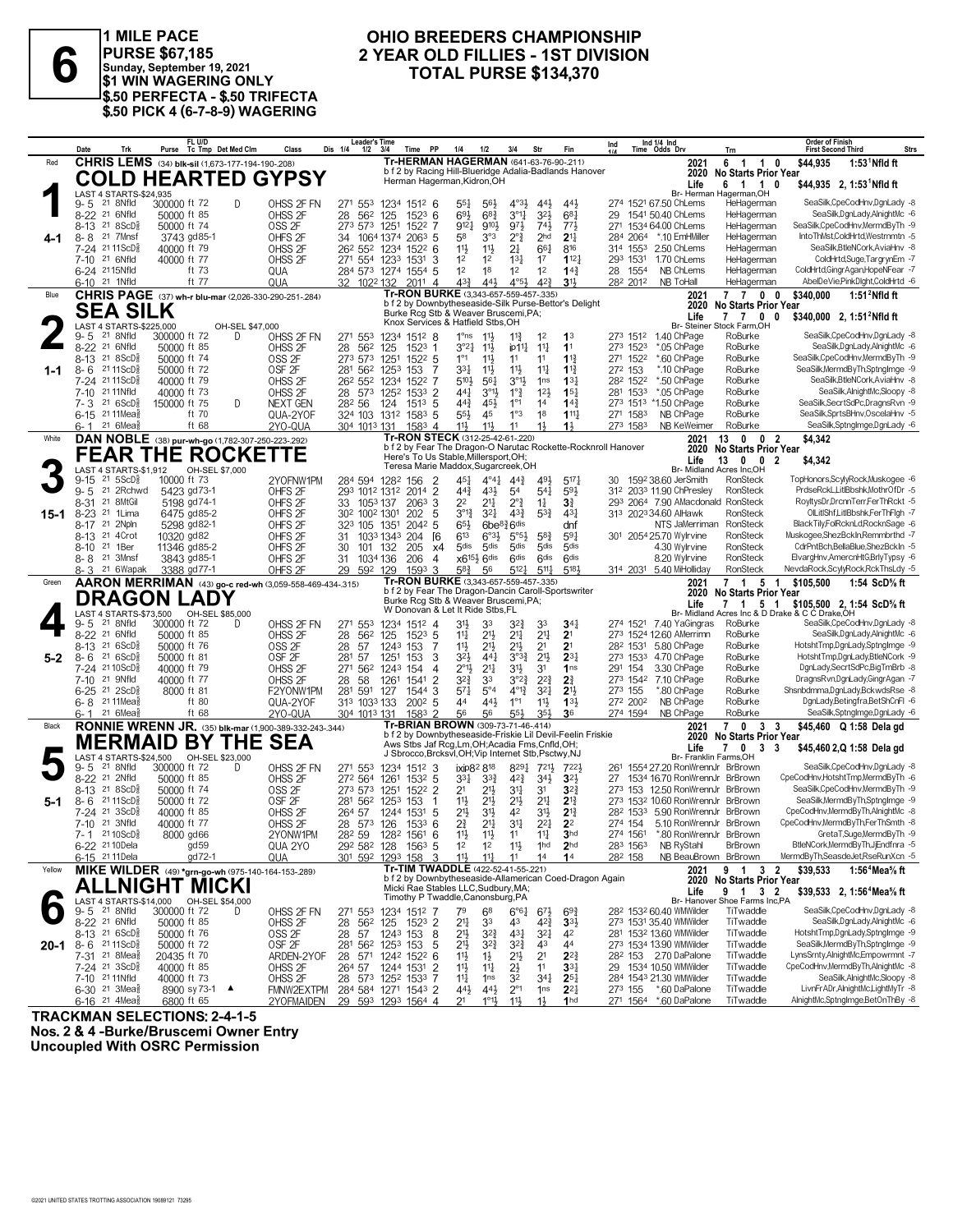

**PURSE \$67,185 Sunday, September 19, 2021 \$1 WIN WAGERING ONLY \$.50 PERFECTA - \$.50 TRIFECTA \$.50 PICK 4 (6-7-8-9) WAGERING**

### **OHIO BREEDERS CHAMPIONSHIP<br>2 YEAR OLD FILLIES - 1ST DIVISION 2 YEAR OLD FILLIES - 1ST DIVISION<br>
<b>2 YEAR OLD FILLIES - 1ST DIVISION**<br>
\$1 WIN WAGERING ONLY<br>
\$1 WIN WAGERING ONLY

|         | Trk<br>Date                                                                        | FL U/D<br>Purse Tc Tmp Det Med Clm                     | Class                                                    | <b>Leader's Time</b><br>Dis 1/4<br><b>PP</b><br>1/2<br>Time<br>-3/4 | 1/4<br>1/2                                                                    | Fin<br>3/4<br>Str                                                                                            | Ind 1/4 Ind<br>Ind<br>Time Odds Drv                    | Trn                                                                                           | <b>Order of Finish</b><br><b>Strs</b><br><b>First Second Third</b>    |
|---------|------------------------------------------------------------------------------------|--------------------------------------------------------|----------------------------------------------------------|---------------------------------------------------------------------|-------------------------------------------------------------------------------|--------------------------------------------------------------------------------------------------------------|--------------------------------------------------------|-----------------------------------------------------------------------------------------------|-----------------------------------------------------------------------|
| Red     |                                                                                    | CHRIS LEMS (34) blk-sil (1,673-177-194-190-208)        |                                                          |                                                                     |                                                                               | Tr-HERMAN HAGERMAN (641-63-76-90-.211)                                                                       |                                                        | 2021<br>6 1 1 0                                                                               | $1:531$ Nfld ft<br>\$44,935                                           |
|         |                                                                                    |                                                        | <b>COLD HEARTED GYPSY</b>                                |                                                                     | Herman Hagerman, Kidron, OH                                                   | b f 2 by Racing Hill-Blueridge Adalia-Badlands Hanover                                                       |                                                        | 2020 No Starts Prior Year<br>Life<br>6 1 1                                                    | \$44,935 2, 1:53 Nfld ft<br>0                                         |
|         | LAST 4 STARTS-\$24,935                                                             |                                                        |                                                          |                                                                     |                                                                               |                                                                                                              |                                                        | Br- Herman Hagerman, OH                                                                       |                                                                       |
|         | 21 8Nfld<br>9- 5<br>$8 - 22$<br>21 6Nfld                                           | 300000 ft 72<br>50000 ft 85                            | D<br>OHSS 2F FN<br>OHSS <sub>2F</sub>                    | 271 553<br>1234 1512 6<br>28<br>562<br>125<br>$152^3$ 6             | $55\frac{1}{4}$<br>$56\frac{1}{2}$<br>$6^{8}$ <sup>3</sup><br>$69\frac{1}{2}$ | $4^{\circ}3\frac{1}{2}$<br>443<br>443<br>3°1<br>$3^{21}$<br>$6^{8}$ <sup>1</sup>                             | 274 1521 67.50 ChLems<br>1541 50.40 ChLems<br>29       | HeHagerman<br>HeHagerman                                                                      | SeaSilk,CpeCodHnv,DgnLady -8<br>SeaSilk.DanLadv.AlniahtMc -6          |
|         | 21 8 ScD <sup>3</sup><br>8-13                                                      | 50000 ft 74                                            | OSS <sub>2F</sub>                                        | 273 573<br>1251<br>1522 7                                           | 9101<br>9121                                                                  | 743<br>973<br>771,                                                                                           | 271 1534 64.00 ChLems                                  | HeHagerman                                                                                    | SeaSilk,CpeCodHnv,MermdByTh -9                                        |
|         | $8 - 8$<br>21 7Mnsf                                                                | 3743 gd85-1                                            | OHFS <sub>2F</sub>                                       | 34<br>1064 1374<br>$206^3$ 5                                        | 58<br>3°3                                                                     | $2^{\circ}$<br>2 <sub>hd</sub><br>2 <sup>11</sup>                                                            | 284 2064 *.10 EmHMiller                                | HeHagerman                                                                                    | IntoThMst.ColdHrtd.Westrnmtn -5                                       |
|         | 7-24 2111ScD<br>7-10 21 6Nfld                                                      | 40000 ft 79                                            | OHSS 2F                                                  | 26 <sup>2</sup> 55 <sup>2</sup> 123 <sup>4</sup><br>$152^2$ 6       | 11}<br>$11\frac{1}{2}$                                                        | 2 <sup>1</sup><br>$66\frac{1}{4}$<br>816                                                                     | 314 1553 2.50 ChLems                                   | HeHagerman                                                                                    | SeaSilk, BtleNCork, AviaHnv -8                                        |
|         | 6-24 2115Nfld                                                                      | 40000 ft 77<br>ft 73                                   | OHSS <sub>2F</sub><br>QUA                                | 271 554 1233<br>$1531$ 3<br>284 573 1274 1554 5                     | 1 <sup>2</sup><br>1 <sup>2</sup><br>12<br>18                                  | 112 <sub>7</sub><br>$13\frac{1}{4}$<br>1 <sup>7</sup><br>1 <sup>2</sup><br>1 <sup>2</sup><br>$14\frac{3}{4}$ | 293 1531<br>1.70 ChLems<br>NB ChLems<br>28 1554        | HeHagerman<br>HeHagerman                                                                      | ColdHrtd,Suge,TargrynEm -7<br>ColdHrtd,GingrAgan,HopeNFear -7         |
|         | 6-10 <sup>21</sup> 1Nfld                                                           | ft 77                                                  | QUA                                                      | 32 1022 132<br>$201^1$ 4                                            | $43\frac{3}{4}$<br>441                                                        | $4^{\circ}5\frac{1}{2}$<br>42 <sup>3</sup><br>3 <sup>1</sup>                                                 | 282 2012<br>NB ToHall                                  | HeHagerman                                                                                    | AbelDeVie,PinkDlght,ColdHrtd -6                                       |
| Blue    |                                                                                    |                                                        | CHRIS PAGE (37) wh-r blu-mar (2,026-330-290-251-284)     |                                                                     | Tr-RON BURKE (3.343-657-559-457-.335)                                         |                                                                                                              |                                                        | 7 7 0 0<br>2021                                                                               | \$340,000<br>$1:512$ Nfld ft                                          |
|         | <b>SEA SILK</b>                                                                    |                                                        |                                                          |                                                                     | Burke Rcg Stb & Weaver Bruscemi, PA;                                          | b f 2 by Downbytheseaside-Silk Purse-Bettor's Delight                                                        |                                                        | 2020<br><b>No Starts Prior Year</b><br>Life<br>7 7 0                                          | \$340,000 2. 1:51 <sup>2</sup> Nfld ft<br>0                           |
|         | LAST 4 STARTS-\$225,000                                                            |                                                        | OH-SEL \$47,000                                          |                                                                     | Knox Services & Hatfield Stbs, OH                                             |                                                                                                              |                                                        | Br- Steiner Stock Farm,OH                                                                     |                                                                       |
|         | 21 8Nfld<br>9-5<br>8-22 21 6Nfld                                                   | 300000 ft 72<br>50000 ft 85                            | D<br>OHSS 2F FN                                          | 271 553<br>1234 1512 8<br>562<br>125<br>$1523$ 1                    | 1°ns<br>$11\frac{1}{2}$<br>3°21<br>$11\frac{1}{2}$                            | $11\frac{3}{4}$<br>1 <sup>2</sup><br>1 <sup>3</sup><br>$11\frac{1}{4}$<br>11<br>ip11                         | 273 1512 1.40 ChPage<br>*.05 ChPage<br>273 1523        | RoBurke<br>RoBurke                                                                            | SeaSilk.CpeCodHnv.DgnLady -8<br>SeaSilk, DgnLady, AlnightMc -6        |
|         | 8-13 <sup>21</sup> 8ScD <sup>5</sup>                                               | 50000 ft 74                                            | OHSS 2F<br>OSS <sub>2F</sub>                             | 28<br>273 573<br>1251<br>$152^2$ 5                                  | $1^{\circ}1$<br>$11\frac{1}{2}$                                               | 11<br>$11\frac{3}{4}$<br>11                                                                                  | 271 1522<br>*.60 ChPage                                | RoBurke                                                                                       | SeaSilk,CpeCodHnv,MermdByTh -9                                        |
| $1 - 1$ | $8 - 6$<br>21 11 ScD $\frac{5}{8}$                                                 | 50000 ft 72                                            | OSF <sub>2F</sub>                                        | 281 562<br>125 <sup>3</sup><br>153<br>-7                            | 331<br>$11\frac{1}{2}$                                                        | $11\frac{1}{2}$<br>11<br>$1^{13}$                                                                            | 272 153<br>*.10 ChPage                                 | RoBurke                                                                                       | SeaSilk, MermdBy Th, Sptnglmge -9                                     |
|         | 7-24 2111ScD3                                                                      | 40000 ft 79                                            | OHSS <sub>2F</sub>                                       | 26 <sup>2</sup> 55 <sup>2</sup><br>1234<br>1522 7                   | 510}<br>$56\frac{1}{4}$                                                       | $3^{01}$<br>1 <sub>ns</sub><br>$13\frac{1}{4}$                                                               | 282 1522<br>*.50 ChPage                                | RoBurke                                                                                       | SeaSilk, BtleNCork, AviaHnv -8                                        |
|         | 21 11 Nfld<br>$7 - 10$<br>$7 - 3$ 21 6ScD <sup>5</sup>                             | 40000 ft 73<br>150000 ft 75                            | OHSS <sub>2F</sub><br>D<br>NEXT GEN                      | 28 573 1252<br>1533 2<br>282 56<br>124<br>$151^3$ 5                 | 441<br>$3^{01}$<br>$44\frac{3}{4}$<br>45}                                     | $1^{\circ}$ $\frac{3}{4}$<br>12 <sup>1</sup><br>$15\frac{1}{4}$<br>14 <sup>3</sup><br>$1^{\circ}1$<br>14     | *.05 ChPage<br>281 1533<br>273 1513 *1.50 ChPage       | RoBurke<br>RoBurke                                                                            | SeaSilk, AlnightMc, Sloopy -8<br>SeaSilk,SecrtSdPc,DragnsRvn -9       |
|         | 6-15 <sup>21</sup> 11 Mea                                                          | ft 70                                                  | QUA-2YOF                                                 | 324 103 1312 1583<br>5                                              | $55\frac{1}{2}$<br>45                                                         | 1°3<br>$111\frac{1}{2}$<br>18                                                                                | 271 1583<br>NB ChPage                                  | RoBurke                                                                                       | SeaSilk,SprtsBHnv,OscelaHnv -5                                        |
|         | $21.6$ Mea $\frac{5}{8}$<br>6- 1                                                   | ft 68                                                  | 2YO-QUA                                                  | 304 1013 131<br>$1583$ 4                                            | 11}<br>$11\frac{1}{2}$                                                        | 11<br>$1\frac{1}{2}$<br>$1\frac{1}{2}$                                                                       | 273 1583                                               | NB KeWeimer<br>RoBurke                                                                        | SeaSilk,SptngImge,DgnLady -6                                          |
| White   |                                                                                    | DAN NOBLE (38) pur-wh-go (1,782-307-250-223-.292)      |                                                          |                                                                     | Tr-RON STECK (312-25-42-61-220)                                               | b f 2 by Fear The Dragon-O Narutac Rockette-Rocknroll Hanover                                                |                                                        | 13 0 0 2<br>2021<br>2020 No Starts Prior Year                                                 | \$4,342                                                               |
|         |                                                                                    | <b>FEAR THE ROCKETTE</b>                               |                                                          |                                                                     | Here's To Us Stable, Millersport, OH;                                         |                                                                                                              |                                                        | Life<br>13<br>$0\quad 0\quad 2$                                                               | \$4,342                                                               |
|         | LAST 4 STARTS-\$1,912                                                              | OH-SEL \$7,000                                         |                                                          |                                                                     | Teresa Marie Maddox, Sugarcreek, OH                                           |                                                                                                              |                                                        | Br- Midland Acres Inc,OH                                                                      |                                                                       |
|         | $21,5$ ScD <sup>5</sup> $\frac{5}{8}$<br>$9 - 15$<br>21 2Rchwd<br>$9 - 5$          | 10000 ft 73<br>5423 gd73-1                             | 2YOFNW1PM<br>OHFS <sub>2F</sub>                          | 284 594 1282 156<br>$\overline{2}$<br>293 1012 1312 2014 2          | 451<br>$4^{\circ}4^{\frac{1}{4}}$<br>$44\frac{3}{4}$<br>431                   | $44\frac{3}{4}$<br>491<br>5171<br>54<br>$5^{4}$<br>593                                                       | 1592 38.60 JerSmith<br>30-<br>312 2033 11.90 ChPresley | RonSteck<br>RonSteck                                                                          | TopHonors,ScylyRock,Muskogee -6<br>PrdseRckL,LitlBbshk,MothrOfDr -5   |
|         | 21 8MtGil<br>8-31                                                                  | 5198 gd74-1                                            | OHFS <sub>2F</sub>                                       | 1053 137<br>2063.3<br>33                                            | 2 <sup>2</sup><br>21,                                                         | $2^{\circ}$ $\frac{3}{4}$<br>$1\frac{1}{4}$<br>31                                                            |                                                        | 293 2064 7.90 AMacdonald RonSteck                                                             | RoyltysDr,DrcnnTerr,FerThRckt -5                                      |
| 15-1    | $8 - 23$<br>21 1Lima                                                               | 6475 gd85-2                                            | OHFS <sub>2F</sub>                                       | 30 <sup>2</sup> 100 <sup>2</sup> 1301<br>202<br>5                   | $3^{012}$<br>3 <sup>2</sup>                                                   | $43\frac{3}{7}$<br>$5^{3}\frac{3}{4}$<br>431                                                                 | 313 2023 34.60 AlHawk                                  | RonSteck                                                                                      | OlLitIShf,LitIBbshk,FerThFlgh -7                                      |
|         | 8-17 21 2Npln                                                                      | 5298 gd82-1                                            | OHFS <sub>2F</sub>                                       | 323<br>105<br>1351<br>$204^2$ 5                                     | 65}<br>6be <sup>83</sup> 6 <sup>dis</sup><br>6 <sup>13</sup>                  | dnf                                                                                                          | 301 2054 25.70 Wylrvine                                | RonSteck<br>NTS JaMerriman                                                                    | BlackTily,FolRcknLd,RocknSage -6<br>Muskogee,ShezBckIn,Remmbrthd -7   |
|         | 8-13 <sup>21</sup> 4Crot<br>21 1Ber<br>8-10                                        | 10320 gd82<br>11346 gd85-2                             | OHFS <sub>2F</sub><br>OHFS <sub>2F</sub>                 | 204<br><b>6</b><br>31<br>1033 1343<br>205<br>30<br>101<br>132<br>х4 | $6°3\frac{1}{2}$<br>5 <sub>dis</sub><br>5 <sub>dis</sub>                      | 5°5 <sup>3</sup><br>$5^{8}3$<br>591<br>5 <sub>dis</sub><br>5 <sub>dis</sub><br>5 <sub>dis</sub>              | 4.30 Wylrvine                                          | RonSteck<br>RonSteck                                                                          | CdrPntBch,BellaBlue,ShezBckIn -5                                      |
|         | 21 3Mnsf<br>8-8                                                                    | 3843 gd85-1                                            | OHFS <sub>2F</sub>                                       | 31<br>1034 136<br>206<br>4                                          | $x6^{15\frac{1}{2}} 6$ dis                                                    | 6 <sup>dis</sup><br>6 <sup>dis</sup><br>6 <sup>dis</sup>                                                     | 8.20 Wylrvine                                          | RonSteck                                                                                      | ElvargHnv,AmercnHtG,BrlyTypsy -6                                      |
|         | 21 6Wapak<br>8-3                                                                   | 3388 gd77-1                                            | OHFS <sub>2F</sub>                                       | 29 592 129<br>1593<br>3                                             | $5^{8}$ <sub>4</sub><br>56                                                    | $5^{12}$<br>5181<br>$5^{11}$                                                                                 | 314 2031 5.40 MiHolliday                               | RonSteck                                                                                      | NevdaRock,ScylyRock,RckThsLdy -5                                      |
| Green   |                                                                                    |                                                        | AARON MERRIMAN (43) go-c red-wh (3,059-558-469-434-.315) |                                                                     | Tr-RON BURKE (3,343-657-559-457-.335)                                         | b f 2 by Fear The Dragon-Dancin Caroll-Sportswriter                                                          |                                                        | 2021<br>7 1 5 1<br>2020<br><b>No Starts Prior Year</b>                                        | \$105,500<br>1:54 ScD% ft                                             |
|         |                                                                                    | <b>DRAGON LADY</b>                                     |                                                          |                                                                     | Burke Rcg Stb & Weaver Bruscemi, PA;<br>W Donovan & Let It Ride Stbs, FL      |                                                                                                              |                                                        | Life<br>7 1 5 1                                                                               | \$105,500 2, 1:54 ScD <sup>5</sup> / <sub>8</sub> ft                  |
|         | 21 8Nfld<br>9-5                                                                    | LAST 4 STARTS-\$73,500 OH-SEL \$85,000<br>300000 ft 72 | OHSS 2F FN<br>D                                          | 1234 1512 4<br>271 553                                              | 31}<br>33                                                                     | 33<br>$34\frac{1}{4}$<br>327                                                                                 | 274 1521 7.40 YaGingras                                | Br- Midland Acres Inc & D Drake & C C Drake, OH<br>RoBurke                                    | SeaSilk,CpeCodHnv,DgnLady -8                                          |
|         | $8 - 22$<br>21 6Nfld                                                               | 50000 ft 85                                            | OHSS <sub>2F</sub>                                       | 28<br>562<br>125<br>$152^3$ 5                                       | $11\frac{1}{4}$<br>$21\frac{1}{2}$                                            | 21<br>2 <sup>11</sup><br>2 <sup>1</sup>                                                                      | 273 1524 12.60 AMerrimn                                | RoBurke                                                                                       | SeaSilk, DgnLady, AlnightMc -6                                        |
|         | 21 6 ScD <sup>3</sup><br>8-13                                                      | 50000 ft 76                                            | OSS <sub>2F</sub>                                        | 28<br>57<br>1243<br>153<br>-7                                       | $11\frac{1}{2}$<br>$21\frac{1}{2}$                                            | 2 <sup>1</sup><br>21}<br>2 <sup>1</sup>                                                                      | 28 <sup>2</sup> 1531 5.80 ChPage                       | RoBurke                                                                                       | HotshtTmp,DgnLady,SptngImge -9                                        |
| $5-2$   | 21 6ScD <sup>5</sup><br>$8 - 6$<br>$7 - 24$<br>21 10 ScD <sup>5</sup>              | 50000 ft 81<br>40000 ft 79                             | OSF <sub>2F</sub><br>OHSS <sub>2F</sub>                  | 281<br>57<br>1251<br>3<br>153<br>271 562<br>154<br>1243<br>4        | 32}<br>$44\frac{1}{4}$<br>$2^{\circ}1\frac{1}{2}$<br>$21\frac{1}{4}$          | $2^{11}$<br>$2^{3}$<br>$3^{03}\frac{3}{4}$<br>3 <sup>1</sup> }<br>3 <sup>1</sup><br>1 <sub>ns</sub>          | 273 1533 4.70 ChPage<br>291 154<br>3.30 ChPage         | RoBurke<br>RoBurke                                                                            | HotshtTmp,DgnLady,BtleNCork -9<br>DgnLady,SecrtSdPc,BigTmBrb -8       |
|         | 21 9Nfld<br>7-10                                                                   | 40000 ft 77                                            | OHSS <sub>2F</sub>                                       | 28<br>58<br>1261<br>$\overline{2}$<br>1541                          | $3^{2^{3}}$<br>33                                                             | 3°2?<br>$2^{2^{3}}$<br>21                                                                                    | 273 1542 7.10 ChPage                                   | RoBurke                                                                                       | DragnsRvn,DgnLady,GingrAgan -7                                        |
|         | 21 2ScD <sup>5</sup><br>$6 - 25$                                                   | 8000 ft 81                                             | F2YONW1PM                                                | 281<br>591<br>3<br>127<br>1544                                      | $5^{\circ}4$<br>$5^{71}$                                                      | $4^{013}$<br>2 <sup>11</sup><br>$3^{2}$                                                                      | 273 155<br>*.80 ChPage                                 | RoBurke                                                                                       | Shsnbdmma,DgnLady,BckwdsRse -8                                        |
|         | 6-8 2111Meas<br>21 6Mea<br>6- 1                                                    | ft 80<br>ft 68                                         | QUA-2YOF<br>2YO-QUA                                      | 313 1033 133<br>$200^2$ 5<br>304 1013 131<br>1583 2                 | 441<br>44                                                                     | 1°1<br>$11\frac{1}{2}$<br>133                                                                                |                                                        |                                                                                               | DgnLady,Betingfra,BetShCnFl -6                                        |
| Black   |                                                                                    |                                                        |                                                          |                                                                     |                                                                               |                                                                                                              | 272 2002<br>NB ChPage                                  | RoBurke                                                                                       |                                                                       |
|         |                                                                                    |                                                        |                                                          |                                                                     | 56<br>56                                                                      | 354<br>36<br>55}                                                                                             | 274 1594<br>NB ChPage                                  | RoBurke                                                                                       | SeaSilk,SptngImge,DgnLady -6                                          |
|         |                                                                                    |                                                        | RONNIE WRENN JR. (35) blk-mar (1,900-389-332-243-.344)   |                                                                     | Tr-BRIAN BROWN (309-73-71-46-.414)                                            | b f 2 by Downbytheseaside-Friskie Lil Devil-Feelin Friskie                                                   |                                                        | 7033<br>2021<br>2020<br><b>No Starts Prior Year</b>                                           | \$45,460 Q 1:58 Dela gd                                               |
|         |                                                                                    | <b>MERMAID BY THE SEA</b>                              |                                                          |                                                                     |                                                                               | Aws Stbs Jaf Rcg, Lm, OH; Acadia Fms, Cnfld, OH;<br>J Sbrocco, Brcksvl, OH; Vip Internet Stb, Psctwy, NJ     |                                                        | Life<br>$\mathbf{7}$<br>$\mathbf{0}$<br>33                                                    | \$45,460 2,Q 1:58 Dela gd                                             |
|         | <b>LAST 4 STARTS-\$24.500</b><br>21 8Nfld<br>9-5                                   | OH-SEL \$23,000<br>300000 ft 72                        | OHSS 2F FN<br>D                                          | 271 553<br>1234<br>1512 3                                           | ixip82 818                                                                    | 8291<br>7211<br>7221                                                                                         | 261                                                    | Br- Franklin Farms, OH<br>1554 27.20 RonWrennJr BrBrown                                       | SeaSilk,CpeCodHnv,DgnLady -8                                          |
|         | 8-22 <sup>21</sup> 2Nfld                                                           | 50000 ft 85                                            | OHSS <sub>2F</sub>                                       | 272 564<br>$153^2$ 5<br>1261                                        | $3^{3}$<br>$3^{3}$                                                            | 42 <sup>3</sup><br>3 <sup>2</sup><br>$34\frac{1}{2}$                                                         | 27                                                     | 1534 16.70 RonWrennJr BrBrown                                                                 | CpeCodHnv,HotshtTmp,MermdByTh -6                                      |
|         | $8 - 13$<br>218SCD <sub>8</sub>                                                    | 50000 ft 74                                            | OSS <sub>2F</sub>                                        | 273 573<br>1522 2<br>1251                                           | 2 <sup>1</sup><br>$21\frac{1}{2}$                                             | 31<br>3 <sup>1</sup><br>$3^{2}3$                                                                             |                                                        | 273 153 12.50 RonWrennJr BrBrown                                                              | SeaSilk,CpeCodHnv,MermdByTh -9                                        |
| $5-1$   | 21 11 ScD<br>$8-6$                                                                 | 50000 ft 72                                            | OSF <sub>2F</sub>                                        | 281 562<br>125 <sup>3</sup><br>153<br>-1                            | $11\frac{1}{2}$<br>$21\frac{1}{2}$                                            | 2 <sup>11</sup><br>$21\frac{1}{2}$<br>$2^{13}$<br>42                                                         |                                                        | 273 1532 10.60 RonWrennJr BrBrown<br>28 <sup>2</sup> 153 <sup>3</sup> 5.90 RonWrennJr BrBrown | SeaSilk, MermdBy Th, Sptnglmge -9<br>CpeCodHnv.MermdBvTh.AlnightMc -8 |
|         | 7-24 21 3ScD <sup>5</sup><br>7-10 21 3Nfld                                         | 40000 ft 85<br>40000 ft 77                             | OHSS 2F<br>OHSS 2F                                       | 264 57<br>1244 1531<br>5<br>28 573 126 1533 6                       | 2 <sup>1</sup><br>31}<br>$2\frac{3}{4}$<br>$21\frac{1}{4}$                    | 31}<br>$2^{13}$<br>31<br>$2^{21}$<br>2 <sup>2</sup>                                                          | 274 154                                                | 5.10 RonWrennJr BrBrown                                                                       | CpeCodHnv,MermdByTh,FerThSmth -8                                      |
|         | $7 - 1$ 21 10 ScD <sup>5</sup>                                                     | 8000 gd66                                              | 2YONW1PM                                                 | 282 59 1282 1561 6                                                  | $11\frac{1}{2}$<br>11                                                         | 3 <sub>hd</sub><br>11<br>$11\frac{1}{4}$                                                                     | 274 1561                                               | *.80 RonWrennJr BrBrown                                                                       | GretaT,Suge,MermdByTh -9                                              |
|         | 6-22 <sup>21</sup> 10 Dela                                                         | gd 59                                                  | QUA 2YO                                                  | 29 <sup>2</sup> 58 <sup>2</sup> 128 156 <sup>3</sup> 5              | 1 <sup>2</sup><br>1 <sup>2</sup>                                              | $11\frac{1}{2}$<br>1 <sup>hd</sup><br>2 <sub>hd</sub>                                                        | 283 1563<br><b>NB RyStahl</b>                          | BrBrown                                                                                       | BtleNCork,MermdByTh,JjEndfnra -5                                      |
| Yellow  | 6-15 <sup>21</sup> 11 Dela                                                         | gd 72-1                                                | QUA                                                      | 301 592 1293 158 3                                                  | $11\frac{1}{2}$<br>$11\frac{1}{4}$<br>Tr-TIM TWADDLE (422-52-41-55-.221)      | 11<br>14<br>14                                                                                               | 282 158                                                | NB BeauBrown BrBrown                                                                          | MermdByTh,SeasdeJet,RseRunXcn -5                                      |
|         |                                                                                    | MIKE WILDER (49) *grn-go-wh (975-140-164-153-289)      |                                                          |                                                                     |                                                                               | b f 2 by Downbytheseaside-Allamerican Coed-Dragon Again                                                      |                                                        | 2021<br>9 1 3 2<br>2020 No Starts Prior Year                                                  | \$39,533<br>1:56 <sup>4</sup> Mea <sup>5</sup> / <sub>8</sub> ft      |
|         |                                                                                    | ALLNIGHT MICKI                                         |                                                          |                                                                     | Micki Rae Stables LLC, Sudbury, MA;<br>Timothy P Twaddle, Canonsburg, PA      |                                                                                                              |                                                        | Life<br>9 1 3 2                                                                               | \$39,533 2, 1:56 <sup>4</sup> Mea <sup>5</sup> / <sub>8</sub> ft      |
|         | 9-5 <sup>21</sup> 8Nfld                                                            | LAST 4 STARTS-\$14,000 OH-SEL \$54,000<br>300000 ft 72 | OHSS 2F FN<br>D                                          | 271 553<br>1234 1512 7                                              | 79<br>68                                                                      | $6^{\circ}6^{\circ}4$<br>$69\frac{3}{4}$<br>$6^{7}\frac{1}{2}$                                               | 282 1532 60.40 WMWilder                                | Br- Hanover Shoe Farms Inc,PA<br>TiTwaddle                                                    | SeaSilk,CpeCodHnv,DgnLady -8                                          |
|         | 8-22 <sup>21</sup> 6Nfld                                                           | 50000 ft 85                                            | OHSS <sub>2F</sub>                                       | 28<br>125<br>1523 2<br>562                                          | 21<br>33                                                                      | 43<br>42}<br>$3^{3}\frac{1}{2}$                                                                              | 273 1531 35.40 WMWilder                                | TiTwaddle                                                                                     | SeaSilk,DgnLady,AlnightMc -6                                          |
|         | 8-13 21 6ScD <sup>5</sup>                                                          | 50000 ft 76                                            | OSS <sub>2F</sub>                                        | 57<br>8<br>28<br>1243 153                                           | 2 <sup>11</sup><br>$3^{2}\frac{3}{4}$                                         | $43\frac{1}{4}$<br>$3^{2}$<br>42<br>$3^{2}3$<br>43<br>44                                                     | 281 1532 13.60 WMWilder<br>273 1534 13.90 WMWilder     | TiTwaddle<br>TiTwaddle                                                                        | HotshtTmp,DgnLady,SptngImge -9<br>SeaSilk, MermdBy Th, Sptnglmge -9   |
|         | <b>20-1</b> 8-6 $^{21}$ 11ScD <sup>§</sup><br>7-31 <sup>21</sup> 8Mea <sup>§</sup> | 50000 ft 72<br>20435 ft 70                             | OSF <sub>2F</sub><br>ARDEN-2YOF                          | 281 562 1253 153<br>5<br>28 571 1242 1522 6                         | 21}<br>$3^{2}\frac{3}{4}$<br>$11\frac{1}{2}$<br>$1\frac{1}{2}$                | 21}<br>2 <sup>1</sup><br>$2^{2^{3}}$                                                                         | 28 <sup>2</sup> 153 2.70 DaPalone                      | TiTwaddle                                                                                     | LynsSrnty,AlnightMc,Empowrmnt -7                                      |
|         | 7-24 <sup>21</sup> 3ScD <sup>3</sup>                                               | 40000 ft 85                                            | OHSS <sub>2F</sub>                                       | 264 57 1244 1531 2                                                  | 11}<br>$11\frac{1}{4}$                                                        | $2\frac{1}{2}$<br>11<br>$33\frac{1}{4}$                                                                      | 29 1534 10.50 WMWilder                                 | TiTwaddle                                                                                     | CpeCodHnv,MermdByTh,AlnightMc -8                                      |
|         | 7-10 21 11 Nfld<br>$6-30$ 21 3Mea $\frac{5}{8}$                                    | 40000 ft 73<br>8900 sy 73-1 ▲                          | OHSS <sub>2F</sub><br>FMNW2EXTPM                         | 28 573 1252 1533 7<br>284 584 1271 1543 2                           | 14<br>1 <sub>ns</sub><br>$44\frac{1}{2}$<br>$44\frac{1}{2}$                   | 32<br>$34\frac{1}{4}$<br>$25\frac{1}{4}$<br>$2^{\circ}1$<br>1 <sub>ns</sub><br>$2^{2}$                       | 284 1543 21.30 WMWilder<br>273 155 *.60 DaPalone       | TiTwaddle<br>TiTwaddle                                                                        | SeaSilk.AlnightMc.Sloopy -8<br>LivnFrADr, AlnightMc, LightMyTr -8     |

**TRACKMAN SELECTIONS: 2-4-1-5**

©2021 UNITED STATES TROTTING ASSOCIATION 19089121 73295

**Nos. 2 & 4 -Burke/Bruscemi Owner Entry Uncoupled With OSRC Permission**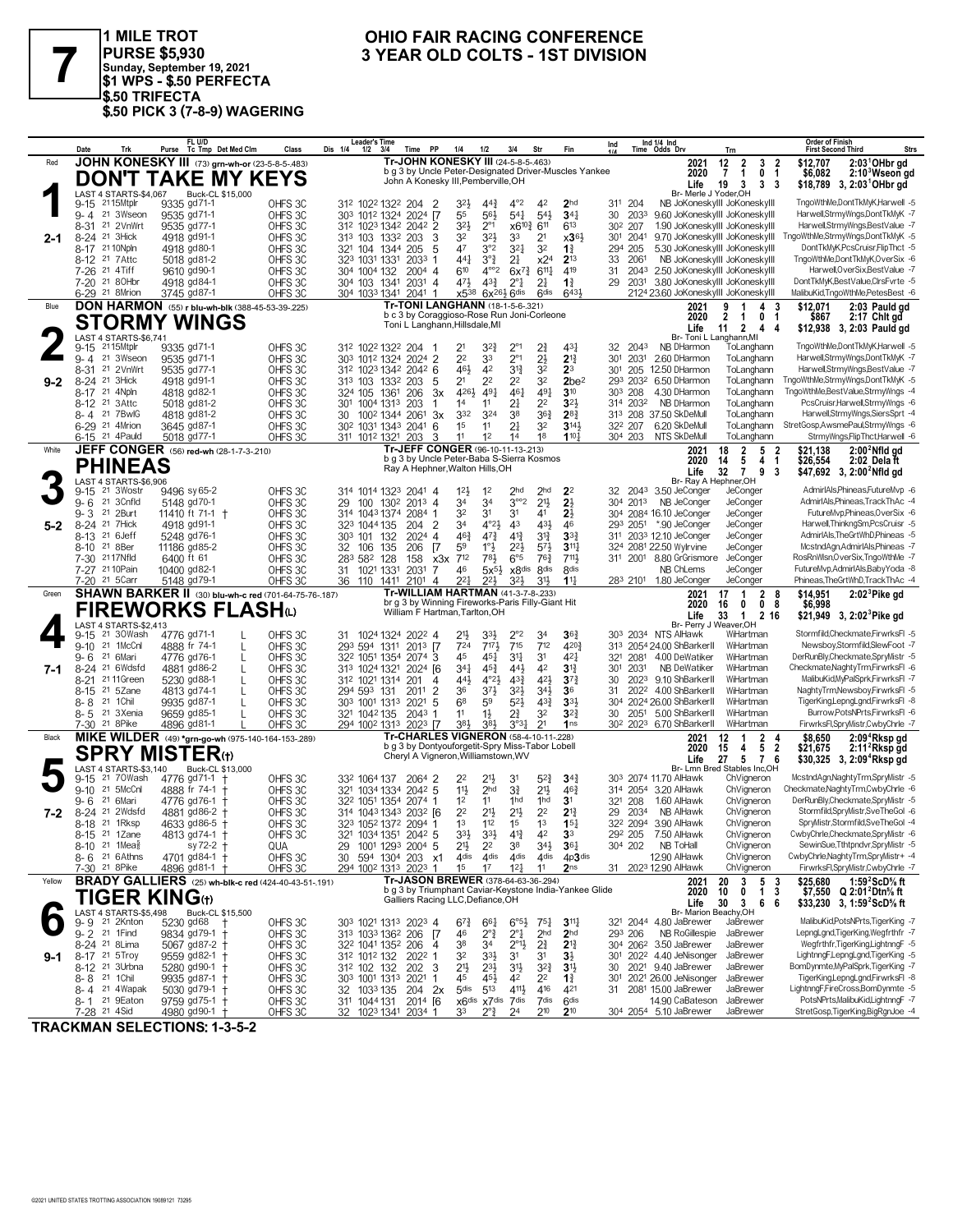

1 MILE TROT<br>|PURSE \$5,930<br>|Sunday, September 19, 2021<br>|\$1 WPS - \$.50 PERFECTA \$50 TRIFECTA<br>\$50 TRIFECTA<br>\$50 PICK 3 (7-8-9) WAGERING

### OHIO FAIR RACING CONFERENCE 3 YEAR OLD COLTS - 1ST DIVISION

|         | Trk<br>Date                                            | FL U/D<br>Purse Tc Tmp Det Med Clm                              | Class                                         | <b>Leader's Time</b><br>Dis 1/4<br>1/2<br>PP<br>3/4<br>Time                                       | 1/4<br>$1/2$<br>3/4                                                                                 | Str<br>Fin                                                                                    | Ind 1/4 Ind<br>Ind<br>Time Odds Drv                        | Trn                                                                                 | <b>Order of Finish</b><br><b>Strs</b><br><b>First Second Third</b>                                                                         |
|---------|--------------------------------------------------------|-----------------------------------------------------------------|-----------------------------------------------|---------------------------------------------------------------------------------------------------|-----------------------------------------------------------------------------------------------------|-----------------------------------------------------------------------------------------------|------------------------------------------------------------|-------------------------------------------------------------------------------------|--------------------------------------------------------------------------------------------------------------------------------------------|
| Red     |                                                        | JOHN KONESKY III (73) grn-wh-or (23-5-8-5-.483)                 |                                               |                                                                                                   | Tr-JOHN KONESKY III (24-5-8-5-463)<br>b g 3 by Uncle Peter-Designated Driver-Muscles Yankee         |                                                                                               |                                                            | 12<br>$\overline{2}$<br>3<br>2021<br>2020<br>7<br>$\mathbf{1}$<br>0                 | $2:031$ OHbr gd<br>-2<br>\$12,707<br>$2:103$ Wseon gd<br>$\overline{1}$<br>\$6,082                                                         |
|         |                                                        | <b>DON'T TAKE MY KEYS</b>                                       |                                               |                                                                                                   | John A Konesky III, Pemberville, OH                                                                 |                                                                                               |                                                            | 3 <sub>3</sub><br>Life<br>19<br>3                                                   | \$18,789 3, 2:03 OHbr gd                                                                                                                   |
|         | LAST 4 STARTS-\$4,067<br>9-15 2115Mtplr                | Buck-CL \$15,000<br>9335 gd71-1                                 | OHFS <sub>3C</sub>                            | 312 1022 1322 204 2                                                                               | $4^{\circ}2$<br>32}<br>$44\frac{3}{4}$                                                              | 42<br>2 <sub>hd</sub>                                                                         | 311 204                                                    | Br- Merle J Yoder, OH<br>NB JoKoneskylll JoKoneskylll                               | TngoWthMe,DontTkMyK,Harwell -5                                                                                                             |
|         | 9-4 21 3Wseon                                          | 9535 gd71-1                                                     | OHFS 3C                                       | 303 1012 1324 2024 [7                                                                             | $5^{41}$<br>55<br>56}                                                                               | $5^{4}$<br>$34\frac{1}{4}$                                                                    | 30<br>2033                                                 | 9.60 JoKoneskyIII JoKoneskyIII                                                      | Harwell,StrmyWngs,DontTkMyK -7                                                                                                             |
| 2-1     | 8-31 21 2VnWrt<br>8-24 <sup>21</sup> 3Hick             | 9535 gd77-1<br>4918 gd91-1                                      | OHFS 3C<br>OHFS 3C                            | 312 1023 1342 2042 2<br>313 103 1332 203<br>3                                                     | 32}<br>$2^{\circ}1$<br>32<br>32}<br>33                                                              | x6 <sup>10</sup> 4 6 <sup>11</sup><br>613<br>2 <sup>1</sup><br>$\times 36\frac{1}{2}$         | 30 <sup>2</sup> 207<br>301 2041                            | 1.90 JoKoneskylll JoKoneskylll<br>9.70 JoKoneskyIII JoKoneskyIII                    | Harwell,StrmyWngs,BestValue -7<br>TngoWthMe,StrmyWngs,DontTkMyK -5                                                                         |
|         | 8-17 21 10Npln                                         | 4918 gd80-1                                                     | OHFS <sub>3C</sub>                            | 5<br>321 104 1344<br>205                                                                          | 47<br>3°2<br>$3^{21}$                                                                               | 3 <sup>2</sup><br>$1\frac{3}{4}$                                                              | 294 205                                                    | 5.30 JoKoneskylll JoKoneskylll                                                      | DontTkMyK,PcsCruisr,FlipThct -5                                                                                                            |
|         | 8-12 <sup>21</sup> 7 Attc<br>7-26 21 4Tiff             | 5018 gd81-2<br>9610 gd90-1                                      | OHFS 3C<br>OHFS 3C                            | 323 1031 1331 2033 1<br>304 1004 132<br>2004 4                                                    | $3^{\circ}\frac{3}{4}$<br>441<br>21<br>610<br>$4^{\circ}2$                                          | $2^{13}$<br>x2 <sup>4</sup><br>$6x^{7}\frac{3}{4}$<br>$6^{11}\frac{1}{4}$<br>419              | 2061<br>33<br>31                                           | NB JoKoneskylll JoKoneskylll<br>2043 2.50 JoKoneskylll JoKoneskylll                 | TngoWthMe,DontTkMyK,OverSix -6<br>Harwell, OverSix, BestValue -7                                                                           |
|         | 7-20 21 80Hbr                                          | 4918 gd84-1                                                     | OHFS <sub>30</sub>                            | 304 103 1341<br>$2031$ 4                                                                          | 471<br>$4^{3}\frac{3}{4}$<br>$2^{\circ}1$                                                           | 2 <sup>1</sup><br>$1\frac{3}{4}$                                                              | 2031<br>29                                                 | 3.80 JoKoneskyIII JoKoneskyIII                                                      | DontTkMyK,BestValue,ClrsFvrte -5                                                                                                           |
| Blue    | 6-29 <sup>21</sup> 8Mrion                              | 3745 gd87-1<br>DON HARMON (55) r blu-wh-blk (388-45-53-39-.225) | OHFS <sub>30</sub>                            | 304 1033 1341 2041 1                                                                              | $6x^{26}\frac{1}{2}6$ dis<br>x5 <sup>38</sup><br>Tr-TONI LANGHANN (18-1-5-6-.321)                   | 6 <sup>dis</sup><br>$643\frac{1}{2}$                                                          |                                                            | 2124 23.60 JoKoneskyIII JoKoneskyIII<br>2021<br>9<br>$\overline{\mathbf{1}}$<br>4 3 | MalibuKid,TngoWthMe,PetesBest -6<br>\$12.071<br>2:03 Pauld gd                                                                              |
|         |                                                        | <b>STORMY WINGS</b>                                             |                                               |                                                                                                   | b c 3 by Coraggioso-Rose Run Joni-Corleone                                                          |                                                                                               |                                                            | 2020<br>$\overline{2}$<br>0 <sub>1</sub><br>-1                                      | $2:17$ Chit gd<br>\$867                                                                                                                    |
|         | LAST 4 STARTS-\$6.741                                  |                                                                 |                                               | Toni L Langhann, Hillsdale, MI                                                                    |                                                                                                     |                                                                                               |                                                            | $2 \quad 4$<br>11<br>Life<br>Br- Toni L Langhann, MI                                | \$12,938 3, 2:03 Pauld gd<br>4                                                                                                             |
|         | 2115Mtplr<br>$9 - 15$                                  | 9335 gd71-1                                                     | OHFS 3C                                       | 312 1022 1322 204 1                                                                               | 2°1<br>21<br>32}                                                                                    | 2<br>431                                                                                      | 32 2043                                                    | NB DHarmon<br>ToLanghann                                                            | TngoWthMe,DontTkMyK,Harwell -5<br>Harwell,StrmyWngs,DontTkMyK -7                                                                           |
|         | 21 3Wseon<br>$9 - 4$<br>$8 - 31$<br>21 2VnWrt          | 9535 gd71-1<br>9535 gd77-1                                      | OHFS 3C<br>OHFS 3C                            | 303 1012 1324 2024 2<br>312 1023 1342 2042 6                                                      | 2 <sup>2</sup><br>$2^{\circ}1$<br>33<br>461<br>42<br>$3^{13}$                                       | $2\frac{1}{2}$<br>$2^{13}$<br>32<br>2 <sup>3</sup>                                            | 301 2031<br>301<br>205 12.50 DHarmon                       | 2.60 DHarmon<br>ToLanghann<br>ToLanghann                                            | Harwell,StrmyWngs,BestValue -7                                                                                                             |
| $9 - 2$ | 21 3Hick<br>$8 - 24$                                   | 4918 gd91-1                                                     | OHFS 3C                                       | 313 103 1332 203<br>5                                                                             | 2 <sup>1</sup><br>2 <sup>2</sup><br>22                                                              | 32<br>2be <sup>2</sup>                                                                        | 293 2032 6.50 DHarmon                                      | ToLanghann                                                                          | TngoWthMe,StrmyWngs,DontTkMyK -5                                                                                                           |
|         | 21 4Npln<br>8-17<br>8-12 <sup>21</sup> 3Attc           | 4818 gd82-1<br>5018 gd81-2                                      | OHFS 3C<br>OHFS 3C                            | 324 105<br>1361<br>206<br>3x<br>301 1004 1313 203<br>1                                            | 461<br>4261<br>$49\frac{1}{4}$<br>14<br>2‡<br>11                                                    | $49\frac{1}{4}$<br>3 <sup>10</sup><br>3 <sup>2</sup><br>22                                    | 303 208<br>314 2032                                        | 4.30 DHarmon<br>ToLanghann<br>NB DHarmon<br>ToLanghann                              | TngoWthMe,BestValue,StrmyWngs -4<br>PcsCruisr, Harwell, StrmyWngs -6                                                                       |
|         | 8-4 21 7BwlG                                           | 4818 gd81-2                                                     | OHFS 3C                                       | 1002 1344 2061<br>3x<br>30                                                                        | 332<br>38<br>324                                                                                    | $36\frac{3}{4}$<br>$2^{8}\frac{3}{4}$                                                         | 313 208 37.50 SkDeMull                                     | ToLanghann                                                                          | Harwell,StrmyWngs,SiersSprt -4                                                                                                             |
|         | 6-29 <sup>21</sup> 4Mrion<br>6-15 <sup>21</sup> 4Pauld | 3645 gd87-1<br>5018 gd77-1                                      | OHFS 3C<br>OHFS 3C                            | 30 <sup>2</sup> 103 <sup>1</sup> 134 <sup>3</sup> 2041<br>6<br>311 1012 1321 203<br>3             | 21<br>1 <sup>5</sup><br>11<br>11<br>12<br>14                                                        | 32<br>3141<br>18<br>1104                                                                      | 32 <sup>2</sup> 207<br>304 203 NTS SkDeMull                | 6.20 SkDeMull<br>ToLanghann<br>ToLanghann                                           | StretGosp,AwsmePaul,StrmyWngs -6<br>StrmyWngs,FlipThct,Harwell -6                                                                          |
| White   |                                                        | JEFF CONGER (56) red-wh (28-1-7-3-210)                          |                                               |                                                                                                   | Tr-JEFF CONGER (96-10-11-13-213)                                                                    |                                                                                               |                                                            | 18<br>5 <sub>2</sub><br>2021<br>2                                                   | $2:002$ Nfld gd<br>\$21,138                                                                                                                |
|         | <b>PHINEAS</b>                                         |                                                                 |                                               |                                                                                                   | b q 3 by Uncle Peter-Baba S-Sierra Kosmos<br>Ray A Hephner, Walton Hills, OH                        |                                                                                               |                                                            | 5<br>4 <sub>1</sub><br>2020<br>14<br>32<br>$\overline{7}$<br>9<br>Life              | \$26,554<br>2:02 Dela ft<br>-3<br>\$47,692 3, 2:00 <sup>2</sup> Nfld gd                                                                    |
|         | LAST 4 STARTS-\$6.906<br>9-15 <sup>21</sup> 3Wostr     | 9496 sy 65-2                                                    | OHFS 3C                                       | 314 1014 1323 2041 4                                                                              | 12 <sup>1</sup><br>2hd<br>1 <sup>2</sup>                                                            | 2 <sub>hd</sub><br>2 <sup>2</sup>                                                             | 2043 3.50 JeConger<br>32                                   | Br- Ray A Hephner, OH<br>JeConger                                                   | AdmirIAls, Phineas, FutureMvp -6                                                                                                           |
|         | $9 - 6$<br>21 3Cnfld                                   | 5148 gd70-1                                                     | OHFS <sub>3C</sub>                            | 29<br>100<br>1302 2013 4                                                                          | 34<br>34                                                                                            | $3^{\circ\circ}2$<br>$21\frac{1}{2}$<br>2 <sup>1</sup>                                        | 304 2013                                                   | NB JeConger<br>JeConger                                                             | AdmirIAls, Phineas, Track ThAc -4                                                                                                          |
|         | 21 2Burt<br>$9 - 3$                                    | 11410 ft 71-1 +                                                 | OHFS 3C                                       | 314 1043 1374<br>2084 1                                                                           | 32<br>3 <sup>1</sup><br>31                                                                          | 41<br>$2\frac{1}{2}$                                                                          | 304 2084 16.10 JeConger                                    | JeConger                                                                            | FutureMvp,Phineas,OverSix -6<br>Harwell, Thinkng Sm, Pcs Cruisr -5                                                                         |
| $5-2$   | 8-24 <sup>21</sup> 7Hick<br>8-13 <sup>21</sup> 6 Jeff  | 4918 gd91-1<br>5248 gd76-1                                      | OHFS <sub>3C</sub><br>OHFS 3C                 | $\overline{2}$<br>323 1044 135<br>204<br>303 101 132<br>2024<br>$\overline{4}$                    | 4°2 <sub>3</sub><br>34<br>43<br>$47\frac{3}{4}$<br>463<br>$4^{13}$                                  | 43}<br>46<br>$3^{13}$<br>3 <sup>3</sup>                                                       | 293 2051<br>311 2033 12.10 JeConger                        | *.90 JeConger<br>JeConger<br>JeConger                                               | AdmirIAls, The GrtWhD, Phineas -5                                                                                                          |
|         | 8-10 <sup>21</sup> 8Ber                                | 11186 gd85-2                                                    | OHFS <sub>3C</sub>                            | $\sqrt{7}$<br>32 106<br>135<br>206                                                                | 59<br>$1^\circ \frac{1}{2}$<br>22}                                                                  | $5^{7}$<br>$311\frac{1}{4}$                                                                   | 324 2081 22.50 Wylrvine                                    | JeConger                                                                            | McstndAgn,AdmirIAls,Phineas -7                                                                                                             |
|         | 7-30 2117Nfld<br>7-27 21 10 Pain                       | 6400 ft 61<br>10400 gd82-1                                      | OHFS 3C<br>OHFS 3C                            | 283 582<br>128<br>158<br>x3x<br>1021 1331<br>31<br>2031<br>7                                      | 6°5<br>712<br>783<br>46<br>$5x^{5}\frac{1}{2}$                                                      | 763<br>711,<br>x8dis 8dis<br>8 <sub>dis</sub>                                                 | 311 2001 8.80 GrGrismore                                   | JeConger<br>NB ChLems<br>JeConger                                                   | RosRnWlsn, OverSix, TngoWthMe -7<br>FutureMvp,AdmirlAls,BabyYoda -8                                                                        |
|         | 7-20 <sup>21</sup> 5 Carr                              | 5148 gd79-1                                                     | OHFS3C                                        | 36 110 1411<br>2101<br>$\overline{4}$                                                             | 221<br>223<br>32}                                                                                   | 31}<br>$1\frac{11}{4}$                                                                        | 283 2101 1.80 JeConger                                     | JeConger                                                                            | Phineas.TheGrtWhD.TrackThAc -4                                                                                                             |
| Green   |                                                        | <b>SHAWN BARKER II</b> (30) blu-wh-c red (701-64-75-76-187)     |                                               | Tr-WILLIAM HARTMAN (41-3-7-8-233)                                                                 |                                                                                                     |                                                                                               |                                                            | $\overline{1}$<br>28<br>2021<br>17                                                  | $2:023$ Pike gd<br>\$14,951                                                                                                                |
|         |                                                        |                                                                 |                                               |                                                                                                   | br g 3 by Winning Fireworks-Paris Filly-Giant Hit                                                   |                                                                                               |                                                            |                                                                                     |                                                                                                                                            |
|         |                                                        | FIREWORKS FLASH(L)                                              |                                               | William F Hartman, Tarlton, OH                                                                    |                                                                                                     |                                                                                               |                                                            | 0<br>0 <sub>8</sub><br>2020<br>16<br>Life<br>33<br>$\mathbf{1}$<br>2 16             | \$6,998<br>\$21,949 3, 2:02 <sup>3</sup> Pike gd                                                                                           |
|         | LAST 4 STARTS-\$2,413<br>21 30Wash<br>9-15             | 4776 gd71-1                                                     | OHFS 3C                                       | 1024 1324 2022 4                                                                                  | $2^{\circ}2$<br>21}<br>33}                                                                          | $36\frac{3}{4}$<br>34                                                                         | 303 2034 NTS AlHawk                                        | Br- Perry J Weaver, OH<br>WiHartman                                                 | Stormfild,Checkmate,FirwrksFl -5                                                                                                           |
|         | 21 1McCnl<br>$9 - 10$                                  | 4888 fr 74-1                                                    | OHFS 3C                                       | 293 594 1311 2013 7                                                                               | 715<br>724<br>7173                                                                                  | 712<br>4203                                                                                   | 313 2054 24.00 ShBarkerII                                  | WiHartman                                                                           | Newsboy,Stormfild,SlewFoot -7                                                                                                              |
| 7-1     | 21 6Mari<br>9- 6<br>8-24 <sup>21</sup> 6Wdsfd          | 4776 gd76-1<br>4881 gd86-2                                      | OHFS <sub>30</sub><br>L<br>OHFS <sub>3C</sub> | 32 <sup>2</sup> 105 <sup>1</sup> 135 <sup>4</sup> 207 <sup>4</sup> 3<br>2024 [6]<br>313 1024 1321 | 45<br>451<br>34<br>$34\frac{1}{4}$<br>45}<br>443                                                    | 421<br>3 <sup>1</sup><br>42<br>$3^{13}$                                                       | 321 2081 4.00 DeWatiker<br>2031<br>301                     | WiHartman<br>WiHartman<br>NB DeWatiker                                              | DerRunBly,Checkmate,SpryMistr -5<br>Checkmate, Naghty Trm, Firwrks FI -6                                                                   |
|         | 21 11 Green<br>$8 - 21$                                | 5230 gd88-1                                                     | OHFS 3C                                       | 312 1021 1314<br>201<br>4                                                                         | $4^{\circ}2\frac{1}{2}$<br>441,<br>$4^{3}\frac{3}{4}$                                               | 421<br>$3^{7}$                                                                                | 2023 9.10 ShBarkerII<br>30                                 | WiHartman                                                                           | MalibuKid, MyPalSprk, FirwrksFI -7                                                                                                         |
|         | 21 5Zane<br>$8 - 15$<br>21 1 Chil<br>8-8               | 4813 gd74-1<br>9935 gd87-1                                      | OHFS 3C<br>OHFS <sub>30</sub>                 | 294 593<br>131<br>2011<br>$\overline{2}$<br>303 1001 1313 2021<br>5                               | $3^{7}\frac{1}{2}$<br>36<br>$3^{21}$<br>6 <sup>8</sup><br>59<br>$5^{21}$                            | $34\frac{1}{2}$<br>36<br>$4^{3}$<br>3 <sup>3</sup>                                            | 2022 4.00 ShBarkerII<br>31<br>2024 26.00 ShBarkerII<br>304 | WiHartman<br>WiHartman                                                              | NaghtyTrm,Newsboy,FirwrksFI -5<br>TigerKing,LepngLgnd,FirwrksFl -8                                                                         |
|         | 8-5 <sup>21</sup> 3Xenia                               | 9659 gd85-1                                                     | OHFS <sub>30</sub>                            | 321 1042 135<br>2043 1                                                                            | $1\frac{1}{2}$<br>21<br>11                                                                          | 32<br>$3^{2}$                                                                                 | 30<br>2051                                                 | 5.00 ShBarkerII<br>WiHartman                                                        | Burrow, PotsNPrts, FirwrksFI -6                                                                                                            |
|         | 7-30 <sup>21</sup> 8Pike                               | 4896 gd81-1                                                     | OHFS <sub>30</sub>                            | 294 1002 1313 2023 [7                                                                             | 384<br>383<br>3°31<br><b>Tr-CHARLES VIGNERON (58-4-10-11-228)</b>                                   | 21<br>1 <sub>ns</sub>                                                                         | 30 <sup>2</sup> 202 <sup>3</sup> 6.70 ShBarkerII           | WiHartman                                                                           | FirwrksFl,SpryMistr,CwbyChrle -7                                                                                                           |
| Black   |                                                        | MIKE WILDER (49) *grn-go-wh (975-140-164-153-289)               |                                               |                                                                                                   | b g 3 by Dontyouforgetit-Spry Miss-Tabor Lobell                                                     |                                                                                               |                                                            | 2021<br>12<br>$\mathbf{2}$<br>-1<br>2020<br>5<br>15<br>4                            | $2:094$ Rksp gd<br>\$8,650<br>4<br>2:11 <sup>2</sup> Rksp gd<br>$\overline{\mathbf{2}}$<br>\$21,675                                        |
|         | LAST 4 STARTS-\$3,140                                  | <b>SPRY MISTER</b> (t)<br>Buck-CL \$13,000                      |                                               |                                                                                                   | Cheryl A Vigneron, Williamstown, WV                                                                 |                                                                                               |                                                            | Life<br>27<br>5 7 6<br>Br- Lmn Bred Stables Inc,OH                                  | $$30,325$ 3, 2:09 <sup>4</sup> Rksp gd                                                                                                     |
|         | 21 70Wash<br>9-15                                      | 4776 gd71-1 †                                                   | OHFS 3C                                       | 332 1064 137<br>2064 2                                                                            | 22<br>31                                                                                            | $5^{2}$<br>$3^{4}{}_{2}$                                                                      | 303 2074 11.70 AlHawk                                      | ChVigneron                                                                          | McstndAgn,NaghtyTrm,SpryMistr -5                                                                                                           |
|         | 21 5McCnl<br>$9 - 10$<br>21 6Mari<br>9- 6              | 4888 fr 74-1<br>4776 gd76-1                                     | OHFS 3C<br>OHFS 3C                            | 321 1034 1334 2042 5<br>322 1051 1354 2074 1                                                      | $11\frac{1}{2}$<br>2 <sub>hd</sub><br>31<br>1 <sup>2</sup><br>11<br>1hd                             | $21\frac{1}{2}$<br>463<br>1hd<br>3 <sup>1</sup>                                               | 314 2054 3.20 AlHawk<br>321 208                            | ChVigneron<br>ChVigneron<br>1.60 AlHawk                                             | Checkmate, Naghty Trm, Cwby Chrle -6<br>DerRunBly,Checkmate,SpryMistr -5                                                                   |
| 7-2     | 8-24 <sup>21</sup> 2Wdsfd                              | 4881 gd86-2                                                     | OHFS 3C                                       | 314 1043 1343 2032 [6]                                                                            | 22<br>$21\frac{1}{2}$<br>21}                                                                        | 2 <sup>2</sup><br>$2^{13}$                                                                    | 2034<br>29                                                 | NB A⊩awk<br>ChVigneron                                                              | Stormfild,SpryMistr,SveTheGol -6                                                                                                           |
|         | 8-18 21 1Rksp<br>8-15 <sup>21</sup> 1 Zane             | 4633 gd86-5 +<br>4813 gd74-1 †                                  | OHFS 3C<br>OHFS 3C                            | 323 1052 1372 2094 1<br>1034 1351 2042 5                                                          | 1 <sup>3</sup><br>112<br>1 <sup>5</sup><br>33}<br>3 <sup>3</sup><br>41                              | 1 <sup>3</sup><br>15 <sub>1</sub><br>42<br>33                                                 | 322 2094 3.90 AlHawk<br>292 205                            | ChVigneron<br>7.50 AlHawk<br>ChVigneron                                             | SpryMistr,Stormfild,SveTheGol -4<br>CwbyChrle,Checkmate,SpryMistr -6                                                                       |
|         | 8-10 <sup>21</sup> 1Mea <sup>§</sup>                   | $sy 72-2 +$                                                     | QUA                                           | 29<br>1001 1293 2004 5                                                                            | 21}<br>2 <sup>2</sup><br>38                                                                         | 34}<br>$36\frac{1}{4}$                                                                        | 304 202                                                    | NB ToHall<br>ChVigneron                                                             | SewinSue, Tthtpndvr, SpryMistr -5                                                                                                          |
|         | 8-6 <sup>21</sup> 6 Athns                              | 4701 gd84-1 †<br>4896 gd81-1 +                                  | OHFS 3C                                       | 594 1304 203 x1<br>30                                                                             | 4 <sup>dis</sup><br>4 <sub>dis</sub><br>4 <sup>dis</sup><br>1 <sup>5</sup><br>17<br>$12\frac{1}{4}$ | 4dis 4p3dis<br>11<br>2 <sub>ns</sub>                                                          | 31 2023 12.90 AlHawk                                       | 12.90 AlHawk<br>ChVigneron<br>ChVigneron                                            | CwbyChrle, NaghtyTrm, SpryMistr+ -4<br>FirwrksFl,SpryMistr,CwbyChrle -7                                                                    |
| Yellow  | 7-30 <sup>21</sup> 8Pike                               | <b>BRADY GALLIERS</b> (25) wh-blk-c red (424-40-43-51-191)      | OHFS3C                                        | 294 1002 1313 2023 1                                                                              | Tr-JASON BREWER (378-64-63-36-.294)                                                                 |                                                                                               |                                                            | 20<br>3<br>5 <sub>3</sub><br>2021                                                   | \$25.680<br>1:59 $2$ ScD $\%$ ft                                                                                                           |
|         | <b>TIGER KING</b> (t)                                  |                                                                 |                                               |                                                                                                   | b g 3 by Triumphant Caviar-Keystone India-Yankee Glide<br>Galliers Racing LLC, Defiance, OH         |                                                                                               |                                                            | 2020<br>10<br>0<br>$\mathbf{1}$<br>30<br>366<br>Life                                | -3<br>\$7,550 $Q$ 2:01 <sup>2</sup> Dtn <sup>5</sup> / <sub>8</sub> ft<br>\$33,230 3, 1:59 <sup>2</sup> ScD <sup>5</sup> / <sub>8</sub> ft |
|         | LAST 4 STARTS-\$5,498                                  | Buck-CL \$15,500                                                |                                               |                                                                                                   |                                                                                                     |                                                                                               |                                                            | Br- Marion Beachy, OH                                                               | MalibuKid,PotsNPrts,TigerKing -7                                                                                                           |
|         | 9-9 <sup>21</sup> 2Knton<br>9-2 21 1 Find              | 5230 gd68<br>9834 gd79-1 +                                      | OHFS3C<br>OHFS 3C                             | 303 1021 1313 2023 4<br>313 1033 1362 206 7                                                       | $6^{73}$<br>$66\frac{1}{4}$<br>46<br>$2^{\circ}\frac{3}{4}$<br>$2^{\circ}1$                         | $6^{\circ 5\frac{1}{2}}$<br>$75\frac{1}{4}$<br>$3^{11}$<br>2 <sub>hd</sub><br>2 <sub>hd</sub> | 321 2044 4.80 JaBrewer<br>293 206                          | JaBrewer<br>NB RoGillespie<br>JaBrewer                                              | LepngLgnd,TigerKing,Wegfrthfr -7                                                                                                           |
|         | 8-24 <sup>21</sup> 8 Lima                              | 5067 gd87-2 +                                                   | OHFS 3C                                       | 32 <sup>2</sup> 1041 135 <sup>2</sup> 206 4                                                       | 38<br>$2^{\circ}1\frac{1}{2}$<br>34                                                                 | $2\frac{3}{4}$<br>$2^{13}$                                                                    | 304 2062 3.50 JaBrewer                                     | JaBrewer                                                                            | Wegfrthfr,TigerKing,LightnngF -5                                                                                                           |
| 9-1     | 8-17 <sup>21</sup> 5Troy<br>8-12 <sup>21</sup> 3Urbna  | 9559 gd82-1 +<br>5280 gd90-1                                    | OHFS 3C<br>OHFS 3C                            | 312 1012 132 2022 1<br>312 102 132 202 3                                                          | 32<br>$3^{3}\frac{1}{2}$<br>31<br>$21\frac{1}{2}$<br>$2^{3}\frac{1}{2}$<br>34                       | 31<br>$3\frac{1}{2}$<br>$3^{2}$<br>3 <sup>1</sup>                                             | 301 2022 4.40 JeNisonger<br>2021 9.40 JaBrewer<br>30       | JaBrewer<br>JaBrewer                                                                | LightnngF,LepngLgnd,TigerKing -5<br>BomDynmte, MyPalSprk, TigerKing -7                                                                     |
|         | 8-8 <sup>21</sup> 1 Chil                               | 9935 gd87-1 +                                                   | OHFS 3C                                       | 303 1001 1313 2021<br>$\overline{1}$                                                              | 45<br>453<br>42                                                                                     | 2 <sup>2</sup><br>$1\frac{3}{4}$                                                              | 301 2021 26.00 JeNisonger                                  | JaBrewer                                                                            | TigerKing,LepngLgnd,FirwrksFl -8                                                                                                           |
|         | 8-4 21 4 Wapak<br>8-1 21 9 Eaton                       | 5030 $gd79-1$ +<br>9759 gd75-1 +                                | OHFS 3C<br>OHFS 3C                            | 32 1033 135 204 2x<br>311 1044 131<br>$2014$ $[6]$                                                | 5 <sub>dis</sub><br>513<br>4111<br>x6dis x7dis 7dis                                                 | 416<br>421<br>7dis<br>6 <sup>dis</sup>                                                        | 2081 15.00 JaBrewer<br>31                                  | JaBrewer<br>14.90 CaBateson<br>JaBrewer                                             | LightnngF,FireCross,BomDynmte -5<br>PotsNPrts,MalibuKid,LightnngF -7                                                                       |

**TRACKMAN SELECTIONS: 1-3-5-2**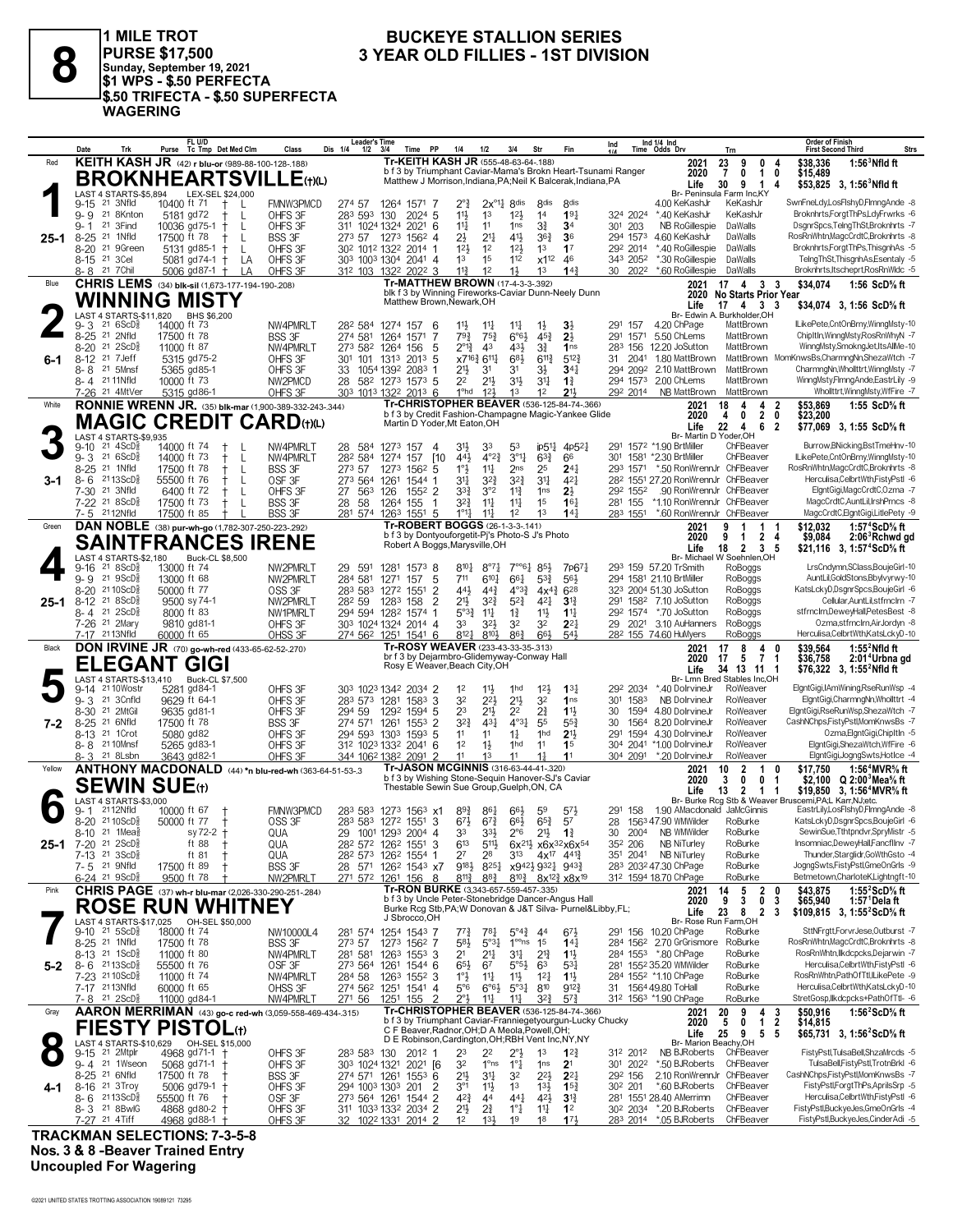

1 MILE TROT PURSE \$17,500<br>|Sunday, September 19, 2021<br>|\$1 WPS - \$.50 PERFECTA<br>!\$.50 TRIFECTA - \$.50 SUPERFECTA **WAGERING** 

### **BUCKEYE STALLION SERIES** 3 YEAR OLD FILLIES - 1ST DIVISION

|          | Trk<br>Date                                              | Purse Tc Tmp Det Med Clm                                      | Class                      | Leader's Time<br>Dis 1/4<br>1/2         | <b>PP</b><br>Time<br>- 3/4                                                                                                    | 1/4                                | 1/2<br>3/4                                                                                                                                        | Str                                                 | Fin                                 | Ind                    | Ind $1/4$ Ind<br>Time Odds Drv                             | Trn                                                     | Order of Finish<br><b>Strs</b><br><b>First Second Third</b>                                          |
|----------|----------------------------------------------------------|---------------------------------------------------------------|----------------------------|-----------------------------------------|-------------------------------------------------------------------------------------------------------------------------------|------------------------------------|---------------------------------------------------------------------------------------------------------------------------------------------------|-----------------------------------------------------|-------------------------------------|------------------------|------------------------------------------------------------|---------------------------------------------------------|------------------------------------------------------------------------------------------------------|
| Red      |                                                          | KEITH KASH JR (42) r blu-or (989-88-100-128-188)              |                            |                                         | Tr-KEITH KASH JR (555-48-63-64-.188)                                                                                          |                                    |                                                                                                                                                   |                                                     |                                     |                        | 2021                                                       | 23<br>9<br>0                                            | \$38.336<br>$1:563$ Nfld ft                                                                          |
|          |                                                          | <b>BROKNHEARTSVILLE(t)(L)</b>                                 |                            |                                         | b f 3 by Triumphant Caviar-Mama's Brokn Heart-Tsunami Ranger<br>Matthew J Morrison, Indiana, PA; Neil K Balcerak, Indiana, PA |                                    |                                                                                                                                                   |                                                     |                                     |                        | 2020                                                       | $\overline{7}$<br>$\mathbf{0}$<br>$\mathbf{1}$          | 0<br>\$15,489                                                                                        |
|          | LAST 4 STARTS-\$5,894                                    | LEX-SEL \$24,000                                              |                            |                                         |                                                                                                                               |                                    |                                                                                                                                                   |                                                     |                                     |                        | Life                                                       | 30<br>9<br>$\overline{1}$<br>Br- Peninsula Farm Inc, KY | 4<br>\$53,825 3, 1:56 Nfld ft                                                                        |
|          | 21 3Nfld<br>$9 - 15$                                     | 10400 ft 71<br>Ť.<br>L                                        | <b>FMNW3PMCD</b>           | 274 57                                  | 1264 1571 7                                                                                                                   | $2^{\circ}$ $\frac{3}{4}$          | $2x^{\circ}$ <sup>1</sup> $4$ 8 <sup>dis</sup>                                                                                                    | 8 <sub>dis</sub>                                    | 8 <sub>dis</sub>                    |                        | 4.00 KeKashJr                                              | KeKashJr                                                | SwnFneLdy,LosFlshyD,FlmngAnde -8                                                                     |
|          | $9 - 9$<br>21 8Knton                                     | L<br>5181 gd72                                                | OHFS 3F                    | 283 593 130                             | 2024 5                                                                                                                        | 11                                 | 1 <sup>3</sup><br>$12\frac{1}{2}$                                                                                                                 | 14                                                  | 19 <sub>7</sub>                     | 324 2024               | *.40 KeKashJr                                              | KeKashJr                                                | Broknhrts,ForgtThPs,LdyFrwrks -6                                                                     |
|          | 21 3Find<br>$9 - 1$                                      | 10036 gd75-1<br>L<br>$^{+}$                                   | OHFS 3F                    |                                         | 311 1024 1324 2021 6                                                                                                          | $11\frac{1}{4}$                    | 11<br>1 <sub>ns</sub>                                                                                                                             | 3∛                                                  | 34                                  | 301<br>203             | NB RoGillespie                                             | DaWalls                                                 | DsgnrSpcs,TelngThSt,Broknhrts -7                                                                     |
| 25-1     | $8 - 25$<br>21 1Nfld                                     | 17500 ft 78<br>L<br>$\pm$                                     | <b>BSS 3F</b>              |                                         | 273 57 1273 1562 4                                                                                                            | 2}                                 | $21\frac{1}{4}$<br>41}                                                                                                                            | $36\frac{3}{4}$                                     | 36                                  | 294 1573               | 4.60 KeKashJr                                              | DaWalls                                                 | RosRnWhtn,MagcCrdtC,Broknhrts -8                                                                     |
|          | $8 - 20$<br>21 9Green<br>8-15 <sup>21</sup> 3Cel         | L<br>5131 gd85-1<br>$^{+}$                                    | OHFS 3F                    |                                         | 302 1012 1322 2014 1                                                                                                          | 12 <sup>1</sup>                    | 1 <sup>2</sup><br>12 <sup>1</sup>                                                                                                                 | 1 <sup>3</sup>                                      | 1 <sup>7</sup>                      | 292 2014               | *.40 RoGillespie                                           | DaWalls                                                 | Broknhrts, Forgt ThPs, ThisgnhAs -5<br>TelngThSt,ThisgnhAs,Esentaly -5                               |
|          | 21 7 Chil<br>8-8                                         | 5081 gd74-1 $+$<br>LA<br>5006 $gd87-1$ +<br>LA                | OHFS 3F<br>OHFS 3F         |                                         | 303 1003 1304 2041 4<br>312 103 1322 2022 3                                                                                   | 1 <sup>3</sup><br>$11\frac{3}{4}$  | 1 <sup>5</sup><br>112<br>1 <sup>2</sup><br>$1\frac{1}{2}$                                                                                         | x1 <sup>12</sup><br>1 <sup>3</sup>                  | 46<br>14 <sup>3</sup>               | 343 2052<br>30<br>2022 | *.30 RoGillespie<br>*.60 RoGillespie                       | DaWalls<br>DaWalls                                      | Broknhrts, Itscheprt, RosRnWldc -5                                                                   |
| Blue     |                                                          | CHRIS LEMS (34) blk-sil (1,673-177-194-190-.208)              |                            |                                         | Tr-MATTHEW BROWN (17-4-3-3-.392)                                                                                              |                                    |                                                                                                                                                   |                                                     |                                     |                        | 2021                                                       | $17 \quad 4$<br>33                                      | \$34.074<br>1:56 $ScD%$ ft                                                                           |
|          |                                                          |                                                               |                            |                                         | blk f 3 by Winning Fireworks-Caviar Dunn-Neely Dunn                                                                           |                                    |                                                                                                                                                   |                                                     |                                     |                        |                                                            | 2020 No Starts Prior Year                               |                                                                                                      |
|          |                                                          | <b>WINNING MISTY</b>                                          |                            |                                         | Matthew Brown, Newark, OH                                                                                                     |                                    |                                                                                                                                                   |                                                     |                                     |                        | Life                                                       | 17 4 3 3                                                | \$34,074 3, 1:56 ScD% ft                                                                             |
|          | LAST 4 STARTS-\$11,820<br>216SCD <sub>8</sub><br>9-3     | BHS \$6,200<br>14000 ft 73                                    | NW4PMRLT                   |                                         |                                                                                                                               |                                    | $11\frac{1}{4}$                                                                                                                                   |                                                     |                                     | 291 157                | 4.20 ChPage                                                | Br- Edwin A. Burkholder.OH<br>MattBrown                 | ILikePete,CntOnBrny,WinngMsty-10                                                                     |
|          | 21 2Nfld<br>$8 - 25$                                     | 17500 ft 78                                                   | <b>BSS 3F</b>              | 28 <sup>2</sup> 584 1274 157<br>274 581 | - 6<br>1264 1571<br>-7                                                                                                        | $11\frac{1}{2}$<br>$79\frac{3}{4}$ | $11\frac{1}{4}$<br>$75\frac{3}{4}$<br>$6^{\circ}6^{\frac{1}{2}}$                                                                                  | $1\frac{1}{2}$<br>$45\frac{3}{4}$                   | $3\frac{1}{2}$<br>$2\frac{1}{2}$    | 291 1571               | 5.50 ChLems                                                | MattBrown                                               | ChipItIn.WinnaMstv.RosRnWhvN -7                                                                      |
|          | 8-20 21 2ScD <sup>5</sup>                                | 11000 ft 87                                                   | NW4PMRLT                   | 273 582 1264 156                        | -5                                                                                                                            | $2^{\circ}1^3_4$                   | 4 <sup>3</sup><br>431                                                                                                                             | 31                                                  | 1 <sub>ns</sub>                     |                        | 283 156 12.20 JoSutton                                     | MattBrown                                               | WinngMsty,SmokngJet,ItsAllMe-10                                                                      |
| 6-1      | $8 - 12$<br>21 7 Jeff                                    | 5315 gd75-2                                                   | OHFS 3F                    | 301                                     | 101 1313 2013 5                                                                                                               | x716} 611}                         | 683                                                                                                                                               | $6^{11}$                                            | $5^{12}$                            | 31<br>2041             | 1.80 MattBrown                                             |                                                         | MattBrown MomKnwsBs,CharmngNn,ShezaWtch -7                                                           |
|          | $8 - 8$<br>21 5Mnsf                                      | 5365 gd85-1                                                   | OHFS 3F                    | 33                                      | 1054 1392 2083 1                                                                                                              | 21}                                | 31<br>3 <sup>1</sup>                                                                                                                              | 3½                                                  | $34\frac{1}{4}$                     | 294 2092               | 2.10 MattBrown                                             | MattBrown                                               | CharmngNn, Whollttrt, WinngMsty -7                                                                   |
|          | 8-4 2111Nfld                                             | 10000 ft 73                                                   | NW2PMCD                    | 28                                      | 582 1273 1573 5                                                                                                               | 2 <sup>2</sup>                     | $21\frac{1}{2}$<br>31}                                                                                                                            | 3 <sup>11</sup>                                     | $1\frac{3}{4}$                      | 294 1573               | 2.00 ChLems                                                | MattBrown                                               | WinngMsty,FImngAnde,EastrLily -9                                                                     |
|          | 7-26 21 4MtVer                                           | 5315 gd86-1                                                   | OHFS 3F                    |                                         | 303 1013 1322 2013 6<br>Tr-CHRISTOPHER BEAVER (536-125-84-74-.366)                                                            | 1 <sup>o</sup> hd                  | 12 <sup>1</sup><br>1 <sup>3</sup>                                                                                                                 | 12                                                  | 21,                                 | 292 2014               | NB MattBrown                                               | MattBrown                                               | Whollttrt, Winng Msty, WfFire -7                                                                     |
| White    |                                                          | <b>RONNIE WRENN JR.</b> (35) blk-mar (1,900-389-332-243-.344) |                            |                                         | b f 3 by Credit Fashion-Champagne Magic-Yankee Glide                                                                          |                                    |                                                                                                                                                   |                                                     |                                     |                        | 2021<br>2020                                               | 18<br>4<br>4<br>$\overline{2}$<br>4<br>$\mathbf{0}$     | \$53,869<br>1:55 ScD% ft<br>2<br>0<br>\$23,200                                                       |
|          |                                                          | <b>MAGIC CREDIT CARD(t)(L)</b>                                |                            |                                         | Martin D Yoder, Mt Eaton, OH                                                                                                  |                                    |                                                                                                                                                   |                                                     |                                     |                        | Life                                                       | 22<br>4<br>6                                            | 2<br>\$77,069 3, 1:55 ScD% ft                                                                        |
|          | LAST 4 STARTS-\$9,935                                    |                                                               |                            |                                         |                                                                                                                               |                                    |                                                                                                                                                   |                                                     |                                     |                        | Br- Martin D Yoder, OH                                     |                                                         |                                                                                                      |
|          | $21 \text{ } 4$ ScD $\frac{5}{8}$<br>$9 - 10$<br>21 6ScD | 14000 ft 74                                                   | NW4PMRLT                   | 28 584 1273 157                         | -4                                                                                                                            | 31}                                | 33<br>53                                                                                                                                          |                                                     | ip51} 4p52}                         |                        | 291 1572 *1.90 BrtMiller                                   | ChFBeaver<br>ChFBeaver                                  | Burrow, BNicking, Bst TmeHnv-10<br>ILikePete,CntOnBrny,WinngMsty-10                                  |
|          | $9 - 3$<br>8-25 21 1Nfld                                 | 14000 ft 73<br>$\mathbf{I}$<br>17500 ft 78<br>$\pm$<br>L      | NW4PMRLT<br><b>BSS 3F</b>  | 282 584<br>273 57                       | 1274 157<br><b>110</b><br>1273 1562 5                                                                                         | 443<br>$1^\circ\frac{1}{2}$        | $3^{\circ}1$<br>$4^{\circ}2^3$<br>$11\frac{1}{4}$<br>2 <sub>ns</sub>                                                                              | $63\frac{3}{4}$<br>25                               | 66<br>$24\frac{1}{4}$               | 301                    | 1581 *2.30 BrtMiller<br>293 1571 *.50 RonWrennJr ChFBeaver |                                                         | RosRnWhtn,MagcCrdtC,Broknhrts -8                                                                     |
| 3-1      | $8 - 6$<br>$2113$ ScD $\frac{5}{8}$                      | 55500 ft 76<br>L                                              | OSF <sub>3F</sub>          | 273 564                                 | 1261<br>1544 1                                                                                                                | 31                                 | $3^{2}\frac{3}{4}$<br>$3^{2^{3}}$                                                                                                                 | 3 <sup>11</sup>                                     | $4^{2}$                             |                        | 282 1551 27.20 RonWrennJr ChFBeaver                        |                                                         | Herculisa, Celbrt Wth, FistyPstl -6                                                                  |
|          | 7-30 <sup>21</sup> 3Nfld                                 | L<br>6400 ft 72                                               | OHFS 3F                    | 27<br>563                               | 126<br>$155^2$ 2                                                                                                              | 33}                                | 3°2<br>$11\frac{3}{4}$                                                                                                                            | 1 <sub>ns</sub>                                     | $2\frac{1}{2}$                      | 292 1552               | .90 RonWrennJr ChFBeaver                                   |                                                         | ElgntGigi,MagcCrdtC,Ozma -7                                                                          |
|          | 7-22 <sup>21</sup> 8ScD <sup>3</sup>                     | 17500 ft 73<br>L                                              | <b>BSS 3F</b>              | 28 58                                   | 1264 155<br>$\mathbf 1$                                                                                                       | 32}                                | 11<br>$11\frac{1}{4}$                                                                                                                             | 1 <sup>5</sup>                                      | $16\frac{1}{4}$                     | 281 155                | *1.10 RonWrennJr ChFBeaver                                 |                                                         | MagcCrdtC,AuntLil,IrshPrncs -8                                                                       |
|          | 7-5 2112Nfld                                             | 17500 ft 85                                                   | <b>BSS 3F</b>              | 281 574                                 | 1263 1551<br>-5                                                                                                               | $1^{\circ}1\frac{1}{2}$            | 1 <sup>2</sup><br>$11\frac{1}{4}$                                                                                                                 | 13                                                  | $14\frac{1}{2}$                     | 283 1551               | *.60 RonWrennJr ChFBeaver                                  |                                                         | MagcCrdtC,ElgntGigi,LitlePety -9                                                                     |
| Green    |                                                          | DAN NOBLE (38) pur-wh-go (1,782-307-250-223-.292)             |                            |                                         | Tr-ROBERT BOGGS (26-1-3-3-141)<br>b f 3 by Dontyouforgetit-Pj's Photo-S J's Photo                                             |                                    |                                                                                                                                                   |                                                     |                                     |                        | 2021<br>2020                                               | 9<br>1<br>1<br>9<br>$\mathbf{1}$                        | \$12.032<br>1:57 <sup>4</sup> ScD% ft                                                                |
|          |                                                          | <b>SAINTFRANCES IRENE</b>                                     |                            |                                         | Robert A Boggs, Marysville, OH                                                                                                |                                    |                                                                                                                                                   |                                                     |                                     |                        | Life                                                       | 2<br>18 2 3 5                                           | 4<br>\$9,084<br>2:06 <sup>3</sup> Rchwd gd<br>\$21,116 3, 1:57°ScD% ft                               |
|          | LAST 4 STARTS-\$2,180                                    | <b>Buck-CL \$8,500</b>                                        |                            |                                         |                                                                                                                               |                                    |                                                                                                                                                   |                                                     |                                     |                        |                                                            | Br- Michael W Soehnlen.OH                               |                                                                                                      |
|          | 21 8 ScD <sup>3</sup><br>$9 - 16$                        | 13000 ft 74                                                   | NW2PMRLT                   | 29<br>591                               | 1281<br>15738                                                                                                                 | $8^{10}\frac{1}{4}$                | $\cdot \cdot \cdot 64$<br>$8^{\circ}7\frac{1}{4}$                                                                                                 | 85}                                                 | 7p671                               |                        | 293 159 57.20 TrSmith                                      | RoBoggs                                                 | LrsCndymn,SClass,BoujeGirl-10                                                                        |
|          | $9 - 9$ 21 $9 \text{ScD}_{8}^{5}$                        | 13000 ft 68                                                   | NW2PMRLT                   | 284 581                                 | 1271 157<br>5                                                                                                                 | 711                                | 661<br>$6^{10}$                                                                                                                                   | $5^{3}\frac{3}{4}$                                  | $56\frac{1}{2}$                     |                        | 294 1581 21.10 BrtMiller                                   | RoBoggs<br>RoBoggs                                      | AuntLil.GoldStons.Bbvlvvrwv-10<br>KatsLckyD,DsgnrSpcs,BoujeGirl -6                                   |
| $25 - 1$ | 8-20 2110ScD<br>$8 - 12$<br>218SCD <sub>8</sub>          | 50000 ft 77<br>9500 sy 74-1                                   | OSS 3F<br>NW2PMRLT         | 282 59                                  | 283 583 1272 1551<br>2<br>$\overline{2}$<br>1283<br>158                                                                       | 441<br>$21\frac{1}{2}$             | $44\frac{3}{4}$<br>$4^{\circ}3^{\frac{3}{2}}$<br>$3^{2^{3}}$<br>$5^{2}$                                                                           | $4x^{4}\frac{3}{4}$<br>421                          | 628<br>$3^{13}$                     | 291                    | 323 2004 51.30 JoSutton<br>1582 7.10 JoSutton              | RoBoggs                                                 | Cellular, AuntLil, stfrnclrn -7                                                                      |
|          | $8 - 4$ 21 $2$ ScD <sup>3</sup>                          | 8000 ft 83                                                    | NW1PMRLT                   |                                         | 294 594 1282 1574 1                                                                                                           | 5°3 <sup>3</sup>                   | 11<br>$1\frac{3}{4}$                                                                                                                              | 11}                                                 | $1^{11}$                            | 292 1574               | *.70 JoSutton                                              | RoBoggs                                                 | stfrnclrn,DeweyHall,PetesBest -8                                                                     |
|          | 7-26 <sup>21</sup> 2Mary                                 | 9810 gd81-1                                                   | OHFS 3F                    |                                         | 303 1024 1324 2014 4                                                                                                          | 33                                 | 32}<br>32                                                                                                                                         | 32                                                  | $2^{2}$                             | 29<br>2021             | 3.10 AuHanners                                             | RoBoggs                                                 | Ozma,stfrnclrn,AirJordyn -8                                                                          |
|          | 7-17 2113Nfld                                            | 60000 ft 65                                                   | OHSS 3F                    |                                         | 274 562 1251 1541 6                                                                                                           | 8121                               | 8101<br>863                                                                                                                                       | 66}                                                 | 543                                 |                        | 28 <sup>2</sup> 155 74.60 HuMyers                          | RoBoggs                                                 | Herculisa,CelbrtWth,KatsLckyD-10                                                                     |
| Black    |                                                          |                                                               |                            |                                         |                                                                                                                               |                                    |                                                                                                                                                   |                                                     |                                     |                        |                                                            |                                                         |                                                                                                      |
|          |                                                          |                                                               |                            |                                         | Tr-ROSY WEAVER (233-43-33-35-.313)                                                                                            |                                    |                                                                                                                                                   |                                                     |                                     |                        | 2021                                                       | 8<br>17<br>4                                            | $1:552$ Nfld ft<br>\$39.564<br>0                                                                     |
|          |                                                          | <b>DON IRVINE JR</b> (70) go-wh-red (433-65-62-52-270)        |                            |                                         | br f 3 by Dejarmbro-Glidemyway-Conway Hall                                                                                    |                                    |                                                                                                                                                   |                                                     |                                     |                        | 2020                                                       | 17<br>71<br>-5                                          | \$36,758<br>2:01 <sup>4</sup> Urbna gd                                                               |
|          | EGANT.<br>Εl                                             | <b>GIG</b>                                                    |                            |                                         | Rosy E Weaver, Beach City, OH                                                                                                 |                                    |                                                                                                                                                   |                                                     |                                     |                        | Life                                                       | 34 13 11 1                                              | \$76,322 3, 1:55 <sup>2</sup> Nfld ft                                                                |
|          | LAST 4 STARTS-\$13,410<br>2110Wostr<br>9-14              | Buck-CL \$7,500<br>5281 gd84-1                                | OHFS 3F                    |                                         | 303 1023 1342 2034 2                                                                                                          | 1 <sup>2</sup>                     | $11\frac{1}{2}$<br>1 <sub>hd</sub>                                                                                                                | 12 <sup>1</sup>                                     | $13\frac{1}{4}$                     | 292 2034               | *.40 DolrvineJr                                            | Br- Lmn Bred Stables Inc.OH<br>RoWeaver                 | ElgntGigi,IAmWining,RseRunWsp -4                                                                     |
|          | $9 - 3$<br>21 3Cnfld                                     | 9629 ft 64-1                                                  | OHFS 3F                    |                                         | 283 573 1281 1583 3                                                                                                           | 32                                 | $21\frac{1}{2}$<br>$2^{2}\frac{1}{2}$                                                                                                             | 32                                                  | 1 <sub>ns</sub>                     | 1583<br>301            | NB DolrvineJr                                              | RoWeaver                                                | ElgntGigi,CharmngNn,Whollttrt -4                                                                     |
|          | 8-30 21 2MtGil                                           | 9635 gd81-1                                                   | OHFS 3F                    | 294 59                                  | 1292 1594 5                                                                                                                   | 23                                 | $21\frac{1}{2}$<br>2 <sup>2</sup>                                                                                                                 | $2\frac{3}{4}$                                      | $1\frac{11}{2}$                     | 30                     | 1594 4.80 DolrvineJr                                       | RoWeaver                                                | ElgntGigi,RseRunWsp,ShezaWtch -7                                                                     |
| 7-2      | $8 - 25$<br>21 6Nfld                                     | 17500 ft 78                                                   | <b>BSS 3F</b>              | 274 571                                 | 1261<br>1553<br>2                                                                                                             | $3^{2}\frac{3}{4}$                 | $4^{\circ}3\frac{1}{4}$<br>$43\frac{1}{2}$                                                                                                        | 55                                                  | $55\frac{3}{4}$                     | 30<br>1564             | 8.20 DolrvineJr                                            | RoWeaver                                                | CashNChps,FistyPstl,MomKnwsBs -7                                                                     |
|          | 8-13 <sup>21</sup> 1 Crot                                | 5080 gd82                                                     | OHFS 3F                    |                                         | 294 593 1303 1593 5                                                                                                           | 1 <sup>1</sup>                     | 11<br>$1\frac{1}{4}$                                                                                                                              | 1hd                                                 | 2 <sup>1</sup>                      | 291<br>1594            | 4.30 DolrvineJr                                            | RoWeaver<br>RoWeaver                                    | Ozma,ElgntGigi,ChipItIn -5                                                                           |
|          | 8-8 <sup>21</sup> 10Mnsf<br>8-3 21 8Lsbn                 | 5265 gd83-1<br>3643 gd82-1                                    | OHFS 3F<br>OHFS 3F         |                                         | 312 1023 1332 2041 6<br>344 1062 1382 2091                                                                                    | 1 <sup>2</sup><br>11               | $1\frac{1}{2}$<br>1hd<br>11<br>13                                                                                                                 | 11<br>1 <sup>1</sup>                                | 1 <sup>5</sup><br>11                | 304 2091               | 304 2041 *1.00 DolrvineJr<br>*.20 DolrvineJr               | RoWeaver                                                | ElgntGigi,ShezaWtch,WfFire -6<br>ElgntGigi,JogngSwts,HotIce -4                                       |
| Yellow   |                                                          | ANTHONY MACDONALD (44) *n blu-red-wh (363-64-51-53-.3         |                            |                                         | Tr-JASON MCGINNIS (316-63-44-41-320)                                                                                          |                                    |                                                                                                                                                   |                                                     |                                     |                        | 2021                                                       | $\overline{2}$<br>10<br>1                               | 1:56 <sup>4</sup> MVR <sup>5</sup> / <sub>8</sub> ft<br>\$17.750<br>0                                |
|          |                                                          |                                                               |                            |                                         | b f 3 by Wishing Stone-Sequin Hanover-SJ's Caviar                                                                             |                                    |                                                                                                                                                   |                                                     |                                     |                        | 2020                                                       | 3<br>$\mathbf 0$<br>0                                   | \$2,100 $Q$ 2:00 <sup>3</sup> Mea <sup>5</sup> / <sub>8</sub> ft<br>-1                               |
|          | SEWIN SUE⊕                                               |                                                               |                            |                                         | Thestable Sewin Sue Group, Guelph, ON, CA                                                                                     |                                    |                                                                                                                                                   |                                                     |                                     |                        | Life                                                       | 13<br>$\overline{2}$<br>1 1                             | \$19,850 3, 1:56 <sup>4</sup> MVR <sup>5</sup> / <sub>8</sub> ft                                     |
|          | LAST 4 STARTS-\$3,000<br>2112Nfld<br>9- 1                | 10000 ft 67                                                   |                            |                                         | 283 583 1273 1563 x1                                                                                                          |                                    | $66\frac{1}{2}$                                                                                                                                   |                                                     |                                     | 291<br>158             | 1.90 AMacdonald JaMcGinnis                                 |                                                         | Br- Burke Rcg Stb & Weaver Bruscemi, PA,L Karr, NJ, etc.<br>EastrLily,LosFlshyD,FlmngAnde -8         |
|          | 8-20 2110ScD <sup>5</sup>                                | 50000 ft 77                                                   | <b>FMNW3PMCD</b><br>OSS 3F |                                         | 283 583 1272 1551 3                                                                                                           | $89\frac{3}{4}$<br>$6^{71}$        | $86\frac{1}{4}$<br>$6^{7\frac{3}{4}}$<br>$66\frac{1}{2}$                                                                                          | 59<br>$65\frac{3}{4}$                               | $5^{7}\frac{1}{2}$<br>57            | 28                     | 1563 47.90 WMWilder                                        | RoBurke                                                 | KatsLckyD,DsgnrSpcs,BoujeGirl -6                                                                     |
|          | $8-10$ 21 1Mea <sup>5</sup>                              | $sy 72-2 +$                                                   | QUA                        |                                         | 29 1001 1293 2004 4                                                                                                           | 33                                 | 3 <sup>3</sup><br>$2^{\circ}6$                                                                                                                    | $21\frac{1}{2}$                                     | $1\frac{3}{4}$                      | 30<br>2004             | NB WMWilder                                                | RoBurke                                                 | SewinSue, Tthtpndvr, SpryMistr -5                                                                    |
| 25-1     | 21 2ScD <sup>5</sup><br>7-20                             | ft 88                                                         | QUA                        |                                         | 3<br>28 <sup>2</sup> 57 <sup>2</sup> 126 <sup>2</sup> 1551                                                                    | $6^{13}$                           | $5^{11}$                                                                                                                                          |                                                     | $6x^{21/2}$ x $6x^{32}$ x $6x^{54}$ | 352 206                | NB NiTurley                                                | RoBurke                                                 | Insomniac,DeweyHall,Fancfllnv -7                                                                     |
|          | 7-13 <sup>21</sup> 3ScD <sup>3</sup>                     | ft 81                                                         | QUA                        |                                         | 28 <sup>2</sup> 573 126 <sup>2</sup> 1554 1                                                                                   | 27                                 | 28<br>313                                                                                                                                         |                                                     | $4x^{17}$ $4^{41}\frac{3}{4}$       |                        | 351 2041 NB NiTurley                                       | RoBurke                                                 | Thunder, Starglidr, GoWth Gsto -4                                                                    |
|          | 7-5 21 9Nfld                                             | 17500 ft 89                                                   | <b>BSS 3F</b>              |                                         | 28 571 1262 1543 x7                                                                                                           |                                    | 918 <sup>1</sup> / <sub>2</sub> 825 <sup>1</sup> / <sub>2</sub> x942 <sup>1</sup> / <sub>2</sub> 932 <sup>1</sup> / <sub>2</sub> 943 <sup>2</sup> |                                                     |                                     |                        | 283 2032 47.30 ChPage                                      | RoBurke                                                 | JogngSwts,FistyPstl,GmeOnGrls -9                                                                     |
| Pink     | 6-24 <sup>21</sup> 9ScD <sup>3</sup>                     | 9500 ft 78                                                    | NW2PMRLT                   | 271 572                                 | 1261 156 8                                                                                                                    | $8^{11}\frac{3}{4}$                | $8^{8}\frac{3}{4}$                                                                                                                                | $8^{10\frac{3}{4}}$ $8x^{12\frac{3}{4}}$ $x8x^{19}$ |                                     |                        | 312 1594 18.70 ChPage                                      | RoBurke                                                 | Betmetown,CharloteK,Lightngft-10                                                                     |
|          |                                                          | CHRIS PAGE (37) wh-r blu-mar (2,026-330-290-251-284)          |                            |                                         | Tr-RON BURKE (3,343-657-559-457-.335)<br>b f 3 by Uncle Peter-Stonebridge Dancer-Angus Hall                                   |                                    |                                                                                                                                                   |                                                     |                                     |                        | 2021<br>2020                                               | 5<br>$\overline{2}$<br>14<br>9<br>3<br>0                | 1:55 $2$ ScD $\%$ ft<br>\$43,875<br>0<br>3<br>\$65,940<br>1:57 Dela ft                               |
|          |                                                          | <b>ROSE RUN WHITNEY</b>                                       |                            |                                         | Burke Rcg Stb, PA; W Donovan & J&T Silva- Purnel&Libby, FL;                                                                   |                                    |                                                                                                                                                   |                                                     |                                     |                        | Life                                                       | 23<br>8<br>$\overline{\mathbf{2}}$                      | -3<br>\$109,815 3, 1:55 ${}^{\prime}$ ScD ${}^{\prime}$ s ft                                         |
|          |                                                          | LAST 4 STARTS-\$17,025 OH-SEL \$50,000                        |                            |                                         | J Sbrocco, OH                                                                                                                 |                                    |                                                                                                                                                   |                                                     |                                     |                        | Br- Rose Run Farm, OH                                      |                                                         |                                                                                                      |
|          | $9-10$ 21 $5$ ScD $\frac{5}{8}$                          | 18000 ft 74                                                   | NW10000L4                  |                                         | 281 574 1254 1543 7                                                                                                           | $77\frac{3}{4}$                    | $5^{\circ}4^{\frac{3}{4}}$<br>$7^{81}$                                                                                                            | -44                                                 | $6^{7}\frac{1}{2}$                  |                        | 291 156 10.20 ChPage                                       | RoBurke<br>RoBurke                                      | SttNFrgtt,ForvrJese,Outburst -7<br>RosRnWhtn,MagcCrdtC,Broknhrts -8                                  |
|          | 8-25 <sup>21</sup> 1Nfld<br>8-13 21 1ScD <sup>5</sup>    | 17500 ft 78<br>11000 ft 80                                    | <b>BSS 3F</b><br>NW4PMRLT  | 273 57                                  | 1273 1562 7<br>281 581 1263 1553 3                                                                                            | 58}<br>2 <sup>1</sup>              | $5^{\circ}3^{\frac{1}{4}}$<br>1 <sup>oo</sup> ns<br>$21\frac{1}{4}$<br>34                                                                         | 1 <sup>5</sup><br>$2^{13}$                          | $14\frac{1}{4}$<br>$1\frac{11}{2}$  |                        | 284 1562 2.70 GrGrismore<br>284 1553 *.80 ChPage           | RoBurke                                                 | RosRnWhtn,llkdcpcks,Dejarwin -7                                                                      |
| $5-2$    | $8 - 6$ 2113ScD <sup>3</sup>                             | 55500 ft 76                                                   | OSF <sub>3F</sub>          | 273 564 1261                            | 1544 6                                                                                                                        | 65}                                | $5°5\frac{1}{2}$<br>67                                                                                                                            | 63                                                  | $53\frac{1}{4}$                     |                        | 281 1552 35.20 WMWilder                                    | RoBurke                                                 | Herculisa,CelbrtWth,FistyPstl -6                                                                     |
|          | 7-23 2110ScD <sup>5</sup>                                | 11000 ft 74                                                   | NW4PMRLT                   | 284 58                                  | 1263 1552 3                                                                                                                   | $1^{\circ}$                        | $11\frac{1}{4}$<br>$11\frac{1}{2}$                                                                                                                | $1^{2}$                                             | $1\frac{11}{2}$                     |                        | 284 1552 *1.10 ChPage                                      | RoBurke                                                 | RosRnWhtn.PathOfTtl.ILikePete -9                                                                     |
|          | 7-17 2113Nfld                                            | 60000 ft 65                                                   | OHSS 3F                    | 274 562                                 | 1251 1541 4                                                                                                                   | $5^{\circ}6$                       | $6^{\circ}6\frac{1}{2}$ $5^{\circ}3\frac{1}{4}$                                                                                                   | 810                                                 | $9^{12}\frac{3}{4}$                 | 31                     | 1564 49.80 ToHall                                          | RoBurke                                                 | Herculisa,CelbrtWth,KatsLckyD-10                                                                     |
|          | 7-8 21 2ScD <sup>3</sup>                                 | 11000 gd84-1                                                  | NW4PMRLT                   | 271 56                                  | 1251 155                                                                                                                      | ን°1                                | $11\frac{1}{4}$<br>$11\frac{1}{4}$                                                                                                                | $3^{2}\frac{3}{4}$                                  | $5^{7}$ <sub>4</sub>                |                        | 312 1563 *1.90 ChPage                                      | RoBurke                                                 | StretGosp,llkdcpcks+PathOfTtl- -6                                                                    |
| Gray     |                                                          | AARON MERRIMAN (43) go-c red-wh (3,059-558-469-434-.315)      |                            |                                         | Tr-CHRISTOPHER BEAVER (536-125-84-74-366)<br>b f 3 by Triumphant Caviar-Franniegetyourgun-Lucky Chucky                        |                                    |                                                                                                                                                   |                                                     |                                     |                        | 2021<br>2020                                               | 9<br>20<br>4<br>5<br>$\mathbf 0$<br>$\overline{1}$      | \$50,916<br>1:56 $2$ ScD $\%$ ft                                                                     |
|          |                                                          | <b>FIESTY PISTOL</b> (t)                                      |                            |                                         | C F Beaver, Radnor, OH; D A Meola, Powell, OH;                                                                                |                                    |                                                                                                                                                   |                                                     |                                     |                        | Life                                                       | 25<br>9<br>5                                            | $\frac{3}{2}$<br>\$14,815<br>\$65,731 3, 1:56 <sup>2</sup> ScD <sup>5</sup> / <sub>8</sub> ft<br>- 5 |
|          |                                                          | LAST 4 STARTS-\$10,629 OH-SEL \$15,000                        |                            |                                         | D E Robinson, Cardington, OH; RBH Vent Inc, NY, NY                                                                            |                                    |                                                                                                                                                   |                                                     |                                     |                        | Br- Marion Beachy, OH                                      |                                                         |                                                                                                      |
|          | 9-15 <sup>21</sup> 2Mtplr                                | 4968 gd71-1 †                                                 | OHFS 3F                    | 283 583 130                             | 2012 1                                                                                                                        | 23                                 | 22<br>2°}                                                                                                                                         | 1 <sup>3</sup>                                      | $12\frac{3}{4}$                     | 312 2012               | NB BJRoberts                                               | ChFBeaver                                               | FistyPstl,TulsaBell,ShzaMrcds -5                                                                     |
|          | 9-4 21 1Wseon                                            | $5068$ gd71-1 +<br>$\pm$                                      | OHFS 3F                    |                                         | 303 1024 1321 2021 [6]                                                                                                        | 32                                 | $1^{\circ}$ ns<br>$1^{\circ}1$                                                                                                                    | 1 <sub>ns</sub><br>22}                              | 2 <sup>1</sup><br>$2^{2}$           | 292 156                | 301 2022 *.50 BJRoberts<br>2.10 RonWrennJr ChFBeaver       | ChFBeaver                                               | TulsaBell,FistyPstl,TrotnBrkl -6<br>CashNChps,FistyPstl,MomKnwsBs -7                                 |
| 4-1      | 8-25 <sup>21</sup> 6Nfld<br>8-16 <sup>21</sup> 3Troy     | 17500 ft 78<br>5006 gd79-1 +                                  | BSS 3F<br>OHFS 3F          | 294 1003 1303 201                       | 274 571 1261 1553 6<br>2                                                                                                      | 21}<br>$3^{\circ}1$                | 3 <sup>11</sup><br>32<br>1 <sup>3</sup><br>$11\frac{1}{2}$                                                                                        | $13\frac{1}{2}$                                     | $15\frac{3}{4}$                     | 30 <sup>2</sup> 201    | *.60 BJRoberts                                             | ChFBeaver                                               | FistyPstl,ForgtThPs,AprilsSrp -5                                                                     |
|          | $8 - 6$ 2113ScD <sup>5</sup>                             | 55500 ft 76                                                   | OSF 3F                     |                                         | 273 564 1261 1544 2                                                                                                           | $4^{2}\frac{3}{4}$                 | $44\frac{1}{4}$<br>44                                                                                                                             | $4^{21}$                                            | 3 <sup>12</sup>                     |                        | 281 1551 28.40 AMerrimn                                    | ChFBeaver                                               | Herculisa, Celbrt Wth, FistyPstl -6                                                                  |
|          | 8-3 <sup>21</sup> 8BwlG                                  | 4868 gd80-2 †                                                 | OHFS 3F                    |                                         | 311 1033 1332 2034 2                                                                                                          | 21}                                | $1^{\circ}1^{\circ}$<br>$2\frac{3}{4}$                                                                                                            | 11                                                  | 1 <sup>2</sup>                      |                        | 30 <sup>2</sup> 203 <sup>4</sup> *.20 BJRoberts            | ChFBeaver                                               | FistyPstl,BuckyeJes,GmeOnGrls -4                                                                     |
|          | 7-27 21 4Tiff                                            | 4968 gd88-1<br><b>TRACKMAN SFI FCTIONS 7-3-5-8</b>            | OHFS 3F                    |                                         | 32 1022 1331 2014 2                                                                                                           | 1 <sup>2</sup>                     | 1 <sup>9</sup><br>$13\frac{1}{2}$                                                                                                                 | 18                                                  | 173                                 |                        | 283 2014 *.05 BJRoberts                                    | ChFBeaver                                               | FistyPstl,BuckyeJes,CinderAdi -5                                                                     |

I ƏLLC Nos. 3 & 8 - Beaver Trained Entry

**Uncoupled For Wagering**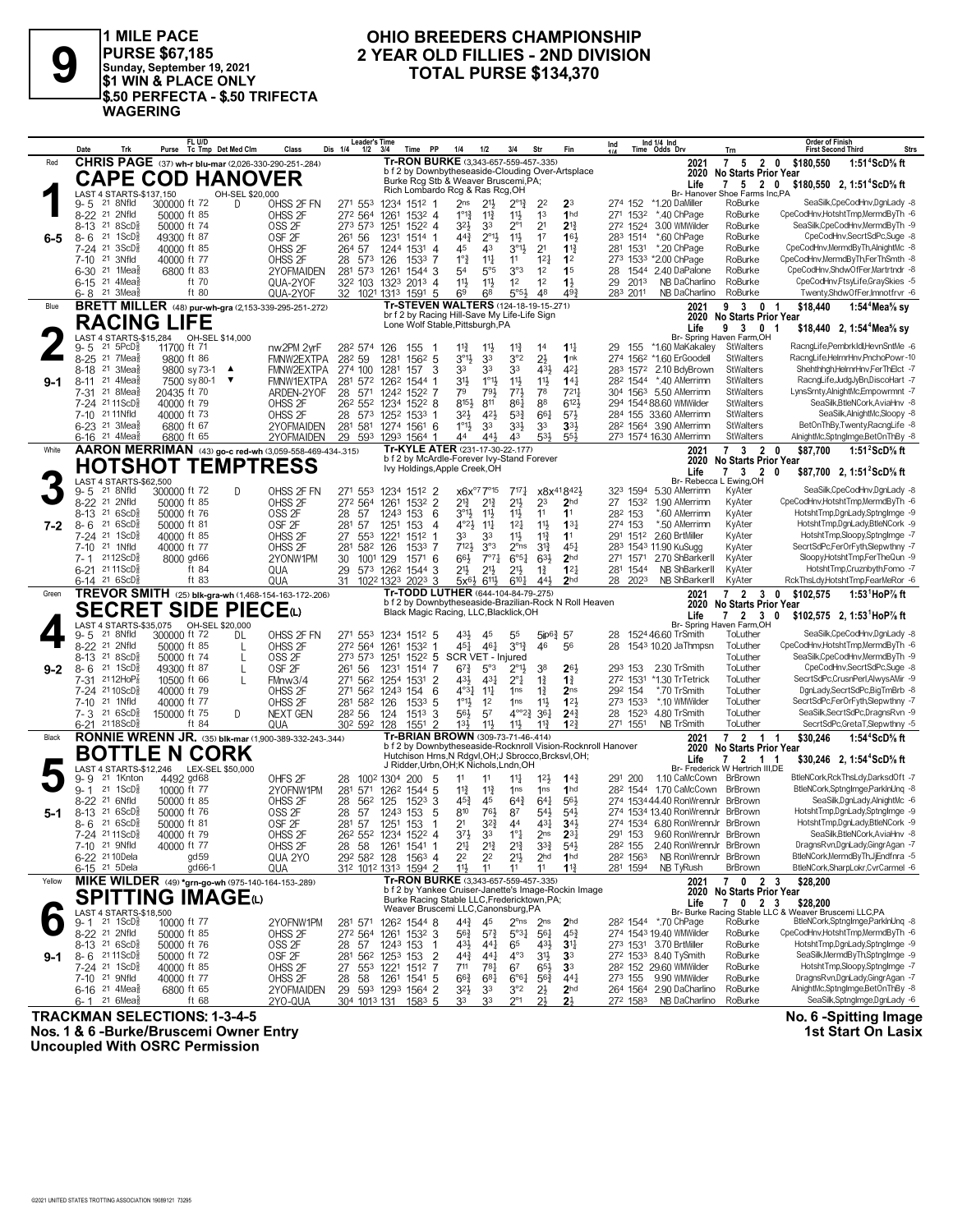

1 MILE PACE<br>PURSE \$67,185<br>Sunday, September 19, 2021<br>\$1 WIN & PLACE ONLY \$.50 PERFECTA - \$.50 TRIFECTA **WAGERING** 

### OHIO BREEDERS CHAMPIONSHIP 2 YEAR OLD FILLIES - 2ND DIVISION TOTAL PURSE \$134,370

|         | Trk<br>Date                                                                   | FL U/D<br>Purse Tc Tmp Det Med Clm                            | Class                                   | <b>Leader's Time</b><br>Dis 1/4<br>$1/2$ $3/4$ | Time                                                                                            | <b>PP</b>       | 1/2<br>1/4                                                      | 3/4                                | Str                                               | Fin                                | Ind                                                          | Ind 1/4 Ind<br>Time Odds Drv                                        | Trn                                      | <b>Order of Finish</b><br>Strs<br><b>First Second Third</b>                        |
|---------|-------------------------------------------------------------------------------|---------------------------------------------------------------|-----------------------------------------|------------------------------------------------|-------------------------------------------------------------------------------------------------|-----------------|-----------------------------------------------------------------|------------------------------------|---------------------------------------------------|------------------------------------|--------------------------------------------------------------|---------------------------------------------------------------------|------------------------------------------|------------------------------------------------------------------------------------|
| Red     |                                                                               | CHRIS PAGE (37) wh-r blu-mar (2,026-330-290-251-284)          |                                         |                                                | Tr-RON BURKE (3.343-657-559-457-.335)                                                           |                 |                                                                 |                                    |                                                   |                                    |                                                              | 2021                                                                | $\overline{7}$                           | 5 2 0 \$180,550<br>1:51 <sup>4</sup> ScD% ft                                       |
|         |                                                                               | <b>CAPE COD HANOVER</b>                                       |                                         |                                                | b f 2 by Downbytheseaside-Clouding Over-Artsplace<br>Burke Rcg Stb & Weaver Bruscemi, PA;       |                 |                                                                 |                                    |                                                   |                                    |                                                              | 2020                                                                | <b>No Starts Prior Year</b>              |                                                                                    |
|         | LAST 4 STARTS-\$137,150                                                       | OH-SEL \$20,000                                               |                                         |                                                | Rich Lombardo Rcg & Ras Rcg, OH                                                                 |                 |                                                                 |                                    |                                                   |                                    |                                                              | Life                                                                | 7 5 2 0<br>Br- Hanover Shoe Farms Inc,PA | \$180,550 2, 1:51 <sup>4</sup> ScD <sup>5</sup> / <sub>8</sub> ft                  |
|         | 9-5<br>21 8Nfld                                                               | 300000 ft 72<br>D.                                            | OHSS 2F FN                              | 271 553                                        | 1234 1512 1                                                                                     |                 | 2 <sub>ns</sub><br>21}                                          | $2^{\circ}1^3$                     | 22                                                | 2 <sup>3</sup>                     |                                                              | 274 152 *1.20 DaMiller                                              | RoBurke                                  | SeaSilk,CpeCodHnv,DgnLady -8                                                       |
|         | 8-22 <sup>21</sup> 2Nfld                                                      | 50000 ft 85                                                   | OHSS 2F                                 | 272 564                                        | 1261                                                                                            | $153^2$ 4       | $1^{\circ}1^3$<br>$11\frac{3}{4}$                               | $11\frac{1}{2}$                    | 1 <sup>3</sup>                                    | 1 <sub>hd</sub>                    | 271 1532                                                     | *.40 ChPage                                                         | RoBurke                                  | CpeCodHnv.HotshtTmp.MermdBvTh -6                                                   |
|         | 21 8 ScD <sup>3</sup><br>8-13<br>$8 - 6$<br>21 1ScD                           | 50000 ft 74<br>49300 ft 87                                    | OSS <sub>2F</sub><br>OSF <sub>2F</sub>  | 273 573<br>261 56                              | 1251                                                                                            | 1522 4          | $3^{21}$<br>33<br>$44\frac{3}{4}$<br>$2^{\circ}1\frac{1}{2}$    | $2^{\circ}1$<br>$11\frac{1}{2}$    | 2 <sup>1</sup><br>17                              | $2^{13}$<br>163                    | 272 1524<br>283 1514                                         | 3.00 WMWilder                                                       | RoBurke<br>RoBurke                       | SeaSilk,CpeCodHnv,MermdByTh -9<br>CpeCodHnv,SecrtSdPc,Suge -8                      |
| $6-5$   | $7-24$ 21<br>$3ScD_{8}^{5}$                                                   | 40000 ft 85                                                   | OHSS <sub>2F</sub>                      | 264 57                                         | 1231<br>1514 1<br>1244                                                                          | $153^1$ 4       | 45<br>43                                                        | $3^{01}$                           | 2 <sup>1</sup>                                    | $1^{13}$                           | 281 1531                                                     | *.60 ChPage<br>*.20 ChPage                                          | RoBurke                                  | CpeCodHnv.MermdBvTh.AlnightMc -8                                                   |
|         | 21<br>3Nfld<br>$7 - 10$                                                       | 40000 ft 77                                                   | OHSS <sub>2F</sub>                      | 28 573                                         | 126                                                                                             | 1533 7          | $1°\frac{3}{4}$<br>$11\frac{1}{4}$                              | 11                                 | 12 <sub>1</sub>                                   | 1 <sup>2</sup>                     |                                                              | 273 1533 *2.00 ChPage                                               | RoBurke                                  | CpeCodHnv,MermdByTh,FerThSmth -8                                                   |
|         | 21 1Mea<br>$6 - 30$                                                           | 6800 ft 83                                                    | 2YOFMAIDEN                              | 281 573 1261                                   |                                                                                                 | 1544 3          | 54<br>5°5                                                       | 3°3                                | 1 <sup>2</sup>                                    | 1 <sup>5</sup>                     | 28                                                           | 1544 2.40 DaPalone                                                  | RoBurke                                  | CpeCodHnv,ShdwOfFer,Martrtndr -8                                                   |
|         | 21 $4$ Mea $\frac{5}{8}$<br>$6 - 15$                                          | ft 70                                                         | QUA-2YOF                                |                                                | 32 <sup>2</sup> 103 132 <sup>3</sup> 201 <sup>3</sup> 4                                         |                 | 11}<br>$11\frac{1}{2}$                                          | 1 <sup>2</sup>                     | 1 <sup>2</sup>                                    | $1\frac{1}{2}$                     | 2013<br>29                                                   | NB DaCharlino                                                       | RoBurke                                  | CpeCodHnv,FtsyLife,GraySkies -5                                                    |
|         | $21 \text{ 3}$ Mea $\frac{5}{8}$<br>6-8                                       | ft 80                                                         | QUA-2YOF                                |                                                | 32 1021 1313 1591 5<br>Tr-STEVEN WALTERS (124-18-19-15-271)                                     |                 | 6 <sup>8</sup><br>69                                            | 5°5 <sup>3</sup>                   | 48                                                | 493                                | 283 2011                                                     | NB DaCharlino                                                       | RoBurke                                  | Twenty,ShdwOfFer,Imnotfrvr -6                                                      |
| Blue    |                                                                               | <b>BRETT MILLER</b> (48) pur-wh-gra (2,153-339-295-251-272)   |                                         |                                                | br f 2 by Racing Hill-Save My Life-Life Sign                                                    |                 |                                                                 |                                    |                                                   |                                    |                                                              | 2021<br>2020                                                        | 93<br><b>No Starts Prior Year</b>        | \$18,440<br>0 <sub>1</sub><br>1:54 <sup>*</sup> Mea <sup>5</sup> / <sub>8</sub> sy |
|         | <b>RACING LIFE</b>                                                            |                                                               |                                         |                                                | Lone Wolf Stable, Pittsburgh, PA                                                                |                 |                                                                 |                                    |                                                   |                                    |                                                              | Life                                                                | 9<br>3 0 1                               | \$18,440 2, 1:54 <sup>4</sup> Mea <sup>5</sup> / <sub>8</sub> sv                   |
|         | $21 \overline{5PCD}$                                                          |                                                               |                                         |                                                |                                                                                                 |                 |                                                                 |                                    |                                                   |                                    |                                                              | Br- Spring Haven Farm, OH                                           |                                          | RacngLife.PembrkIdl.HevnSntMe -6                                                   |
|         | $9 - 5$<br>$8 - 25$<br>21 7Mea                                                | 11700 ft 71<br>9800 ft 86                                     | nw2PM 2yrF<br>FMNW2EXTPA                | 282 574<br>282 59                              | 126<br>155<br>1281                                                                              | -1<br>$156^2$ 5 | $11\frac{3}{4}$<br>$11\frac{1}{2}$<br>33<br>$3^{01}$            | $11\frac{3}{4}$<br>3°2             | 14<br>2 <sup>1</sup>                              | $11\frac{1}{4}$<br>1nk             | 29<br>155                                                    | *1.60 MaKakaley<br>274 1562 *1.60 ErGoodell                         | StWalters<br><b>StWalters</b>            | RacngLife,HelrnrHnv,PnchoPowr-10                                                   |
|         | $8 - 18$<br>21<br>3Mea                                                        | 9800 sy 73-1 ▲                                                | FMNW2EXTPA                              | 274 100                                        | 1281<br>157                                                                                     | 3               | 33<br>33                                                        | 33                                 | 431                                               | 421                                |                                                              | 283 1572 2.10 BdyBrown                                              | <b>StWalters</b>                         | Shehthhgh, HelrnrHnv, FerThElct -7                                                 |
| $9-1$   | 21 4Mea<br>$8 - 11$                                                           | 7500 sy 80-1<br>▼                                             | <b>FMNW1EXTPA</b>                       | 281 572 1262                                   | 1544 1                                                                                          |                 | 31}<br>$1^{\circ}1\frac{1}{2}$                                  | $11\frac{1}{2}$                    | 11}                                               | $14\frac{1}{4}$                    |                                                              | 282 1544 *.40 AMerrimn                                              | <b>StWalters</b>                         | RacngLife,JudgJyBn,DiscoHart -7                                                    |
|         | 21 8Mea<br>7-31                                                               | 20435 ft 70                                                   | ARDEN-2YOF                              | 28<br>571                                      | 1242 1522 7                                                                                     |                 | 79<br>793                                                       | $77\frac{1}{2}$                    | 78                                                | 7211                               |                                                              | 304 1563 5.50 AMerrimn                                              | <b>StWalters</b>                         | LynsSrnty,AlnightMc,Empowrmnt -7                                                   |
|         | 21 11 ScD ಕ<br>$7 - 24$                                                       | 40000 ft 79                                                   | OHSS <sub>2F</sub>                      | 26 <sup>2</sup> 55 <sup>2</sup>                | 1234<br>$152^2$ 8                                                                               |                 | 8154<br>811                                                     | 861                                | 88                                                | 6123                               |                                                              | 294 1544 88.60 WMWilder                                             | <b>StWalters</b>                         | SeaSilk, BtleNCork, AviaHnv -8<br>SeaSilk, AlnightMc, Sloopy -8                    |
|         | 21 11 Nfld<br>$7 - 10$<br>6-23 <sup>21</sup> 3Mea <sup>§</sup>                | 40000 ft 73<br>6800 ft 67                                     | OHSS <sub>2F</sub><br>2YOFMAIDEN        | 28 573<br>281 581                              | 1252<br>1533<br>1274<br>1561 6                                                                  |                 | 421<br>32}<br>$1^{\circ}1\frac{1}{2}$<br>33                     | $5^{3}{}_{4}^{3}$<br>33}           | 661<br>3 <sup>3</sup>                             | 573<br>3 <sup>3</sup>              |                                                              | 284 155 33.60 AMerrimn<br>282 1564 3.90 AMerrimn                    | <b>StWalters</b><br><b>StWalters</b>     | BetOnThBy,Twenty,RacngLife -8                                                      |
|         | 6-16 <sup>21</sup> 4Mea                                                       | 6800 ft 65                                                    | 2YOFMAIDEN                              |                                                | 29 593 1293 1564 1                                                                              |                 | 44<br>443                                                       | 43                                 | 533                                               | 553                                |                                                              | 273 1574 16.30 AMerrimn                                             | <b>StWalters</b>                         | AlnightMc,SptngImge,BetOnThBy -8                                                   |
| White   |                                                                               | AARON MERRIMAN (43) go-c red-wh (3,059-558-469-434-.315)      |                                         |                                                | Tr-KYLE ATER (231-17-30-22-177)                                                                 |                 |                                                                 |                                    |                                                   |                                    |                                                              | 2021                                                                | $7^{\circ}$<br>3 <sub>2</sub>            | 1:51 $2$ ScD $\%$ ft<br>0<br>\$87,700                                              |
|         |                                                                               | <b>HOTSHOT TEMPTRESS</b>                                      |                                         |                                                | b f 2 by McArdle-Forever Ivy-Stand Forever<br>Ivy Holdings, Apple Creek, OH                     |                 |                                                                 |                                    |                                                   |                                    |                                                              |                                                                     | 2020 No Starts Prior Year                |                                                                                    |
|         | LAST 4 STARTS-\$62,500                                                        |                                                               |                                         |                                                |                                                                                                 |                 |                                                                 |                                    |                                                   |                                    |                                                              | Life<br>Br- Rebecca L Ewing, OH                                     | 3 <sub>2</sub><br>7                      | 0<br>\$87,700 2, 1:51 <sup>2</sup> ScD% ft                                         |
|         | 21 8Nfld<br>9-5                                                               | 300000 ft 72<br>D                                             | OHSS 2F FN                              | 271 553                                        | 1234 1512 2                                                                                     |                 | $x6x^{\circ 7}7^{\circ 15}$                                     | $7^{17}\frac{1}{4}$                |                                                   | x8x41842}                          |                                                              | 323 1594 5.30 AMerrimn                                              | KyAter                                   | SeaSilk,CpeCodHnv,DgnLady -8                                                       |
|         | 8-22 <sup>21</sup> 2Nfld                                                      | 50000 ft 85                                                   | OHSS <sub>2F</sub>                      | 272 564                                        | 1261                                                                                            | 1532 2          | $2^{13}$<br>$2^{13}$                                            | $21\frac{1}{2}$                    | 23                                                | 2 <sub>hd</sub>                    | 27 1532                                                      | 1.90 AMerrimn                                                       | KyAter                                   | CpeCodHnv,HotshtTmp,MermdByTh -6                                                   |
|         | 21 6ScD<br>8-13                                                               | 50000 ft 76                                                   | OSS <sub>2F</sub>                       | 28<br>57                                       | 1243<br>153                                                                                     | 6               | $3^{01}\frac{1}{2}$<br>$11\frac{1}{2}$                          | $11\frac{1}{2}$                    | 11                                                | 1 <sup>1</sup>                     | 282 153                                                      | *.60 AMerrimn                                                       | KyAter                                   | HotshtTmp,DgnLady,SptngImge -9                                                     |
| 7-2     | 216SCD <sub>8</sub><br>$8 - 6$<br>21 1ScD                                     | 50000 ft 81                                                   | OSF <sub>2F</sub><br>OHSS <sub>2F</sub> | 57<br>281                                      | 1251<br>153                                                                                     | Δ               | $4^{\circ}2\frac{1}{2}$<br>$11\frac{1}{4}$<br>33                | $12\frac{1}{4}$                    | 11                                                | 13 <sup>1</sup><br>1 <sup>1</sup>  | 274 153                                                      | *.50 AMerrimn<br>291 1512 2.60 BrtMiller                            | KyAter                                   | HotshtTmp,DgnLady,BtleNCork -9<br>HotshtTmp,Sloopy,SptngImge -7                    |
|         | 7-24<br>$7 - 10$<br>21 1Nfld                                                  | 40000 ft 85<br>40000 ft 77                                    | OHSS <sub>2F</sub>                      | 27<br>553<br>281 582                           | 1221<br>$151^2$ 1<br>126                                                                        | 1533 7          | 33<br>7121<br>3°3                                               | 11}<br>2 <sup>o</sup> ns           | $11\frac{3}{4}$<br>$3^{13}$                       | $45\frac{1}{4}$                    |                                                              | 283 1543 11.90 KuSugg                                               | KyAter<br>KyAter                         | SecrtSdPc,FerOrFyth,Slepwthny -7                                                   |
|         | 7-1 2112ScD                                                                   | 8000 gd66                                                     | 2YONW1PM                                | 30<br>1001 129                                 |                                                                                                 | 1571 6          | 663                                                             | $7°7\frac{1}{4}$<br>$6^{\circ 51}$ | $63\frac{1}{2}$                                   | 2 <sub>hd</sub>                    | 271 1571                                                     | 2.70 ShBarkerII                                                     | KyAter                                   | SloopvHotshtTmp.FerTheQun -9                                                       |
|         | 6-21 2111ScD                                                                  | ft 84                                                         | QUA                                     | 29                                             | 573 1262<br>1544 3                                                                              |                 | 21}<br>$21\frac{1}{2}$                                          | 21}                                | $1\frac{3}{4}$                                    | $12\frac{1}{4}$                    | 281 1544                                                     | NB ShBarkerll                                                       | KyAter                                   | HotshtTmp,Cruznbyth,Fomo -7                                                        |
|         | $6-14$ 21 6ScD <sup>3</sup>                                                   | ft 83                                                         | QUA                                     | 31                                             | $2023$ 3<br>1022 1323                                                                           |                 | $6^{11}\frac{1}{2}$<br>$5x^{6}\frac{1}{2}$                      | $6^{10}$                           | 443                                               | 2 <sub>hd</sub>                    | 28 2023                                                      | NB ShBarkerll                                                       | KyAter                                   | RckThsLdy,HotshtTmp,FearMeRor -6                                                   |
| Green   |                                                                               | TREVOR SMITH (25) blk-gra-wh (1,468-154-163-172-206)          |                                         |                                                | Tr-TODD LUTHER (644-104-84-79-275)<br>b f 2 by Downbytheseaside-Brazilian-Rock N Roll Heaven    |                 |                                                                 |                                    |                                                   |                                    |                                                              | 2021<br>2020                                                        | 7 <sub>2</sub>                           | \$102,575<br>1:53 $^1$ HoP $\%$ ft<br>30                                           |
|         |                                                                               | <b>SECRET SIDE PIECE(L)</b>                                   |                                         |                                                | Black Magic Racing, LLC, Blacklick, OH                                                          |                 |                                                                 |                                    |                                                   |                                    |                                                              | Life                                                                | <b>No Starts Prior Year</b><br>7 2 3 0   | \$102,575 2, 1:53 HoP% ft                                                          |
|         | LAST 4 STARTS-\$35.075                                                        |                                                               |                                         |                                                |                                                                                                 |                 |                                                                 |                                    |                                                   |                                    |                                                              | Br- Spring Haven Farm, OH                                           |                                          |                                                                                    |
|         |                                                                               | OH-SEL \$20,000                                               |                                         |                                                |                                                                                                 |                 |                                                                 |                                    |                                                   |                                    |                                                              |                                                                     |                                          |                                                                                    |
|         | 21 8Nfld<br>$9 - 5$                                                           | 300000 ft 72<br>DL                                            | OHSS 2F FN                              | 271 553                                        | 1234 1512 5                                                                                     |                 | 43}<br>45                                                       | 55                                 |                                                   | $5ip6\frac{3}{4}$ 57               | 28                                                           | 1524 46.60 TrSmith                                                  | ToLuther                                 | SeaSilk,CpeCodHnv,DgnLady -8                                                       |
|         | 21 2Nfld<br>$8 - 22$                                                          | 50000 ft 85<br>L                                              | OHSS 2F                                 | 272 564                                        | 1532<br>1261                                                                                    | 1               | 461<br>45}                                                      | $3^{012}$                          | 46                                                | 56                                 | 28                                                           | 1543 10.20 JaThmpsn                                                 | ToLuther                                 | CpeCodHnv,HotshtTmp,MermdByTh -6<br>SeaSilk,CpeCodHnv,MermdByTh -9                 |
| $9 - 2$ | $8-13$ 21 $8$ ScD $\frac{5}{8}$<br>$8-6$<br>$21 \text{ } 1$ ScD $\frac{5}{8}$ | 50000 ft 74<br>L<br>49300 ft 87<br>$\mathsf{L}$               | OSS <sub>2F</sub><br>OSF <sub>2F</sub>  | 273 573<br>261 56                              | 1251<br>1231<br>1514                                                                            | $152^2$ 5<br>-7 | SCR VET - Injured<br>$6^{73}$<br>5°3                            | $2^{\circ}1\frac{1}{2}$            | 38                                                | 263                                | 293 153                                                      | 2.30 TrSmith                                                        | ToLuther<br>ToLuther                     | CpeCodHnv,SecrtSdPc,Suge -8                                                        |
|         | $2112H$ o $P_8^7$<br>7-31                                                     | 10500 ft 66                                                   | FMnw3/4                                 | 271 562                                        | 1254                                                                                            | 1531 2          | 431<br>$43\frac{1}{4}$                                          | $2^{\circ}1$                       | $1\frac{3}{4}$                                    | $1\frac{3}{4}$                     | 272 1531                                                     | *1.30 TrTetrick                                                     | ToLuther                                 | SecrtSdPc,CrusnPerl,AlwysAMir -9                                                   |
|         | 7-24 2110ScD                                                                  | 40000 ft 79                                                   | OHSS 2F                                 | 271 562                                        | 1243<br>154                                                                                     | 6               | $4^{\circ}3\frac{1}{2}$<br>$11\frac{1}{4}$                      | 1ns                                | $1\frac{3}{4}$                                    | 2 <sub>ns</sub>                    | 292 154                                                      | *.70 TrSmith                                                        | ToLuther                                 | DgnLady,SecrtSdPc,BigTmBrb -8                                                      |
|         | 21 1Nfld<br>$7 - 10$                                                          | 40000 ft 77                                                   | OHSS 2F                                 | 281 582                                        | 126<br>1533                                                                                     | 5               | $1^{\circ}1\frac{1}{2}$<br>1 <sup>2</sup>                       | 1ns                                | $11\frac{1}{2}$                                   | 123                                | 273 1533                                                     | *.10 WMWilder                                                       | ToLuther                                 | SecrtSdPc,FerOrFyth,Slepwthny -7                                                   |
|         | $7 - 3$ 21 6 ScD <sup>3</sup><br>6-21 2118ScD                                 | 150000 ft 75<br>D<br>ft 84                                    | <b>NEXT GEN</b><br>QUA                  | 282 56<br>302 592 128                          | 124<br>1513                                                                                     | 3<br>1551 2     | 56}<br>57<br>13 <sup>1</sup><br>$11\frac{1}{2}$                 | $11\frac{1}{2}$                    | $4^{\circ}2^3$ 36 <sup>1</sup><br>$11\frac{3}{4}$ | $24\frac{3}{4}$<br>12 <sup>3</sup> | 271 1551                                                     | 28 1523 4.80 TrSmith<br>NB TrSmith                                  | ToLuther<br>ToLuther                     | SeaSilk, SecrtSdPc, DragnsRvn -9<br>SecrtSdPc,GretaT,Slepwthny -5                  |
| Black   |                                                                               |                                                               |                                         |                                                | Tr-BRIAN BROWN (309-73-71-46-.414)                                                              |                 |                                                                 |                                    |                                                   |                                    |                                                              | 2021                                                                | 7 2 1 1                                  | \$30,246<br>1:54 <sup>4</sup> ScD% ft                                              |
|         |                                                                               | <b>RONNIE WRENN JR.</b> (35) blk-mar (1,900-389-332-243-.344) |                                         |                                                |                                                                                                 |                 |                                                                 |                                    |                                                   |                                    | b f 2 by Downbytheseaside-Rocknroll Vision-Rocknroll Hanover | 2020                                                                | <b>No Starts Prior Year</b>              |                                                                                    |
|         |                                                                               | <b>BOTTLE N CORK</b>                                          |                                         |                                                | Hutchison Hrns, N Rdgvl, OH; J Sbrocco, Brcksvl, OH;<br>J Ridder, Urbn, OH; K Nichols, Lndn, OH |                 |                                                                 |                                    |                                                   |                                    |                                                              | Life                                                                | 7 2 1 1                                  | \$30,246 2, 1:54 <sup>4</sup> ScD <sup>5</sup> / <sub>8</sub> ft                   |
|         | 9-9<br>21 1Knton                                                              | LAST 4 STARTS-\$12.246 LEX-SEL \$50.000<br>4492 gd68          | OHFS <sub>2F</sub>                      | 28                                             | 1002 1304 200                                                                                   | - 5             | 11<br>11                                                        | $11\frac{1}{4}$                    | $12\frac{1}{2}$                                   | $14^{3}$                           | 291 200                                                      | 1.10 CaMcCown BrBrown                                               | Br- Frederick W Hertrich III.DE          | BtleNCork, Rck ThsLdy, DarksdOft -7                                                |
|         | $21 \text{ 1ScD}$<br>$9 - 1$                                                  | 10000 ft 77                                                   | 2YOFNW1PM                               | 281<br>571                                     | 1262<br>1544 5                                                                                  |                 | $11\frac{3}{4}$<br>$11\frac{3}{4}$                              | 1 <sub>ns</sub>                    | 1 <sub>ns</sub>                                   | 1 <sub>hd</sub>                    |                                                              | 282 1544 1.70 CaMcCown                                              | BrBrown                                  | BtleNCork,SptngImge,ParkInUnq -8                                                   |
|         | 21 6Nfld<br>$8 - 22$                                                          | 50000 ft 85                                                   | OHSS 2F                                 | 28<br>562                                      | 125                                                                                             | $1523$ 3        | $45\frac{3}{4}$<br>45                                           | $64\frac{3}{4}$                    | $64\frac{1}{4}$                                   | 561                                |                                                              | 274 1534 44.40 RonWrennJr BrBrown                                   |                                          | SeaSilk, DgnLady, AlnightMc -6                                                     |
| $5-1$   | 8-13 21 6ScD <sup>5</sup>                                                     | 50000 ft 76                                                   | OSS <sub>2F</sub>                       | 28<br>57                                       | 1243 153                                                                                        | 5               | 810<br>761                                                      | 87                                 | $54\frac{1}{2}$                                   | $54\frac{1}{2}$                    |                                                              | 274 1534 13.40 RonWrennJr BrBrown                                   |                                          | HotshtTmp,DgnLady,SptngImge -9<br>HotshtTmp,DgnLady,BtleNCork -9                   |
|         | $8 - 6$ 21 6 ScD <sup>3</sup><br>7-24 2111 SCU 8                              | 50000 ft 81<br>40000 ft 79                                    | OSF <sub>2F</sub><br>OHSS <sub>2F</sub> | 281 57                                         | 1251 153<br>26 <sup>2</sup> 55 <sup>2</sup> 123 <sup>4</sup> 152 <sup>2</sup> 4                 | -1              | $3^{2}\frac{3}{4}$<br>2 <sup>1</sup><br>3 <sup>7</sup><br>33    | 44<br>$1^{\circ}$ +                | 431<br>2 <sub>ns</sub>                            | $34\frac{1}{2}$<br>$2^{3}$         |                                                              | 274 1534 6.80 RonWrennJr BrBrown<br>291 153 9.60 RonWrennJr BrBrown |                                          | SeaSilk.BtleNCork.AviaHnv -8                                                       |
|         | 7-10 <sup>21</sup> 9Nfld                                                      | 40000 ft 77                                                   | OHSS 2F                                 |                                                | 28 58 1261 1541 1                                                                               |                 | 214<br>$2^{13}$                                                 | $2^{13}$                           | $3^{3}\frac{3}{4}$                                | $5^{4}$                            | 282 155                                                      | 2.40 RonWrennJr BrBrown                                             |                                          | DragnsRvn,DgnLady,GingrAgan -7                                                     |
|         | 6-22 <sup>21</sup> 10 Dela                                                    | gd 59                                                         | QUA 2YO                                 |                                                | 292 582 128 1563 4                                                                              |                 | 2 <sup>2</sup><br>22                                            | 2 <sup>11</sup>                    | 2 <sub>hd</sub>                                   | 1 <sup>hd</sup>                    | 282 1563                                                     | NB RonWrennJr BrBrown                                               |                                          | BtleNCork,MermdByTh,JjEndfnra -5                                                   |
|         | 6-15 <sup>21</sup> 5 Dela                                                     | gd66-1                                                        | QUA                                     |                                                | 312 1012 1313 1594 2                                                                            |                 | 11}<br>11                                                       | 11                                 | 11                                                | $1\frac{13}{7}$                    | 281 1594                                                     | NB TyRush                                                           | BrBrown                                  | BtleNCork,SharpLokr,CvrCarmel -6                                                   |
| Yellow  |                                                                               | MIKE WILDER (49) *grn-go-wh (975-140-164-153-289)             |                                         |                                                | Tr-RON BURKE (3,343-657-559-457-.335)<br>b f 2 by Yankee Cruiser-Janette's Image-Rockin Image   |                 |                                                                 |                                    |                                                   |                                    |                                                              | 2021                                                                | 7 0 2 3                                  | \$28,200                                                                           |
|         |                                                                               | <b>SPITTING IMAGE</b> (L)                                     |                                         |                                                | Burke Racing Stable LLC, Fredericktown, PA;                                                     |                 |                                                                 |                                    |                                                   |                                    |                                                              | Life                                                                | 2020 No Starts Prior Year<br>7 0 2 3     | \$28,200                                                                           |
|         |                                                                               |                                                               |                                         |                                                | Weaver Bruscemi LLC, Canonsburg, PA                                                             |                 |                                                                 |                                    |                                                   |                                    |                                                              |                                                                     |                                          | Br- Burke Racing Stable LLC & Weaver Bruscemi LLC,PA                               |
|         | LAST 4 STARTS-\$18,500<br>9-1 <sup>21</sup> 1ScD <sub>8</sub> 100             | 10000 ft 77                                                   | 2YOFNW1PM                               |                                                | 281 571 1262 1544 8                                                                             |                 | 44}<br>45                                                       | $2^{\circ}$ ns                     | 2 <sub>ns</sub>                                   | 2 <sub>hd</sub>                    |                                                              | 28 <sup>2</sup> 1544 *.70 ChPage                                    | RoBurke                                  | BtleNCork,SptngImge,ParkInUnq -8<br>CpeCodHnv,HotshtTmp,MermdByTh -6               |
|         | 8-22 <sup>21</sup> 2Nfld<br>$8-13$ 21 6ScD <sup>5</sup>                       | 50000 ft 85<br>50000 ft 76                                    | OHSS <sub>2F</sub>                      |                                                | 272 564 1261 1532 3                                                                             |                 | $56\frac{3}{4}$<br>$5^{7}\frac{3}{4}$<br>431<br>$44\frac{1}{4}$ | $5^{\circ}3\frac{1}{4}$<br>65      | $56\frac{1}{4}$<br>431                            | $45\frac{3}{4}$<br>3 <sup>11</sup> |                                                              | 274 1543 19.40 WMWilder<br>273 1531 3.70 BrtMiller                  | RoBurke<br>RoBurke                       | HotshtTmp,DgnLady,SptngImge -9                                                     |
| $9-1$   | $8 - 6$ 2111ScD <sup>5</sup>                                                  | 50000 ft 72                                                   | OSS <sub>2F</sub><br>OSF <sub>2F</sub>  | 28 57                                          | 1243 153 1<br>281 562 1253 153 2                                                                |                 | $44\frac{3}{4}$<br>$44\frac{1}{4}$                              | $4^{\circ}3$                       | $3^{11}$                                          | 33                                 |                                                              | 272 1533 8.40 TySmith                                               | RoBurke                                  | SeaSilk,MermdByTh,SptngImge -9                                                     |
|         | 7-24 <sup>21</sup> 1ScD <sup>3</sup>                                          | 40000 ft 85                                                   | OHSS <sub>2F</sub>                      |                                                | 27 553 1221 1512 7                                                                              |                 | 711<br>781                                                      | 67                                 | $65\frac{1}{2}$                                   | 3 <sup>3</sup>                     |                                                              | 282 152 29.60 WMWilder                                              | RoBurke                                  | HotshtTmp,Sloopy,SptngImge -7                                                      |
|         | 7-10 <sup>21</sup> 9Nfld                                                      | 40000 ft 77                                                   | OHSS <sub>2F</sub>                      | 28<br>58                                       | 1261<br>$154^1$ 5                                                                               |                 | $66\frac{3}{4}$<br>$68\frac{1}{4}$                              | $6^{o6}4$                          | $56\frac{3}{4}$                                   | $44\frac{1}{4}$                    |                                                              | 273 155 9.90 WMWilder                                               | RoBurke                                  | DragnsRvn,DgnLady,GingrAgan -7                                                     |
|         | 6-16 <sup>21</sup> 4 Mea <sub>8</sub><br>21 $6$ Mea $\frac{3}{8}$<br>6-1      | 6800 ft 65<br>ft $68$                                         | 2YOFMAIDEN<br>2YO-QUA                   |                                                | 29 593 1293 1564 2<br>304 1013 131 1583 5                                                       |                 | $3^{2}\frac{1}{2}$<br>3 <sup>3</sup><br>33<br>33                | 3°2<br>$2^{\circ}1$                | $2\frac{1}{2}$<br>$2\frac{1}{2}$                  | 2 <sub>hd</sub><br>$2\frac{1}{2}$  | 272 1583                                                     | 264 1564 2.90 DaCharlino<br>NB DaCharlino                           | RoBurke<br>RoBurke                       | AlnightMc,SptngImge,BetOnThBy -8<br>SeaSilk,SptngImge,DgnLady -6                   |

**TRACKMAN SELECTIONS: 1-3-4-5** 

Nos. 1 & 6 -Burke/Bruscemi Owner Entry<br>Uncoupled With OSRC Permission

No. 6 -Spitting Image<br>1st Start On Lasix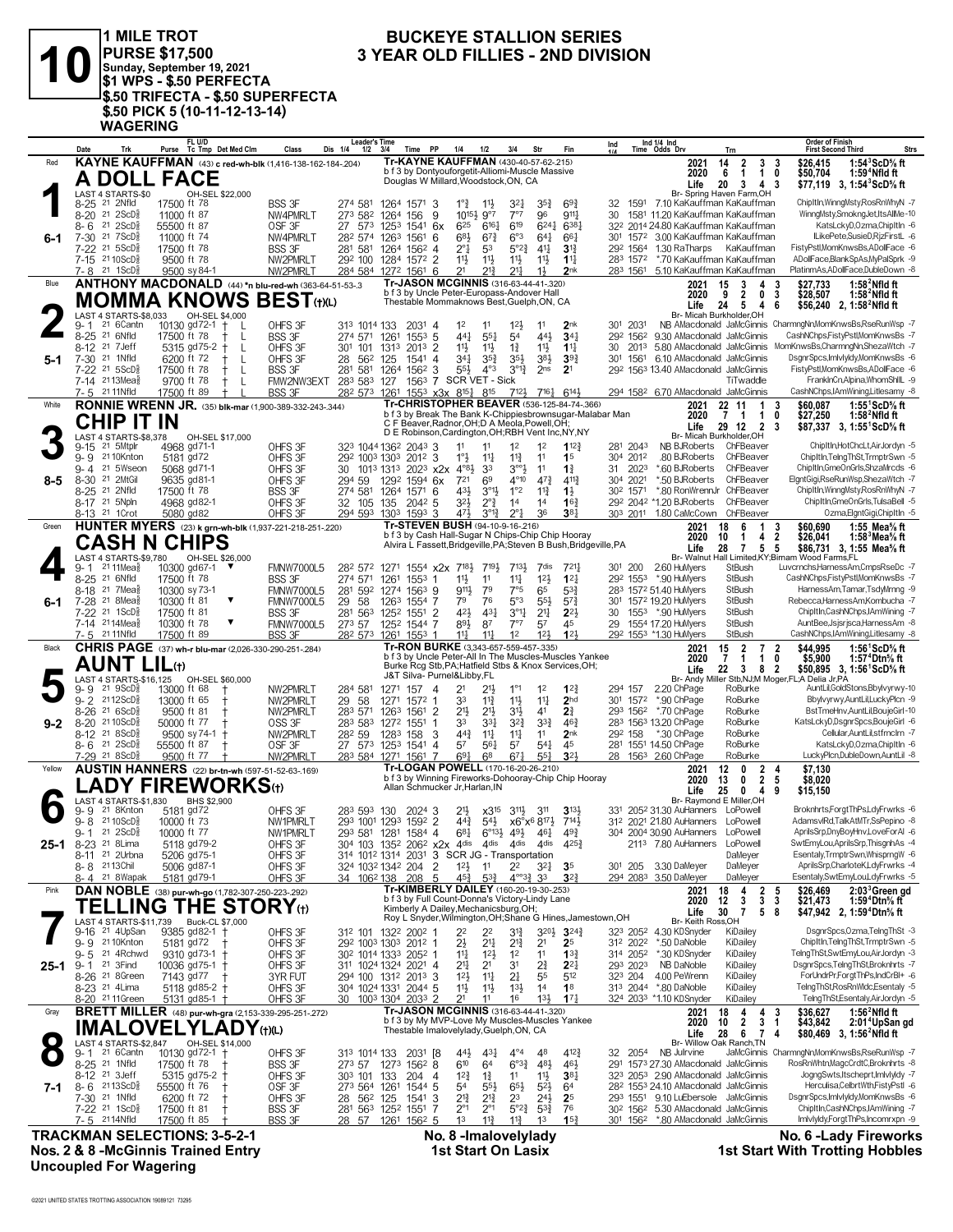

**3** YEAR OLD FILLIES - 2ND DIVISION<br> **3** YEAR OLD FILLIES - 2ND DIVISION<br>
\$1 WPS - \$.50 PERFECTA **PURSE \$17,500 Sunday, September 19, 2021 \$1 WPS - \$.50 PERFECTA \$.50 TRIFECTA - \$.50 SUPERFECTA \$.50 PICK 5 (10-11-12-13-14) WAGERING FL U/D**

## **BUCKEYE STALLION SERIES**

|          | Date                                                  |                                                       | Purse                       | FL U/D<br>Tc Tmp Det Med Clm                                              | Class                                                                          | <b>Leader's Time</b><br>Dis 1/4<br>1/2 | 3/4<br>Time                                                                                                            | PP<br>1/4                                          | 1/2                                       | 3/4<br>Str                                                            |                                    | Ind                         | Ind 1/4 Ind<br>Time Odds Drv                     |                                                          | Trn                                                                                                | <b>Order of Finish</b><br><b>First Second Third</b><br>Strs                                                                                      |
|----------|-------------------------------------------------------|-------------------------------------------------------|-----------------------------|---------------------------------------------------------------------------|--------------------------------------------------------------------------------|----------------------------------------|------------------------------------------------------------------------------------------------------------------------|----------------------------------------------------|-------------------------------------------|-----------------------------------------------------------------------|------------------------------------|-----------------------------|--------------------------------------------------|----------------------------------------------------------|----------------------------------------------------------------------------------------------------|--------------------------------------------------------------------------------------------------------------------------------------------------|
| Red      |                                                       |                                                       |                             |                                                                           | KAYNE KAUFFMAN (43) c red-wh-blk (1,416-138-162-184-.204)                      |                                        | Tr-KAYNE KAUFFMAN (430-40-57-62-.215)<br>b f 3 by Dontyouforgetit-Alliomi-Muscle Massive                               |                                                    |                                           |                                                                       |                                    |                             |                                                  | 2021                                                     | 14<br>2<br>3                                                                                       | 1:543 ScD% ft<br>\$26,415<br>-3                                                                                                                  |
|          |                                                       | A DOLL FACE                                           |                             |                                                                           |                                                                                |                                        | Douglas W Millard, Woodstock, ON, CA                                                                                   |                                                    |                                           |                                                                       |                                    |                             |                                                  | 2020<br>Life                                             | 6<br>$\mathbf{1}$<br>$\mathbf{1}$<br>20<br>3<br>4                                                  | 0<br>\$50,704<br>1:59 $4$ Nfld ft<br>\$77,119 3, 1:54 ${}^3$ ScD ${}^5$ s ft<br>-3                                                               |
|          |                                                       | LAST 4 STARTS-\$0                                     |                             | OH-SEL \$22,000                                                           |                                                                                |                                        |                                                                                                                        |                                                    |                                           |                                                                       |                                    |                             |                                                  |                                                          | Br- Spring Haven Farm, OH                                                                          |                                                                                                                                                  |
|          | 8-25 <sup>21</sup> 2Nfld                              | 8-20 21 2ScD <sup>5</sup>                             | 17500 ft 78<br>11000 ft 87  |                                                                           | BSS 3F<br>NW4PMRLT                                                             | 274 581<br>273 582                     | 1264 1571 3<br>1264<br>156                                                                                             | $1^{\circ}$<br>9                                   | 113<br>$10^{15\frac{1}{2}}$ 9°7           | $35\frac{3}{4}$<br>321<br>7°7<br>96                                   | $69\frac{3}{4}$<br>9111            | 32<br>30                    | 1591                                             |                                                          | 7.10 KaKauffman KaKauffman<br>1581 11.20 KaKauffman KaKauffman                                     | ChipItIn, Winng Msty, Ros Rn Why N -7<br>WinngMsty,SmokngJet,ItsAllMe-10                                                                         |
|          | 8-6                                                   | 21 2 ScD <sup>5</sup>                                 | 55500 ft 87                 |                                                                           | OSF <sub>3F</sub>                                                              | 27<br>573                              | 125 <sup>3</sup><br>$154^1$ 6x                                                                                         | 625                                                | $6^{16}$                                  | 619<br>$6^{24}$                                                       | 6381                               |                             |                                                  |                                                          | 322 2014 24.80 KaKauffman KaKauffman                                                               | KatsLckyD,Ozma,ChipItIn -6                                                                                                                       |
| 6-1      | 7-30 21 7ScD                                          | 7-22 <sup>21</sup> 5ScD                               | 11000 ft 74<br>17500 ft 78  |                                                                           | NW4PMRLT<br>BSS 3F                                                             | 282 574<br>281 581                     | 1263<br>1561<br>1264 1562 4                                                                                            | 683<br>6<br>$2^{\circ}1$                           | $67\frac{3}{4}$<br>53                     | 6°3<br>$64\frac{1}{4}$<br>$5^{\circ}2^{\frac{3}{4}}$<br>41            | 661<br>$3^{13}$                    | 30 <sup>1</sup><br>292 1564 |                                                  | 1.30 RaTharps                                            | 1572 3.00 KaKauffman KaKauffman<br>KaKauffman                                                      | ILikePete.SusieD.RizFirstL -6<br>FistyPstl,MomKnwsBs,ADollFace -6                                                                                |
|          |                                                       | 7-15 21 10 ScD                                        | 9500 ft 78                  |                                                                           | NW2PMRLT                                                                       | 292 100                                | 1284 1572 2                                                                                                            | 11}                                                | 11}                                       | $11\frac{1}{2}$<br>11                                                 | $1^{11}$                           | 283 1572                    |                                                  |                                                          | *.70 KaKauffman KaKauffman                                                                         | ADollFace,BlankSpAs,MyPalSprk -9                                                                                                                 |
|          |                                                       | 7-8 21 1ScD <sup>5</sup>                              | 9500 sy 84-1                |                                                                           | NW2PMRLT                                                                       |                                        | 284 584 1272 1561 6                                                                                                    | 21                                                 | $21\frac{3}{4}$                           | $21\frac{1}{2}$<br>$1\frac{1}{2}$                                     | 2nk                                |                             |                                                  |                                                          | 283 1561 5.10 KaKauffman KaKauffman                                                                | PlatinmAs,ADollFace,DubleDown -8                                                                                                                 |
| Blue     |                                                       |                                                       |                             |                                                                           | ANTHONY MACDONALD (44) *n blu-red-wh (363-64-51-53-.3                          |                                        | Tr-JASON MCGINNIS (316-63-44-41-320)<br>b f 3 by Uncle Peter-Europass-Andover Hall                                     |                                                    |                                           |                                                                       |                                    |                             |                                                  | 2021<br>2020                                             | 15<br>4<br>3<br>9<br>$\overline{2}$                                                                | \$27,733<br>$1:582$ Nfld ft<br>-3<br>0 <sub>3</sub><br>\$28,507<br>$1:582$ Nfld ft                                                               |
|          |                                                       |                                                       |                             | <b>MOMMA KNOWS</b>                                                        | $\mathsf{BEST}$ (t)(L)                                                         |                                        | Thestable Mommaknows Best, Guelph, ON, CA                                                                              |                                                    |                                           |                                                                       |                                    |                             |                                                  | Life                                                     | 24<br>5<br>4                                                                                       | \$56,240 2, 1:58 <sup>2</sup> Nfld ft<br>-6                                                                                                      |
|          | 9-1                                                   | <b>LAST 4 STARTS-\$8.033</b><br>21 6Cantn             | 10130 gd72-1                | OH-SEL \$4,000<br>$\pm$<br>-L                                             | OHFS 3F                                                                        | 313 1014 133                           | $2031$ 4                                                                                                               | 1 <sup>2</sup>                                     | 11                                        | $12\frac{1}{2}$<br>11                                                 | 2 <sub>nk</sub>                    | 301 2031                    |                                                  | Br- Micah Burkholder.OH                                  |                                                                                                    | NB AMacdonald JaMcGinnis CharmngNn,MomKnwsBs,RseRunWsp -7                                                                                        |
|          | 8-25 <sup>21</sup> 6Nfld                              |                                                       | 17500 ft 78                 | L                                                                         | <b>BSS 3F</b>                                                                  | 274 571 1261                           | 1553                                                                                                                   | 441<br>-5                                          | 55 <sup>1</sup>                           | 54<br>443                                                             | 34 <sub>1</sub>                    | 292 1562                    |                                                  |                                                          | 9.30 AMacdonald JaMcGinnis                                                                         | CashNChps,FistyPstl,MomKnwsBs -7                                                                                                                 |
|          | 8-12 <sup>21</sup> 7 Jeff<br>7-30 <sup>21</sup> 1Nfld |                                                       |                             | 5315 gd75-2<br>$\ddagger$<br>$\mathbf{I}$                                 | OHFS 3F                                                                        | 301 101                                | 2013<br>1313                                                                                                           | 11}<br>2<br>$34\frac{1}{4}$                        | $11\frac{1}{2}$                           | $1\frac{3}{4}$<br>11                                                  | $11\frac{1}{4}$<br>39 <sub>1</sub> | 30<br>30 <sup>1</sup>       | 2013                                             |                                                          | 5.80 AMacdonald JaMcGinnis<br>6.10 AMacdonald JaMcGinnis                                           | MomKnwsBs.CharmngNn.ShezaWtch -7<br>DsgnrSpcs, ImlvlyIdy, MomKnwsBs -6                                                                           |
| $5-1$    |                                                       | 7-22 <sup>21</sup> 5ScD <sup>§</sup>                  | 6200 ft 72<br>17500 ft 78   | L<br>L                                                                    | OHFS 3F<br>BSS 3F                                                              | 28<br>562                              | 125<br>$154^1$ 4<br>281 581 1264 1562 3                                                                                | $55\frac{1}{2}$                                    | $35\frac{3}{4}$<br>$4^{\circ}3$           | $35\frac{1}{2}$<br>$3^{8}\frac{1}{2}$<br>$3^{012}$<br>2 <sub>ns</sub> | 2 <sup>1</sup>                     |                             | 1561                                             |                                                          | 292 1563 13.40 AMacdonald JaMcGinnis                                                               | FistyPstl,MomKnwsBs,ADollFace -6                                                                                                                 |
|          |                                                       | 7-14 2113Mea                                          | 9700 ft 78                  | L                                                                         | FMW2NW3EXT                                                                     | 283 583 127                            |                                                                                                                        | 1563 7 SCR VET - Sick                              |                                           |                                                                       |                                    |                             |                                                  |                                                          | TiTwaddle                                                                                          | FranklnCn,Alpina,WhomShIIL -9                                                                                                                    |
| White    | 7-5 21 11 Nfld                                        |                                                       | 17500 ft 89                 |                                                                           | <b>BSS 3F</b><br><b>RONNIE WRENN JR.</b> (35) blk-mar (1,900-389-332-243-.344) | 282 573 1261                           | Tr-CHRISTOPHER BEAVER (536-125-84-74-.366)                                                                             | 1553 x3x 8151 815                                  |                                           | 7123 7163 6143                                                        |                                    |                             |                                                  | 2021                                                     | 294 1582 6.70 AMacdonald JaMcGinnis<br>22 11<br>$\mathbf{1}$                                       | CashNChps,IAmWining,Litlesamy -8<br>\$60,087<br>1:55 $^1$ ScD $\%$ ft<br>3                                                                       |
|          |                                                       | CHIP IT IN                                            |                             |                                                                           |                                                                                |                                        | b f 3 by Break The Bank K-Chippiesbrownsugar-Malabar Man                                                               |                                                    |                                           |                                                                       |                                    |                             |                                                  | 2020                                                     | 7 <sub>1</sub><br>$\mathbf{1}$                                                                     | 0<br>\$27,250<br>1:58 $^2$ Nfld ft                                                                                                               |
|          |                                                       | LAST 4 STARTS-\$8,378                                 |                             | OH-SEL \$17,000                                                           |                                                                                |                                        | C F Beaver, Radnor, OH; D A Meola, Powell, OH;<br>D E Robinson, Cardington, OH; RBH Vent Inc, NY, NY                   |                                                    |                                           |                                                                       |                                    |                             |                                                  | Life                                                     | 29 12 2<br>Br- Micah Burkholder,OH                                                                 | \$87,337 3, 1:55 ScD % ft<br>-3                                                                                                                  |
|          | $9 - 15$                                              | 21 5Mtplr                                             | 4968 gd71-1                 |                                                                           | OHFS 3F                                                                        |                                        | 323 1044 1362 2043 3                                                                                                   | 11                                                 | 11                                        | 1 <sup>2</sup><br>1 <sup>2</sup>                                      | 112 <sup>3</sup>                   | 281 2043                    |                                                  | NB BJRoberts                                             | ChFBeaver                                                                                          | ChipItIn,HotChcLt,AirJordyn -5                                                                                                                   |
|          |                                                       | 9-9 2110Knton<br>9-4 21 5Wseon                        | 5181 gd72                   |                                                                           | OHFS 3F                                                                        |                                        | 292 1003 1303 2012 3                                                                                                   | $1^{\circ}3$                                       | $11\frac{1}{4}$                           | $11\frac{3}{4}$<br>11                                                 | 1 <sup>5</sup>                     | 304 2012                    |                                                  | .80 BJRoberts<br>*.60 BJRoberts                          | ChFBeaver<br>ChFBeaver                                                                             | ChipItIn,TelngThSt,TrmptrSwn -5<br>ChipItIn,GmeOnGrls,ShzaMrcds -6                                                                               |
| $8 - 5$  | 8-30 <sup>21</sup> 2MtGil                             |                                                       | 5068 gd71-1<br>9635 gd81-1  |                                                                           | OHFS 3F<br>OHFS 3F                                                             | 1013 1313<br>30<br>294 59              | $202^3$ x2x<br>1292<br>$1594$ 6x                                                                                       | $4^{\circ}8\frac{1}{2}$<br>721                     | 33<br>69                                  | $3^{\circ 9}$<br>11<br>$4^{\circ}10$<br>$47\frac{3}{4}$               | $1\frac{3}{4}$<br>$4^{11}$         | 31<br>304 2021              | 2023                                             | *.50 BJRoberts                                           | ChFBeaver                                                                                          | ElgntGigi,RseRunWsp,ShezaWtch -7                                                                                                                 |
|          | 8-25 <sup>21</sup> 2Nfld                              |                                                       | 17500 ft 78                 |                                                                           | BSS 3F                                                                         |                                        | 274 581 1264 1571 6                                                                                                    | 43}                                                | $3^{01}$                                  | 1°2<br>$11\frac{3}{4}$                                                | $1\frac{1}{2}$                     | 302 1571                    |                                                  |                                                          | *.80 RonWrennJr ChFBeaver                                                                          | ChipItIn, Winng Msty, Ros Rn Why N -7                                                                                                            |
|          | 8-17 <sup>21</sup> 5Npln<br>8-13 <sup>21</sup> 1 Crot |                                                       | 4968 gd82-1<br>5080 gd82    |                                                                           | OHFS 3F<br>OHFS 3F                                                             | 32 105 135                             | $204^2$ 5<br>294 593 1303 1593 3                                                                                       | $3^{2}$<br>471                                     | $2^{\circ}$ $\frac{3}{4}$<br>$3^{012}$    | 14<br>14<br>$2^{\circ}1$<br>36                                        | $16\frac{3}{4}$<br>381             |                             |                                                  | 292 2042 *1.20 BJRoberts<br>303 2011 1.80 CaMcCown       | ChFBeaver<br>ChFBeaver                                                                             | ChipItIn,GmeOnGrls,TulsaBell -5<br>Ozma,ElgntGigi,ChipItIn -5                                                                                    |
| Green    |                                                       |                                                       |                             |                                                                           | HUNTER MYERS (23) k grn-wh-blk (1,937-221-218-251-.220)                        |                                        | Tr-STEVEN BUSH (94-10-9-16-216)                                                                                        |                                                    |                                           |                                                                       |                                    |                             |                                                  | 2021                                                     | 6<br>$\mathbf{1}$<br>18                                                                            | 1:55 Mea% ft<br>3<br>\$60,690                                                                                                                    |
|          |                                                       | <b>CASH N CHIPS</b>                                   |                             |                                                                           |                                                                                |                                        | b f 3 by Cash Hall-Sugar N Chips-Chip Chip Hooray<br>Alvira L Fassett, Bridgeville, PA; Steven B Bush, Bridgeville, PA |                                                    |                                           |                                                                       |                                    |                             |                                                  | 2020                                                     | 10<br>$\mathbf{1}$<br>4                                                                            | $\overline{2}$<br>\$26,041<br>1:58 $3$ Mea $\%$ ft                                                                                               |
|          |                                                       | LAST 4 STARTS-\$9.780                                 |                             | OH-SEL \$26,000                                                           |                                                                                |                                        |                                                                                                                        |                                                    |                                           |                                                                       |                                    |                             |                                                  | Life<br>Br- Walnut                                       | 28<br>7 5 5                                                                                        | \$86,731 3, 1:55 Mea% ft<br>Hall Limited.KY:Birnam Wood Farms.FL                                                                                 |
|          | 9-1<br>8-25 21 6Nfld                                  | 21 11 Mea                                             | 10300 gd67-1<br>17500 ft 78 | ▼                                                                         | <b>FMNW7000L5</b><br><b>BSS 3F</b>                                             | 274 571                                | 28 <sup>2</sup> 57 <sup>2</sup> 1271 1554 x2x 7 <sup>181</sup> / <sub>2</sub><br>1261                                  | 11}                                                | 7191,<br>11                               | 713}<br>7dis<br>$11\frac{1}{4}$<br>12 <sup>1</sup>                    | 721<br>$12\frac{1}{4}$             | 301 200                     | 292 1553 *.90 HuMyers                            | 2.60 HuMyers                                             | StBush<br>StBush                                                                                   | Luvcrnchs, Harness Am, Cmps RseDc -7<br>CashNChps,FistyPstl,MomKnwsBs -7                                                                         |
|          |                                                       | 8-18 <sup>21</sup> 7 Mea                              | 10300 sy 73-1               |                                                                           | <b>FMNW7000L5</b>                                                              | 281 592 1274                           | $155^3$ 1<br>$1563$ 9                                                                                                  | 9111,                                              | 79                                        | 7°5<br>65                                                             | $5^{3}{}_{2}^{3}$                  |                             | 283 1572 51.40 HuMyers                           |                                                          | StBush                                                                                             | HarnessAm,Tamar,TsdyMrnng -9                                                                                                                     |
| $6-1$    | 7-28 <sup>21</sup> 8Mea                               |                                                       | 10300 ft 81                 |                                                                           | <b>FMNW7000L5</b>                                                              | 29<br>58                               | 1263<br>1554 7                                                                                                         | 79                                                 | 76                                        | 5°3<br>55}                                                            | $5^{7}$ <sub>4</sub>               |                             | 301 1572 19.20 HuMyers                           |                                                          | StBush                                                                                             | Rebecca, Harness Am, Kombucha - 7                                                                                                                |
|          |                                                       | 7-22 <sup>21</sup> 1ScD<br>7-14 2114Mea               | 17500 ft 81<br>10300 ft 78  | ▼                                                                         | BSS 3F<br><b>FMNW7000L5</b>                                                    | 273 57                                 | 281 563 1252 1551 2<br>1252 1544 7                                                                                     | 421<br>893                                         | $4^{3}$<br>87                             | 3°1<br>2 <sup>11</sup><br>7°7<br>57                                   | $2^{2}$<br>45                      | 30<br>29                    | 1553 *.90 HuMyers<br>1554 17.20 HuMyers          |                                                          | StBush<br>StBush                                                                                   | ChipItIn,CashNChps,IAmWining -7<br>AuntBee,Jsjsrjsca,HarnessAm -8                                                                                |
|          | 7-5 21 11 Nfld                                        |                                                       | 17500 ft 89                 |                                                                           | <b>BSS 3F</b>                                                                  |                                        | 28 <sup>2</sup> 573 1261 1553 1                                                                                        | $11\frac{1}{4}$                                    | $11\frac{1}{4}$                           | 1 <sup>2</sup><br>12 <sup>1</sup>                                     | 123                                |                             | 292 1553 *1.30 HuMyers                           |                                                          | StBush                                                                                             | CashNChps,IAmWining,Litlesamy -8                                                                                                                 |
| Black    |                                                       |                                                       |                             |                                                                           | <b>CHRIS PAGE</b> (37) wh-r blu-mar (2,026-330-290-251-284)                    |                                        | Tr-RON BURKE (3,343-657-559-457-.335)<br>b f 3 by Uncle Peter-All In The Muscles-Muscles Yankee                        |                                                    |                                           |                                                                       |                                    |                             |                                                  | 2021<br>2020                                             | 15<br>$\overline{2}$<br>$\overline{7}$<br>$\overline{7}$<br>$\mathbf{1}$<br>$\mathbf{1}$           | \$44.995<br>1:56 <sup>1</sup> ScD% ft<br>2<br>$\mathbf 0$<br>\$5,900<br>1:57 <sup>4</sup> Dtn% ft                                                |
|          |                                                       | AUNT LIL⊕                                             |                             |                                                                           |                                                                                |                                        | Burke Rcg Stb, PA; Hatfield Stbs & Knox Services, OH;                                                                  |                                                    |                                           |                                                                       |                                    |                             |                                                  | Life                                                     | 22<br>3 8 2                                                                                        | \$50,895 3, 1:56 ScD% ft                                                                                                                         |
|          | 9-9                                                   | $21 \text{ } 9$ ScD $\frac{3}{8}$                     | 13000 ft 68                 | LAST 4 STARTS-\$16,125 OH-SEL \$60,000                                    | NW2PMRLT                                                                       | 284 581                                | J&T Silva- Purnel&Libby,FL<br>1271 157 4                                                                               | 2 <sup>1</sup>                                     | 21}                                       | $1^{\circ}1$<br>1 <sup>2</sup>                                        | $1^{22}$                           | 294 157                     |                                                  | 2.20 ChPage                                              | RoBurke                                                                                            | Br- Andy Miller Stb, NJ; M Moger, FL; A Delia Jr, PA<br>AuntLil,GoldStons,Bbylvyrwy-10                                                           |
|          | $9 - 2$                                               | 2112ScD៖                                              | 13000 ft 65                 |                                                                           | NW2PMRLT                                                                       | 58<br>29                               | 1271 1572 1                                                                                                            | 33                                                 | $11\frac{3}{4}$                           | $11\frac{1}{2}$<br>$11\frac{1}{4}$                                    | 2 <sub>hd</sub>                    |                             | 301 1572 *.90 ChPage                             |                                                          | RoBurke                                                                                            | Bbylvyrwy,AuntLil,LuckyPlcn -9                                                                                                                   |
|          |                                                       |                                                       |                             |                                                                           |                                                                                |                                        | 1263<br>1561 2                                                                                                         | 2 <sup>1</sup>                                     | $21\frac{1}{2}$                           | 31}<br>4 <sup>1</sup>                                                 | 21                                 |                             | 293 1562 *.70 ChPage                             |                                                          | RoBurke                                                                                            | BstTmeHnv,AuntLil,BoujeGirl-10                                                                                                                   |
|          |                                                       | 8-26 21 6ScD <sup>5</sup>                             | 9500 ft 81                  |                                                                           | NW2PMRLT                                                                       | 283 571                                |                                                                                                                        |                                                    |                                           |                                                                       |                                    |                             |                                                  |                                                          |                                                                                                    |                                                                                                                                                  |
| $9 - 2$  | 8-20 21 10 ScD <sup>5</sup>                           | 8-12 21 8ScD                                          | 50000 ft 77                 |                                                                           | OSS 3F                                                                         | 283 583                                | 1272 1551                                                                                                              | 33<br>-1<br>$44\frac{3}{4}$                        | 331                                       | $3^{2}\frac{3}{4}$<br>$3^{3}$<br>11                                   | $46\frac{3}{4}$<br>2 <sub>nk</sub> | 292 158                     | 283 1563 13.20 ChPage                            | *.30 ChPage                                              | RoBurke<br>RoBurke                                                                                 | KatsLckyD,DsgnrSpcs,BoujeGirl -6<br>Cellular, AuntLil, stfrnclrn -7                                                                              |
|          |                                                       | $8 - 6$ 21 2ScD <sup>3</sup>                          | 55500 ft 87                 | 9500 sy 74-1                                                              | NW2PMRLT<br>OSF 3F                                                             | 28 <sup>2</sup> 59                     | 1283 158 3<br>27 573 1253 1541 4                                                                                       | 57                                                 | $11\frac{1}{4}$<br>561                    | $11\frac{1}{4}$<br>57<br>$54\frac{1}{4}$                              | 45                                 |                             | 281 1551 14.50 ChPage                            |                                                          | RoBurke                                                                                            | KatsLckyD,Ozma,ChipItIn -6                                                                                                                       |
|          | 7-29 21 8ScD                                          |                                                       | 9500 ft 77                  |                                                                           | NW2PMRLT                                                                       |                                        | 283 584 1271 1561 7                                                                                                    | $69\frac{1}{4}$                                    | 6 <sup>8</sup>                            | $67\frac{1}{4}$<br>$55\frac{1}{4}$                                    | 3 <sup>2</sup>                     |                             | 28 1563 2.60 ChPage                              |                                                          | RoBurke                                                                                            | LuckyPlcn,DubleDown,AuntLil -8                                                                                                                   |
| Yellow   |                                                       |                                                       |                             |                                                                           | <b>AUSTIN HANNERS</b> (22) br-tn-wh (597-51-52-63-169)                         |                                        | Tr-LOGAN POWELL (170-16-20-26-210)<br>b f 3 by Winning Fireworks-Dohooray-Chip Chip Hooray                             |                                                    |                                           |                                                                       |                                    |                             |                                                  | 2021<br>2020                                             | 12<br>$\mathbf{0}$<br>2<br>$\overline{2}$<br>13<br>0                                               | \$7,130<br>4<br>$\sqrt{5}$<br>\$8,020                                                                                                            |
|          |                                                       |                                                       |                             | $\mathsf{.ADV}$ FIREWORKS $_{\sf th}$                                     |                                                                                |                                        | Allan Schmucker Jr, Harlan, IN                                                                                         |                                                    |                                           |                                                                       |                                    |                             |                                                  | Life                                                     | 25<br>$\mathbf{0}$<br>4                                                                            | \$15,150<br>9                                                                                                                                    |
|          | 9- 9                                                  | <b>AST 4 STARTS-\$1.830</b><br>21 8Knton              | 5181 gd72                   | BHS \$2,900                                                               | OHFS 3F                                                                        | 283 593 130                            | 2024 3                                                                                                                 | 2 <sup>1</sup>                                     | $\times 3^{15}$                           | $3^{11}\frac{1}{2}$<br>3 <sup>11</sup>                                | $3^{13}$                           |                             |                                                  | 331 2052 31.30 AuHanners                                 | Br- Raymond E Miller, OH<br>LoPowell                                                               | Broknhrts,ForgtThPs,LdyFrwrks -6                                                                                                                 |
|          | $9 - 8$                                               | 21 10 ScD ៖                                           | 10000 ft 73                 |                                                                           | NW1PMRLT                                                                       |                                        | 293 1001 1293 1592 2                                                                                                   | $44\frac{3}{4}$                                    | $5^{4}$                                   | x6°x <sup>6</sup> 817}                                                | 7141                               |                             |                                                  | 312 2021 21.80 AuHanners LoPowell                        |                                                                                                    | AdamsvlRd,TalkAtMTr,SsPepino -8                                                                                                                  |
|          | 9-1                                                   | $21 \, 2$ ScD $\frac{5}{8}$                           | 10000 ft 77                 |                                                                           | NW1PMRLT                                                                       |                                        | 293 581 1281 1584 4<br>304 103 1352 2062 x2x 4dis 4dis 4dis 4dis                                                       | $6^{81}$                                           | $6^{\circ}13\frac{1}{2}$ 49 $\frac{1}{2}$ | 461                                                                   | 493<br>$4^{25}\frac{3}{4}$         |                             |                                                  | 304 2004 30.90 AuHanners LoPowell<br>2113 7.80 AuHanners | LoPowell                                                                                           | AprilsSrp,DnyBoyHnv,LoveForAl -6<br>SwtEmyLou,AprilsSrp,ThisgnhAs -4                                                                             |
| $25 - 1$ |                                                       | 8-23 <sup>21</sup> 8Lima<br>8-11 <sup>21</sup> 2Urbna |                             | 5118 gd79-2<br>5206 gd75-1                                                | OHFS 3F<br>OHFS 3F                                                             |                                        | 314 1012 1314 2031 3 SCR JG - Transportation                                                                           |                                                    |                                           |                                                                       |                                    |                             |                                                  |                                                          | DaMeyer                                                                                            | Esentaly,TrmptrSwn,WhisprngW -6                                                                                                                  |
|          | 8-8 2113Chil                                          |                                                       | 5006 gd87-1                 |                                                                           | OHFS 3F                                                                        |                                        | 324 1032 1342 204                                                                                                      | 2<br>$12\frac{1}{2}$                               | 11                                        | 2 <sup>2</sup><br>$3^{2}$                                             | 35                                 | 301 205                     |                                                  | 3.30 DaMeyer                                             | DaMeyer                                                                                            | AprilsSrp,CharloteK,LdyFrwrks -4                                                                                                                 |
| Pink     |                                                       | 8-4 21 8 Wapak                                        | 5181 gd79-1                 |                                                                           | OHFS 3F                                                                        | 34 106 <sup>2</sup> 138                | 208<br>Tr-KIMBERLY DAILEY (160-20-19-30-.253)                                                                          | 45}<br>5                                           | $5^{3}\frac{3}{4}$                        | $4^{\circ}3^3$ 33                                                     | $3^{2}3$                           |                             | 294 2083 3.50 DaMeyer                            | 2021                                                     | DaMeyer<br>18<br>4                                                                                 | Esentaly,SwtEmyLou,LdyFrwrks -5<br>\$26,469<br>5                                                                                                 |
|          |                                                       |                                                       |                             |                                                                           | DAN NOBLE (38) pur-wh-go (1,782-307-250-223-.292)                              |                                        | b f 3 by Full Count-Donna's Victory-Lindy Lane                                                                         |                                                    |                                           |                                                                       |                                    |                             |                                                  | 2020                                                     | 12<br>3                                                                                            | $\begin{array}{cc} 2 & 5 \\ 3 & 3 \end{array}$<br>2:03 <sup>3</sup> Green gd<br>\$21,473<br>1:59 <sup>4</sup> Dtn <sup>5</sup> / <sub>8</sub> ft |
|          |                                                       | <b>TELLING</b><br>LAST 4 STARTS-\$11.739              |                             | Buck-CL \$7,000                                                           | <b>THE STORY</b> (t)                                                           |                                        | Kimberly A Dailey, Mechanicsburg, OH;<br>Roy L Snyder, Wilmington, OH; Shane G Hines, Jamestown, OH                    |                                                    |                                           |                                                                       |                                    |                             |                                                  | Life<br>Br- Keith Ross, OH                               | 30<br>$\overline{7}$                                                                               | 58<br>\$47,942 2, 1:59 <sup>4</sup> Dtn <sup>5</sup> / <sub>8</sub> ft                                                                           |
|          | 9-16                                                  | 21 4UpSan                                             |                             | 9385 gd82-1 +                                                             | OHFS 3F                                                                        |                                        | 312 101 1322 2002 1                                                                                                    | 22                                                 | 22                                        | $3^{20}\frac{1}{2}$<br>31}                                            | $3^{24}$                           | 323 2052                    |                                                  | 4.30 KDSnyder                                            | KiDailey                                                                                           | DsgnrSpcs,Ozma,TelngThSt -3                                                                                                                      |
|          | $9 - 5$                                               | 9-9 2110Knton<br>21 4Rchwd                            | 5181 gd72                   |                                                                           | OHFS 3F                                                                        |                                        | 292 1003 1303 2012 1                                                                                                   | $2\frac{1}{2}$                                     | $2^{11}$                                  | $2^{13}$<br>2 <sup>1</sup><br>1 <sup>2</sup><br>11                    | 2 <sup>5</sup><br>$13\frac{3}{4}$  | 312 2022                    |                                                  | *.50 DaNoble<br>*.30 KDSnyder                            | KiDailey<br>KiDailey                                                                               | ChipItIn,TelngThSt,TrmptrSwn -5<br>TelngThSt,SwtEmyLou,AirJordyn -3                                                                              |
| $25 - 1$ | 9-1 <sup>21</sup> 3Find                               |                                                       |                             | $9310$ gd $73-1$ +<br>10036 gd75-1                                        | OHFS 3F<br>OHFS 3F                                                             | 30 <sup>2</sup> 1014 1333              | $205^2$ 1<br>311 1024 1324 2021 4                                                                                      | $11\frac{1}{4}$<br>2 <sup>11</sup>                 | $1^{2}$<br>2 <sup>1</sup>                 | 31<br>$2\frac{3}{4}$                                                  | $2^{2}$                            | 314 2052<br>293 2023        |                                                  | NB DaNoble                                               | KiDailey                                                                                           | DsgnrSpcs,TelngThSt,Broknhrts -7                                                                                                                 |
|          |                                                       | 8-26 <sup>21</sup> 8Green                             | 7143 gd77                   |                                                                           | 3YR FUT                                                                        |                                        | 294 100 1312 2013 3                                                                                                    | 12 <sup>1</sup>                                    | $11\frac{1}{4}$                           | 55<br>2‡                                                              | 512                                | 323 204                     |                                                  | 4.00 PeWrenn                                             | KiDailey                                                                                           | ForUndrPr,ForgtThPs,IndCrBI+ -6                                                                                                                  |
|          |                                                       | 8-23 <sup>21</sup> 4 Lima<br>8-20 2111Green           |                             | 5118 gd85-2<br>5131 gd85-1                                                | OHFS 3F<br>OHFS 3F                                                             |                                        | 304 1024 1331 2044 5<br>30 1003 1304 2033 2                                                                            | 11}<br>21                                          | $11\frac{1}{2}$<br>11                     | $13\frac{1}{2}$<br>1 <sup>4</sup><br>16<br>133                        | 1 <sup>8</sup><br>17 <sub>7</sub>  |                             | 313 2044 *.80 DaNoble<br>324 2033 *1.10 KDSnyder |                                                          | KiDailey<br>KiDailey                                                                               | TelngThSt,RosRnWldc,Esentaly -5<br>TelngThSt,Esentaly,AirJordyn -5                                                                               |
| Gray     |                                                       |                                                       |                             |                                                                           | <b>BRETT MILLER</b> (48) pur-wh-gra (2,153-339-295-251-272)                    |                                        | Tr-JASON MCGINNIS (316-63-44-41-.320)                                                                                  |                                                    |                                           |                                                                       |                                    |                             |                                                  | 2021                                                     | 4<br>18<br>4                                                                                       | $1:562$ Nfld ft<br>-3<br>\$36,627                                                                                                                |
|          |                                                       |                                                       |                             | <b>IMALOVELYLADY</b> (t)(L)                                               |                                                                                |                                        | b f 3 by My MVP-Love My Muscles-Muscles Yankee<br>Thestable Imalovelylady, Guelph, ON, CA                              |                                                    |                                           |                                                                       |                                    |                             |                                                  | 2020                                                     | $\mathbf{3}$<br>10<br>$\overline{2}$                                                               | $\overline{1}$<br>\$43,842<br>2:01 <sup>4</sup> UpSan gd                                                                                         |
|          |                                                       | LAST 4 STARTS-\$2,847                                 |                             | OH-SEL \$14,000                                                           |                                                                                |                                        |                                                                                                                        |                                                    |                                           |                                                                       |                                    |                             |                                                  | Life                                                     | 28<br>6<br>$\overline{7}$<br>Br- Willow Oak Ranch, TN                                              | 3, 1:56 $^{2}$ Nfld ft<br>4<br>\$80,469                                                                                                          |
|          | 9-1<br>8-25 <sup>21</sup> 1Nfld                       | 21 6Cantn                                             |                             | 10130 gd72-1 †                                                            | OHFS 3F                                                                        | 313 1014 133                           | $2031$ [8                                                                                                              | 44}<br>610                                         | 431<br>64                                 | $4^{\circ}4$<br>48<br>$6^{o3}\frac{3}{4}$<br>481                      | 412}<br>461                        | 32 2054                     |                                                  | NB Julrvine                                              | 291 1573 27.30 AMacdonald JaMcGinnis                                                               | JaMcGinnis CharmngNn,MomKnwsBs,RseRunWsp -7<br>RosRnWhtn,MagcCrdtC,Broknhrts -8                                                                  |
|          | 8-12 <sup>21</sup> 3Jeff                              |                                                       | 17500 ft 78                 | 5315 gd75-2 +                                                             | BSS 3F<br>OHFS 3F                                                              | 273 57<br>303 101                      | 1273 1562 8<br>133<br>204                                                                                              | $12\frac{3}{4}$<br>4                               | $1\frac{3}{4}$                            | 11号<br>11                                                             | $38\frac{1}{4}$                    |                             |                                                  |                                                          | 323 2053 2.90 AMacdonald JaMcGinnis                                                                | JogngSwts,Itscheprt,ImlvlyIdy -7                                                                                                                 |
| 7-1      |                                                       | 8-6 2113ScD <sup>3</sup>                              | 55500 ft 76                 |                                                                           | OSF 3F                                                                         | 273 564 1261                           | 1544 5                                                                                                                 | 54                                                 | $55\frac{1}{2}$                           | $65\frac{1}{2}$<br>$5^{2}$                                            | 64                                 |                             |                                                  |                                                          | 282 1553 24.10 AMacdonald JaMcGinnis                                                               | Herculisa, Celbrt Wth, FistyPstl -6                                                                                                              |
|          | 7-30 <sup>21</sup> 1Nfld                              | 7-22 21 1ScD <sup>5</sup>                             | 6200 ft 72<br>17500 ft 81   |                                                                           | OHFS 3F                                                                        | 562 125<br>28                          | 1541                                                                                                                   | $2^{13}$<br>-3                                     | $2^{13}$                                  | 23<br>$24\frac{1}{2}$<br>$5^{\circ}2^{\frac{3}{4}}$                   | 25<br>76                           |                             |                                                  |                                                          | 293 1551 9.10 LuEbersole JaMcGinnis<br>30 <sup>2</sup> 156 <sup>2</sup> 5.30 AMacdonald JaMcGinnis | DsgnrSpcs,ImlvlyIdy,MomKnwsBs -6<br>ChipItIn,CashNChps,IAmWining -7                                                                              |
|          | 7-5 2114Nfld                                          |                                                       | 17500 ft 85                 |                                                                           | BSS 3F<br><b>BSS 3F</b>                                                        | 28 57                                  | 281 563 1252 1551 7<br>1261 1562 5                                                                                     | $2^{\circ}1$<br>1 <sup>3</sup>                     | $2^{\circ}1$<br>$11\frac{3}{4}$           | $5^{3}\frac{3}{4}$<br>$11\frac{3}{4}$<br>1 <sup>3</sup>               | 15 <sup>3</sup>                    |                             |                                                  |                                                          | 301 1562 *.80 AMacdonald JaMcGinnis                                                                | Imiviyidy,ForgtThPs,Incomrxpn -9                                                                                                                 |
|          |                                                       |                                                       |                             | <b>TRACKMAN SELECTIONS: 3-5-2-1</b><br>Nos. 2 & 8 -McGinnis Trained Entry |                                                                                |                                        |                                                                                                                        | No. 8 - Imalovelylady<br><b>1st Start On Lasix</b> |                                           |                                                                       |                                    |                             |                                                  |                                                          |                                                                                                    | No. 6 - Lady Fireworks<br><b>1st Start With Trotting Hobbles</b>                                                                                 |

©2021 UNITED STATES TROTTING ASSOCIATION 19089121 73295

**Uncoupled For Wagering**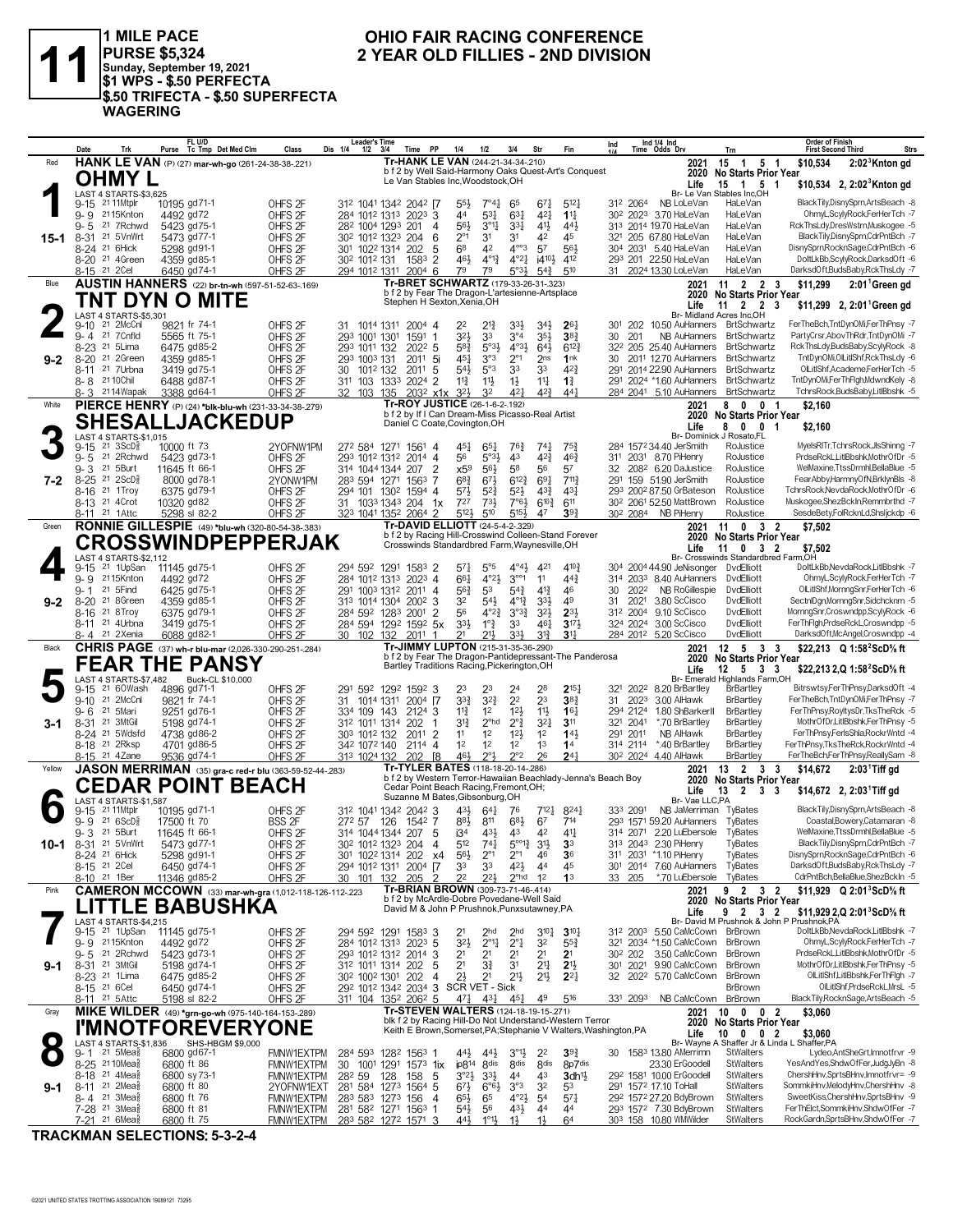

1 MILE PACE<br>|PURSE \$5,324<br>|Sunday, September 19, 2021<br>|\$1 WPS - \$.50 PERFECTA \$.50 TRIFECTA - \$.50 SUPERFECTA **WAGERING** 

### OHIO FAIR RACING CONFERENCE 2 YEAR OLD FILLIES - 2ND DIVISION

|           | Date<br>Trk                                                                 | FL U/D<br>Purse Tc Tmp Det Med Clm                           | Class                                    | Leader's Time<br>Dis 1/4<br>$1/2$ $3/4$                                    | Time PP              | 1/4                                                                                      | 1/2                              | 3/4                                            | Str                                   | Fin                                                                                                                         | Ind                  |      | Ind 1/4 Ind<br>Time Odds Drv                             | Trn                                                         | <b>Order of Finish</b><br>Strs<br><b>First Second Third</b>            |
|-----------|-----------------------------------------------------------------------------|--------------------------------------------------------------|------------------------------------------|----------------------------------------------------------------------------|----------------------|------------------------------------------------------------------------------------------|----------------------------------|------------------------------------------------|---------------------------------------|-----------------------------------------------------------------------------------------------------------------------------|----------------------|------|----------------------------------------------------------|-------------------------------------------------------------|------------------------------------------------------------------------|
| Red       |                                                                             | HANK LE VAN (P) (27) mar-wh-go (261-24-38-38-221)            |                                          |                                                                            |                      | Tr-HANK LE VAN (244-21-34-34-.210)                                                       |                                  |                                                |                                       |                                                                                                                             |                      |      | 2021                                                     | $15 \t1 \t5 \t1$                                            | \$10,534<br>$2:023$ Knton gd                                           |
|           | OHMY L                                                                      |                                                              |                                          |                                                                            |                      | Le Van Stables Inc, Woodstock, OH                                                        |                                  |                                                |                                       | b f 2 by Well Said-Harmony Oaks Quest-Art's Conquest                                                                        |                      |      | 2020                                                     | No Starts Prior Year                                        |                                                                        |
|           | LAST 4 STARTS-\$3.625                                                       |                                                              |                                          |                                                                            |                      |                                                                                          |                                  |                                                |                                       |                                                                                                                             |                      |      | Life                                                     | 15 1 5 1<br>Br- Le Van Stables Inc, OH                      | \$10,534 2, 2:02 Knton gd                                              |
|           | 9-15 21 11 Mtplr                                                            | 10195 gd71-1                                                 | OHFS <sub>2F</sub>                       | 312 1041 1342 2042 [7                                                      |                      | $55\frac{1}{2}$                                                                          | $7^\circ 4\frac{1}{4}$           | 65                                             | $67\frac{1}{4}$                       | $5^{12}$                                                                                                                    | 312 2064             |      | NB LoLeVan                                               | HaLeVan                                                     | BlackTily,DisnySprn,ArtsBeach -8                                       |
|           | 2115Knton<br>9-9                                                            | 4492 gd72                                                    | OHFS <sub>2F</sub>                       | 284 1012 1313 2023 3                                                       |                      | 44                                                                                       | $5^{3}$                          | $63\frac{1}{4}$                                | 421                                   | $11\frac{1}{4}$                                                                                                             |                      |      | 30 <sup>2</sup> 2023 3.70 HaLeVan                        | HaLeVan                                                     | OhmyL,ScylyRock,FerHerTch -7                                           |
|           | 21 7 Rchwd<br>9-5                                                           | 5423 gd75-1                                                  | OHFS <sub>2F</sub>                       | 28 <sup>2</sup> 100 <sup>4</sup> 129 <sup>3</sup> 201                      |                      | 56}<br>$\overline{4}$                                                                    | $3^{011}$                        | $3^{3}$                                        | 41}                                   | 44}                                                                                                                         |                      |      | 313 2014 19.70 HaLeVan                                   | HaLeVan                                                     | RckThsLdv.DresWstrn.Muskogee -5                                        |
| $15 - 1$  | 21 5VnWrt<br>8-31                                                           | 5473 gd77-1                                                  | OHFS <sub>2F</sub>                       | 30 <sup>2</sup> 101 <sup>2</sup> 132 <sup>3</sup> 204                      |                      | $2^{\circ}1$<br>6                                                                        | 3 <sup>1</sup>                   | 31                                             | 42                                    | 45                                                                                                                          |                      |      | 321 205 67.80 HaLeVan                                    | HaLeVan                                                     | BlackTily,DisnySprn,CdrPntBch -7                                       |
|           | 8-24 <sup>21</sup> 6Hick                                                    | 5298 gd91-1                                                  | OHFS <sub>2F</sub>                       | 301 1022 1314 202                                                          |                      | 68<br>5                                                                                  | 42                               | $4^{\circ\circ}3$                              | 57                                    | 561                                                                                                                         |                      |      | 304 2031 5.40 HaLeVan                                    | HaLeVan                                                     | DisnySprn,RocknSage,CdrPntBch -6                                       |
|           | 8-20 <sup>21</sup> 4Green<br>8-15 <sup>21</sup> 2 Cel                       | 4359 gd85-1<br>6450 gd74-1                                   | OHFS <sub>2F</sub><br>OHFS <sub>2F</sub> | 30 <sup>2</sup> 101 <sup>2</sup> 131<br>294 1012 1311 2004 6               | 1583                 | 461<br>$\overline{2}$<br>79                                                              | $4^{01}\frac{3}{4}$<br>79        | $4^{\circ}2^{\frac{1}{4}}$<br>$5°3\frac{1}{2}$ | i4 <sup>10</sup> }<br>$54\frac{3}{4}$ | 412<br>510                                                                                                                  |                      |      | 293 201 22.50 HaLeVan<br>31 2024 13.30 LoLeVan           | HaLeVan<br>HaLeVan                                          | DoltLkBb,ScylyRock,DarksdOft -6<br>DarksdOft,BudsBaby,RckThsLdy -7     |
| Blue      |                                                                             | <b>AUSTIN HANNERS</b> (22) br-tn-wh (597-51-52-63-.169)      |                                          |                                                                            |                      | Tr-BRET SCHWARTZ (179-33-26-31-.323)                                                     |                                  |                                                |                                       |                                                                                                                             |                      |      | 2021                                                     | $11 \quad 2 \quad 2 \quad 3$                                | \$11,299<br>$2:011$ Green gd                                           |
|           |                                                                             |                                                              |                                          |                                                                            |                      | b f 2 by Fear The Dragon-L'artesienne-Artsplace                                          |                                  |                                                |                                       |                                                                                                                             |                      |      | 2020                                                     | No Starts Prior Year                                        |                                                                        |
|           |                                                                             | TNT DYN O MITE                                               |                                          |                                                                            |                      | Stephen H Sexton, Xenia, OH                                                              |                                  |                                                |                                       |                                                                                                                             |                      |      | Life                                                     | $11 \quad 2 \quad 2$<br>-3                                  | \$11,299 2, 2:01 Green gd                                              |
|           | LAST 4 STARTS-\$5,301                                                       |                                                              |                                          |                                                                            |                      |                                                                                          |                                  |                                                |                                       |                                                                                                                             |                      |      |                                                          | Br- Midland Acres Inc,OH                                    |                                                                        |
|           | 21 2McCnl<br>9-10<br>9-4 21 7 Cnfld                                         | 9821 fr 74-1<br>5565 ft 75-1                                 | OHFS <sub>2F</sub><br>OHFS <sub>2F</sub> | 31 1014 1311 2004 4<br>293 1001 1301                                       | 1591                 | 22<br>32}<br>$\overline{1}$                                                              | $2^{13}$<br>33                   | 3 <sup>3</sup><br>$3^{\circ}4$                 | $34\frac{1}{2}$<br>35}                | 26 <sub>1</sub><br>38 <sub>1</sub>                                                                                          | 30                   | 201  | 301 202 10.50 AuHanners BrtSchwartz                      | NB AuHanners BrtSchwartz                                    | FerTheBch,TntDynOMi,FerThPnsy -7<br>PartyCrsr, AbovThRdr, TntDynOMi -7 |
|           | 8-23 <sup>21</sup> 5 Lima                                                   | 6475 gd85-2                                                  | OHFS <sub>2F</sub>                       | 293 1011 132                                                               | $202^2$ 5            | 58}                                                                                      | $5^{\circ}3\frac{1}{2}$          | $4^{\circ}3\frac{1}{2}$                        | $64\frac{1}{2}$                       | $6^{12}$                                                                                                                    |                      |      |                                                          | 32 <sup>2</sup> 205 25.40 AuHanners BrtSchwartz             | RckThsLdy,BudsBaby,ScylyRock -8                                        |
| $9 - 2$   | 8-20 <sup>21</sup> 2Green                                                   | 4359 gd85-1                                                  | OHFS <sub>2F</sub>                       | 293 1003 131                                                               | 2011                 | -5i<br>451                                                                               | 3°3                              | $2^{\circ}1$                                   | 2 <sub>ns</sub>                       | 1nk                                                                                                                         | 30                   |      | 2011 12.70 AuHanners                                     | BrtSchwartz                                                 | TntDynOMi,OILitIShf,RckThsLdy -6                                       |
|           | 8-11 <sup>21</sup> 7 Urbna                                                  | 3419 gd75-1                                                  | OHFS <sub>2F</sub>                       | 30<br>1012 132                                                             | $201^1$ 5            | 543                                                                                      | 5°3                              | 33                                             | 33                                    | 423                                                                                                                         | 291                  |      | 2014 22.90 AuHanners BrtSchwartz                         |                                                             | OlLitIShf, Academe, FerHerTch -5                                       |
|           | 8-8 21 10 Chil                                                              | 6488 gd87-1                                                  | OHFS <sub>2F</sub>                       | 311 103 1333 2024 2                                                        |                      | $11\frac{3}{4}$                                                                          | $11\frac{1}{2}$                  | $1\frac{1}{2}$                                 | $11\frac{1}{4}$                       | $1\frac{3}{4}$                                                                                                              |                      |      | 291 2024 *1.60 AuHanners                                 | BrtSchwartz                                                 | TntDynOMi,FerThFlgh,MdwndKely -8                                       |
|           | 8-3 2114 Wapak                                                              | 3388 gd64-1                                                  | OHFS <sub>2F</sub>                       | 32 103 135                                                                 |                      | $203^2$ x1x<br>$3^{2}$                                                                   | 32                               | $4^{2}$                                        | $4^{2}\frac{3}{4}$                    | 44 <sup>1</sup>                                                                                                             |                      |      | 284 2041 5.10 AuHanners BrtSchwartz                      |                                                             | TchrsRock,BudsBaby,LitlBbshk -5                                        |
| White     |                                                                             | PIERCE HENRY (P) (24) *blk-blu-wh (231-33-34-38-279)         |                                          |                                                                            |                      | Tr-ROY JUSTICE (26-1-6-2-.192)<br>b f 2 by If I Can Dream-Miss Picasso-Real Artist       |                                  |                                                |                                       |                                                                                                                             |                      |      | 2021                                                     | 8 0 0 1<br>2020 No Starts Prior Year                        | \$2,160                                                                |
|           |                                                                             | <b>SHESALLJACKEDUP</b>                                       |                                          |                                                                            |                      | Daniel C Coate, Covington, OH                                                            |                                  |                                                |                                       |                                                                                                                             |                      |      | Life                                                     | 8 0 0 1                                                     | \$2,160                                                                |
|           | LAST 4 STARTS-\$1,015                                                       |                                                              |                                          |                                                                            |                      |                                                                                          |                                  |                                                |                                       |                                                                                                                             |                      |      |                                                          | Br- Dominick J Rosato, FL                                   |                                                                        |
|           | $21 \text{ } 3ScD\frac{5}{8}$<br>$9 - 15$                                   | 10000 ft 73                                                  | 2YOFNW1PM                                | 272 584 1271 1561 4                                                        |                      | 45}                                                                                      | $65\frac{1}{4}$                  | 76}                                            | $74\frac{1}{4}$                       | $75\frac{3}{4}$                                                                                                             |                      |      | 284 1572 34.40 JerSmith                                  | RoJustice                                                   | MyelsRITr,TchrsRock,JlsShinng -7<br>PrdseRckL.LitlBbshk.MothrOfDr -5   |
|           | 21 2Rchwd<br>$9 - 5$<br>21 5 Burt<br>9-3                                    | 5423 gd73-1<br>11645 ft 66-1                                 | OHFS <sub>2F</sub><br>OHFS <sub>2F</sub> | 293 1012 1312 2014 4<br>314 1044 1344 207                                  |                      | 56<br>$\overline{2}$<br>x59                                                              | $5°3\frac{1}{2}$<br>56}          | 43<br>58                                       | $4^{2^{3}}$<br>56                     | $46\frac{3}{4}$<br>57                                                                                                       | 32                   |      | 311 2031 8.70 PiHenry<br>208 <sup>2</sup> 6.20 DaJustice | RoJustice<br>RoJustice                                      | WelMaxine, TtssDrmhl, BellaBlue -5                                     |
| $7 - 2$   | 8-25 <sup>21</sup> 2ScD <sup>3</sup>                                        | 8000 gd78-1                                                  | 2YONW1PM                                 | 283 594 1271 1563 7                                                        |                      | $6^{8}3$                                                                                 | $67\frac{1}{2}$                  | $6^{12\frac{3}{4}}$                            | 691                                   | 7113                                                                                                                        | 291                  |      | 159 51.90 JerSmith                                       | RoJustice                                                   | FearAbby.HarmnyOfN,BrklynBls -8                                        |
|           | 8-16 <sup>21</sup> 1Troy                                                    | 6375 gd79-1                                                  | OHFS <sub>2F</sub>                       | 294 101 130 <sup>2</sup> 1594 4                                            |                      | 573                                                                                      | $5^{2}$                          | $5^{2}$                                        | $4^{3}\frac{3}{4}$                    | $4^{3}$                                                                                                                     |                      |      | 293 2002 87.50 GrBateson                                 | RoJustice                                                   | TchrsRock, NevdaRock, MothrOfDr -6                                     |
|           | 8-13 <sup>21</sup> 40rot                                                    | 10320 gd82                                                   | OHFS <sub>2F</sub>                       | 31 1033 1343 204 1x                                                        |                      | 727                                                                                      | 733                              | $7°6\frac{1}{2}$                               | $6^{10\frac{3}{4}}$                   | 611                                                                                                                         |                      |      | 30 <sup>2</sup> 206 <sup>1</sup> 52.50 MattBrown         | RoJustice                                                   | Muskogee,ShezBckIn,Remmbrthd -7                                        |
|           | 8-11 21 1 Attc                                                              | 5298 sl 82-2                                                 | OHFS <sub>2F</sub>                       | 323 1041 1352 2064 2                                                       |                      | 5121                                                                                     | 510                              | 5154                                           | 47                                    | 39 <sub>1</sub>                                                                                                             | 302 2084             |      | NB PiHenry                                               | RoJustice                                                   | SesdeBety,FolRcknLd,ShsIjckdp -6                                       |
| Green     |                                                                             | RONNIE GILLESPIE (49) *blu-wh (320-80-54-38-.383)            |                                          |                                                                            |                      | Tr-DAVID ELLIOTT (24-5-4-2-.329)<br>b f 2 by Racing Hill-Crosswind Colleen-Stand Forever |                                  |                                                |                                       |                                                                                                                             |                      |      | 2021                                                     | 11 0 3 2                                                    | \$7,502                                                                |
|           |                                                                             | <b>CROSSWINDPEPPERJAK</b>                                    |                                          |                                                                            |                      | Crosswinds Standardbred Farm, Waynesville, OH                                            |                                  |                                                |                                       |                                                                                                                             |                      |      | Life                                                     | 2020 No Starts Prior Year<br>11 0 3 2                       | \$7,502                                                                |
|           | LAST 4 STARTS-\$2,112                                                       |                                                              |                                          |                                                                            |                      |                                                                                          |                                  |                                                |                                       |                                                                                                                             |                      |      |                                                          | Br- Crosswinds Standardbred Farm,OH                         |                                                                        |
|           | 21 1UpSan<br>$9 - 15$                                                       | 11145 gd75-1                                                 | OHFS <sub>2F</sub>                       | 294 592 1291 1583 2                                                        |                      | 571                                                                                      | $5^{\circ}5$                     | $4^{\circ}4^{\frac{1}{2}}$                     | 421                                   | $4^{10}\frac{3}{4}$                                                                                                         |                      |      | 304 2004 44.90 JeNisonger DvdElliott                     |                                                             | DoltLkBb, NevdaRock, LitlBbshk -7                                      |
|           | 9-9 2115Knton<br>21 5 Find                                                  | 4492 gd72                                                    | OHFS <sub>2F</sub>                       | 284 1012 1313 2023 4                                                       |                      | 661                                                                                      | $4^{\circ}2\frac{1}{2}$          | $3^{\circ\circ}1$                              | 11                                    | $44\frac{3}{4}$<br>46                                                                                                       |                      | 2022 | 314 2033 8.40 AuHanners DvdElliott<br>NB RoGillespie     | DvdElliott                                                  | OhmyL,ScylyRock,FerHerTch -7<br>OlLitIShf, MornngSnr, FerHerTch -6     |
| $9 - 2$   | $9 - 1$<br>8-20 <sup>21</sup> 8Green                                        | 6425 gd75-1<br>4359 gd85-1                                   | OHFS <sub>2F</sub><br>OHFS <sub>2F</sub> | 291 1003 1312 2011 4<br>313 1014 1304 2002 3                               |                      | 56}<br>32                                                                                | 53<br>$54\frac{1}{2}$            | $5^{4}$<br>$4^{012}$                           | $4^{13}$<br>334                       | 49                                                                                                                          | 30<br>31             | 2021 | 3.80 ScCisco                                             | <b>DvdElliott</b>                                           | SectniDgn,MornngSnr,Sidchcknm -5                                       |
|           | 21 8 Troy<br>8-16                                                           | 6375 gd79-1                                                  | OHFS <sub>2F</sub>                       | 284 592 1283 2001 2                                                        |                      | 56                                                                                       | $4^{\circ}2^{\frac{3}{4}}$       | $3^{03}\frac{3}{4}$                            | $3^{2}$                               | $2^{3}$                                                                                                                     | 312 2004             |      | 9.10 ScCisco                                             | DvdElliott                                                  | MornngSnr,Croswndpp,ScylyRock -6                                       |
|           | 8-11 <sup>21</sup> 4Urbna                                                   | 3419 gd75-1                                                  | OHFS <sub>2F</sub>                       | 284 594 1292 1592 5x                                                       |                      | 3 <sup>3</sup>                                                                           | $1^{\circ}$ $\frac{3}{4}$        | 33                                             | 461                                   | $3^{17}$                                                                                                                    | 324 2024             |      | 3.00 ScCisco                                             | DvdElliott                                                  | FerThFlgh,PrdseRckL,Croswndpp -5                                       |
|           | 8-4 21 2Xenia                                                               | 6088 gd82-1                                                  | OHFS <sub>2F</sub>                       | 30 102 132                                                                 | 2011                 | 21                                                                                       | 21}                              | 33}                                            | $3^{13}$                              | 3 <sup>11</sup>                                                                                                             |                      |      | 284 2012 5.20 ScCisco                                    | DvdElliott                                                  | DarksdOft,McAngel,Croswndpp -4                                         |
| Black     |                                                                             | <b>CHRIS PAGE</b> (37) wh-r blu-mar (2,026-330-290-251-284)  |                                          |                                                                            |                      | Tr-JIMMY LUPTON (215-31-35-36-.290)                                                      |                                  |                                                |                                       | b f 2 by Fear The Dragon-Pantidepressant-The Panderosa                                                                      |                      |      | 2021<br>2020                                             | $12 \quad 5 \quad 3 \quad 3$                                | \$22,213 Q 1:58 <sup>2</sup> ScD% ft                                   |
|           |                                                                             | <b>FEAR THE PANSY</b>                                        |                                          |                                                                            |                      | Bartley Traditions Racing, Pickerington, OH                                              |                                  |                                                |                                       |                                                                                                                             |                      |      | Life                                                     | <b>No Starts Prior Year</b><br>$12 \quad 5 \quad 3 \quad 3$ | \$22,213 2,Q 1:58 ScD % ft                                             |
|           | LAST 4 STARTS-\$7,482                                                       | Buck-CL \$10,000                                             |                                          |                                                                            |                      |                                                                                          |                                  |                                                |                                       |                                                                                                                             |                      |      |                                                          | Br- Emerald Highlands Farm, OH                              |                                                                        |
|           | 21 60Wash<br>$9 - 15$                                                       | 4896 gd71-1                                                  | OHFS <sub>2F</sub>                       | 291 592 1292 1592 3                                                        |                      | 23                                                                                       | 23                               | 2 <sup>4</sup>                                 | 28                                    | $2^{15}$                                                                                                                    | 321 2022             |      | 8.20 BrBartley                                           | <b>BrBartley</b>                                            | Bitrswtsy,FerThPnsy,DarksdOft -4                                       |
|           | 21 2McCnl<br>$9 - 10$<br>21 5Mari<br>9- 6                                   | 9821 fr 74-1                                                 | OHFS <sub>2F</sub>                       |                                                                            | 31 1014 1311 2004 [7 | $3^{3}\frac{3}{4}$<br>$11\frac{3}{4}$<br>3                                               | $3^{2}$                          | 2 <sup>2</sup><br>$12\frac{1}{2}$              | 23<br>11}                             | $38\frac{3}{4}$<br>16 <sub>1</sub>                                                                                          | 31                   | 2023 | 3.00 AlHawk                                              | <b>BrBartley</b>                                            | FerTheBch,TntDynOMi,FerThPnsy -7                                       |
| 3-1       | 8-31 21 3MtGil                                                              |                                                              |                                          |                                                                            |                      |                                                                                          |                                  |                                                |                                       |                                                                                                                             |                      |      |                                                          |                                                             |                                                                        |
|           |                                                                             | 9251 gd76-1                                                  | OHFS <sub>2F</sub>                       | 334 109 143                                                                | 2124                 |                                                                                          | 1 <sup>2</sup>                   |                                                |                                       |                                                                                                                             | 294 2124             |      | 1.80 ShBarkerII                                          | <b>BrBartley</b>                                            | FerThPnsy,RoyltysDr,TksTheRck -5                                       |
|           | 8-24 <sup>21</sup> 5Wdsfd                                                   | 5198 gd74-1<br>4738 gd86-2                                   | OHFS <sub>2F</sub>                       | 312 1011 1314<br>303 1012 132                                              | 202<br>2011          | $3^{12}$<br>1<br>$\overline{2}$<br>11                                                    | $2^{\circ}$ hd<br>1 <sup>2</sup> | $2^{\circ}$ $\frac{3}{4}$<br>12 <sup>1</sup>   | $3^{2}$<br>1 <sup>2</sup>             | 311<br>143                                                                                                                  | 321 2041<br>291 2011 |      | *.70 BrBartley<br>NB AlHawk                              | <b>BrBartley</b><br><b>BrBartley</b>                        | MothrOfDr,LitlBbshk,FerThPnsy -5<br>FerThPnsy,FerlsShla,RockrWntd -4   |
|           | 8-18 <sup>21</sup> 2Rksp                                                    | 4701 gd86-5                                                  | OHFS <sub>2F</sub><br>OHFS <sub>2F</sub> | 342 1072 140                                                               | $2114$ 4             | 1 <sup>2</sup>                                                                           | 1 <sup>2</sup>                   | 1 <sup>2</sup>                                 | 1 <sup>3</sup>                        | 1 <sup>4</sup>                                                                                                              | 314 2114             |      | *.40 BrBartley                                           | <b>BrBartley</b>                                            | FerThPnsy,TksTheRck,RockrWntd -4                                       |
|           | 8-15 21 4Zane                                                               | 9536 gd74-1                                                  | OHFS <sub>2F</sub>                       | 313 1024 132                                                               | 202 [8               | 46}                                                                                      | $2^{\circ}3$                     | $2^{\circ}2$                                   | 26                                    | $24\frac{1}{4}$                                                                                                             |                      |      | 302 2024 4.40 AlHawk                                     | BrBartley                                                   | FerTheBch,FerThPnsy,ReallySam -8                                       |
| Yellow    |                                                                             | JASON MERRIMAN (35) gra-c red-r blu (363-59-52-44-.283)      |                                          |                                                                            |                      | Tr-TYLER BATES (118-18-20-14-286)                                                        |                                  |                                                |                                       |                                                                                                                             |                      |      | 2021                                                     | 13 2 3 3                                                    | \$14,672<br>$2:03$ Tiff gd                                             |
|           |                                                                             |                                                              |                                          |                                                                            |                      | Cedar Point Beach Racing, Fremont, OH;                                                   |                                  |                                                |                                       | b f 2 by Western Terror-Hawaiian Beachlady-Jenna's Beach Boy                                                                |                      |      | 2020                                                     | <b>No Starts Prior Year</b>                                 |                                                                        |
|           | LAST 4 STARTS-\$1,587                                                       | <b>CEDAR POINT BEACH</b>                                     |                                          |                                                                            |                      | Suzanne M Bates, Gibsonburg, OH                                                          |                                  |                                                |                                       |                                                                                                                             |                      |      | Life<br>Br- Vae LLC, PA                                  | $2 \quad 3 \quad 3$<br>13                                   | $$14,672$ 2, 2:03 Tiff gd                                              |
|           | 21 11Mtplr<br>$9 - 15$                                                      | 10195 gd71-1                                                 | OHFS <sub>2F</sub>                       | 312 1041 1342 2042 3                                                       |                      | 43}                                                                                      | 641                              | 76                                             | 712 <sup>1</sup>                      | $8^{24}$                                                                                                                    | 333 2091             |      | NB JaMerriman TyBates                                    |                                                             | BlackTily,DisnySprn,ArtsBeach -8                                       |
|           | $9 - 9$ 21 6ScD <sup>5</sup>                                                | 17500 ft 70                                                  | <b>BSS 2F</b>                            | 272 57 126 1542 7                                                          |                      | $8^{8}\frac{1}{2}$                                                                       | 811                              | 68}                                            | 67                                    | 714                                                                                                                         |                      |      | 293 1571 59.20 AuHanners TyBates                         |                                                             | Coastal, Bowery, Catamaran -8                                          |
|           | 9-3 21 5Burt                                                                | 11645 ft 66-1                                                | OHFS <sub>2F</sub>                       | 314 1044 1344 207 5                                                        |                      | i3 <sup>4</sup>                                                                          | 431                              | 43                                             | 42                                    | $41\frac{1}{2}$                                                                                                             |                      |      | 314 2071 2.20 LuEbersole                                 | TyBates                                                     | WelMaxine.TtssDrmhl.BellaBlue -5                                       |
| 10-1      | 8-31 <sup>21</sup> 5 Vn Wrt<br>8-24 <sup>21</sup> 6Hick                     | 5473 gd77-1<br>5298 gd91-1                                   | OHFS <sub>2F</sub><br>OHFS <sub>2F</sub> | 302 1012 1323 204<br>301 1022 1314 202                                     |                      | 512<br>4<br>$56\frac{1}{2}$<br>x4                                                        | $74\frac{1}{4}$<br>$2^{\circ}1$  | $5^{\circ 12}$<br>$2^{\circ}1$                 | 3 <sup>1</sup><br>46                  | 3 <sup>3</sup><br>3 <sup>6</sup>                                                                                            |                      |      | 313 2043 2.30 PiHenry<br>311 2031 *1.10 PiHenry          | TyBates<br>TyBates                                          | BlackTily,DisnySprn,CdrPntBch -7<br>DisnySprn,RocknSage,CdrPntBch -6   |
|           | 8-15 <sup>21</sup> 2Cel                                                     | 6450 gd74-1                                                  | OHFS <sub>2F</sub>                       | 294 1012 1311 2004 [7                                                      |                      | 33                                                                                       | 33                               | 42}                                            | 44                                    | 45                                                                                                                          |                      |      | 301 2014 7.60 AuHanners                                  | TyBates                                                     | DarksdOft,BudsBaby,RckThsLdy -7                                        |
|           | 8-10 <sup>21</sup> 1Ber                                                     | 11346 gd85-2                                                 | OHFS <sub>2F</sub>                       | 30 101 132                                                                 | 205                  | 2 <sup>2</sup><br>2                                                                      | 221                              | $2^{\circ}$ hd                                 | 1 <sup>2</sup>                        | 1 <sup>3</sup>                                                                                                              | 33 205               |      | *.70 LuEbersole                                          | TyBates                                                     | CdrPntBch,BellaBlue,ShezBckIn -5                                       |
| Pink      |                                                                             | <b>CAMERON MCCOWN</b> (33) mar-wh-gra (1,012-118-126-112-223 |                                          |                                                                            |                      | Tr-BRIAN BROWN (309-73-71-46-.414)                                                       |                                  |                                                |                                       |                                                                                                                             |                      |      | 2021                                                     | 9 2 3 2                                                     | \$11,929 Q 2:01 <sup>3</sup> ScD <sup>5</sup> / <sub>8</sub> ft        |
|           |                                                                             | TTLE BABUSHKA                                                |                                          |                                                                            |                      | b f 2 by McArdle-Dobre Povedane-Well Said<br>David M & John P Prushnok, Punxsutawney, PA |                                  |                                                |                                       |                                                                                                                             |                      |      |                                                          | 2020 No Starts Prior Year                                   |                                                                        |
|           | LAST 4 STARTS-\$4,215                                                       |                                                              |                                          |                                                                            |                      |                                                                                          |                                  |                                                |                                       |                                                                                                                             |                      |      | Life                                                     | 2 3 2<br>9<br>Br- David M Prushnok & John P Prushnok, PA    | \$11,929 2,Q 2:01 ScD% ft                                              |
|           | 9-15 <sup>21</sup> 1UpSan                                                   | 11145 gd75-1                                                 | OHFS <sub>2F</sub>                       | 294 592 1291 1583 3                                                        |                      | 2 <sup>1</sup>                                                                           | 2 <sub>hd</sub>                  | 2 <sub>hd</sub>                                | $3^{10}$                              | $3^{10}$                                                                                                                    |                      |      | 31 <sup>2</sup> 200 <sup>3</sup> 5.50 CaMcCown BrBrown   |                                                             | DoltLkBb, NevdaRock, LitlBbshk -7                                      |
|           | 9-9 2115Knton                                                               | 4492 gd72                                                    | OHFS <sub>2F</sub>                       | 284 1012 1313 2023 5                                                       |                      | $3^{2}$                                                                                  | $2^{\circ}1\frac{1}{4}$          | $2^{\circ}1$                                   | 32                                    | $55\frac{3}{4}$                                                                                                             |                      |      | 321 2034 *1.50 CaMcCown BrBrown                          |                                                             | OhmyL,ScylyRock,FerHerTch -7                                           |
|           | 9-5 21 2Rchwd                                                               | 5423 gd73-1                                                  | OHFS <sub>2F</sub>                       | 293 1012 1312 2014                                                         |                      | 2 <sup>1</sup><br>3                                                                      | 2 <sup>1</sup>                   | 2 <sup>1</sup>                                 | 21                                    | 2 <sup>1</sup>                                                                                                              | 30 <sup>2</sup> 202  |      | 3.50 CaMcCown                                            | BrBrown                                                     | PrdseRckL,LitlBbshk,MothrOfDr -5                                       |
| $9 - 1$   | 8-31 21 3MtGil<br>8-23 <sup>21</sup> 1 Lima                                 | 5198 gd74-1<br>6475 gd85-2                                   | OHFS <sub>2F</sub><br>OHFS <sub>2F</sub> | 312 1011 1314 202<br>30 <sup>2</sup> 100 <sup>2</sup> 130 <sup>1</sup> 202 |                      | 2 <sup>1</sup><br>5<br>$2\frac{1}{2}$<br>-4                                              | $3\frac{3}{4}$<br>2 <sup>1</sup> | 3 <sup>1</sup><br>2 <sup>1</sup>               | $2^{11}$<br>2 <sup>1</sup>            | 2 <sup>1</sup><br>$2^{2}$                                                                                                   | 301 2021             |      | 9.90 CaMcCown<br>32 202 <sup>2</sup> 5.70 CaMcCown       | BrBrown<br>BrBrown                                          | MothrOfDr,LitlBbshk,FerThPnsy -5<br>OlLitIShf,LitIBbshk,FerThFlgh -7   |
|           | 8-15 <sup>21</sup> 6 Cel                                                    | 6450 gd74-1                                                  | OHFS <sub>2F</sub>                       | 292 1012 1342 2034 3 SCR VET - Sick                                        |                      |                                                                                          |                                  |                                                |                                       |                                                                                                                             |                      |      |                                                          | <b>BrBrown</b>                                              | OlLitIShf,PrdseRckLMrsL -5                                             |
|           | 8-11 21 5 Attc                                                              | 5198 sl 82-2                                                 | OHFS <sub>2F</sub>                       | 311 104 1352 2062 5                                                        |                      | 471                                                                                      | 431                              | $45\frac{1}{4}$                                | 49                                    | 516                                                                                                                         | 331 2093             |      | NB CaMcCown BrBrown                                      |                                                             | BlackTily,RocknSage,ArtsBeach -5                                       |
| Gray      |                                                                             | MIKE WILDER (49) *grn-go-wh (975-140-164-153-289)            |                                          |                                                                            |                      | Tr-STEVEN WALTERS (124-18-19-15-271)                                                     |                                  |                                                |                                       |                                                                                                                             |                      |      | 2021                                                     | 10 0 0 2                                                    | \$3,060                                                                |
|           |                                                                             |                                                              |                                          |                                                                            |                      |                                                                                          |                                  |                                                |                                       | blk f 2 by Racing Hill-Do Not Understand-Western Terror<br>Keith E Brown, Somerset, PA; Stephanie V Walters, Washington, PA |                      |      |                                                          | 2020 No Starts Prior Year                                   |                                                                        |
| $\bullet$ | LAST 4 STARTS-\$1,836                                                       | <b>I'MNOTFOREVERYONE</b><br>SHS-HBGM \$9,000                 |                                          |                                                                            |                      |                                                                                          |                                  |                                                |                                       |                                                                                                                             |                      |      | Life                                                     | 10 0 0 2<br>Br- Wayne A Shaffer Jr & Linda L                | \$3,060<br>Shaffer,PA                                                  |
|           | $21 \frac{5 \text{ Mea} \frac{5}{8}}{2}$<br>9- 1                            | 6800 gd67-1                                                  | FMNW1EXTPM                               | 284 593 1282 1563 1                                                        |                      | 443                                                                                      | $44\frac{1}{2}$                  | $3^{01}$                                       | 22                                    | $39\frac{3}{4}$                                                                                                             |                      |      | 30 1583 13.80 AMerrimn                                   | <b>StWalters</b>                                            | Lydeo, AntSheGrt, Imnotfrvr -9                                         |
|           | 8-25 2110Mea                                                                | 6800 ft 86                                                   | FMNW1EXTPM                               | 30 1001 1291 1573 1ix                                                      |                      | ip8 <sup>14</sup>                                                                        | 8 <sub>dis</sub>                 | 8 <sub>dis</sub>                               | 8 <sub>dis</sub>                      | 8p7dis                                                                                                                      |                      |      | 23.30 ErGoodell                                          | <b>StWalters</b>                                            | YesAndYes,ShdwOfFer,JudgJyBn -8                                        |
|           | 8-18 <sup>21</sup> 4Mea <sup>5</sup>                                        | 6800 sy 73-1                                                 | FMNW1EXTPM                               | 28 <sup>2</sup> 59 128                                                     | 158                  | -5<br>$3^{°2}\frac{1}{2}$                                                                | 3 <sup>3</sup>                   | 44                                             | 43                                    | $3$ dh $\frac{11}{2}$                                                                                                       |                      |      | 292 1581 10.00 ErGoodell                                 | <b>StWalters</b>                                            | ChershHnv,SprtsBHnv,Imnotfrvr= -9                                      |
| $9 - 1$   | 8-11 <sup>21</sup> 2Mea <sup>§</sup><br>8-4 <sup>21</sup> 3Mea <sup>5</sup> | 6800 ft 80<br>6800 ft 76                                     | 2YOFNW1EXT                               | 281 584 1273 1564 5                                                        |                      | $6^{7\frac{1}{2}}$<br>$65\frac{1}{2}$<br>-4                                              | $6^{\circ}6^{\frac{1}{2}}$<br>65 | 3°3<br>$4^{\circ}2\frac{1}{2}$ 5 <sup>4</sup>  | 3 <sup>2</sup>                        | 53<br>$57\frac{1}{4}$                                                                                                       |                      |      | 291 1572 17.10 ToHall<br>292 1572 27.20 BdyBrown         | <b>StWalters</b><br><b>StWalters</b>                        | SommkiHnv,MelodyHnv,ChershHnv -8<br>SweetKiss,ChershHnv,SprtsBHnv -9   |
|           | 7-28 <sup>21</sup> 3Mea<br>7-21 21 6Mea                                     | 6800 ft 81<br>6800 ft 75                                     | FMNW1EXTPM<br>FMNW1EXTPM<br>FMNW1EXTPM   | 283 583 1273 156<br>281 582 1271 1563 1<br>283 582 1272 1571 3             |                      | $54\frac{1}{2}$<br>443                                                                   | 56<br>$1^{\circ}1\frac{1}{2}$    | $43\frac{1}{2}$                                | 44<br>$1\frac{1}{2}$                  | 44<br>64                                                                                                                    |                      |      | 293 1572 7.30 BdyBrown<br>303 158 10.80 WMWilder         | <b>StWalters</b><br><b>StWalters</b>                        | FerThElct,SommkiHnv,ShdwOfFer -7<br>RockGardn,SprtsBHnv,ShdwOfFer -7   |

**TRACKMAN SELECTIONS: 5-3-2-4**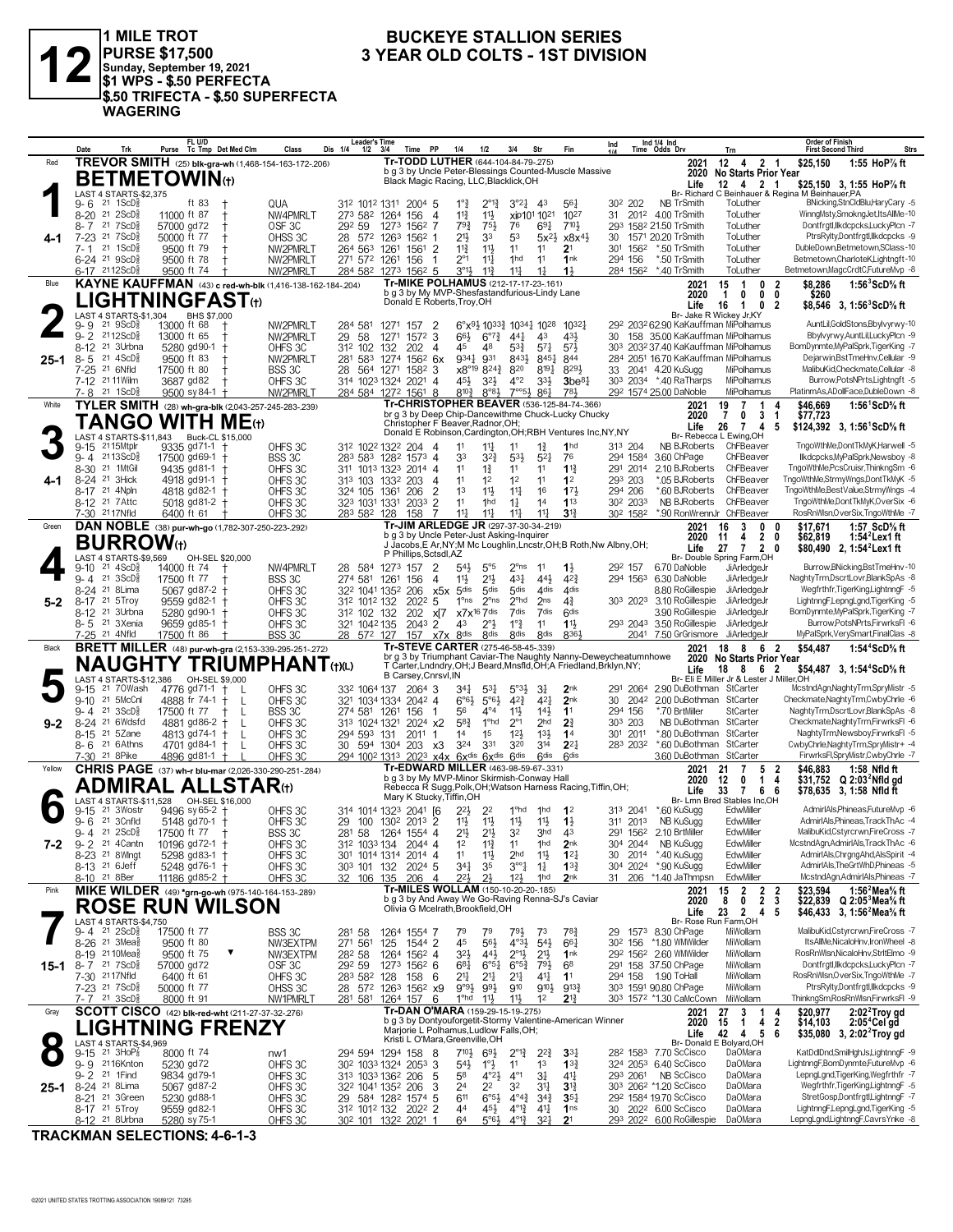

1 MILE TROT<br>|PURSE \$17,500<br>|Sunday, September 19, 2021<br>|\$1 WPS - \$.50 PERFECTA \$.50 TRIFECTA - \$.50 SUPERFECTA **WAGERING** 

### **BUCKEYE STALLION SERIES** 3 YEAR OLD COLTS - 1ST DIVISION

|        | Date                                                  | Trk                                                        | FL U/D<br>Purse Tc Tmp Det Med Clm                                         | Class               | <b>Leader's Time</b><br>Dis 1/4<br>$1/2$ $3/4$                     | Time                      | <b>PP</b><br>1/4                                                                        | 1/2                                  | 3/4<br>Str                                                                        |                                    | Ind<br>Fin                                                           |                                             |          | Ind 1/4 Ind<br>Time Odds Drv                                            | Trn                                                       | <b>Order of Finish</b><br><b>First Second Third</b>                                                               | <b>Strs</b>                                                              |
|--------|-------------------------------------------------------|------------------------------------------------------------|----------------------------------------------------------------------------|---------------------|--------------------------------------------------------------------|---------------------------|-----------------------------------------------------------------------------------------|--------------------------------------|-----------------------------------------------------------------------------------|------------------------------------|----------------------------------------------------------------------|---------------------------------------------|----------|-------------------------------------------------------------------------|-----------------------------------------------------------|-------------------------------------------------------------------------------------------------------------------|--------------------------------------------------------------------------|
| Red    |                                                       |                                                            | TREVOR SMITH (25) blk-gra-wh (1,468-154-163-172-206)                       |                     |                                                                    |                           | Tr-TODD LUTHER (644-104-84-79-275)                                                      |                                      |                                                                                   |                                    |                                                                      |                                             |          | 2021                                                                    | $12$ 4 2 1                                                | \$25,150                                                                                                          | 1:55 HoP% ft                                                             |
|        |                                                       |                                                            | <b>BETMETOWIN</b> (t)                                                      |                     |                                                                    |                           | Black Magic Racing, LLC, Blacklick, OH                                                  |                                      |                                                                                   |                                    | b g 3 by Uncle Peter-Blessings Counted-Muscle Massive                |                                             |          | 2020                                                                    | No Starts Prior Year                                      |                                                                                                                   |                                                                          |
|        |                                                       |                                                            |                                                                            |                     |                                                                    |                           |                                                                                         |                                      |                                                                                   |                                    |                                                                      |                                             |          | Life                                                                    | 12  4  2  1                                               | \$25,150 3, 1:55 HoP% ft<br>Br- Richard C Beinhauer & Regina M Beinhauer, PA                                      |                                                                          |
|        | 9-6                                                   | LAST 4 STARTS-\$2,375<br>$21 \text{ } 1$ ScD $\frac{1}{2}$ | ft 83                                                                      | QUA                 | 312 1012 1311 2004 5                                               |                           | $1°\frac{3}{4}$                                                                         | $2^{\circ}1^3_4$                     | $3^{\circ}2^{\frac{1}{4}}$                                                        | 43                                 | $56\frac{1}{4}$                                                      | 30 <sup>2</sup> 202                         |          | NB TrSmith                                                              | ToLuther                                                  |                                                                                                                   | BNicking, StnCldBlu, HaryCary -5                                         |
|        | $8 - 20$                                              | $21\,2$ ScD $\frac{1}{2}$                                  | 11000 ft 87                                                                | NW4PMRLT            | 273 582 1264                                                       | 156                       | $11\frac{3}{4}$<br>4                                                                    | 11}                                  | xip101 1021                                                                       |                                    | 1027                                                                 |                                             |          | 31 2012 4.00 TrSmith                                                    | ToLuther                                                  |                                                                                                                   | WinngMsty,SmokngJet,ItsAllMe-10                                          |
|        | 8- 7                                                  | 21 7 ScD                                                   | 57000 gd72                                                                 | OSF <sub>3C</sub>   | 292 59                                                             | 1273                      | 1562 7<br>$79\frac{3}{4}$                                                               | $75\frac{1}{2}$                      | 76                                                                                | $69\frac{1}{4}$                    | $7^{10}$                                                             |                                             |          | 293 1582 21.50 TrSmith                                                  | ToLuther                                                  |                                                                                                                   | Dontfrgtl,llkdcpcks,LuckyPlcn -7                                         |
|        | $7 - 23$                                              | 21 7 ScD <sup>3</sup>                                      | 50000 ft 77                                                                | OHSS 3C             | 28 572 1263                                                        | $156^2$ 1                 | $21\frac{1}{2}$                                                                         | 33                                   | 53                                                                                | $5x^2\frac{1}{2}$                  | x8x <sup>41</sup>                                                    | 30                                          |          | 1571 20.20 TrSmith                                                      | ToLuther                                                  |                                                                                                                   | PtrsRylty,Dontfrgtl,Ilkdcpcks -9                                         |
|        | 7- 1                                                  | 21 1ScD                                                    | 9500 ft 79                                                                 | NW2PMRLT            | 264 563 1261                                                       | 1561 2                    | $11\frac{3}{4}$                                                                         | $11\frac{1}{2}$                      | 11                                                                                | 11                                 | 2 <sup>1</sup>                                                       | 301 1562                                    |          | *.50 TrSmith                                                            | ToLuther                                                  | DubleDown,Betmetown,SClass-10                                                                                     |                                                                          |
|        | $6-24$ 21 $9$ ScD <sup>3</sup>                        |                                                            | 9500 ft 78                                                                 | NW2PMRLT            | 271 572 1261                                                       | 156                       | $2^{\circ}1$<br>$\overline{1}$                                                          | $11\frac{1}{4}$                      | 1hd                                                                               | 11                                 | 1nk                                                                  | 294 156                                     |          | *.50 TrSmith                                                            | ToLuther                                                  | Betmetown, CharloteK, Lightngft-10                                                                                |                                                                          |
|        | 6-17 2112ScD                                          |                                                            | 9500 ft 74                                                                 | NW2PMRLT            | 284 582 1273 1562 5                                                |                           | 3°1 <sup>1</sup><br>Tr-MIKE POLHAMUS (212-17-17-23-161)                                 | $11\frac{3}{4}$                      | $11\frac{1}{4}$                                                                   | $1\frac{1}{4}$                     | $1\frac{1}{2}$                                                       |                                             | 284 1562 | *.40 TrSmith                                                            | ToLuther                                                  | Betmetown, MagcCrdtC, FutureMvp -8                                                                                |                                                                          |
| Blue   |                                                       |                                                            | <b>KAYNE KAUFFMAN</b> (43) c red-wh-blk (1,416-138-162-184-.204)           |                     |                                                                    |                           | b g 3 by My MVP-Shesfastandfurious-Lindy Lane                                           |                                      |                                                                                   |                                    |                                                                      |                                             |          | 2021<br>2020                                                            | 15<br>$\overline{1}$<br>$\mathbf{0}$<br>0<br>$\mathbf{1}$ | \$8,286<br>-2<br>$0\quad 0$<br>\$260                                                                              | 1:56 $3$ ScD $\%$ ft                                                     |
|        |                                                       |                                                            | ${\sf LIGHTNINGFAST}$                                                      |                     |                                                                    |                           | Donald E Roberts, Troy, OH                                                              |                                      |                                                                                   |                                    |                                                                      |                                             |          | Life                                                                    | 16<br>$\overline{1}$<br>0                                 | -2<br>\$8,546 3, 1:56 ScD% ft                                                                                     |                                                                          |
|        |                                                       | LAST 4 STARTS-\$1,304                                      | BHS \$7,000                                                                |                     |                                                                    |                           |                                                                                         |                                      |                                                                                   |                                    |                                                                      |                                             |          |                                                                         | Br- Jake R Wickey Jr.KY                                   |                                                                                                                   |                                                                          |
|        | 21<br>9- 9                                            | $9$ ScD $\frac{3}{8}$                                      | 13000 ft 68<br>t,                                                          | NW2PMRLT            | 284 581                                                            | 1271<br>157               | $\overline{2}$                                                                          |                                      | 6°x <sup>91</sup> / <sub>2</sub> 10 <sup>33</sup> / <sub>4</sub> 10 <sup>28</sup> |                                    | $10^{32}$                                                            |                                             |          | 292 2032 62.90 KaKauffman MiPolhamus                                    |                                                           |                                                                                                                   | AuntLil,GoldStons,Bbylvyrwy-10                                           |
|        | $9 - 2$                                               | 2112ScD៖                                                   | 13000 ft 65                                                                | NW2PMRLT            | 29<br>58                                                           | $157^2$ 3<br>1271<br>202  | 66}<br>45                                                                               | $6^{07}\frac{3}{4}$<br>48            | $44\frac{1}{4}$<br>$5^{32}$                                                       | 4 <sup>3</sup>                     | 431<br>$5^{7}$                                                       | 30                                          |          | 158 35.00 KaKauffman MiPolhamus<br>303 2032 37.40 KaKauffman MiPolhamus |                                                           | BomDynmte,MyPalSprk,TigerKing -7                                                                                  | Bbylvyrwy,AuntLil,LuckyPlcn -9                                           |
| 25-1   | 8-12 <sup>21</sup> 3Urbna<br>$8 - 5$                  | $21 \text{ } 4\text{ScD}^5_8$                              | 5280 gd90-1 +<br>9500 ft 83                                                | OHFS 3C<br>NW2PMRLT | 312 102<br>281 583                                                 | 132<br>1274               | -4<br>9341<br>$156^2$ 6x                                                                | 931                                  | 8433                                                                              | $5^{71}$<br>8451                   | 844                                                                  |                                             |          | 284 2051 16.70 KaKauffman MiPolhamus                                    |                                                           |                                                                                                                   | Dejarwin, Bst TmeHnv, Cellular -9                                        |
|        | 7-25 <sup>21</sup> 6Nfld                              |                                                            | 17500 ft 80                                                                | BSS 3C              | 28 564 1271                                                        |                           | $158^2$ 3                                                                               | x8°19 8243                           | 820                                                                               | $8^{19}\frac{1}{4}$                | 8291                                                                 | 33                                          |          | 2041 4.20 KuSugg                                                        | MiPolhamus                                                |                                                                                                                   | MalibuKid,Checkmate,Cellular -8                                          |
|        | 7-12 21 11 Wilm                                       |                                                            | 3687 gd82                                                                  | OHFS 3C             | 314 1023 1324 2021 4                                               |                           | 451                                                                                     | 3 <sup>2</sup>                       | $4^{\circ}2$                                                                      | 333                                | $3$ be $8\frac{1}{4}$                                                |                                             |          | 303 2034 *.40 RaTharps                                                  | MiPolhamus                                                |                                                                                                                   | Burrow, PotsNPrts, Lightngft -5                                          |
|        | 7-8 21 1 ScD                                          |                                                            | $9500$ sy 84-1 +                                                           | NW2PMRLT            | 284 584 1272 1561 8                                                |                           | $8^{10\frac{3}{4}}$                                                                     | $8^{\circ}83$                        | $7^{\circ}5\frac{1}{2}$                                                           | 861                                | 781                                                                  |                                             |          | 292 1574 25.00 DaNoble                                                  | MiPolhamus                                                | PlatinmAs,ADollFace,DubleDown -8                                                                                  |                                                                          |
| White  |                                                       |                                                            | TYLER SMITH (28) wh-gra-blk (2,043-257-245-283-.239)                       |                     |                                                                    |                           | Tr-CHRISTOPHER BEAVER (536-125-84-74-.366)                                              |                                      |                                                                                   |                                    |                                                                      |                                             |          | 2021                                                                    | $\overline{7}$<br>19<br>-1                                | \$46,669<br>Δ                                                                                                     | 1:56 <sup>1</sup> ScD% ft                                                |
|        |                                                       |                                                            | $\mathsf{TANGO}$ WITH ME $\scriptstyle\mathrm{(t)}$                        |                     |                                                                    |                           | br g 3 by Deep Chip-Dancewithme Chuck-Lucky Chucky<br>Christopher F Beaver, Radnor, OH; |                                      |                                                                                   |                                    |                                                                      |                                             |          | 2020                                                                    | 0<br>7                                                    | 3 <sub>1</sub><br>\$77,723                                                                                        |                                                                          |
|        |                                                       |                                                            | LAST 4 STARTS-\$11,843 Buck-CL \$15,000                                    |                     |                                                                    |                           |                                                                                         |                                      |                                                                                   |                                    | Donald E Robinson, Cardington, OH; RBH Ventures Inc, NY, NY          |                                             |          | Life                                                                    | 26 7<br>$\overline{4}$<br>Br- Rebecca L Ewing, OH         | \$124,392 3, 1:56 ScD % ft<br>5                                                                                   |                                                                          |
|        | $9 - 15$                                              | 2115Mtplr                                                  | 9335 gd71-1 +                                                              | OHFS 3C             | 312 1022 1322 204                                                  |                           | 11<br>4                                                                                 | 11                                   | 11                                                                                | $1\frac{3}{4}$                     | 1 <sub>hd</sub>                                                      | 313 204                                     |          | <b>NB BJRoberts</b>                                                     | ChFBeaver                                                 | TngoWthMe,DontTkMyK,Harwell -5                                                                                    |                                                                          |
|        | $9 - 4$                                               | 2113ScD                                                    | 17500 gd69-1                                                               | BSS 3C              | 283 583 1282 1573 4                                                |                           | 33                                                                                      | $3^{2}\frac{3}{4}$                   | 531                                                                               | $5^{2}$                            | 76                                                                   | 294 1584                                    |          | 3.60 ChPage                                                             | ChFBeaver                                                 |                                                                                                                   | llkdcpcks, MyPalSprk, Newsboy -8                                         |
|        | 8-30                                                  | 21 1MtGil                                                  | 9435 gd81-1 +                                                              | OHFS 3C             | 311 1013 1323                                                      |                           | 2014 4<br>11                                                                            | $1\frac{3}{4}$                       | 11                                                                                | 11                                 | $1^{13}$                                                             | 291 2014                                    |          | 2.10 BJRoberts                                                          | ChFBeaver                                                 | TngoWthMe.PcsCruisr.ThinkngSm -6                                                                                  |                                                                          |
| 4-1    | 8-24 <sup>21</sup> 3Hick                              |                                                            | 4918 gd91-1 †                                                              | OHFS 3C             | 313 103 1332                                                       | 203                       | 11<br>$\overline{4}$                                                                    | 1 <sup>2</sup>                       | 1 <sup>2</sup>                                                                    | 11                                 | 1 <sup>2</sup>                                                       | 293 203                                     |          | *.05 BJRoberts                                                          | ChFBeaver                                                 | TngoWthMe,StrmyWngs,DontTkMyK -5                                                                                  |                                                                          |
|        | 8-17 21 4Npln<br>8-12 <sup>21</sup> 7 Attc            |                                                            | 4818 gd82-1 +                                                              | OHFS 3C             | 324 105 1361 206                                                   |                           | $\overline{2}$<br>1 <sup>3</sup>                                                        | 11}                                  | $11\frac{1}{4}$                                                                   | 16                                 | 173<br>113                                                           | 294 206<br>30 <sup>2</sup> 203 <sup>3</sup> |          | *.60 BJRoberts<br><b>NB BJRoberts</b>                                   | ChFBeaver<br>ChFBeaver                                    | TngoWthMe,BestValue,StrmyWngs -4<br>TngoWthMe,DontTkMyK,OverSix -6                                                |                                                                          |
|        | 7-30 2117Nfld                                         |                                                            | 5018 $gd81-2$ +<br>6400 ft 61                                              | OHFS 3C<br>OHFS 3C  | 323 1031 1331<br>283 582 128                                       | 2033 2<br>158             | 11<br>$11\frac{1}{2}$<br>-7                                                             | 1hd<br>$11\frac{1}{2}$               | $1\frac{1}{4}$<br>$11\frac{1}{4}$                                                 | 14<br>$11\frac{1}{4}$              | $3^{13}$                                                             | 302 1582                                    |          | *.90 RonWrennJr ChFBeaver                                               |                                                           | RosRnWlsn, OverSix, TngoWthMe -7                                                                                  |                                                                          |
| Green  |                                                       |                                                            | DAN NOBLE (38) pur-wh-go (1,782-307-250-223-.292)                          |                     |                                                                    |                           | Tr-JIM ARLEDGE JR (297-37-30-34-219)                                                    |                                      |                                                                                   |                                    |                                                                      |                                             |          | 2021                                                                    | 16<br>3<br>0                                              | $\mathbf{0}$<br>\$17,671                                                                                          | 1:57 ScD% ft                                                             |
|        |                                                       |                                                            |                                                                            |                     |                                                                    |                           | b g 3 by Uncle Peter-Just Asking-Inquirer                                               |                                      |                                                                                   |                                    |                                                                      |                                             |          | 2020                                                                    | $\overline{4}$<br>11                                      | 2 <sub>0</sub><br>\$62,819                                                                                        | 1:54 $^2$ Lex1 ft                                                        |
|        |                                                       | <b>BURROW</b> (t)                                          |                                                                            |                     |                                                                    |                           |                                                                                         |                                      |                                                                                   |                                    | J Jacobs, E Ar, NY; M Mc Loughlin, Lncstr, OH; B Roth, Nw Albny, OH; |                                             |          | Life                                                                    | 27<br>$\mathbf{7}$                                        | \$80,490 2, 1:54 <sup>2</sup> Lex1 ft<br>20                                                                       |                                                                          |
|        |                                                       | LAST 4 STARTS-\$9.569                                      | OH-SEL \$20,000                                                            |                     |                                                                    |                           | P Phillips, Sctsdl, AZ                                                                  |                                      |                                                                                   |                                    |                                                                      |                                             |          | 6.70 DaNoble                                                            | Br- Double Spring Farm, OH                                |                                                                                                                   | Burrow, BNicking, Bst TmeHnv-10                                          |
|        | $9-10$<br>$9 - 4$ 21 3ScD <sup>3</sup>                | $21 \text{ } 4\text{ScD}$                                  | 14000 ft 74<br>17500 ft 77                                                 | NW4PMRLT<br>BSS 3C  | 28 584 1273 157<br>274 581 1261                                    | 156                       | 2<br>54}<br>11}<br>4                                                                    | $5^{\circ}5$<br>21}                  | $2^{\circ}$ ns<br>$43\frac{1}{4}$                                                 | 11<br>441                          | $1\frac{1}{2}$<br>$4^{2}3$                                           | 292 157                                     |          | 294 1563 6.30 DaNoble                                                   | JiArledgeJr<br>JiArledgeJr                                | NaghtyTrm,DscrtLovr,BlankSpAs -8                                                                                  |                                                                          |
|        | 8-24 <sup>21</sup> 8 Lima                             |                                                            | 5067 $gd87-2$ +                                                            | OHFS 3C             | 322 1041 1352                                                      | 206                       | 5 <sup>dis</sup><br>x5x                                                                 | 5 <sub>dis</sub>                     | 5 <sub>dis</sub>                                                                  | 4 <sub>dis</sub>                   | 4 <sub>dis</sub>                                                     |                                             |          | 8.80 RoGillespie                                                        | JiArledgeJr                                               |                                                                                                                   | Weafrthfr.TiaerKina.LiahtnnaF -5                                         |
| $5-2$  | 8-17 21 5Troy                                         |                                                            | 9559 gd82-1 +                                                              | OHFS 3C             | 312 1012 132                                                       | 2022                      | $1^{\circ}$ ns<br>5                                                                     | $2^{\circ}$ ns                       | 2 <sup>ohd</sup>                                                                  | 2ns                                | $4\frac{3}{4}$                                                       |                                             |          | 303 2023 3.10 RoGillespie                                               | JiArledgeJr                                               | LightnngF,LepngLgnd,TigerKing -5                                                                                  |                                                                          |
|        | 8-12 <sup>21</sup> 3Urbna                             |                                                            | 5280 gd90-1 +                                                              | OHFS 3C             | 312 102 132                                                        | 202                       | x[7                                                                                     | $x7x^{16}7$ dis                      | 7dis                                                                              | 7dis                               | <b>Gdis</b>                                                          |                                             |          | 3.90 RoGillespie                                                        | JiArledgeJr                                               | BomDynmte,MyPalSprk,TigerKing -7                                                                                  |                                                                          |
|        | 8-5                                                   | 21 3Xenia                                                  | 9659 gd85-1 +                                                              | OHFS 3C             | 321 1042 135                                                       |                           | 2043 2<br>43                                                                            | $2^{\circ}$ }                        | $1^{\circ}$ $\frac{3}{4}$                                                         | 11                                 | 11                                                                   | 293 2043                                    |          | 3.50 RoGillespie                                                        | JiArledgeJr                                               |                                                                                                                   | Burrow, PotsNPrts, FirwrksFI -6                                          |
|        | 7-25 21 4Nfld                                         |                                                            | 17500 ft 86                                                                | BSS 3C              | 28 572 127                                                         |                           | 157 x7x 8dis                                                                            | 8 <sup>dis</sup>                     | 8 <sup>dis</sup>                                                                  | 8 <sub>dis</sub>                   | 8361                                                                 |                                             |          | 2041 7.50 GrGrismore JiArledgeJr                                        |                                                           | MyPalSprk, VerySmart, FinalClas -8                                                                                |                                                                          |
| Black  |                                                       |                                                            | <b>BRETT MILLER</b> (48) pur-wh-gra (2,153-339-295-251-272)                |                     |                                                                    |                           | Tr-STEVE CARTER (275-46-58-45-.339)                                                     |                                      |                                                                                   |                                    | br g 3 by Triumphant Caviar-The Naughty Nanny-Deweycheatumnhowe      |                                             |          | 2021                                                                    | 18 8                                                      | 6 2<br>\$54,487                                                                                                   | 1:54 <sup>4</sup> ScD% ft                                                |
|        |                                                       |                                                            |                                                                            |                     |                                                                    |                           |                                                                                         |                                      |                                                                                   |                                    |                                                                      |                                             |          |                                                                         |                                                           |                                                                                                                   |                                                                          |
|        |                                                       |                                                            | <b>NAUGHTY TRIUMPHANT(t)(L)</b>                                            |                     |                                                                    |                           |                                                                                         |                                      |                                                                                   |                                    | T Carter, Lndndry, OH; J Beard, Mnsfld, OH; A Friedland, Brklyn, NY; |                                             |          |                                                                         | 2020 No Starts Prior Year                                 |                                                                                                                   |                                                                          |
|        |                                                       | LAST 4 STARTS-\$12,386                                     | OH-SEL \$9,000                                                             |                     |                                                                    |                           | B Carsey, Cnrsvl, IN                                                                    |                                      |                                                                                   |                                    |                                                                      |                                             |          | Life                                                                    | 18<br>862<br>Br- Eli E Miller Jr & Lester J Miller, OH    | \$54,487 3, 1:54 ${}^4$ ScD ${}^5\!s$ ft                                                                          |                                                                          |
|        | $9 - 15$                                              | 21 70Wash                                                  | 4776 gd71-1<br>- L                                                         | OHFS 3C             | 332 1064 137                                                       |                           | 2064 3<br>347                                                                           | $5^{31}$                             | $5^{\circ}3\frac{1}{2}$                                                           | 31                                 | 2 <sub>nk</sub>                                                      | 291 2064                                    |          | 2.90 DuBothman StCarter                                                 |                                                           | McstndAgn,NaghtyTrm,SpryMistr -5                                                                                  |                                                                          |
|        | $9 - 10$                                              | 21 5McCnl                                                  | 4888 fr 74-1<br>-L<br>$\pm$                                                | OHFS 3C             | 321 1034 1334 2042 4                                               |                           | $6°6\frac{1}{2}$                                                                        | $5^{\circ}6\frac{1}{2}$              | $4^{2}\frac{3}{4}$                                                                | $4^{2}$                            | 2 <sub>nk</sub>                                                      | 30                                          | 2042     | 2.00 DuBothman StCarter                                                 |                                                           | Checkmate, Naghty Trm, Cwby Chrle -6                                                                              |                                                                          |
|        | 9- 4                                                  | $21 \, 3$ ScD $\frac{5}{8}$                                | 17500 ft 77<br>L                                                           | BSS 3C              | 274 581 1261                                                       | 156                       | 56<br>$\mathbf{1}$                                                                      | $4^{\circ}4$                         | $11\frac{1}{2}$                                                                   | $14\frac{1}{2}$                    | 1 <sup>1</sup>                                                       | 294 156                                     |          | *.70 BrtMiller                                                          | StCarter                                                  | NaghtyTrm,DscrtLovr,BlankSpAs -8                                                                                  |                                                                          |
| 9-2    | 8-24 <sup>21</sup> 6Wdsfd<br>8-15 <sup>21</sup> 5Zane |                                                            | 4881 gd86-2 †<br>L<br>4813 gd74-1 †<br>L                                   | OHFS 3C             | 313 1024 1321<br>294 593 131                                       |                           | $5^{8}$<br>2024 x2<br>$201^1$ 1<br>14                                                   | 1 <sup>o</sup> hd<br>1 <sup>5</sup>  | $2^{\circ}1$<br>12 <sup>1</sup>                                                   | 2 <sub>hd</sub><br>$13\frac{1}{2}$ | 2 <sup>3</sup><br>1 <sup>4</sup>                                     | 303 203<br>301 2011                         |          | NB DuBothman StCarter<br>*.80 DuBothman                                 | StCarter                                                  | Checkmate, Naghty Trm, Firwrks FI -6<br>NaghtyTrm,Newsboy,FirwrksFl -5                                            |                                                                          |
|        | 8-6 <sup>21</sup> 6 Athns                             |                                                            | 4701 gd84-1 +                                                              | OHFS 3C<br>OHFS 3C  | 30 594 1304 203 x3                                                 |                           | 324                                                                                     | 331                                  | 320                                                                               | 314                                | $2^{2}$                                                              | 283 2032                                    |          | *.60 DuBothman                                                          | StCarter                                                  | CwbyChrle, NaghtyTrm, SpryMistr+ -4                                                                               |                                                                          |
|        | 7-30 21 8 Pike                                        |                                                            | 4896 gd81-1 +                                                              | OHFS 3C             |                                                                    |                           | 294 1002 1313 2023 x4x 6xdis 6xdis 6dis                                                 |                                      |                                                                                   | <b>Gdis</b>                        | <b>Gdis</b>                                                          |                                             |          | 3.60 DuBothman                                                          | StCarter                                                  |                                                                                                                   | FirwrksFl,SpryMistr,CwbyChrle -7                                         |
| Yellow |                                                       |                                                            | CHRIS PAGE (37) wh-r blu-mar (2,026-330-290-251-284)                       |                     |                                                                    |                           | Tr-EDWARD MILLER (463-98-59-67-.331)                                                    |                                      |                                                                                   |                                    |                                                                      |                                             |          | 2021                                                                    | 21<br>$\overline{7}$<br>5                                 | \$46,883<br>2                                                                                                     | 1:58 Nfld ft                                                             |
|        |                                                       |                                                            |                                                                            |                     |                                                                    |                           | b g 3 by My MVP-Minor Skirmish-Conway Hall                                              |                                      |                                                                                   |                                    | Rebecca R Sugg, Polk, OH; Watson Harness Racing, Tiffin, OH;         |                                             |          | 2020                                                                    | 0<br>12<br>1                                              | 4<br>$$31,752$ Q 2:03 <sup>2</sup> Nfld gd                                                                        |                                                                          |
|        | <b>AST</b>                                            | ADMIRAL<br>4 STARTS-\$11,528                               | <b>ALLSTAR</b> (t)<br>OH-SEL \$16,000                                      |                     |                                                                    |                           | Mary K Stucky, Tiffin, OH                                                               |                                      |                                                                                   |                                    |                                                                      |                                             |          | Life                                                                    | 33<br>$\overline{7}$<br>66<br>Br- Lmn Bred Stables Inc,OH | \$78,635 3, 1:58 Nfld ft                                                                                          |                                                                          |
|        | 9-15                                                  | 21 3Wostr                                                  | 9496 sy 65-2                                                               | OHFS 3C             | 314 1014 1323 2041 [6                                              |                           | $2^{2}$                                                                                 | 2 <sup>2</sup>                       | 1 <sup>o</sup> hd                                                                 | 1 <sub>hd</sub>                    | 1 <sup>2</sup>                                                       | 313 2041                                    |          | *.60 KuSugg                                                             | EdwMiller                                                 |                                                                                                                   | AdmirIAls, Phineas, Future Mvp -6                                        |
|        | $9 - 6$                                               | 21 3Cnfld                                                  | $5148$ gd70-1 +                                                            | OHFS 3C             | 29 100 130 <sup>2</sup> 201 <sup>3</sup> 2                         |                           | 11}                                                                                     | $11\frac{1}{2}$                      | $11\frac{1}{2}$                                                                   | 11}                                | $1\frac{1}{2}$                                                       | 311 2013                                    |          | NB KuSugg                                                               | EdwMiller                                                 |                                                                                                                   | AdmirIAls, Phineas, Track ThAc -4                                        |
|        | 9-4 21 2ScD <sup>5</sup>                              |                                                            | 17500 ft 77<br>$\pm$                                                       | BSS 3C              | 281 58                                                             | 1264 1554 4               | 2 <sup>1</sup>                                                                          | $21\frac{1}{2}$                      | 3 <sup>2</sup>                                                                    | 3 <sub>hd</sub>                    | 43                                                                   |                                             |          | 291 1562 2.10 BrtMiller                                                 | EdwMiller                                                 |                                                                                                                   | MalibuKid,Cstyrcrwn,FireCross -7                                         |
| 7-2    | $9 - 2$                                               | 21 4 Cantn                                                 | 10196 gd72-1 †                                                             | OHFS 3C             | 312 1033 134 2044 4                                                |                           | 1 <sup>2</sup>                                                                          | $11\frac{3}{4}$                      | 11                                                                                | 1 <sub>hd</sub>                    | 2 <sub>nk</sub>                                                      | 304 2044                                    |          | NB KuSugg                                                               | EdwMiller                                                 | McstndAgn,AdmirIAls,TrackThAc -6                                                                                  |                                                                          |
|        | 8-23 <sup>21</sup> 8 Wingt                            |                                                            | 5298 gd83-1 +                                                              | OHFS 3C             | 301 1014 1314 2014 4                                               |                           | 11                                                                                      | 11                                   | 2 <sub>hd</sub>                                                                   | 11물                                | $12\frac{1}{4}$                                                      | 30                                          | 2014     | *.40 KuSugg<br>*.90 KuSugg                                              | EdwMiller<br>EdwMiller                                    |                                                                                                                   | AdmirIAls, Chrgng Ahd, AlsSpirit -4<br>AdmirIAls, The GrtWhD, Phineas -5 |
|        | 8-13 <sup>21</sup> 6 Jeff<br>8-10 21 8Ber             |                                                            | 5248 gd76-1 +                                                              | OHFS 3C<br>OHFS 3C  | 303 101 132<br>32 106 135 206                                      |                           | $34\frac{1}{4}$<br>202 <sup>4</sup> 5<br>221<br>- 4                                     | 35<br>2 <sup>1</sup>                 | $3^{\circ}4$<br>$12\frac{1}{2}$                                                   | $1\frac{1}{4}$<br>1hd              | $13\frac{3}{4}$<br>2nk                                               | 304 2024<br>31                              |          | 206 *1.40 JaThmpsn                                                      | EdwMiller                                                 |                                                                                                                   | McstndAgn,AdmirIAls,Phineas -7                                           |
| Pink   |                                                       |                                                            | 11186 gd85-2 +<br><b>MIKE WILDER</b> (49) *grn-go-wh (975-140-164-153-289) |                     |                                                                    |                           | Tr-MILES WOLLAM (150-10-20-20-.185)                                                     |                                      |                                                                                   |                                    |                                                                      |                                             |          | 2021                                                                    | $\overline{2}$<br>15                                      | \$23,594                                                                                                          | 1:56 <sup>2</sup> Mea <sup>5</sup> / <sub>8</sub> ft                     |
|        |                                                       |                                                            |                                                                            |                     |                                                                    |                           | b g 3 by And Away We Go-Raving Renna-SJ's Caviar                                        |                                      |                                                                                   |                                    |                                                                      |                                             |          | 2020                                                                    | $\mathbf 0$<br>8                                          | $\begin{array}{cc} 2 & 2 \\ 2 & 3 \end{array}$<br>\$22,839 Q 2:05 <sup>3</sup> Mea <sup>5</sup> / <sub>8</sub> ft |                                                                          |
|        |                                                       |                                                            | <b>ROSE RUN WILSON</b>                                                     |                     |                                                                    |                           | Olivia G Mcelrath, Brookfield, OH                                                       |                                      |                                                                                   |                                    |                                                                      |                                             |          | Life                                                                    | 23<br>2 4 5                                               | \$46,433 3, 1:56 <sup>2</sup> Mea <sup>5</sup> / <sub>8</sub> ft                                                  |                                                                          |
|        | 9-4                                                   | LAST 4 STARTS-\$4,750<br>$21 \quad 2$ ScD $\frac{5}{8}$    |                                                                            |                     |                                                                    |                           |                                                                                         | 79                                   |                                                                                   | 73                                 |                                                                      | 29                                          |          | 1573 8.30 ChPage                                                        | Br- Rose Run Farm, OH<br>MiWollam                         |                                                                                                                   | MalibuKid,Cstyrcrwn,FireCross -7                                         |
|        | 8-26 <sup>21</sup> 3Mea <sup>3</sup>                  |                                                            | 17500 ft 77<br>9500 ft 80                                                  | BSS 3C<br>NW3EXTPM  | 281 58<br>271 561                                                  | 1264 1554 7<br>125 1544 2 | 79<br>45                                                                                | 56}                                  | 79}<br>$4^{\circ}3\frac{1}{2}$                                                    | $5^{4}$                            | 78}<br>$66\frac{1}{4}$                                               |                                             |          | 30 <sup>2</sup> 156 *1.80 WMWilder                                      | MiWollam                                                  |                                                                                                                   | ItsAllMe, NicaloHnv, IronWheel -8                                        |
|        | 8-19 21 10 Mea                                        |                                                            | 9500 ft 75<br>▼                                                            | NW3EXTPM            | 282 58                                                             | 1264                      | 1562 4<br>$3^{2}\frac{1}{2}$                                                            | 44}                                  | $2^{\circ}1\frac{1}{2}$                                                           | 2 <sup>1</sup>                     | 1 <sup>nk</sup>                                                      |                                             |          | 292 1562 2.60 WMWilder                                                  | MiWollam                                                  | RosRnWlsn.NicaloHnv.StrltElmo -9                                                                                  |                                                                          |
| 15-1   | $8 - 7$ 21 7 ScD <sup>5</sup>                         |                                                            | 57000 gd72                                                                 | OSF3C               | 292 59                                                             | 1273 1562 6               | $6^{81}$                                                                                | $6°5\frac{1}{4}$                     | $6^{95}\frac{3}{4}$                                                               | 791                                | 68                                                                   |                                             |          | 291 158 37.50 ChPage                                                    | MiWollam                                                  |                                                                                                                   | Dontfrgtl,llkdcpcks,LuckyPlcn -7                                         |
|        | 7-30 2117Nfld                                         |                                                            | 6400 ft 61                                                                 | OHFS 3C             | 283 582 128 158 6                                                  |                           | 21                                                                                      | 21                                   | $2^{11}$                                                                          | 41                                 | 1 <sup>1</sup>                                                       | 294 158                                     |          | 1.90 ToHall                                                             | MiWollam                                                  | RosRnWlsn, OverSix, TngoWthMe -7                                                                                  |                                                                          |
|        | 7-23 <sup>21</sup> 7ScD <sup>3</sup>                  |                                                            | 50000 ft 77                                                                | OHSS 3C             | 28 572 1263 1562 x9                                                |                           | $9°9\frac{1}{2}$                                                                        | $99\frac{1}{2}$                      | 910                                                                               | $9^{10}\frac{1}{2}$                | $9^{13}\frac{3}{4}$                                                  |                                             |          | 303 1591 90.80 ChPage                                                   | MiWollam                                                  |                                                                                                                   | PtrsRylty,Dontfrgtl,Ilkdcpcks -9                                         |
|        | 7-7 21 3ScD <sup>3</sup>                              |                                                            | 8000 ft 91                                                                 | NW1PMRLT            | 281 581 1264 157 6                                                 |                           | 1°hd                                                                                    | $11\frac{1}{2}$                      | $11\frac{1}{2}$                                                                   | 1 <sup>2</sup>                     | $2^{13}$                                                             |                                             |          | 303 1572 *1.30 CaMcCown                                                 | MiWollam                                                  | ThinkngSm,RosRnWlsn,FirwrksFl -9                                                                                  |                                                                          |
| Gray   |                                                       |                                                            | SCOTT CISCO (42) blk-red-wht (211-27-37-32-.276)                           |                     |                                                                    |                           | Tr-DAN O'MARA (159-29-15-19-.275)                                                       |                                      |                                                                                   |                                    | b g 3 by Dontyouforgetit-Stormy Valentine-American Winner            |                                             |          | 2021<br>2020                                                            | 3<br>27<br>-1<br>$\mathbf{1}$<br>42<br>15                 | \$20,977<br>4<br>\$14,103                                                                                         | 2:02 <sup>2</sup> Troy gd<br>$2:05^{\circ}$ Cel gd                       |
|        |                                                       |                                                            | <b>LIGHTNING FRENZY</b>                                                    |                     |                                                                    |                           | Marjorie L Polhamus, Ludlow Falls, OH;                                                  |                                      |                                                                                   |                                    |                                                                      |                                             |          | Life                                                                    | 42<br>4 5 6                                               | \$35,080 3, 2:02 <sup>2</sup> Troy gd                                                                             |                                                                          |
|        |                                                       | LAST 4 STARTS-\$4,969                                      |                                                                            |                     |                                                                    |                           | Kristi L O'Mara, Greenville, OH                                                         |                                      |                                                                                   |                                    |                                                                      |                                             |          |                                                                         | Br- Donald E Bolyard, OH                                  |                                                                                                                   |                                                                          |
|        | $9-15$ 21 $3HOP_8^7$                                  |                                                            | 8000 ft 74                                                                 | nw1                 | 294 594 1294 158                                                   |                           | -8<br>$7^{10\frac{1}{2}}$                                                               | $69\frac{1}{2}$                      | $2^{012}$                                                                         | $2^{2}\frac{3}{4}$                 | $33\frac{1}{4}$                                                      |                                             |          | 28 <sup>2</sup> 158 <sup>3</sup> 7.70 ScCisco                           | DaOMara                                                   | KatDdlDnd,SmilHghJs,LightnngF -9                                                                                  |                                                                          |
|        | 9-9 2116Knton<br>$9 - 2$                              | 21 1 Find                                                  | 5230 gd72<br>9834 gd79-1                                                   | OHFS 3C<br>OHFS 3C  | 30 <sup>2</sup> 103 <sup>3</sup> 1324 205 <sup>3</sup> 3           |                           | 54}<br>58<br>5                                                                          | $1^\circ$<br>$4^{\circ}2\frac{1}{2}$ | 11<br>$4^{\circ}1$                                                                | 1 <sup>3</sup><br>3 <sup>1</sup>   | $13\frac{3}{4}$<br>41                                                | 293 2061                                    |          | 324 2053 6.40 ScCisco<br>NB ScCisco                                     | <b>DaOMara</b><br>DaOMara                                 | LightnngF,BomDynmte,FutureMvp -6<br>LepngLgnd,TigerKing,Wegfrthfr -7                                              |                                                                          |
| 25-1   | 8-24 <sup>21</sup> 8 Lima                             |                                                            | 5067 gd87-2                                                                | OHFS 3C             | 313 1033 1362 206<br>32 <sup>2</sup> 1041 135 <sup>2</sup> 206     |                           | 24<br>3                                                                                 | 22                                   | 32                                                                                | $3^{11}$                           | 3 <sup>12</sup>                                                      |                                             |          | 303 2062 *1.20 ScCisco                                                  | <b>DaOMara</b>                                            |                                                                                                                   | Wegfrthfr,TigerKing,LightnngF -5                                         |
|        | 8-21 <sup>21</sup> 3Green                             |                                                            | 5230 gd88-1                                                                | OHFS 3C             | 29 584 1282 1574 5                                                 |                           | 611                                                                                     | $6^{\circ 5\frac{1}{2}}$             | $4^{\circ}4^{\frac{3}{4}}$                                                        | $3^{4}\frac{3}{4}$                 | $35\frac{1}{4}$                                                      |                                             |          | 292 1584 19.70 ScCisco                                                  | <b>DaOMara</b>                                            |                                                                                                                   | StretGosp,Dontfrgtl,LightnngF -7                                         |
|        | 8-17 <sup>21</sup> 5Troy<br>8-12 <sup>21</sup> 8Urbna |                                                            | 9559 gd82-1<br>5280 sy 75-1                                                | OHFS 3C<br>OHFS 3C  | 312 1012 132 2022 2<br>30 <sup>2</sup> 101 132 <sup>2</sup> 2021 1 |                           | 44<br>64                                                                                | 45}<br>$5^{\circ}63$                 | $4^{\circ}1^3_4$<br>$4^{013}$                                                     | 411<br>$3^{2}1$                    | 1 <sub>ns</sub><br>2 <sup>1</sup>                                    |                                             |          | 30 202 <sup>2</sup> 6.00 ScCisco<br>293 2022 6.00 RoGillespie           | <b>DaOMara</b><br><b>DaOMara</b>                          | LightnngF,LepngLgnd,TigerKing -5<br>LepngLgnd,LightnngF,CavrsYnke -8                                              |                                                                          |

**TRACKMAN SELECTIONS: 4-6-1-3**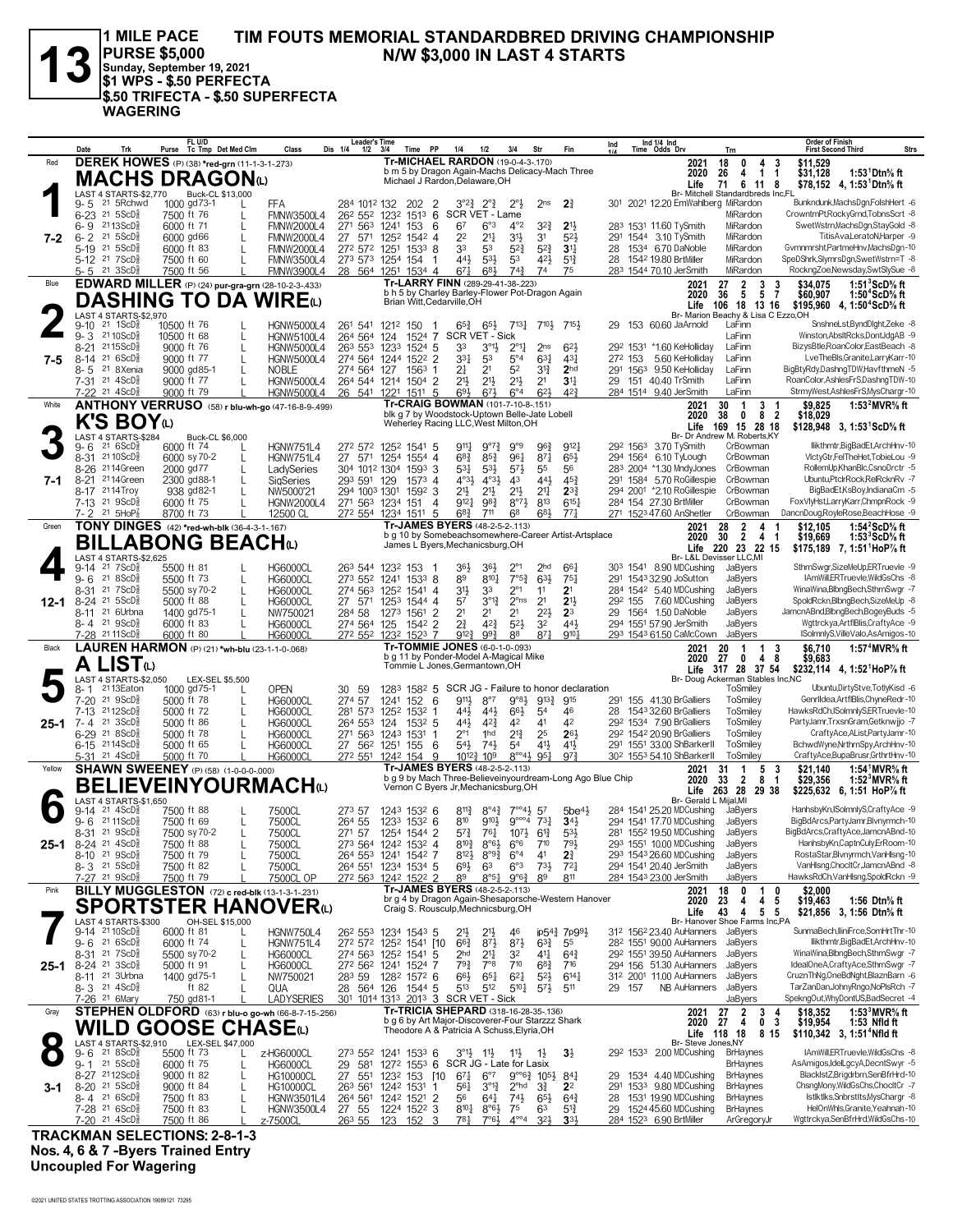\$.50 TRIFECTA - \$.50 SUPERFECTA

**WAGERING** 

 $FL <sub>U/D</sub>$ 

**1 MILE PACE** TIM FOUTS MEMORIAL STANDARDBRED DRIVING CHAMPIONSHIP **PURSE \$5,000** N/W \$3,000 IN LAST 4 STARTS Sunday, September 19, 2021 S1 WPS - \$.50 PERFECTA

Leader's Time

Ind 1/4 Ind<br>Time Odds Drv Purse Tc Tmp Det Med Clm Ind Trk Class Dis 1/4  $\frac{100}{1/2}$  $3/4$  $1/4$  $3/4$ Str Trn **First Second Third** Strs Fin **DEREK HOWES** (P) (38) \*red-grn (11-1-3-1-273) Tr-MICHAEL RARDON (19-0-4-3-170) \$11,529<br>\$31,128 Red 2021 18  $\begin{smallmatrix} 0\\4 \end{smallmatrix}$  $\overline{4}$  $\overline{3}$ on 5 by Dragon Again-Machs Delicacy-Mach Three<br>Michael J Rardon, Delaware, OH  $\mathbf{I}$ 1:53<sup>1</sup>Dtn% ft 2020 26 **MACHS DRAGON(L)** 1 Life  $71$ 6 11 8 \$78,152 4, 1:53<sup>1</sup>Dtn% ft Il Standardbreds Inc,FL ◢ LAST 4 STARTS-\$2,770<br>9-5 <sup>21</sup> 5 Rchwd Br- Mitch Buck-CL \$13,000 1000 gd 73-1 284 1012 132 202 2 3°2 $\frac{3}{4}$  2° $\frac{3}{4}$  2° $\frac{1}{2}$ <br>262 552 1232 1513 6 SCR VET - Lame<br>271 563 1241 153 6 67 6°3 4°2 -<br>- Bunkndunk MachsDon FolshHert FFA  $3^{\circ}2^3_4$   $2^{\circ}3_4$   $2^{\circ}3_2$  $2<sub>ns</sub>$  $2<sup>3</sup>$ 301 2021 12.20 EmWahlberg MiRardon  $6 - 23$  21 5ScD<sup>5</sup> **EMNW3500L4** MiRardon CrowntmPt,RockyGrnd,TobnsScrt -8 7500 ft 76  $6 - 9$  $2113$ ScD $\frac{5}{8}$ 6000 ft 71 FMNW2000L4  $4^{\circ}2$ 323  $2^{11}$ 283 1531 11.60 TySmith MiRardon SwetWstrn,MachsDgn,StayGold -8  $\mathbf{I}$  $7-2$  $6 - 2$  21 5ScD<sup>5</sup> 6000 gd66  $\overline{L}$ FMNW2000L4 27 571 1252 1542 4  $\tilde{2}^2$  $2^{11}$  $3^{11}$  $\overline{3}1$  $5^{2}$ 291 1544 3.10 TySmith MiRardon TitisAvaLeratoNHarner -9 21 31 123-134-4<br>272 572 1251 1533 8<br>273 573 1254 154 1  $5-19$  21  $5$ ScD<sup>5</sup> 28 1534 6.70 DaNoble Gymnmrsht.PartmeHnv.MachsDgn-10 6000 ft 83<br>7500 ft 60 **FMNW2000L4** 33 53  $\frac{5^{23}}{5^{3}}$  $5^{2\frac{3}{4}}$ <br>42<sup>1</sup>  $3^{11/2}$ <br> $5^{12/2}$ MiRardon L SpeDShrk,SlymrsDgn,SwetWstrn=T -8  $44\frac{1}{2}$  $5-12$  21 7ScD $\frac{5}{8}$ **FMNW3500L4**  $5^{31}$ 1542 19.80 BrtMiller MiRardon  $\mathbf{L}$ 28  $\frac{1251}{1251} \frac{1534}{1534} \frac{4}{4} \frac{6^{7} \frac{1}{4}}{1682} \frac{6^{8} \frac{1}{2}}{74^{3} \frac{74^{3}}{1362}}$ <br>Tr-LARRY FINN (289-29-41-38-223) 21 3ScD 7500 ft 56 FMNW3900L4  $\frac{1}{28}$  56<sup>4</sup> 283 1544 70.10 JerSmith MiRardon RockngZoe,Newsday,SwtSlySue -8 EDWARD MILLER (P) (24) pur-gra-grn (28-10-2-3-433)  $$34,075$  $1:51^{3}$ ScD<sup>5</sup>/<sub>s</sub> ft<br>1:50<sup>4</sup>ScD<sup>5</sup>/<sub>s</sub> ft Blue  $2021$  $27<sub>2</sub>$  $\overline{\mathbf{3}}$  $\frac{3}{7}$ b h 5 by Charley Barley-Flower Pot-Dragon Again 2020  $36$ 5 5 \$60,907 **DASHING TO DA WIRE**(L) Brian Witt, Cedarville, OH 106 18 13 16 \$195,960 4, 1:50<sup>4</sup>ScD% ft l ife LAST 4 STARTS-\$2,970<br>9-10 <sup>21</sup> 1ScD<sub>8</sub> 10 ext To To To To 213.<br>Machy & Lisa C Ezzo, OH **Rr. Marion R** 10500 ft 76 SnshneLst,ByndDlght,Zeke -8  $9 - 10$ **HGNW5000L4** 261 541 1212 150  $65<sup>3</sup>$  $6^{51}$  $7^{13}\frac{1}{4}$   $7^{10}\frac{1}{2}$   $7^{15}\frac{1}{2}$ 29 153 60.60 JaArnold  $\mathbf{I}$  $\overline{1}$ 264 564 124 1524 7 SCRVET-Sick<br>264 564 124 1524 7 SCRVET-Sick<br>263 553 1233 1524 5 33 3°14 2<br>274 564 1244 1522 2 334 53 5  $9 - 3$ 21 10 $ScD\frac{5}{8}$ 10500 ft 68 **HGNW5100L4** LaFinn Winston, AbsItRcks, DontJdgAB -9 8-21 2115ScDs 9000 ft 76 ī HGNW5000L4  $2^{\circ}11$  $2ns$  $621$ 292 1531 \*160 KeHolliday LaFinn BizysBtle.RoanColor.EastBeach -8  $8-14$  21  $6$ ScD<sup>5</sup>  $27^2$  153 LveTheBls,Granite,LarryKarr-10  $7 - 5$ 9000 ft 77  $\overline{5}^{\circ}4$  $\overline{63}$ <sup>1</sup> 5.60 KeHolliday LaFinn  $\mathbf{I}$ **HGNW5000L4**  $43\overline{1}$ 8-5 21 8Xenia 9000 gd85-1 274 564  $127$  $156^3$  1  $2<sup>1</sup>$  $2<sup>1</sup>$  $52$  $2<sub>hd</sub>$ 291 1563 9.50 KeHolliday LaFinn BigBtyRdy,DashngTDW,HavfthmeN -5 NOBI<sub>F</sub>  $3^{13}$  $\mathbf{L}$  $26^4$  544 1214 1504 2 29 151 40.40 TrSmith 9000 ft 77 **HGNW5000L4**  $\frac{1}{21}$ 7-31 21 4ScD<sup>5</sup>  $2^{11}$  $2^{11}$  $21\frac{1}{2}$  $31<sup>11</sup>$ LaFinn RoanColor AshlesFrS DashnoTDW-10 StrmvWest.AshlesFrS.MysChargr-10 21 4ScD  $\frac{1221}{1511} \frac{1511}{5}$   $\frac{1511}{1511} \frac{15}{5}$   $\frac{1511}{151} \frac{151}{5}$   $\frac{1511}{151} \frac{151}{5}$   $\frac{1511}{5} \frac{1511}{5}$   $\frac{1511}{5} \frac{1511}{5}$   $\frac{1511}{5} \frac{1511}{5}$   $\frac{1511}{5} \frac{1511}{5}$   $\frac{1511}{5} \frac{1511}{5}$   $\frac{1511$ 284 1514 9.40 JerSmith 9000 ft 79 **HGNW5000L4** 541 LaFinn 26 423  $\begin{array}{@{}c@{\hspace{1em}}c@{\hspace{1em}}}\n 2021 & 30 & 1 \\
 2020 & 38 & 0\n \end{array}$ ANTHONY VERRUSO (58) r blu-wh-go (47-16-8-9-.499)  $\begin{array}{cc} 3 & 1 \\ 8 & 2 \end{array}$ White \$9.825 1:53<sup>2</sup> MVR<sup>5</sup>/<sub>8</sub> ft blk g 7 by Woodstock-Uptown Belle-Jat<br>Weherley Racing LLC, West Milton, OH Jate Lobell \$18,029 K'S BOY<sub>(L)</sub> Life 169 15 28 18<br>Br- Dr Andrew M. Roberts, KY \$128,948 3, 1:53<sup>1</sup>ScD% ft LAST 4 STARTS-\$284 **Buck-CL \$6,000** 272 572 1252 1541 5 9121 llikthmtr BigBadFt ArchHny-10  $9 - 6$  21  $6 \text{ScD}^{\frac{5}{2}}$ 6000 ft 74 **HGNW751L4**  $9^{11}$   $9^{07}$  $9°9$ 963 292 1563 3.70 TySmith CrBowman  $27^2$  571 1254 1554 4<br>27 571 1254 1554 4<br>304 1012 1304 1593 3 8-31 2110ScD<sup>5</sup> 294 1564 6.10 TyLough VlctyGtr,FelTheHet,TobieLou -9 6000 sy 70-2 **HGNW751L4**  $68\frac{3}{4}$  $85\frac{3}{4}$ 961  $87\frac{1}{4}$  $65\frac{1}{2}$ CrBowman 8-26 2114Green 2000 gd77  $53\frac{1}{4}$  $53\frac{1}{2}$  $57\frac{1}{3}$  $55$  $\frac{8}{56}$ 283 2004 \*1.30 MndyJones CrBowman RollemUp,KhanBlc,CsnoDrctr -5 I advSeries 8-21 2114Green 2300 gd88-1 293 591 129 1573 4  $4^{\circ}3\frac{1}{2}$  $4^{\circ}3\frac{1}{2}$  $43$  $44\frac{1}{2}$  $45\frac{3}{4}$ 291 1584 5.70 RoGillespie CrBowman Ubuntu.PtclrRock.RelRcknRv -7  $7 - 1$  $\overline{L}$ SigSeries 8-17 2114Troy 938 gd82-1 294 1003 1301 1592 3<br>271 563 1234 151 4  $2^{11/2}$   $2^{11/2}$ <br>9121 983  $2^{11}_{2}$   $2^{11}_{4}$ <br>8°71 813  $2^{3\frac{3}{4}}$ <br>6<sup>15</sup> 294 2001 \*2.10 RoGillespie CrBowman BigBadEt.KsBov.IndianaCm -5 NW5000'21  $7-13$  21  $9$ ScD<sup>5</sup><sub>8</sub> 6000 ft 75 284 154 27.30 BrtMiller CrBowman FoxVlyHst,LarryKarr,ChmpnRock -9 HGNW2000L4  $\mathbf{I}$ DancnDoug,RoyleRose,BeachHose -9 21  $5HOP<sub>3</sub><sup>7</sup>$ 8700 ft 73  $6<sup>8</sup>$ 271 1523 47.60 AnShetler CrBowman 272 554  $\frac{1234}{1511}$  5  $68\frac{3}{4}$  7<sup>11</sup> 68<br>Tr-JAMES BYERS (48-2-5-2-113) 683 771 12500 CL **TONY DINGES** (42) \*red-wh-blk (36-4-3-1-167) 2021 28  $$12.105$ 1:54<sup>2</sup>ScD<sup>5</sup>/<sub>8</sub> ft Green  $\overline{2}$  $\begin{smallmatrix} 4 & 1 \\ 4 & 1 \end{smallmatrix}$ b g 10 by Somebeachsomewhere-Career Artist-Artsplace<br>James L Byers, Mechanicsburg, OH 2020  $\overline{30}$  $\bar{2}$  $$19,669$ 1:53<sup>3</sup>ScD% ft **BILLABONG BEACH** Life 220 23 22 15 \$175,189 7, 1:51 HoP% ft \_<br>I AST LAST 4 STARTS-\$2,625<br>9-14 <sup>21</sup> 7ScD<sub>8</sub> Br-L&LD  $T$   $\sim$   $\overline{M}$ SthrnSwgr,SizeMeUp,ERTruevle -9 5500 ft 81 **HG6000CL** 263 544 1232 153 364 303 1541 8.90 MDCushing 364  $2^{\circ}$  $2hd$ JaByers  $\overline{1}$ 661  $\frac{7^{6}5^{3}}{2^{6}1}$  $9 - 6$  21 8ScD<sup>5</sup> 5500 ft 73 HG6000CL  $27<sup>3</sup>$  55<sup>2</sup>  $1241$   $1533$  8<br> $1252$   $1541$  4  $8<sup>9</sup>$  $8^{10}\frac{1}{4}$  $\overline{6}^{3\frac{1}{2}}$  $75\frac{1}{4}$ 291 1543 32.90 JoSutton JaBvers IAmWill,ERTruevle,WildGsChs -8 8-31 21 7ScD **HG6000CI**  $\bar{3}^{11}$ JaByers WinaWina,BlbngBech,SthrnSwgr -7<br>SpoldRckn,BlbngBech,SizeMeUp -8 5500 sy 70-2 Ē 274 563  $\overline{3}3$  $\overline{1}$  $21$ 284 1542 5.40 MDCushing 292 155 7.60 MDCushing  $8-24$  21 5ScD<sup>5</sup>  $\frac{1}{27}$  571 1253 1544 4  $3^{013}$  $2^{\circ}$ ns  $21$  $12-1$ 5000 ft 88  $\mathbf{I}$ **HG6000CL**  $5<sup>7</sup>$  $21$ JaBvers 8-11 21 6Urbna 29 1564 1.50 DaNoble 1400 gd75-1 284 58 1273 1561 2<br>125 1542 2  $2<sup>1</sup>$  $\overline{2}$ 1  $\overline{2}$ 1  $2^{21}$  $2<sup>3</sup>$ JaBvers JamcnABnd,BlbngBech,BogeyBuds -5 NW750021  $\mathbf{I}$  $8 - 4$  21  $95cD_{8}^{5}$ 6000 ft 83  $\frac{274}{564}$  $\frac{1}{2^{3}}$  $\overline{423}$  $\overline{5}2\frac{1}{2}$  $\overline{3}$ <sup>2</sup>  $\frac{1}{44}$ 294 1551 57.90 JerSmith Wattrckva.ArtflBlis.CraftvAce -9 **HG6000CI** JaByers  $\frac{1232}{1232}$   $\frac{1523}{7}$   $\frac{9^{123}}{9^{123}}$   $\frac{993}{169}$   $\frac{88}{7}$ <br>Tr-TOMMIE JONES (6-0-1-0-093) —<br>272 552 293\_1543 61.50 CaMcCown -28 2111ScD 6000 ft 80  $9^{10}$ JaByers ISolmnlyS,VilleValo,AsAmigos-10 **HG6000C** 871 LAUREN HARMON (P) (21) \*wh-blu (23-1-1-0-.068)  $\begin{array}{cc} 20 & 1 \\ 27 & 0 \end{array}$  $$6,710$ 1:57<sup>4</sup> MVR<sup>5</sup>/<sub>8</sub> ft Black 2021  $\mathbf{1}$  $\overline{3}$ b g 11 by Ponder-Model A-Magical<br>Tommie L Jones, Germantown, OH al Mike 2020 4 8 \$9,683 A LIST<sup>W</sup> Life  $317$  28 37 54 \$232,114 4, 1:52<sup>1</sup>HoP<sup>7</sup>/<sub>8</sub> ft LAST 4 STARTS-\$2.050 LEX-SEL \$5,500 Br- Doug Ackerman Stables Inc.NC man.<br>ToSmiley Ó  $8 - 1$ 2113Eaton 1000 gd75-1 **OPEN** 30 59 1283 1582 5 SCR JG - Failure to honor declaration Ubuntu.DirtvStve.TotlvKisd -6  $7-20$  21 9ScD<sup>5</sup><br>7-13 2112ScD<sup>5</sup>  $\frac{274}{281}$  57<br>281 573 5000 ft 78<br>5000 ft 72  $1241$   $152$  6<br> $1252$   $1532$  1  $9^{11}\frac{1}{2}$   $8^{07}$ <br>44 $\frac{1}{2}$  44 $\frac{1}{2}$  $9^{13}\frac{3}{4}$  915<br>54 46 291 155 4130 BrGalliers ToSmiley Genrildea.ArtfiBlis.ChyneRedr-10 **HG6000CL**  $9°8\frac{1}{2}$  $66\frac{1}{2}$ 1543 32.60 BrGalliers ToSmiley HawksRdCh,ISolmnlyS,ERTruevle-10 **HG6000CL** 28  $\mathbf{L}$ 21  $3ScD_{8}^{5}$ 292 1534 7.90 BrGalliers PartyJamr,TrxsnGram,Getknwjjo -7  $25 - 1$  $7 - 4$ 5000 ft 86 **HG6000CL** 264 553 124 1532 5  $44\frac{1}{2}$  $4^{2}\frac{3}{4}$  $4<sup>2</sup>$  $4<sup>1</sup>$  $4<sup>2</sup>$ ToSmiley  $\mathsf{L}$ 6-29 21 8ScD<sup>5</sup> 5000 ft 78 271 563 1243 1531 1<br>27 56<sup>3</sup> 1243 1531 1  $\frac{2^{61}}{5^{41}}$  $\frac{1}{74}$  $2^{13}$  $\frac{2^5}{4^1}$  $\frac{263}{415}$ 292 1542 20.90 BrGalliers ToSmiley CraftyAce,AList,PartyJamr-10 **HG6000CL**  $6-15$  2114ScD<sup>5</sup> BchwdWyne, NrthrnSpy, ArchHnv-10 5000 ft 65 1251 155 6  $54$ 291 1551 33.00 ShBarkerII ToSmilev  $\mathbf{I}$ **HG6000CL** 21\_4ScD<sup>5</sup>  $27^2$  551 5000 ft 70 1242  $10^{12}$   $\frac{3}{4}$   $10^{9}$  $8^{\circ\circ}4\frac{1}{2}$  95<sup>1</sup>  $9^{7}$ 30<sup>2</sup> 1553 54.10 ShBarkerll ToSmiley CraftyAce,BupaBrusr,GrthrtHnv-10 **HG6000C SHAWN SWEENEY** (P) (58) (1-0-0-0-000) Tr-JAMES BYERS (48-2-5-2-113)  $1:54<sup>1</sup> MVR<sup>5</sup>/s$  ft  $\begin{array}{cc} 1 & 5 \\ 2 & 8 \end{array}$  $$21.140$ Yellow 2021 31 -3 b g 9 by Mach Three-Believeinyourdream-Long Ago Blue Chip<br>Vernon C Byers Jr, Mechanicsburg, OH 2020  $33$  $$29,356$ 1:52<sup>3</sup> MVR<sup>5</sup>/<sub>8</sub> ft **BELIEVEINYOURMACHO** \$225,632 6, 1:51 HoP% ft Life 263 28 29 38<br>Br- Gerald L Mijal, MI LAST 4 STARTS-\$1,650<br>9-14 <sup>21</sup> 4ScD<sup>§</sup> 7500 ft 88 6 750001 273 57 1243 1532 6 8113 8°43 7°041 57 284 1541 25.20 MDCushing HanhsbyKn,ISolmnlyS,CraftyAce -9 JaBvers  $\mathbf{I}$  $5h<sub>P</sub>41$  $2111SCD<sub>8</sub>$ 7500 ft 69  $264\,55$  $123^3$   $153^2$  6<br> $125^4$   $154^4$  2  $8^{10}$  $9104$  $9^{\circ\circ\circ4}$  $731$  $34\frac{1}{2}$ <br> $53\frac{1}{2}$ 294 1541 17.70 MDCushing JaByers BigBdArcs,PartyJamr,Blvnyrmch-10  $9 - 6$ 7500CL 281 1552 19.50 MDCushing<br>293 1551 10.00 MDCushing 8-31 21 9ScD<sup>5</sup> 7500 sy 70-2 7500CL 271 57  $5^{7\frac{3}{4}}$  $764$  $10^{7}$  $6^{13}$ JaByers BigBdArcs,CraftyAce,JamcnABnd-10  $\overline{1}$  $8-24$  21  $4$ ScD<sup>5</sup>  $25 - 1$ 7500 ft 88 **7500CL** 273 564 1242 1532 4  $8^{10}$  $8^{\circ}6\frac{1}{2}$  $6^{\circ}6$  $710$  $791$ JaBvers HanhsbyKn,CaptnCuly,ErRoom-10  $\mathbf{I}$ 8-10 21 9ScDs 7500 ft 79  $1241$   $1542$  7  $8^{12}\frac{1}{2}$ 293 1543 26.60 MDCushing JaByers RostaStar,Blvnyrmch,VanHsng-10 264 553  $8^{99}$  $6^{\circ}4$  $4<sup>1</sup>$ 7500CL  $2<sup>3</sup>$ 1234 1534 5  $6^{\circ}3$  $72<sub>1</sub>$ 294 1541 20.40 JerSmith  $21,5$ ScD $\frac{5}{8}$  $\frac{18}{264}$  551  $69\frac{1}{2}$  $\overline{6}$ <sup>3</sup>  $73\frac{1}{2}$ VanHlsng,ChocltCr,JamcnABnd -8  $8 - 3$ 7500 ft 82 7500CL JaByers 1242 1522  $\frac{1242}{1522}$   $\frac{2}{2}$   $\frac{89}{8}$   $\frac{8^{6}51}{8^{6}51}$   $\frac{9^{6}61}{8^{2}52}$ <br>Tr-JAMES BYERS (48-2-5-2-113) 7500 ft 79 27 21 9ScD **7500CL OP** 272 563  $R<sup>9</sup>$ 811 284 1543 23.00 JerSmith JaByers HawksRdCh,VanHlsng,SpoldRckn -9  $\frac{$2,000}{$19,463}$ Pink BILLY MUGGLESTON (72) c red-blk (13-1-3-1-231) 2021 18  $\boldsymbol{0}$  $\mathbf{1}$  $\mathbf{0}$ or g 4 by Dragon Again-Shesaporsche-Western Hanover<br>Craig S. Rousculp, Mechnicsburg, OH 2020 23  $\frac{4}{4}$  $\frac{4}{5}$ -5 1:56 Dtn<sup>5</sup>/<sub>s</sub> ft **SPORTSTER HANOVER**(L)  $\overline{5}$ \$21,856 3, 1:56 Dtn<sup>5</sup>/<sub>6</sub> ft Life 43 OH-SEL \$15,000 Br- Hanover Shoe Farms Inc PA LAST 4 STARTS-\$300 SunmaRech IliniErce SomHrtThr=10  $9 - 14$  $2110$ ScD $\frac{5}{8}$ 6000 ft 81 HGNW750L4 262 553 1234 1543 5  $211$  $211$  $\overline{AB}$ ip543 7p991 312 1562 23.40 AuHanners JaByers  $\mathsf{L}$  $9 - 6$  21  $6$ ScD<sup>5</sup> 272 572 1252 1541 [10]<br>274 563 1252 1541 5<br>272 562 1241 1524 7 6000 ft 74 HGNW751L4  $\frac{272}{274}$  572  $\frac{663}{2}$  $\frac{87}{21}$  $\frac{8^{7\frac{1}{2}}}{3^{2}}$  $6^{33}_{4}$ <br>41}  $\frac{55}{64}$ 282 1551 90.00 AuHanners JaBvers llikthmtr.BigBadEt.ArchHnv-10  $8-31$  21  $7$ ScD $\frac{5}{8}$ JaByers  $5500$  sy 70-2 **HG6000CL** 292 1551 39.50 AuHanners WinaWina,BlbngBech,SthrnSwgr -7  $\mathbf{I}$  $8-24$  21 3ScD<sup>5</sup>  $\frac{2}{7}9\frac{3}{4}$  $7^{\circ}$ <sup>3</sup>  $7^{10}$  $7^{4}$ 294 156 51.30 AuHanners IdealOneA,CraftyAce,SthrnSwgr -7  $25 - 1$ 5000 ft 91 HG6000CL  $68\frac{3}{4}$ JaBvers  $\mathbf{I}$ 8-11 <sup>21</sup> 3Urbna 1400 gd75-1 JaByers 1282 1572 6  $66\frac{1}{2}$ <br>513  $\frac{5^{2}\cancel{2}}{5^{7}\cancel{3}}$ 312 2001 11.00 AuHanners CruznThNg,OneBdNght,BlaznBarn -6 NW750021 283 59  $65\frac{1}{4}$  $6^{21}$  $6^{14}\frac{1}{4}$ 8-3 21 4ScD<sup>5</sup> TarZanDanJohnvRngo.NoPlsRch -7 28 564 126 1544 5 ft 82  $\mathbf{I}$ OLIA  $512$  $5^{10}$  $511$ 29 157 NB AuHanners JaBvers 21 6Mary 750 gd81-1 301 1014 1313 2013 3 SCR VET - Sick<br>
Tr-TRICIA SHEPARD (318-16-28-35-136) SpekngOut, Why DontUS, BadSecret -4 **LADYSERIES** JaByers STEPHEN OLDFORD (63) r blu-o go-wh (66-8-7-15-256)  $\begin{array}{|c|c|c|c|}\hline 2021 & 27 & 2 \\ 2020 & 27 & 4 \\ \hline \end{array}$ \$18,352<br>\$19,954 1:53<sup>3</sup> MVR<sup>5</sup>/<sub>6</sub> ft Gray  $\mathbf{3}$  $\frac{4}{3}$ b g 6 by Art Major-Discoverer-Four Starzzz Shark<br>Theodore A & Patricia A Schuss, Elyria, OH Ŏ 1:53 Nfld ft **WILD GOOSE CHASE(L)** Life 118 18 8 15 \$110,342 3, 1:51<sup>4</sup>Nfld ft LAST 4 STARTS-\$2,910 LEX-SEL \$47,000<br>9- 6 <sup>21</sup> 8ScD<sup>5</sup> 5500 ft 73 Br- Steve Jones, NY IAmWill,ERTruevle,WildGsChs -8 273 552 O Z-HG6000CL 1241 1533 6  $3^{\circ}11$  $11.1$  $111$  $1<sup>1</sup>$  $3<sup>1</sup>$ 292 1533 2.00 MDCushing **BrHavnes**  $9 - 1$  21 5ScD<sup>5</sup>  $\frac{29}{27}$   $\frac{581}{551}$  $127^2$   $155^3$  6 SCR JG - Late for Lasix 6000 ft 75 AsAmigos,IdelLgcyA,DecntSwyr -5 **HG6000CL BrHaynes**  $\mathbf{I}$ 8-27 2112ScDs 9000 ft 82  $123^2$  153 [10  $6^{\circ}7$  $9^{\circ\circ}6\frac{3}{4}$  105 $\frac{1}{2}$  $84\frac{1}{4}$ 1534 4.40 MDCushing BlackIstZ,Brigdrbrn,SenBfrHrd-10 HG10000CI  $67\frac{1}{4}$ **BrHaynes**  $2^{\circ}$ <sub>10</sub><br> $2^{\circ}$ <sub>10</sub><br> $74\frac{1}{2}$  6<sup>5</sup> 291 1533 9.80 MDCushing 8-20 21 5ScD 263 561 1242 1531  $3^{013}$ BrHaynes ChsnaMony.WildGsChs.ChocltCr -7 9000 ft 84 **HG10000CL**  $56\frac{1}{4}$  $2<sup>2</sup>$  $3 - 1$  $\mathsf{L}$  $\mathbf{1}$  $8-4$   $21$   $6$  ScD<sup>5</sup><sub>8</sub><br>7-28  $21$   $6$  ScD<sup>5</sup><sub>8</sub> 7500 ft 83 1242 1521 1531 19.90 MDCushing **BrHaynes** Istiktiks,Snbrstits,MysChargr -8 26<sup>4</sup> 56<sup>1</sup><br>27 55 28  $\mathsf{I}$ HGNW3501I4  $\frac{2}{3}$ 56  $64\frac{1}{4}$  $65\frac{1}{2}$  $6^{4}$  $55$  $122^4$  1522  $8^{10}\frac{1}{4}$   $8^{06}\frac{1}{2}$  $75$  $51\frac{3}{4}$ HelOnWhls,Granite,Yeahnah-10 7500 ft 83 **HGNW3500L4**  $63$ 1524 45.60 MDCushing BrHaynes 29  $7-20$  21  $4$ ScD $\frac{5}{8}$  $^{\circ}$ Wgttrckya,SenBfrHrd,WildGsChs-10 7500 ft 86 284 1523 6.90 BrtMiller ArGregoryJ -7500Cl

Order of Finish

**TRACKMAN SELECTIONS: 2-8-1-3** Nos. 4, 6 & 7 - Byers Trained Entry **Uncoupled For Wagering**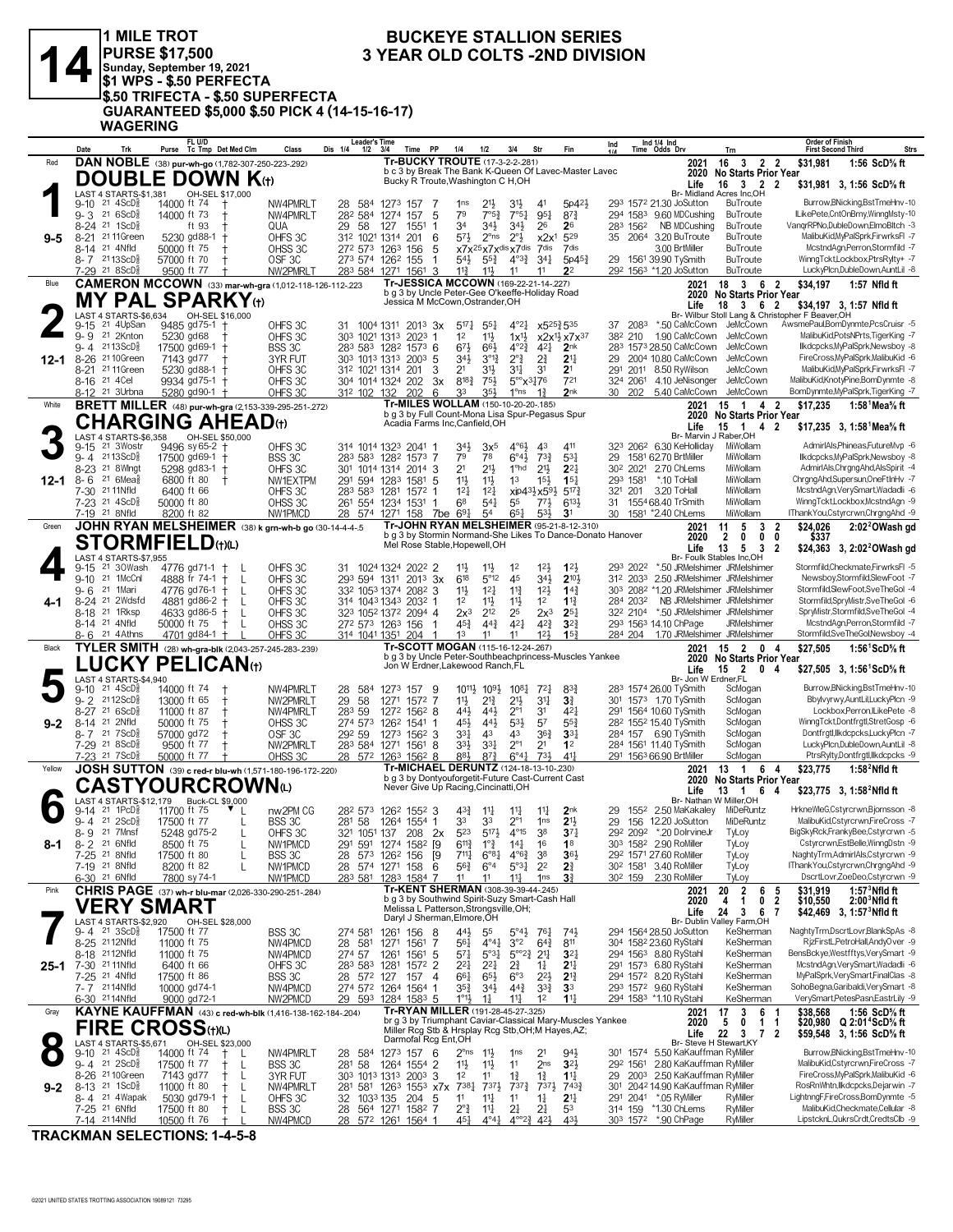

## 1 MILE TROT<br>|PURSE \$17,500<br>|Sunday, September 19, 2021<br>|\$1 WPS - \$.50 PERFECTA **STATE STATESTARY**<br>
S.50 TRIFECTA - \$.50 SUPERFECTA<br>
GUARANTEED \$5,000 \$.50 PICK 4 (14-15-16-17)<br>
WAGERING

### **BUCKEYE STALLION SERIES 3 YEAR OLD COLTS -2ND DIVISION**

|          | Date                                                                | Trk               | FL U/D<br>Purse Tc Tmp Det Med Clm                               | Class                         | Leader's Time<br>Dis 1/4<br>1/2                         | 3/4<br>Time                | <b>PP</b>                | 1/4<br>1/2                       | 3/4                                                                                                     | Str                                                     | Fir                                                                                                     | Ind |                      | Ind 1/4 Ind<br>Time Odds Drv                             | Trn                                                          | Order of Finish<br><b>First Second Third</b>                                                | <b>Strs</b> |
|----------|---------------------------------------------------------------------|-------------------|------------------------------------------------------------------|-------------------------------|---------------------------------------------------------|----------------------------|--------------------------|----------------------------------|---------------------------------------------------------------------------------------------------------|---------------------------------------------------------|---------------------------------------------------------------------------------------------------------|-----|----------------------|----------------------------------------------------------|--------------------------------------------------------------|---------------------------------------------------------------------------------------------|-------------|
| Red      |                                                                     |                   | DAN NOBLE (38) pur-wh-go (1,782-307-250-223-.292)                |                               |                                                         |                            |                          |                                  | Tr-BUCKY TROUTE (17-3-2-2-281)                                                                          |                                                         | b c 3 by Break The Bank K-Queen Of Lavec-Master Lavec                                                   |     |                      | 2021                                                     | $16 \quad 3 \quad 2$<br>$\overline{2}$                       | \$31,981<br>1:56 ScD% ft                                                                    |             |
|          |                                                                     |                   | <b>DOUBLE DOWN K</b> ⑾                                           |                               |                                                         |                            |                          |                                  | Bucky R Troute, Washington C H, OH                                                                      |                                                         |                                                                                                         |     |                      | 2020<br>Life                                             | No Starts Prior Year<br>16 3 2 2                             | \$31,981 3, 1:56 ScD <sup>5</sup> / <sub>8</sub> ft                                         |             |
|          | LAST 4 STARTS-\$1.381                                               |                   | OH-SEL \$17,000                                                  |                               |                                                         |                            |                          |                                  |                                                                                                         |                                                         |                                                                                                         |     |                      |                                                          | Br- Midland Acres Inc,OH                                     |                                                                                             |             |
|          | $21 \text{ } 4\text{ScD}$<br>$9-10$<br>$9 - 3$ 21 6ScD <sup>5</sup> |                   | 14000 ft 74<br>$\top$                                            | NW4PMRLT                      | 28                                                      | 584 1273 157               | 7                        | 1 <sub>ns</sub><br>79            | $21\frac{1}{2}$<br>3½<br>$7°5\frac{3}{4}$<br>7°5 <sup>1</sup>                                           | 41<br>$95\frac{1}{4}$                                   | 5p42}                                                                                                   |     |                      | 293 1572 21.30 JoSutton<br>294 1583 9.60 MDCushing       | <b>BuTroute</b><br><b>BuTroute</b>                           | Burrow, BNicking, Bst TmeHnv-10<br>ILikePete,CntOnBrny,WinngMsty-10                         |             |
|          | 8-24 21 1ScD <sup>5</sup>                                           |                   | 14000 ft 73<br>$\pm$<br>ft 93<br>$\pm$                           | NW4PMRLT<br>QUA               | 282 584 1274 157<br>29<br>-58                           | 127                        | 5<br>1551<br>$\mathbf 1$ | 34                               | 34}<br>$34\frac{1}{2}$                                                                                  | 26                                                      | $8^{7\frac{3}{4}}$<br>26                                                                                |     | 283 1562             | NB MDCushing                                             | <b>BuTroute</b>                                              | VangrRPNo,DubleDown,ElmoBltch -3                                                            |             |
| $9 - 5$  | 21 11 Green<br>$8 - 21$                                             |                   | 5230 gd88-1<br>$^{\mathrm{+}}$                                   | OHFS 3C                       | 312 1021 1314                                           | -201                       | 6                        | 57}                              | $2^{\circ}$ ns<br>$2^{\circ}3$                                                                          | x2x <sup>1</sup>                                        | 529                                                                                                     |     |                      | 35 2064 3.20 BuTroute                                    | <b>BuTroute</b>                                              | MalibuKid, MyPalSprk, FirwrksFI -7                                                          |             |
|          | 8-14 <sup>21</sup> 4Nfld                                            |                   | 50000 ft 75                                                      | OHSS 3C                       | 272 573 1263 156                                        |                            | 5                        |                                  | x7x <sup>25</sup> x7x <sup>dis</sup> x7dis                                                              | 7dis                                                    | 7dis                                                                                                    |     |                      | 3.00 BrtMiller                                           | <b>BuTroute</b>                                              | McstndAgn,Perron,Stormfild -7                                                               |             |
|          | 8-7 2113ScD<br>7-29 21 8ScD <sup>5</sup>                            |                   | 57000 ft 70<br>9500 ft 77                                        | OSF <sub>3C</sub><br>NW2PMRLT | 273 574 1262 155<br>283 584 1271 1561                   |                            | -1<br>3                  | 54}<br>$11\frac{3}{4}$           | $55\frac{3}{4}$<br>$4^{\circ}3^3_4$<br>$11\frac{1}{2}$<br>11                                            | 34 <sup>1</sup><br>11                                   | $5p45\frac{3}{4}$<br>2 <sup>2</sup>                                                                     | 29  |                      | 1561 39.90 TySmith<br>292 1563 *1.20 JoSutton            | <b>BuTroute</b><br><b>BuTroute</b>                           | WinngTckt,Lockbox,PtrsRylty+ -7<br>LuckyPlcn,DubleDown,AuntLil -8                           |             |
| Blue     |                                                                     |                   | <b>CAMERON MCCOWN</b> (33) mar-wh-gra (1,012-118-126-112-223     |                               |                                                         |                            |                          |                                  | Tr-JESSICA MCCOWN (169-22-21-14-.227)                                                                   |                                                         |                                                                                                         |     |                      | 2021                                                     | 18 3<br>6 2                                                  | \$34,197<br>1:57 Nfld ft                                                                    |             |
|          |                                                                     |                   | <b>MY PAL SPARKY</b> tt                                          |                               |                                                         |                            |                          | Jessica M McCown, Ostrander, OH  | b a 3 by Uncle Peter-Gee O'keeffe-Holiday Road                                                          |                                                         |                                                                                                         |     |                      | 2020                                                     | No Starts Prior Year                                         |                                                                                             |             |
|          | LAST 4 STARTS-\$6,634                                               |                   | OH-SEL \$16,000                                                  |                               |                                                         |                            |                          |                                  |                                                                                                         |                                                         |                                                                                                         |     |                      | Life                                                     | 18 3 6 2<br>Br- Wilbur Stoll Lang & Christopher F Beaver, OH | \$34,197 3, 1:57 Nfld ft                                                                    |             |
|          | $9 - 15$                                                            | 21 4UpSan         | 9485 gd75-1 +                                                    | OHFS 3C                       | 31 1004 1311 2013 3x                                    |                            |                          | $5^{17}\frac{1}{4}$              | $4^{\circ}21$<br>$55\frac{1}{4}$                                                                        |                                                         | x5253535                                                                                                | 37  | 2083                 | *.50 CaMcCown                                            | JeMcCown                                                     | AwsmePaul,BomDynmte,PcsCruisr -5                                                            |             |
|          | 9-9 21 2Knton                                                       |                   | 5230 gd68                                                        | OHFS 3C                       | 303 1021 1313 2023 1                                    |                            |                          | 1 <sup>2</sup>                   | $11\frac{1}{2}$<br>$1x^{1}$                                                                             |                                                         | $x2x^{11}$ $x7x^{37}$                                                                                   |     | 382 210              | 1.90 CaMcCown                                            | JeMcCown                                                     | MalibuKid,PotsNPrts,TigerKing -7                                                            |             |
| 12-1     | $9 - 4$ 2113ScD <sup>3</sup><br>8-26 <sup>21</sup> 10Green          |                   | 17500 gd69-1 +<br>7143 gd77                                      | BSS 3C<br>3YR FUT             | 283 583 1282 1573 6<br>303 1013 1313 2003               |                            | 5                        | 671<br>34}                       | 66}<br>$4^{\circ}2^{\frac{3}{4}}$<br>$3^{012}$<br>$2^{\circ}$ <sub>4</sub>                              | $4^{2}$<br>21                                           | 2 <sub>nk</sub><br>2 <sup>11</sup>                                                                      | 29  |                      | 283 1573 28.50 CaMcCown<br>2004 10.80 CaMcCown           | JeMcCown<br>JeMcCown                                         | llkdcpcks, MyPalSprk, Newsboy -8<br>FireCross, MyPalSprk, MalibuKid -6                      |             |
|          | 8-21 <sup>21</sup> 11 Green                                         |                   | 5230 gd88-1                                                      | OHFS 3C                       | 312 1021 1314 201                                       |                            | 3                        | 21                               | 3½<br>34                                                                                                | 31                                                      | 2 <sup>1</sup>                                                                                          | 291 | 2011                 | 8.50 RyWilson                                            | JeMcCown                                                     | MalibuKid, MyPalSprk, FirwrksFI -7                                                          |             |
|          | 8-16 <sup>21</sup> 4 Cel                                            |                   | 9934 gd75-1                                                      | OHFS <sub>3C</sub>            | 304 1014 1324 202                                       |                            | 3x                       | 8183                             | 75}                                                                                                     | $5^{\circ\circ}$ x <sup>31</sup> <sub>4</sub> 76        | 721                                                                                                     |     | 324 2061             | 4.10 JeNisonger                                          | JeMcCown                                                     | MalibuKid,KnotyPine,BomDynmte -8                                                            |             |
|          | 8-12 <sup>21</sup> 3Urbna                                           |                   | 5280 gd90-1                                                      | OHFS 3C                       | 312 102 132                                             | 202                        | 6                        | 33                               | 35}<br>$1^{\circ}$ ns<br>Tr-MILES WOLLAM (150-10-20-20-.185)                                            | 1 <sup>3</sup>                                          | 2nk                                                                                                     | 30  | 202                  | 5.40 CaMcCown                                            | JeMcCown                                                     | BomDynmte,MyPalSprk,TigerKing -7                                                            |             |
| White    |                                                                     |                   | <b>BRETT MILLER</b> (48) pur-wh-gra (2,153-339-295-251-272)      |                               |                                                         |                            |                          |                                  | b g 3 by Full Count-Mona Lisa Spur-Pegasus Spur                                                         |                                                         |                                                                                                         |     |                      | 2021                                                     | 15 1<br>4 2<br>2020 No Starts Prior Year                     | \$17,235<br>1:58 $1$ Mea $\%$ ft                                                            |             |
|          |                                                                     |                   | <b>CHARGING AHEAD</b> (t)                                        |                               |                                                         |                            |                          | Acadia Farms Inc, Canfield, OH   |                                                                                                         |                                                         |                                                                                                         |     |                      | Life                                                     | 15 1 4 2                                                     | \$17,235 3, 1:58 Mea% ft                                                                    |             |
|          | LAST 4 STARTS-\$6,358<br>21 3Wostr<br>$9 - 15$                      |                   | OH-SEL \$50,000<br>9496 sy 65-2 +                                | OHFS 3C                       | 314 1014 1323 2041                                      |                            | -1                       | 34}                              | $4^{\circ}6\frac{1}{2}$<br>$3x^5$                                                                       | 43                                                      | 411                                                                                                     |     |                      | 323 2062 6.30 KeHolliday                                 | Br- Marvin J Raber, OH<br>MiWollam                           | AdmirIAls, Phineas, FutureMvp -6                                                            |             |
|          | $9 - 4$ 2113ScD <sup>3</sup>                                        |                   | 17500 gd69-1                                                     | BSS 3C                        | 283 583 1282 1573 7                                     |                            |                          | 79                               | 78<br>$6^{\circ}4\frac{1}{2}$                                                                           | $73\frac{3}{4}$                                         | 531                                                                                                     | 29  |                      | 1581 62.70 BrtMiller                                     | MiWollam                                                     | llkdcpcks, MyPalSprk, Newsboy -8                                                            |             |
|          | 8-23 <sup>21</sup> 8 Wingt                                          |                   | 5298 $9d83-1$ +                                                  | OHFS <sub>3C</sub>            | 301 1014 1314 2014 3                                    |                            |                          | 2 <sup>1</sup>                   | $21\frac{1}{2}$<br>1 <sup>ohd</sup>                                                                     | 2 <sup>11</sup>                                         | $2^{2}$                                                                                                 |     | 30 <sup>2</sup> 2021 | 2.70 ChLems                                              | MiWollam                                                     | AdmirIAls, ChrgngAhd, AlsSpirit -4                                                          |             |
| $12 - 1$ | $21.6$ Mea $\frac{5}{8}$<br>8-6<br>7-30 21 11 Nfld                  |                   | 6800 ft 80<br>$+$<br>6400 ft 66                                  | NW1EXTPM                      | 291 594 1283 1581<br>283 583 1281 1572 1                |                            | 5                        | 11}<br>12 <sup>1</sup>           | $11\frac{1}{2}$<br>1 <sup>3</sup><br>$12\frac{1}{4}$                                                    | $15\frac{1}{2}$<br>$xip43\frac{1}{2}x59\frac{1}{2}$ 517 | $15\frac{1}{4}$                                                                                         |     | 293 1581<br>321 201  | *.10 ToHall<br>3.20 ToHall                               | MiWollam<br>MiWollam                                         | ChrgngAhd,Supersun,OneFtInHv -7<br>McstndAgn,VerySmart,Wadadli -6                           |             |
|          | 7-23 <sup>21</sup> 4ScD <sup>3</sup>                                |                   | 50000 ft 80                                                      | OHFS 3C<br>OHSS 3C            | 261 554 1234 1531                                       |                            | $\overline{1}$           | 68                               | $54\frac{1}{4}$<br>55                                                                                   | $77\frac{1}{2}$                                         | 6131                                                                                                    | 31  |                      | 1554 68.40 TrSmith                                       | MiWollam                                                     | WinngTckt,Lockbox,McstndAgn -9                                                              |             |
|          | 7-19 21 8Nfld                                                       |                   | 8200 ft 82                                                       | NW1PMCD                       | 28                                                      | 574 1271 158 7be 691       |                          |                                  | 54<br>$65\frac{1}{4}$                                                                                   | 53}                                                     | 3 <sup>1</sup>                                                                                          | 30  |                      | 1581 *2.40 ChLems                                        | MiWollam                                                     | IThankYou,Cstyrcrwn,ChrgngAhd -9                                                            |             |
| Green    |                                                                     |                   | JOHN RYAN MELSHEIMER (38) k grn-wh-b go (30-14-4-4-5             |                               |                                                         |                            |                          |                                  |                                                                                                         |                                                         | Tr-JOHN RYAN MELSHEIMER (95-21-8-12-.310)<br>b g 3 by Stormin Normand-She Likes To Dance-Donato Hanover |     |                      | 2021                                                     | 5<br>3<br>11<br>2<br>$\mathbf 0$<br>$\mathbf{2}$<br>0        | \$24,026<br>2:02 <sup>2</sup> OWash gd                                                      |             |
|          |                                                                     |                   | <b>STORMFIELD</b> (t)(L)                                         |                               |                                                         |                            |                          | Mel Rose Stable, Hopewell, OH    |                                                                                                         |                                                         |                                                                                                         |     |                      | 2020<br>Life                                             | 0<br>13<br>5<br>3<br>$\overline{2}$                          | \$337<br>\$24,363 3, 2:02 <sup>2</sup> OWash gd                                             |             |
|          | LAST 4 STARTS-\$7.955                                               |                   |                                                                  |                               |                                                         |                            |                          |                                  |                                                                                                         |                                                         |                                                                                                         |     |                      |                                                          | Br- Foulk Stables Inc,OH                                     |                                                                                             |             |
|          | 21<br>$9 - 15$<br>9-10 21 1McCnl                                    | 30Wash            | 4776 gd71-1<br>$^{+}$<br>4888 fr 74-1<br>L<br>$^+$               | OHFS 3C<br>OHFS 3C            | 31 1024 1324 2022 2<br>293 594 1311 2013 3x             |                            |                          | 11,<br>618                       | $11\frac{1}{2}$<br>1 <sup>2</sup><br>$5^{\circ}12$<br>45                                                | 12 <sub>3</sub><br>34}                                  | 123<br>$2^{10}$                                                                                         |     | 293 2022<br>312 2033 | 2.50 JRMelshimer JRMelshimer                             | *.50 JRMelshimer JRMelshimer                                 | Stormfild,Checkmate,FirwrksFl -5<br>Newsboy,Stormfild,SlewFoot -7                           |             |
|          | $9 - 6$<br>21 1Mari                                                 |                   | 4776 gd76-1 +<br>L                                               | OHFS 3C                       | 332 1053 1374 2082 3                                    |                            |                          | 11}                              | 12 <sup>1</sup><br>$11\frac{3}{4}$                                                                      | 12 <sup>1</sup>                                         | $14\frac{3}{4}$                                                                                         |     |                      | 303 2082 *1.20 JRMelshimer JRMelshimer                   |                                                              | Stormfild,SlewFoot,SveTheGol -4                                                             |             |
| 4-1      | 8-24 <sup>21</sup> 2Wdsfd                                           |                   | 4881 gd86-2 †<br>L                                               | OHFS 3C                       | 314 1043 1343 2032 1                                    |                            |                          | 12                               | $11\frac{1}{2}$<br>$11\frac{1}{2}$                                                                      | 1 <sup>2</sup>                                          | $1\frac{13}{4}$                                                                                         |     | 284 2032             |                                                          | NB JRMelshimer JRMelshimer                                   | Stormfild,SpryMistr,SveTheGol -6                                                            |             |
|          | 8-18 <sup>21</sup> 1Rksp<br>8-14 <sup>21</sup> 4Nfld                |                   | 4633 gd86-5 +<br>L<br>50000 ft 75<br>L<br>$\pm$                  | OHFS 3C<br>OHSS 3C            | 323 1052 1372 2094 4<br>272 573 1263 156                |                            | -1                       | 2x <sup>3</sup><br>45}           | $2^{12}$<br>25<br>$44\frac{3}{4}$<br>421                                                                | $2x^3$<br>$4^{2^{3}}$                                   | $2^{51}$<br>$3^{2}3$                                                                                    |     | 322 2104             | 293 1563 14.10 ChPage                                    | *.50 JRMelshimer JRMelshimer<br><b>JRMelshimer</b>           | SpryMistr,Stormfild,SveTheGol -4<br>McstndAgn,Perron,Stormfild -7                           |             |
|          | 8-6 21 4 Athns                                                      |                   | 4701 $gd84-1$ +                                                  | OHFS 3C                       | 314 1041 1351 204                                       |                            |                          | 1 <sup>3</sup>                   | 11<br>11                                                                                                | 12 <sub>3</sub>                                         | 15 <sup>3</sup>                                                                                         |     | 284 204              | 1.70 JRMelshimer JRMelshimer                             |                                                              | Stormfild,SveTheGol,Newsboy -4                                                              |             |
| Black    |                                                                     |                   |                                                                  |                               |                                                         |                            |                          |                                  |                                                                                                         |                                                         |                                                                                                         |     |                      |                                                          |                                                              |                                                                                             |             |
|          |                                                                     |                   | TYLER SMITH (28) wh-gra-blk (2,043-257-245-283-.239)             |                               |                                                         |                            |                          |                                  | Tr-SCOTT MOGAN (115-16-12-24-.267)                                                                      |                                                         |                                                                                                         |     |                      | 2021                                                     | 15 2<br>0 <sub>4</sub>                                       | \$27,505<br>1:56 $1$ ScD $\%$ ft                                                            |             |
|          |                                                                     |                   | <b>LUCKY PELICAN</b> th                                          |                               |                                                         |                            |                          |                                  | Jon W Erdner, Lakewood Ranch, FL                                                                        |                                                         | b g 3 by Uncle Peter-Southbeachprincess-Muscles Yankee                                                  |     |                      | 2020                                                     | No Starts Prior Year                                         |                                                                                             |             |
|          | LAST 4 STARTS-\$4,940                                               |                   |                                                                  |                               |                                                         |                            |                          |                                  |                                                                                                         |                                                         |                                                                                                         |     |                      | Life<br>Br- Jon W Erdner,FL                              | 15 <sub>2</sub><br>0 <sub>4</sub>                            | \$27,505 3, 1:56 ScD % ft                                                                   |             |
|          | 21 4ScD <sup>3</sup><br>$9-10$                                      |                   | 14000 ft 74                                                      | NW4PMRLT                      | 28 584                                                  | 1273 157                   | -9                       | 1011 109 }                       | $10^{81}$                                                                                               | $72\frac{1}{4}$                                         | 833                                                                                                     |     |                      | 283 1574 26.00 TySmith                                   | ScMogan                                                      | Burrow, BNicking, Bst TmeHnv-10                                                             |             |
|          | 9-2 2112ScDs<br>8-27 21 6ScD                                        |                   | 13000 ft 65<br>t,<br>11000 ft 87<br>$\ddagger$                   | NW2PMRLT<br>NW4PMRLT          | 29<br>58<br>283 59                                      | 1271<br>1272 1562 8        | 1572 7                   | 11卦<br>44}                       | $2^{13}$<br>213<br>$2^{\circ}1$<br>443                                                                  | 3 <sup>11</sup><br>3 <sup>1</sup>                       | 31<br>421                                                                                               | 291 |                      | 301 1573 1.70 TySmith<br>1564 10.60 TySmith              | ScMogan<br>ScMogan                                           | Bbylvyrwy,AuntLil,LuckyPlcn -9<br>Lockbox,Perron,ILikePete -8                               |             |
| $9 - 2$  | 8-14 <sup>21</sup> 2Nfld                                            |                   | 50000 ft 75                                                      | OHSS 3C                       | 274 573                                                 | 126 <sup>2</sup> 1541      |                          | 451,                             | $5^{31}$<br>$44\frac{1}{2}$                                                                             | 57                                                      | $5^{5^{3}_{4}}$                                                                                         |     |                      | 282 1552 15.40 TySmith                                   | ScMogan                                                      | WinngTckt,Dontfrgtl,StretGosp -6                                                            |             |
|          | 8-7 21 7 ScD                                                        |                   | 57000 gd72                                                       | OSF <sub>3C</sub>             | 292 59                                                  | 1273 1562 3                |                          | 331                              | 43<br>43                                                                                                | $36\frac{3}{4}$                                         | $33\frac{1}{4}$                                                                                         |     |                      | 284 157 6.90 TySmith                                     | ScMogan                                                      | Dontfrgtl,llkdcpcks,LuckyPlcn -7                                                            |             |
|          | 7-29 21 8ScD<br>7-23 21 7 ScD                                       |                   | 9500 ft 77<br>50000 ft 77                                        | NW2PMRLT<br>OHSS 3C           | 283 584 1271 1561 8                                     |                            |                          | 33}<br>881                       | $3^{3}$<br>$2^{\circ}1$<br>$8^{7}$<br>$6^{\circ}4^{\frac{1}{4}}$                                        | 2 <sup>1</sup><br>731                                   | 1 <sup>2</sup><br>411                                                                                   |     |                      | 284 1561 11.40 TvSmith<br>291 1563 66.90 BrtMiller       | ScMogan<br>ScMogan                                           | LuckyPlcn,DubleDown,AuntLil -8<br>PtrsRylty,Dontfrgtl,Ilkdcpcks -9                          |             |
| Yellow   |                                                                     |                   | JOSH SUTTON (39) c red-r blu-wh (1,571-180-196-172-.220)         |                               | 28 572 1263 1562 8                                      |                            |                          |                                  | Tr-MICHAEL DERUNTZ (124-18-13-10-230)                                                                   |                                                         |                                                                                                         |     |                      | 2021                                                     | 13 1<br>6 4                                                  | \$23,775<br>1:58 $2$ Nfld ft                                                                |             |
|          |                                                                     |                   |                                                                  |                               |                                                         |                            |                          |                                  | b g 3 by Dontyouforgetit-Future Cast-Current Cast<br>Never Give Up Racing, Cincinatti, OH               |                                                         |                                                                                                         |     |                      | 2020                                                     | <b>No Starts Prior Year</b>                                  |                                                                                             |             |
|          | LAST                                                                | 4 STARTS-\$12,179 | <b>CASTYOURCROWN</b> W<br>Buck-CL \$9,000                        |                               |                                                         |                            |                          |                                  |                                                                                                         |                                                         |                                                                                                         |     |                      | Life                                                     | $13 \quad 1 \quad 6$<br>-4<br>Br- Nathan W Miller, OH        | \$23,775 3, 1:58 <sup>2</sup> Nfld ft                                                       |             |
|          | 21<br>9-14                                                          | 1PCD <sub>8</sub> | 11700 ft 75<br>$\mathbf{v}$                                      | nw2PM CG                      | 28 <sup>2</sup> 573 126 <sup>2</sup> 155 <sup>2</sup> 3 |                            |                          | $4^{3}\frac{3}{4}$               | 11<br>$11\frac{1}{4}$                                                                                   | 11                                                      | 2 <sub>nk</sub>                                                                                         | 29  | 1552                 | 2.50 MaKakaley                                           | MiDeRuntz                                                    | HrkneWleG,Cstyrcrwn,Bjornsson -8                                                            |             |
|          | $9 - 4$ 21 $2$ ScD <sup>3</sup><br>8-9 21 7Mnsf                     |                   | 17500 ft 77                                                      | BSS 3C                        | 281 58 1264 1554 1                                      |                            |                          | 33                               | $2^{\circ}1$<br>33<br>$5^{17}$<br>$4^{\circ}15$                                                         | 1 <sub>ns</sub><br>38                                   | 21,<br>371                                                                                              | 29  |                      | 156 12.20 JoSutton<br>292 2092 *.20 DolrvineJr           | MiDeRuntz<br>TyLoy                                           | MalibuKid, Cstyrcrwn, FireCross -7<br>BigSkyRck,FrankyBee,Cstyrcrwn -5                      |             |
| 8-1      | $8 - 2$<br>21 6Nfld                                                 |                   | 5248 gd75-2<br>8500 ft 75                                        | OHFS 3C<br>NW1PMCD            | 321 1051 137 208 2x<br>291 591 1274 1582 [9             |                            |                          | 523<br>$6^{11}\frac{3}{4}$       | $14\frac{1}{4}$<br>$1^{\circ}$ $\frac{3}{4}$                                                            | 16                                                      | 18                                                                                                      |     |                      | 303 1582 2.90 RoMiller                                   | TyLoy                                                        | Cstyrcrwn,EstBelle,WinngDstn -9                                                             |             |
|          | 7-25 <sup>21</sup> 8Nfld                                            |                   | 17500 ft 80<br>L                                                 | BSS 3C                        | 28                                                      | 573 1262 156               | [9                       | $7^{11}\frac{1}{4}$              | $6^{08}\frac{1}{4}$ $4^{06}\frac{3}{4}$                                                                 | 3 <sup>8</sup>                                          | $36\frac{1}{2}$                                                                                         |     |                      | 292 1571 27.60 RoMiller                                  | TyLoy                                                        | NaghtyTrm,AdmirIAls,Cstyrcrwn -9                                                            |             |
|          | 7-19 <sup>21</sup> 8Nfld                                            |                   | 8200 ft 82<br>L                                                  | NW1PMCD                       | 28 574 1271 158                                         |                            | 6                        | $56\frac{3}{4}$                  | $6^{\circ}4$<br>$5^{\circ}3^{\frac{1}{4}}$                                                              | 22                                                      | 21                                                                                                      |     |                      | 30 <sup>2</sup> 1581 3.40 RoMiller                       | TyLoy                                                        | IThankYou,Cstyrcrwn,ChrgngAhd -9                                                            |             |
| Pink     | 6-30 <sup>21</sup> 6Nfld                                            |                   | 7800 sy 74-1                                                     | NW1PMCD                       | 283 581 1283 1584 7                                     |                            |                          | 11                               | 11<br>$11\frac{1}{4}$<br>Tr-KENT SHERMAN (308-39-39-44-.245)                                            | 1 <sub>ns</sub>                                         | 31                                                                                                      |     | 30 <sup>2</sup> 159  | 2.30 RoMiller<br>2021                                    | TyLoy<br>$\overline{2}$<br>20<br>6<br>-5                     | DscrtLovr,ZoeDeo,Cstyrcrwn -9<br>\$31,919<br>$1:573$ Nfld ft                                |             |
|          |                                                                     |                   | CHRIS PAGE (37) wh-r blu-mar (2,026-330-290-251-284)             |                               |                                                         |                            |                          |                                  | b g 3 by Southwind Spirit-Suzy Smart-Cash Hall<br>Melissa L Patterson, Strongsville, OH;                |                                                         |                                                                                                         |     |                      | 2020                                                     | $\overline{2}$<br>$\mathbf{1}$<br>4<br>$\mathbf{0}$          | \$10,550<br>$2:003$ Nfld ft                                                                 |             |
|          | LAST 4 STARTS-\$2,920                                               |                   | <b>VERY SMART</b>                                                |                               |                                                         |                            |                          | Daryl J Sherman, Elmore, OH      |                                                                                                         |                                                         |                                                                                                         |     |                      | Life<br>Br-Dublin                                        | 24 3<br>67<br>Valley Farm, OH                                | \$42,469 3, 1:57 $3$ Nfld ft                                                                |             |
|          | $9 - 4$ 21 $3$ ScD $\frac{5}{8}$                                    |                   | OH-SEL \$28,000<br>17500 ft 77                                   | BSS 3C                        | 274 581                                                 | 1261 156                   | 8                        | $44\frac{1}{2}$                  | $5^{\circ}4\frac{1}{2}$<br>55                                                                           | 761                                                     | 743                                                                                                     |     |                      | 294 1564 28.50 JoSutton                                  | KeSherman                                                    | NaghtyTrm,DscrtLovr,BlankSpAs -8                                                            |             |
|          | 8-25 2112Nfld                                                       |                   | 11000 ft 75                                                      | NW4PMCD                       | 28 581                                                  | 1561<br>1271               | 7                        | 561                              | $4^{\circ}4^{\frac{1}{4}}$<br>3°2                                                                       | $64\frac{3}{4}$                                         | 811                                                                                                     |     |                      | 304 1582 23.60 RyStahl                                   | KeSherman                                                    | RjzFirstL,PetroHall,AndyOver -9                                                             |             |
| $25 - 1$ | 8-18 2112Nfld<br>7-30 <sup>21</sup> 11Nfld                          |                   | 11000 ft 75<br>6400 ft 66                                        | NW4PMCD<br>OHFS 3C            | 274 57<br>283 583                                       | 1261<br>1281               | 1561 5<br>1572 2         | 571<br>221                       | $5^{\circ}3^{\frac{1}{4}}$<br>$5^{\circ}2^{\frac{3}{4}}$<br>$2^{2}$<br>$2\frac{3}{4}$                   | 2 <sup>11</sup><br>$1\frac{1}{4}$                       | 3 <sup>2</sup><br>24                                                                                    |     |                      | 294 1563 8.80 RyStahl<br>291 1573 6.80 RyStahl           | KeSherman<br>KeSherman                                       | BensBckye, Westfftys, VerySmart -9<br>McstndAgn,VerySmart,Wadadli -6                        |             |
|          | 7-25 <sup>21</sup> 4Nfld                                            |                   | 17500 ft 86                                                      | BSS 3C                        | 28 572 127                                              | 157                        | -4                       | $66\frac{1}{4}$                  | $65\frac{1}{2}$<br>$6^{\circ}3$                                                                         | $2^{2}$                                                 | $2^{13}$                                                                                                |     |                      | 294 1572 8.20 RyStahl                                    | KeSherman                                                    | MyPalSprk, VerySmart, FinalClas -8                                                          |             |
|          | 7-7 2114Nfld                                                        |                   | 10000 gd74-1                                                     | NW4PMCD                       | 274 572 1264 1564 1                                     |                            |                          | 35½                              | $34\frac{1}{2}$<br>$44\frac{3}{4}$                                                                      | $3^{3}\frac{3}{4}$                                      | 3 <sup>3</sup>                                                                                          |     |                      | 293 1572 9.60 RyStahl                                    | KeSherman                                                    | SohoBegna, Garibaldi, VerySmart -8                                                          |             |
|          | 6-30 2114Nfld                                                       |                   | 9000 gd72-1                                                      | NW2PMCD                       | 29 593 1284 1583 5                                      |                            |                          | $1^{\circ}1\frac{1}{2}$          | $11\frac{1}{4}$<br>$1\frac{1}{2}$                                                                       | 1 <sup>2</sup>                                          | $11\frac{1}{2}$                                                                                         |     |                      | 294 1583 *1.10 RyStahl                                   | KeSherman                                                    | VerySmart,PetesPasn,EastrLily -9                                                            |             |
| Gray     |                                                                     |                   | <b>KAYNE KAUFFMAN</b> (43) c red-wh-blk (1,416-138-162-184-.204) |                               |                                                         |                            |                          |                                  | Tr-RYAN MILLER (191-28-45-27-.325)                                                                      |                                                         | br g 3 by Triumphant Caviar-Classical Mary-Muscles Yankee                                               |     |                      | 2021<br>2020                                             | 3<br>6 1<br>17<br>5<br>$\mathbf{0}$<br>1 1                   | \$38,568<br>1:56 ScD% ft<br>\$20,980 Q 2:01 <sup>4</sup> ScD <sup>5</sup> / <sub>8</sub> ft |             |
|          |                                                                     |                   | <b>FIRE CROSS(t)(L)</b>                                          |                               |                                                         |                            | Darmofal Rcg Ent, OH     |                                  | Miller Rcg Stb & Hrsplay Rcg Stb, OH; M Hayes, AZ;                                                      |                                                         |                                                                                                         |     |                      | Life                                                     | 22<br>3<br>72                                                | \$59,548 3, 1:56 ScD% ft                                                                    |             |
|          | LAST 4 STARTS-\$5,671<br>$21 \text{ } 4$ ScD $\frac{5}{8}$<br>9-10  |                   | OH-SEL \$23,000<br>14000 ft 74<br>$\pm$<br>L                     | NW4PMRLT                      | 28 584 1273 157                                         |                            | 6                        | 2°ns                             | 1 <sub>ns</sub><br>$1\frac{1}{2}$                                                                       | 21                                                      | 943                                                                                                     | 301 | 1574                 | 5.50 KaKauffman RyMiller                                 | Br- Steve H Stewart, KY                                      | Burrow, BNicking, Bst TmeHnv-10                                                             |             |
|          | $9 - 4$ 21 $2$ ScD $\frac{5}{8}$                                    |                   | 17500 ft 77<br>L                                                 | BSS 3C                        | 281 58                                                  | 1264 1554                  | 2                        | 11}                              | $11\frac{1}{2}$<br>11                                                                                   | 2 <sub>ns</sub>                                         | $32\frac{1}{2}$                                                                                         |     | 292 1561             | 2.80 KaKauffman RyMiller                                 |                                                              | MalibuKid, Cstyrcrwn, FireCross -7                                                          |             |
|          | 8-26 21 10 Green                                                    |                   | 7143 gd77<br>L<br>t                                              | 3YR FUT                       | 303 1013 1313 2003 3                                    |                            |                          | 1 <sup>2</sup>                   | $1\frac{3}{4}$<br>11                                                                                    | $1\frac{3}{4}$                                          | 14                                                                                                      | 29  |                      | 2003 2.50 KaKauffman RyMiller                            |                                                              | FireCross, MyPalSprk, MalibuKid -6<br>RosRnWhtn, Ilkdcpcks, Dejarwin -7                     |             |
| $9 - 2$  | 8-13 21 1ScD <sup>5</sup><br>8-4 <sup>21</sup> 4 Wapak              |                   | 11000 ft 80<br>L<br>5030 gd79-1<br>$\pm$<br>L                    | NW4PMRLT<br>OHFS 3C           | 281 581 1263 1553 x7x 7381<br>32                        | 103 <sup>3</sup> 135 204 5 |                          | 11                               | 7371<br>$737\frac{3}{4}$<br>$11\frac{1}{4}$<br>11                                                       | 737}<br>$1\frac{1}{4}$                                  | 7433<br>$2^{11}$                                                                                        | 301 |                      | 2042 14.90 KaKauffman RyMiller<br>291 2041 *.05 RyMiller | RyMiller                                                     | LightnngF,FireCross,BomDynmte -5                                                            |             |
|          | 7-25 <sup>21</sup> 6Nfld<br>7-14 2114Nfld                           |                   | 17500 ft 80<br>L<br>$\pm$<br>10500 ft 76                         | BSS 3C<br>NW4PMCD             | 28<br>28 572 1261 1564 1                                | 564 1271 1582 7            |                          | $2^{\circ}$ $\frac{3}{4}$<br>45} | $11\frac{1}{4}$<br>$2\frac{1}{4}$<br>$4^{\circ}4^{\circ}4$ $4^{\circ}2^{\circ}2^{\circ}4$ $42^{\circ}3$ | 2 <sup>1</sup>                                          | 53<br>431                                                                                               |     |                      | 314 159 *1.30 ChLems<br>303 1572 *.90 ChPage             | RyMiller<br>RyMiller                                         | MalibuKid,Checkmate,Cellular -8<br>LipstcknL,QukrsCrdt,CredtsClb -9                         |             |

**TRACKMAN SELECTIONS: 1-4-5-8**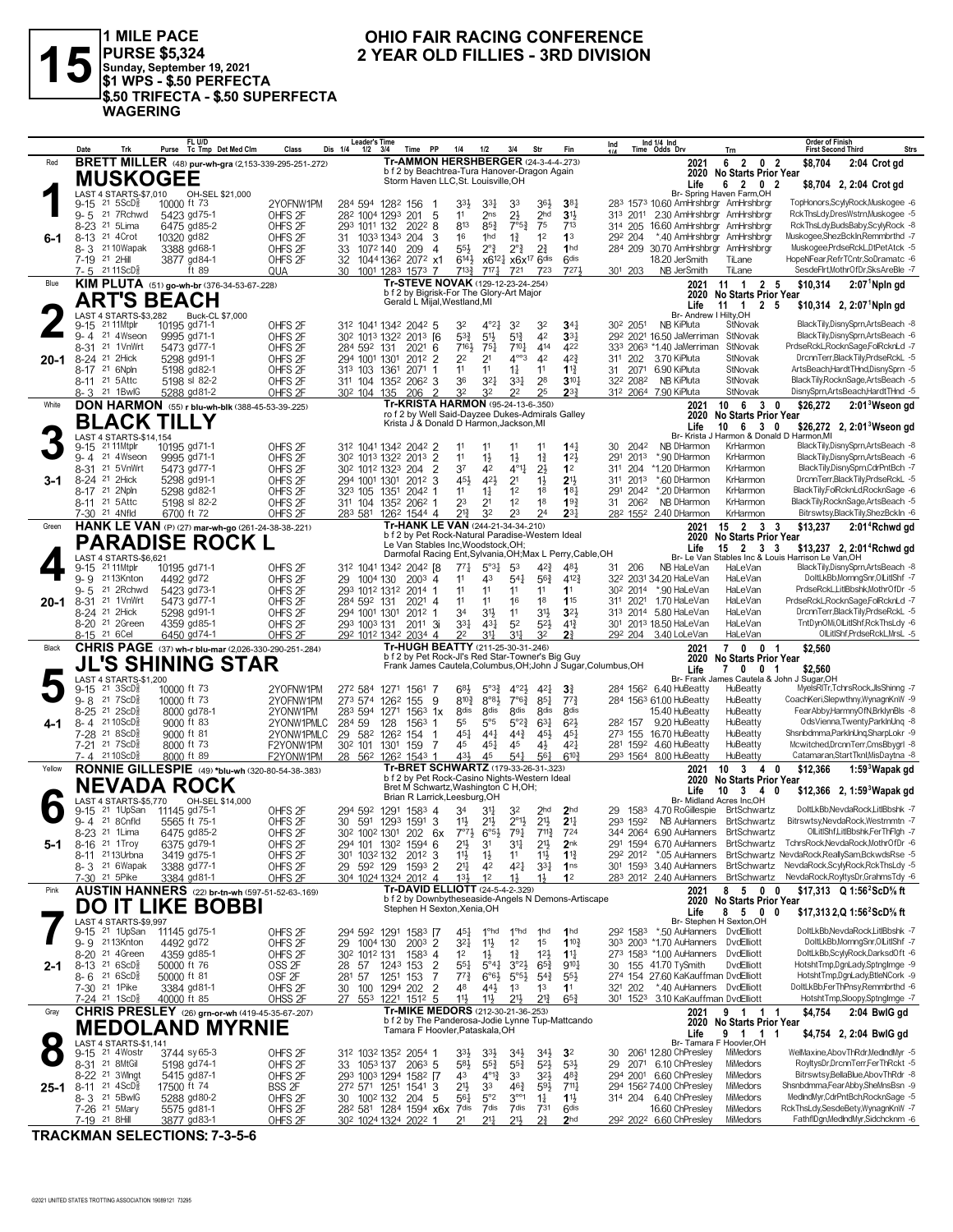

1 MILE PACE<br>|PURSE \$5,324<br>|Sunday, September 19, 2021<br>|\$1 WPS - \$.50 PERFECTA \$.50 TRIFECTA - \$.50 SUPERFECTA **WAGERING** 

### OHIO FAIR RACING CONFERENCE 2 YEAR OLD FILLIES - 3RD DIVISION

|        | Date                     | Trk                                                                   | FL U/D<br>Purse Tc Tmp Det Med Clm                                         | Class                                    | <b>Leader's Time</b><br>Dis 1/4<br>$1/2$ $3/4$                                         |                                                               | Time PP                          | 1/4<br>1/2                                                                                      | 3/4                                              | Str                                   | Fin                                 | Ind                    |             | Ind 1/4 Ind<br>Time Odds Drv                                               | Trn                                                                | <b>Order of Finish</b><br><b>First Second Third</b><br><b>Strs</b>                                                                               |
|--------|--------------------------|-----------------------------------------------------------------------|----------------------------------------------------------------------------|------------------------------------------|----------------------------------------------------------------------------------------|---------------------------------------------------------------|----------------------------------|-------------------------------------------------------------------------------------------------|--------------------------------------------------|---------------------------------------|-------------------------------------|------------------------|-------------|----------------------------------------------------------------------------|--------------------------------------------------------------------|--------------------------------------------------------------------------------------------------------------------------------------------------|
| Red    |                          |                                                                       | <b>BRETT MILLER</b> (48) pur-wh-gra (2,153-339-295-251-272)                |                                          |                                                                                        |                                                               |                                  | <b>Tr-AMMON HERSHBERGER (24-3-4-4-273)</b>                                                      |                                                  |                                       |                                     |                        |             | 2021                                                                       | 6 2 0 2                                                            | \$8.704<br>2:04 Crot gd                                                                                                                          |
|        |                          |                                                                       | <b>MUSKOGEE</b>                                                            |                                          |                                                                                        |                                                               |                                  | b f 2 by Beachtrea-Tura Hanover-Dragon Again<br>Storm Haven LLC, St. Louisville, OH             |                                                  |                                       |                                     |                        |             | Life                                                                       | 2020 No Starts Prior Year<br>6 2 0 2                               | \$8,704 2, 2:04 Crot gd                                                                                                                          |
|        |                          | LAST 4 STARTS-\$7,010                                                 | OH-SEL \$21,000                                                            |                                          |                                                                                        |                                                               |                                  |                                                                                                 |                                                  |                                       |                                     |                        |             |                                                                            | Br- Spring Haven Farm, OH                                          |                                                                                                                                                  |
|        |                          | $9-15$ 21 $5$ ScD $\frac{3}{8}$                                       | 10000 ft 73                                                                | 2YOFNW1PM                                | 284 594 1282 156                                                                       |                                                               |                                  | 33}<br>$3^{3}$                                                                                  | 33                                               | 364                                   | 38 <sub>1</sub>                     |                        |             | 283 1573 10.60 AmHrshbrgr AmHrshbrgr                                       |                                                                    | TopHonors,ScylyRock,Muskogee -6<br>RckThsLdy,DresWstrn,Muskogee -5                                                                               |
|        |                          | 9-5 21 7 Rchwd<br>8-23 <sup>21</sup> 5Lima                            | 5423 gd75-1<br>6475 gd85-2                                                 | OHFS <sub>2F</sub><br>OHFS <sub>2F</sub> | 282 1004 1293 201<br>293 1011 132                                                      |                                                               | -5<br>2022 8                     | 11<br>2ns<br>813<br>$85\frac{3}{4}$                                                             | $2\frac{1}{2}$<br>$7°5^3$                        | 2 <sub>hd</sub><br>75                 | 3 <sup>1</sup><br>713               |                        |             | 313 2011 2.30 AmHrshbrgr AmHrshbrgr<br>314 205 16.60 AmHrshbrgr AmHrshbrgr |                                                                    | RckThsLdy,BudsBaby,ScylyRock -8                                                                                                                  |
| 6-1    |                          | 8-13 <sup>21</sup> 4Crot                                              | 10320 gd82                                                                 | OHFS <sub>2F</sub>                       | 31                                                                                     | 1033 1343 204                                                 | 3                                | 16<br>1hd                                                                                       | $1\frac{3}{4}$                                   | 1 <sup>2</sup>                        | 1 <sup>3</sup>                      | 292 204                |             | *.40 AmHrshbrgr AmHrshbrgr                                                 |                                                                    | Muskogee,ShezBckIn,Remmbrthd -7                                                                                                                  |
|        |                          | 8-3 2110Wapak                                                         | 3388 gd68-1                                                                | OHFS <sub>2F</sub>                       | 1072 140<br>33                                                                         | 209                                                           | -4                               | $5^{5}\frac{1}{2}$<br>$2^{\circ}$ <sub>4</sub>                                                  | $2^{\circ}$ <sub>4</sub>                         | $2\frac{3}{4}$                        | 1 <sub>hd</sub>                     |                        |             | 284 209 30.70 AmHrshbrgr AmHrshbrgr                                        |                                                                    | Muskogee,PrdseRckL,DtPetAtck -5                                                                                                                  |
|        | 7-19 21 2Hill            | 7-5 2111ScD <sup>3</sup>                                              | 3877 gd84-1<br>ft 89                                                       | OHFS <sub>2F</sub><br>QUA                | 32<br>30                                                                               | 1044 136 <sup>2</sup> 207 <sup>2</sup> x1<br>1001 1283 1573 7 |                                  | $6^{14}\frac{1}{2}$<br>$7^{13}$<br>717 <sub>7</sub>                                             | $x6^{12}$ $x6x^{17}$ 6dis<br>721                 | 723                                   | 6 <sup>dis</sup><br>7271            | 301 203                |             | 18.20 JerSmith<br>NB JerSmith                                              | TiLane<br>TiLane                                                   | HopeNFear,RefrTCntr,SoDramatc -6<br>SesdeFirt,MothrOfDr,SksAreBle -7                                                                             |
| Blue   |                          |                                                                       | KIM PLUTA (51) go-wh-br (376-34-53-67-228)                                 |                                          |                                                                                        |                                                               |                                  | Tr-STEVE NOVAK (129-12-23-24-254)                                                               |                                                  |                                       |                                     |                        |             | 2021                                                                       | $11$ 1 2 5                                                         | $2:071$ Npln gd<br>\$10,314                                                                                                                      |
|        |                          |                                                                       | <b>ART'S BEACH</b>                                                         |                                          |                                                                                        |                                                               | Gerald L Mijal, Westland, MI     | b f 2 by Bigrisk-For The Glory-Art Major                                                        |                                                  |                                       |                                     |                        |             |                                                                            | 2020 No Starts Prior Year                                          |                                                                                                                                                  |
|        |                          | LAST 4 STARTS-\$3,282                                                 | Buck-CL \$7,000                                                            |                                          |                                                                                        |                                                               |                                  |                                                                                                 |                                                  |                                       |                                     |                        |             | Life<br>Br- Andrew I Hilty, OH                                             | $11 \quad 1$<br>2 5                                                | $$10,314$ 2, 2:07 Npln gd                                                                                                                        |
|        |                          | 9-15 21 11 Mtplr                                                      | 10195 gd71-1                                                               | OHFS <sub>2F</sub>                       | 312 1041 1342 2042 5                                                                   |                                                               |                                  | $4^{\circ}2^{\frac{1}{4}}$<br>32                                                                | 3 <sup>2</sup>                                   | 32                                    | $34\frac{1}{4}$                     | 30 <sup>2</sup> 2051   |             | NB KiPluta                                                                 | StNovak                                                            | BlackTily,DisnySprn,ArtsBeach -8                                                                                                                 |
|        | 8-31                     | 9-4 21 4Wseon<br>21 1VnWrt                                            | 9995 gd71-1<br>5473 gd77-1                                                 | OHFS <sub>2F</sub><br>OHFS <sub>2F</sub> | 30 <sup>2</sup> 1013 1322 2013 [6<br>284 592 131                                       |                                                               | 202 <sup>1</sup> 6               | $5^{3}\frac{3}{4}$<br>5 <sup>1</sup><br>7161,<br>$75\frac{1}{2}$                                | $5^{13}$<br>$7^{10}$                             | 42<br>414                             | 33 <sub>1</sub><br>422              |                        |             | 292 2021 16.50 JaMerriman<br>333 2063 *1.40 JaMerriman                     | StNovak<br>StNovak                                                 | BlackTilv.DisnvSprn.ArtsBeach -6<br>PrdseRckL,RocknSage,FolRcknLd -7                                                                             |
| 20-1   |                          | 8-24 <sup>21</sup> 2Hick                                              | 5298 gd91-1                                                                | OHFS <sub>2F</sub>                       | 294 1001 1301                                                                          |                                                               | 2012 2                           | 2 <sup>2</sup><br>2 <sup>1</sup>                                                                | $4^{\circ\circ}3$                                | 42                                    | 42}                                 | 311 202                |             | 3.70 KiPluta                                                               | StNovak                                                            | DrcnnTerr,BlackTily,PrdseRckL -5                                                                                                                 |
|        |                          | 8-17 21 6Npln                                                         | 5198 gd82-1                                                                | OHFS <sub>2F</sub>                       | 313 103 1361                                                                           |                                                               | $2071$ 1                         | 1 <sup>1</sup><br>11                                                                            | $1\frac{1}{4}$                                   | 11                                    | $1\frac{13}{4}$                     | 31                     | 2071        | 6.90 KiPluta                                                               | StNovak                                                            | ArtsBeach,HardtTHnd,DisnySprn -5                                                                                                                 |
|        |                          | 8-11 <sup>21</sup> 5Attc<br>8-3 <sup>21</sup> 1BwlG                   | 5198 sl 82-2<br>5288 gd81-2                                                | OHFS <sub>2F</sub><br>OHFS <sub>2F</sub> | 311 104 1352 2062 3<br>30 <sup>2</sup> 104 135                                         | 206                                                           | $\overline{2}$                   | 36<br>$3^{21}$<br>32<br>32                                                                      | 3 <sup>31</sup><br>2 <sup>2</sup>                | 28<br>25                              | $3^{10}$<br>23 <sup>3</sup>         |                        | 322 2082    | NB KiPluta<br>312 2064 7.90 KiPluta                                        | StNovak<br>StNovak                                                 | BlackTily,RocknSage,ArtsBeach -5<br>DisnySprn,ArtsBeach,HardtTHnd -5                                                                             |
| White  |                          |                                                                       | <b>DON HARMON</b> (55) r blu-wh-blk (388-45-53-39-.225)                    |                                          |                                                                                        |                                                               |                                  | Tr-KRISTA HARMON (95-24-13-6-.350)                                                              |                                                  |                                       |                                     |                        |             | 2021                                                                       | 10 6 3 0                                                           | \$26,272<br>$2:013$ Wseon gd                                                                                                                     |
|        |                          |                                                                       | <b>BLACK TILLY</b>                                                         |                                          |                                                                                        |                                                               |                                  | ro f 2 by Well Said-Dayzee Dukes-Admirals Galley<br>Krista J & Donald D Harmon, Jackson, MI     |                                                  |                                       |                                     |                        |             | 2020                                                                       | No Starts Prior Year                                               |                                                                                                                                                  |
|        |                          | <b>LAST 4 STARTS-\$14,154</b>                                         |                                                                            |                                          |                                                                                        |                                                               |                                  |                                                                                                 |                                                  |                                       |                                     |                        |             | Life                                                                       | 10 6 3 0<br>Br- Krista J Harmon & Donald D Harmon, MI              | \$26,272 2, 2:01 <sup>3</sup> Wseon gd                                                                                                           |
|        | 9-15                     | 21 11 Mtplr                                                           | 10195 gd71-1                                                               | OHFS <sub>2F</sub>                       | 312 1041 1342 2042 2                                                                   |                                                               |                                  | 11<br>11                                                                                        | 11                                               |                                       | $14\frac{1}{4}$                     | 30                     | 2042        | NB DHarmon                                                                 | KrHarmon                                                           | BlackTily,DisnySprn,ArtsBeach -8                                                                                                                 |
|        | $9 - 4$                  | 21 4Wseon<br>21 5VnWrt                                                | 9995 gd71-1<br>5473 gd77-1                                                 | OHFS <sub>2F</sub>                       | 30 <sup>2</sup> 101 <sup>3</sup> 132 <sup>2</sup> 201 <sup>3</sup>                     |                                                               | $\overline{2}$<br>$\overline{2}$ | 11<br>$1\frac{1}{2}$<br>37<br>42                                                                | $1\frac{1}{2}$<br>$4^{\circ}1\frac{1}{4}$        | $1\frac{3}{4}$<br>$2\frac{1}{2}$      | $12\frac{1}{2}$<br>1 <sup>2</sup>   | 291<br>31 <sup>1</sup> | 2013<br>204 | *.90 DHarmon<br>*1.20 DHarmon                                              | KrHarmon<br>KrHarmon                                               | BlackTilv.DisnvSprn.ArtsBeach -6<br>BlackTily,DisnySprn,CdrPntBch -7                                                                             |
| 3-1    | 8-31                     | 8-24 <sup>21</sup> 2Hick                                              | 5298 gd91-1                                                                | OHFS <sub>2F</sub><br>OHFS <sub>2F</sub> | 30 <sup>2</sup> 101 <sup>2</sup> 132 <sup>3</sup> 204<br>294 1001 1301                 |                                                               | 2012 3                           | 454<br>42}                                                                                      | 2 <sup>1</sup>                                   | $1\frac{1}{2}$                        | 213                                 |                        | 311 2013    | *.60 DHarmon                                                               | KrHarmon                                                           | DrcnnTerr,BlackTily,PrdseRckL -5                                                                                                                 |
|        |                          | 8-17 <sup>21</sup> 2Npln                                              | 5298 gd82-1                                                                | OHFS <sub>2F</sub>                       | 323 105 1351                                                                           |                                                               | 2042 1                           | 11<br>$1\frac{1}{4}$                                                                            | 1 <sup>2</sup>                                   | 1 <sup>8</sup>                        | $18\frac{1}{4}$                     | 291                    | 2042        | *.20 DHarmon                                                               | KrHarmon                                                           | BlackTily,FolRcknLd,RocknSage -6                                                                                                                 |
|        |                          | 8-11 <sup>21</sup> 5Attc<br>7-30 21 4Nfld                             | 5198 sl 82-2<br>6700 ft 72                                                 | OHFS <sub>2F</sub>                       | 311 104 1352 2062 1                                                                    |                                                               |                                  | 23<br>2 <sup>1</sup><br>213<br>32                                                               | 1 <sup>2</sup><br>23                             | 18<br>24                              | 193<br>$2^{3+}$                     |                        | 31 2062     | NB DHarmon                                                                 | KrHarmon<br>KrHarmon                                               | BlackTily,RocknSage,ArtsBeach -5<br>Bitrswtsy, Black Tily, ShezBckIn -6                                                                          |
| Green  |                          |                                                                       | HANK LE VAN (P) (27) mar-wh-go (261-24-38-38-.221)                         | OHFS <sub>2F</sub>                       | 283 581 1262 1544 4                                                                    |                                                               |                                  | Tr-HANK LE VAN (244-21-34-34-.210)                                                              |                                                  |                                       |                                     |                        |             | 28 <sup>2</sup> 155 <sup>2</sup> 2.40 DHarmon<br>2021                      | $15 \quad 2 \quad 3 \quad 3$                                       | \$13,237<br>2:01 <sup>4</sup> Rchwd gd                                                                                                           |
|        |                          |                                                                       | PARADISE ROCK L                                                            |                                          |                                                                                        |                                                               |                                  | b f 2 by Pet Rock-Natural Paradise-Western Ideal                                                |                                                  |                                       |                                     |                        |             | 2020                                                                       | No Starts Prior Year                                               |                                                                                                                                                  |
|        |                          | LAST 4 STARTS-\$6,621                                                 |                                                                            |                                          |                                                                                        |                                                               |                                  | Le Van Stables Inc, Woodstock, OH;<br>Darmofal Racing Ent, Sylvania, OH; Max L Perry, Cable, OH |                                                  |                                       |                                     |                        |             | Life                                                                       | $15$ 2 3 3                                                         | \$13,237 2, 2:01 <sup>4</sup> Rchwd gd<br>Br- Le Van Stables Inc & Louis Harrison Le Van.OH                                                      |
|        |                          | 9-15 21 11 Mtplr                                                      | 10195 gd71-1                                                               | OHFS <sub>2F</sub>                       | 312 1041 1342 2042 [8                                                                  |                                                               |                                  | $5^{\circ}3_{4}^{1}$<br>$77\frac{1}{4}$                                                         | 53                                               | $4^{2}\frac{3}{4}$                    | 481                                 | 31 206                 |             | NB HaLeVan                                                                 | HaLeVan                                                            | BlackTily,DisnySprn,ArtsBeach -8                                                                                                                 |
|        |                          | 9-9 2113Knton                                                         | 4492 gd72                                                                  | OHFS <sub>2F</sub>                       | 29<br>1004 130                                                                         |                                                               | $200^3$ 4                        | 11<br>43                                                                                        | $54\frac{1}{4}$                                  | $56\frac{3}{4}$                       | $4^{12}\frac{3}{4}$                 |                        |             | 322 2031 34.20 HaLeVan                                                     | HaLeVan                                                            | DoltLkBb,MornngSnr,OlLitIShf -7                                                                                                                  |
| 20-1   | 9-5                      | 21 2Rchwd<br>8-31 <sup>21</sup> 1VnWrt                                | 5423 gd73-1<br>5473 gd77-1                                                 | OHFS <sub>2F</sub><br>OHFS <sub>2F</sub> | 293 1012 1312 2014 1<br>284 592 131                                                    |                                                               | $2021$ 4                         | 11<br>11<br>11<br>11                                                                            | 11<br>16                                         | 11<br>18                              | 11<br>115                           |                        |             | 302 2014 *.90 HaLeVan<br>311 2021 1.70 HaLeVan                             | HaLeVan<br>HaLeVan                                                 | PrdseRckL,LitlBbshk,MothrOfDr -5<br>PrdseRckL,RocknSage,FolRcknLd -7                                                                             |
|        |                          | 8-24 <sup>21</sup> 2Hick                                              | 5298 gd91-1                                                                | OHFS <sub>2F</sub>                       | 294 1001 1301                                                                          |                                                               | 2012 1                           | 34<br>3 <sup>1</sup>                                                                            | 11                                               | $3^{11}$                              | 3 <sup>2</sup>                      |                        |             | 313 2014 5.80 HaLeVan                                                      | HaLeVan                                                            | DrcnnTerr,BlackTily,PrdseRckL -5                                                                                                                 |
|        |                          | 8-20 <sup>21</sup> 2Green                                             | 4359 gd85-1                                                                | OHFS <sub>2F</sub>                       | 293 1003 131                                                                           |                                                               | $201^1$ 3i                       | 3 <sup>31</sup><br>$43\frac{1}{4}$                                                              | 5 <sup>2</sup>                                   | $5^{2}$                               | $4^{13}$                            |                        |             | 301 2013 18.50 HaLeVan                                                     | HaLeVan                                                            | TntDynOMi,OILitIShf,RckThsLdy -6                                                                                                                 |
| Black  |                          | 8-15 21 6 Cel                                                         | 6450 gd74-1<br><b>CHRIS PAGE</b> (37) wh-r blu-mar (2,026-330-290-251-284) | OHFS <sub>2F</sub>                       | 292 1012 1342 2034 4                                                                   |                                                               |                                  | 31 <sup>1</sup><br>22<br>Tr-HUGH BEATTY (211-25-30-31-.246)                                     | 31 <sup>1</sup>                                  | 32                                    | 2 <sup>3</sup>                      |                        |             | 292 204 3.40 LoLeVan<br>2021                                               | HaLeVan<br>7 0 0 1                                                 | OlLitIShf,PrdseRckL,MrsL -5<br>\$2,560                                                                                                           |
|        |                          |                                                                       | 'S SHINING STAR                                                            |                                          |                                                                                        |                                                               |                                  | b f 2 by Pet Rock-JI's Red Star-Towner's Big Guy                                                |                                                  |                                       |                                     |                        |             | 2020                                                                       | <b>No Starts Prior Year</b>                                        |                                                                                                                                                  |
|        |                          | LAST 4 STARTS-\$1,200                                                 |                                                                            |                                          |                                                                                        |                                                               |                                  | Frank James Cautela, Columbus, OH; John J Sugar, Columbus, OH                                   |                                                  |                                       |                                     |                        |             | Life                                                                       | 70<br>0 <sub>1</sub><br>Br- Frank James Cautela & John J Sugar, OH | \$2,560                                                                                                                                          |
|        |                          | 9-15 21 3ScD <sup>5</sup>                                             | 10000 ft 73                                                                | 2YOFNW1PM                                | 272 584 1271 1561                                                                      |                                                               | -7                               | 683<br>$5^{\circ}3^{\circ}2$                                                                    | $4^{\circ}2\frac{1}{2}$                          | $4^{2}$                               | $3\frac{3}{4}$                      |                        |             | 284 1562 6.40 HuBeatty                                                     | HuBeatty                                                           | MyelsRITr,TchrsRock,JlsShinng -7                                                                                                                 |
|        | 9-8 21 7ScD <sup>5</sup> |                                                                       |                                                                            |                                          |                                                                                        |                                                               | -9                               | $8^{\circ}8\frac{1}{2}$<br>$8^{10\frac{3}{4}}$                                                  | $7^{\circ}6^{\frac{3}{4}}$                       | $85\frac{1}{4}$                       | $7^{7}\frac{3}{4}$                  |                        |             | 284 1563 61.00 HuBeatty                                                    | HuBeatty                                                           | CoachKeri,Slepwthny,WynagnKnW -9                                                                                                                 |
| 4-1    |                          |                                                                       | 10000 ft 73                                                                | 2YOFNW1PM                                | 273 574 1262 155                                                                       |                                                               |                                  |                                                                                                 |                                                  |                                       |                                     |                        |             |                                                                            |                                                                    |                                                                                                                                                  |
|        |                          | 8-25 21 2ScDs                                                         | 8000 gd78-1                                                                | 2YONW1PM                                 | 283 594 1271                                                                           |                                                               | $156^3$ 1x                       | 8 <sub>dis</sub><br><b><i><u>Rdis</u></i></b>                                                   | <b>8dis</b>                                      | <b><i><u>Rdis</u></i></b>             | <b>8dis</b>                         |                        |             | 15.40 HuBeatty                                                             | HuBeatty                                                           | FearAbby,HarmnyOfN,BrklynBls -8                                                                                                                  |
|        |                          | 8-4 2110ScD <sup>5</sup><br>7-28 <sup>21</sup> 8ScD <sup>3</sup>      | 9000 ft 83<br>9000 ft 81                                                   | 2YONW1PMLC<br>2YONW1PMLC                 | 284 59<br>29 582 1262 154                                                              | 128                                                           | 1563 1<br>-1                     | 55<br>$5^{\circ}5$<br>$45\frac{1}{4}$<br>$44\frac{1}{4}$                                        | $5^{\circ}2^{\frac{3}{4}}$<br>$44\frac{3}{4}$    | $63\frac{1}{4}$<br>$45\frac{1}{2}$    | $6^{2}$<br>$45\frac{1}{4}$          | 282 157                |             | 9.20 HuBeatty<br>273 155 16.70 HuBeatty                                    | HuBeatty<br>HuBeatty                                               | OdsVienna, Twenty, ParklnUng -8<br>Shsnbdmma,ParkInUng,SharpLokr -9                                                                              |
|        |                          | 7-21 21 7ScD                                                          | 8000 ft 73                                                                 | F2YONW1PM                                | 30 <sup>2</sup> 101 130 <sup>1</sup>                                                   | 159                                                           | -7                               | 45<br>$45\frac{1}{4}$                                                                           | 45                                               | $4\frac{1}{2}$                        | $4^{2}$                             |                        |             | 281 1592 4.60 HuBeatty                                                     | HuBeatty                                                           | Mcwitched,DrcnnTerr,CmsBbygrl -8                                                                                                                 |
|        |                          | 7-4 2110ScD                                                           | 8000 ft 89                                                                 | F2YONW1PM                                | 28 562 1262 1543 1                                                                     |                                                               |                                  | 43}<br>45                                                                                       | $54\frac{1}{4}$                                  | $56\frac{1}{4}$                       | $6^{10}$                            |                        |             | 293 1564 8.00 HuBeatty                                                     | HuBeatty                                                           | Catamaran, Start Tknl, MisDaytna -8                                                                                                              |
| Yellow |                          |                                                                       | RONNIE GILLESPIE (49) *blu-wh (320-80-54-38-.383)                          |                                          |                                                                                        |                                                               |                                  | Tr-BRET SCHWARTZ (179-33-26-31-.323)<br>b f 2 by Pet Rock-Casino Nights-Western Ideal           |                                                  |                                       |                                     |                        |             | 2021<br>2020                                                               | $10 \t3 \t4 \t0$<br><b>No Starts Prior Year</b>                    | $1:593$ Wapak gd<br>\$12,366                                                                                                                     |
|        |                          |                                                                       | NEVADA ROCK                                                                |                                          |                                                                                        |                                                               |                                  | Bret M Schwartz, Washington C H, OH;<br>Brian R Larrick, Leesburg, OH                           |                                                  |                                       |                                     |                        |             | Life                                                                       | $\mathbf{3}$<br>10<br>4<br>0                                       | \$12,366 2, 1:59 Wapak gd                                                                                                                        |
|        | 9-15                     | LAST 4 STARTS-\$5.770<br>21 1UpSan                                    | OH-SEL \$14,000<br>11145 gd75-1                                            | OHFS <sub>2F</sub>                       | 294 592 1291 1583 4                                                                    |                                                               |                                  | 34<br>34                                                                                        | 32                                               | 2 <sub>hd</sub>                       | 2 <sub>hd</sub>                     | 29                     |             | 1583 4.70 RoGillespie BrtSchwartz                                          | Br- Midland Acres Inc.OH                                           | DoltLkBb, NevdaRock, LitlBbshk -7                                                                                                                |
|        |                          | 9-4 21 8 Cnfld                                                        | 5565 ft 75-1                                                               | OHFS <sub>2F</sub>                       | 30                                                                                     | 591 1293 1591 3                                               |                                  | 11号<br>$21\frac{1}{2}$                                                                          | $2^{\circ}1\frac{1}{2}$                          | 2 <sup>11</sup>                       | 2 <sup>11</sup>                     |                        | 293 1592    |                                                                            | NB AuHanners BrtSchwartz                                           | Bitrswtsy, NevdaRock, Westmmtn -7                                                                                                                |
|        |                          | 8-23 <sup>21</sup> 1 Lima                                             | 6475 gd85-2                                                                | OHFS <sub>2F</sub>                       | 30 <sup>2</sup> 100 <sup>2</sup> 130 <sup>1</sup> 202 6x 7° <sup>71</sup> <sub>2</sub> |                                                               |                                  | $6^{o_{5}\frac{1}{2}}$                                                                          | 791                                              | $7^{113}$                             | 724                                 |                        |             | 344 2064 6.90 AuHanners BrtSchwartz                                        |                                                                    | OlLitIShf,LitIBbshk,FerThFlgh -7                                                                                                                 |
| 5-1    |                          | 8-16 <sup>21</sup> 1Troy<br>8-11 2113Urbna                            | 6375 gd79-1<br>3419 gd75-1                                                 | OHFS <sub>2F</sub><br>OHFS <sub>2F</sub> | 294 101 1302 1594 6<br>301                                                             | 103 <sup>2</sup> 132 201 <sup>2</sup> 3                       |                                  | $21\frac{1}{2}$<br>31<br>11}<br>$1\frac{1}{2}$                                                  | 34<br>11                                         | 2 <sup>11</sup><br>11号                | 2 <sub>nk</sub><br>$1^{13}$         |                        |             |                                                                            |                                                                    | 291 1594 6.70 AuHanners BrtSchwartz TchrsRock, NevdaRock, MothrOfDr -6<br>292 2012 *.05 AuHanners BrtSchwartz NevdaRock, ReallySam, BckwdsRse -5 |
|        |                          | 8-3 <sup>21</sup> 6Wapak                                              | 3388 gd77-1                                                                | OHFS <sub>2F</sub>                       | 29 592 129                                                                             |                                                               | 1593 2                           | 21<br>42                                                                                        | 421                                              | $3^{31}$                              | 1 <sup>ns</sup>                     |                        |             |                                                                            |                                                                    | 301 1593 3.40 AuHanners BrtSchwartz NevdaRock,ScylyRock,RckThsLdy -5                                                                             |
|        |                          | 7-30 21 5 Pike                                                        | 3384 gd81-1                                                                | OHFS <sub>2F</sub>                       | 304 1024 1324 2012 4                                                                   |                                                               |                                  | $13\frac{1}{2}$<br>1 <sup>2</sup>                                                               | $1\frac{1}{2}$                                   | $1\frac{1}{2}$                        | 1 <sup>2</sup>                      |                        |             |                                                                            |                                                                    | 283 2012 2.40 AuHanners BrtSchwartz NevdaRock, RoyltysDr, GrahmsTdy -6                                                                           |
| Pink   |                          |                                                                       | <b>AUSTIN HANNERS</b> (22) br-tn-wh (597-51-52-63-.169)                    |                                          |                                                                                        |                                                               |                                  | Tr-DAVID ELLIOTT (24-5-4-2-.329)<br>b f 2 by Downbytheseaside-Angels N Demons-Artiscape         |                                                  |                                       |                                     |                        |             | 2021                                                                       | 8 5 0 0<br>2020 No Starts Prior Year                               | \$17.313 Q 1:56 <sup>2</sup> ScD% ft                                                                                                             |
|        |                          |                                                                       | DO IT LIKE BOBBI                                                           |                                          |                                                                                        |                                                               |                                  | Stephen H Sexton, Xenia, OH                                                                     |                                                  |                                       |                                     |                        |             | Life                                                                       | 8 5 0 0                                                            | \$17,313 2,Q 1:56 <sup>2</sup> ScD% ft                                                                                                           |
|        |                          | LAST 4 STARTS-\$9,997<br>9-15 <sup>21</sup> 1UpSan                    | 11145 gd75-1                                                               | OHFS <sub>2F</sub>                       | 294 592 1291 1583 [7                                                                   |                                                               |                                  | 45}<br>1°hd                                                                                     | 1°hd                                             | 1hd                                   | 1 <sub>hd</sub>                     |                        |             | 29 <sup>2</sup> 158 <sup>3</sup> *.50 AuHanners DvdElliott                 | Br- Stephen H Sexton, OH                                           | DoltLkBb, NevdaRock, LitlBbshk -7                                                                                                                |
|        |                          | 9-9 2113Knton                                                         | 4492 gd72                                                                  | OHFS <sub>2F</sub>                       | 29<br>1004 130                                                                         |                                                               | $200^3$ 2                        | 321<br>$11\frac{1}{2}$                                                                          | 1 <sup>2</sup>                                   | 1 <sup>5</sup>                        | 110 <sub>3</sub>                    |                        |             | 303 2003 *1.70 AuHanners DvdElliott                                        |                                                                    | DoltLkBb,MornngSnr,OlLitIShf -7                                                                                                                  |
|        |                          | 8-20 21 4Green                                                        | 4359 gd85-1                                                                | OHFS <sub>2F</sub>                       | 30 <sup>2</sup> 101 <sup>2</sup> 131                                                   |                                                               | $1583$ 4                         | 1 <sup>2</sup><br>1}                                                                            | $1\frac{3}{4}$                                   | $12\frac{1}{2}$                       | $1^{11}$                            |                        |             | 273 1583 *1.00 AuHanners DvdElliott                                        |                                                                    | DoltLkBb,ScylyRock,DarksdOft -6                                                                                                                  |
| 2-1    |                          | 8-13 <sup>21</sup> 6ScD <sup>§</sup><br>$8 - 6$ 21 6 ScD <sup>5</sup> | 50000 ft 76<br>50000 ft 81                                                 | OSS <sub>2F</sub><br>OSF <sub>2F</sub>   | 28 57<br>281 57                                                                        | 1243 153<br>1251 153                                          | $\overline{2}$<br>7              | $55\frac{1}{4}$<br>$5^{\circ}4\frac{1}{4}$<br>$77\frac{3}{4}$<br>$6^{o6}$                       | $3^{o_2}\frac{1}{2}$<br>$5^{\circ 5\frac{1}{2}}$ | $65\frac{3}{4}$<br>$5^{4}$            | $9^{10}$<br>$55\frac{1}{2}$         | 30                     |             | 155 41.70 TySmith<br>274 154 27.60 KaKauffman DvdElliott                   | DvdElliott                                                         | HotshtTmp,DgnLady,SptngImge -9<br>HotshtTmp,DgnLady,BtleNCork -9                                                                                 |
|        |                          | 7-30 <sup>21</sup> 1Pike                                              | 3384 gd81-1                                                                | OHFS <sub>2F</sub>                       | 30                                                                                     | 100 1294 202                                                  | $\overline{2}$                   | 48<br>443                                                                                       | 1 <sup>3</sup>                                   | 1 <sup>3</sup>                        | 1 <sup>1</sup>                      | 321 202                |             | *.40 AuHanners DvdElliott                                                  |                                                                    | DoltLkBb,FerThPnsy,Remmbrthd -6                                                                                                                  |
|        |                          | 7-24 <sup>21</sup> 1ScD <sup>3</sup>                                  | 40000 ft 85                                                                | OHSS <sub>2F</sub>                       | 27 553 1221 1512 5                                                                     |                                                               |                                  | 11}<br>$11\frac{1}{2}$                                                                          | $21\frac{1}{2}$                                  | $2^{13}$                              | $65\frac{3}{4}$                     |                        |             | 301 1523 3.10 KaKauffman DvdElliott                                        |                                                                    | HotshtTmp,Sloopy,SptngImge -7                                                                                                                    |
| Gray   |                          |                                                                       | CHRIS PRESLEY (26) grn-or-wh (419-45-35-67-207)                            |                                          |                                                                                        |                                                               |                                  | Tr-MIKE MEDORS (212-30-21-36-.253)<br>b f 2 by The Panderosa-Jodie Lynne Tup-Mattcando          |                                                  |                                       |                                     |                        |             | 2021                                                                       | 9 1 1 1<br>2020 No Starts Prior Year                               | \$4,754<br>2:04 BwlG gd                                                                                                                          |
|        |                          |                                                                       | <b>MEDOLAND MYRNIE</b>                                                     |                                          |                                                                                        |                                                               |                                  | Tamara F Hoovler, Pataskala, OH                                                                 |                                                  |                                       |                                     |                        |             | Life                                                                       | 9 1 1 1                                                            | \$4,754 2, 2:04 BwlG gd                                                                                                                          |
|        |                          | LAST 4 STARTS-\$1,141<br>9-15 <sup>21</sup> 4Wostr                    | 3744 sy 65-3                                                               | OHFS <sub>2F</sub>                       | 312 1032 1352 2054 1                                                                   |                                                               |                                  | 33}<br>3 <sup>3</sup>                                                                           | $34\frac{1}{2}$                                  | $34\frac{1}{2}$                       | 3 <sup>2</sup>                      | 30                     |             | 2061 12.80 ChPresley                                                       | Br- Tamara F Hoovler, OH<br>MiMedors                               | WelMaxine, Abov ThRdr, MedIndMyr -5                                                                                                              |
|        |                          | 8-31 21 8MtGil                                                        | 5198 gd74-1                                                                | OHFS <sub>2F</sub>                       | 33 105 <sup>3</sup> 137                                                                |                                                               | $206^3$ 5                        | $5^{8}$<br>55}                                                                                  | $55\frac{3}{4}$                                  | $5^{2}$                               | $5^{31}$                            | 29                     |             | 2071 6.10 ChPresley                                                        | MiMedors                                                           | RoyltysDr,DrcnnTerr,FerThRckt -5                                                                                                                 |
|        |                          | 8-22 21 3Wingt<br>$8-11$ 21 $4$ ScD <sup>5</sup> <sub>8</sub>         | 5415 gd87-1<br>17500 ft 74                                                 | OHFS <sub>2F</sub><br>BSS 2F             | 293 1003 1294 1582 [7<br>272 571 1251 1541 3                                           |                                                               |                                  | $4^{012}$<br>43<br>2 <sup>1</sup><br>33                                                         | 33<br>$46\frac{3}{4}$                            | $3^{2}\frac{1}{2}$<br>$59\frac{1}{2}$ | $48\frac{3}{4}$<br>$711\frac{1}{4}$ |                        |             | 294 2001 6.60 ChPresley<br>294 1562 74.00 ChPresley                        | MiMedors<br>MiMedors                                               | Bitrswtsy,BellaBlue,AbovThRdr -8<br>Shsnbdmma,FearAbby,SheMnsBsn -9                                                                              |
| 25-1   |                          | 8-3 <sup>21</sup> 5BwlG                                               | 5288 gd80-2                                                                | OHFS <sub>2F</sub>                       | 1002 132<br>30                                                                         | 204                                                           | - 5                              | 561<br>$5^{\circ}2$                                                                             | $3^{\circ\circ}1$                                | $1\frac{1}{4}$                        | $1\frac{11}{2}$                     |                        |             | 314 204 6.40 ChPresley                                                     | MiMedors                                                           | MedIndMyr,CdrPntBch,RocknSage -5                                                                                                                 |
|        | 7-19 21 8Hill            | 7-26 <sup>21</sup> 5Mary                                              | 5575 gd81-1<br>3877 gd83-1                                                 | OHFS <sub>2F</sub><br>OHFS <sub>2F</sub> | 282 581 1284 1594 x6x 7dis<br>30 <sup>2</sup> 1024 1324 2022 1                         |                                                               |                                  | 7dis<br>21<br>211                                                                               | 7dis<br>$21\frac{1}{2}$                          | 731<br>23                             | 6 <sup>dis</sup><br>2 <sub>hd</sub> |                        |             | 16.60 ChPresley<br>292 2022 6.60 ChPresley                                 | MiMedors<br>MiMedors                                               | RckThsLdy,SesdeBety,WynagnKnW -7<br>FathflDgn,MedIndMyr,Sidchcknm -6                                                                             |

**TRACKMAN SELECTIONS: 7-3-5-6**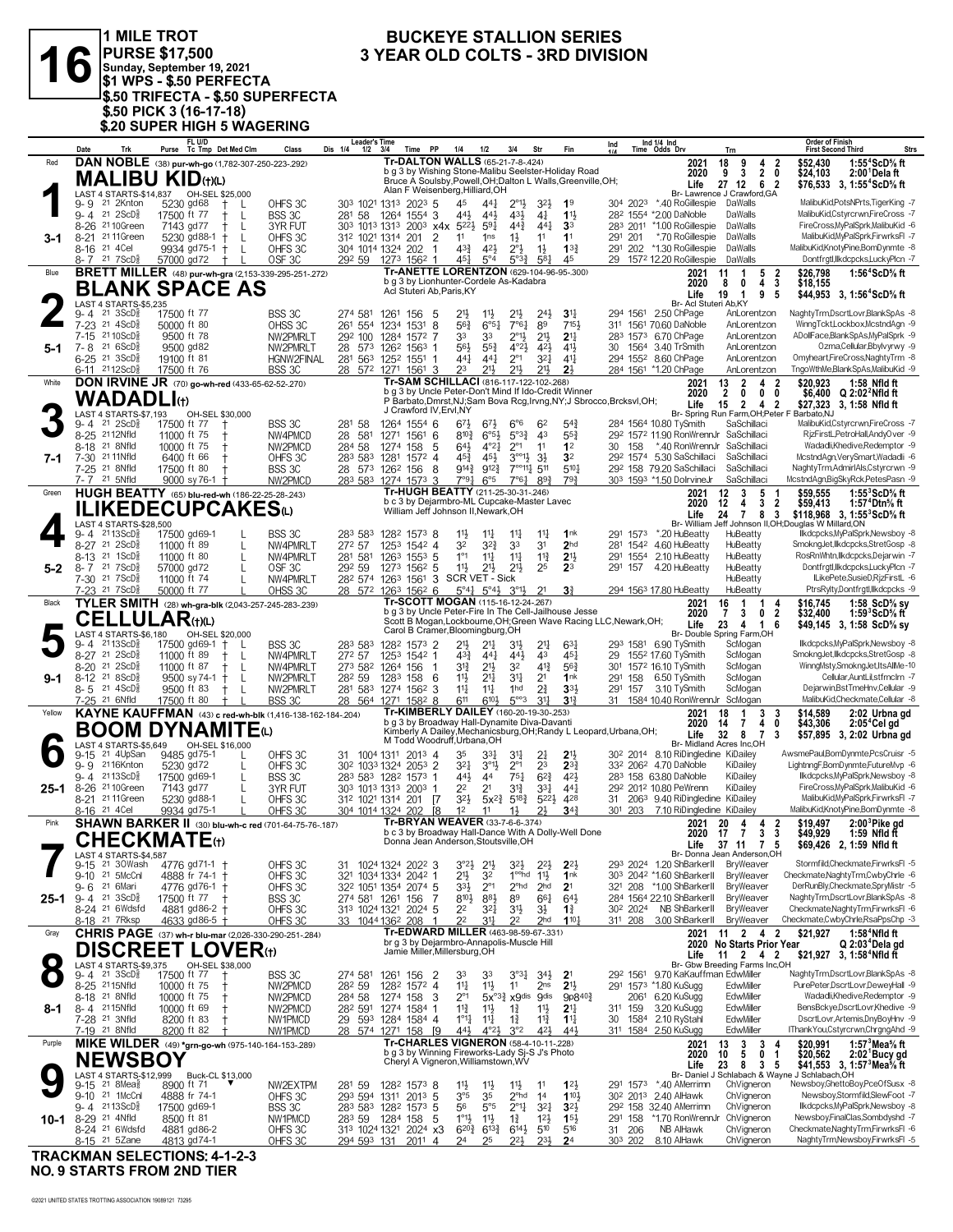

**3** YEAR OLD COLTS - 3RD DIVISION<br> **3** YEAR OLD COLTS - 3RD DIVISION<br>
\$1 WPS - \$.50 PERFECTA **PURSE \$17,500 Sunday, September 19, 2021 \$1 WPS - \$.50 PERFECTA \$.50 TRIFECTA - \$.50 SUPERFECTA \$.50 PICK 3 (16-17-18) \$.20 SUPER HIGH 5 WAGERING**

## **BUCKEYE STALLION SERIES<br>3 YEAR OLD COLTS - 3RD DIVISION**

|           | Date                     | Trk                                                               | FL U/D<br>Purse Tc Tmp Det Med Clm                     |                                 | Class                                                        | <b>Leader's Time</b><br>Dis 1/4<br>$1/2$ $3/4$                                              |                            | Time PP                                                                                       | 1/4                                            | 1/2                                            | 3/4                                                                   | Str                                  | Fin                                                                                                                            | Ind     |          | Ind 1/4 Ind<br>Time Odds Drv                                                    | Trn                                   |                                                           | <b>Order of Finish</b>                       | <b>First Second Third</b>                                                          | <b>Strs</b> |
|-----------|--------------------------|-------------------------------------------------------------------|--------------------------------------------------------|---------------------------------|--------------------------------------------------------------|---------------------------------------------------------------------------------------------|----------------------------|-----------------------------------------------------------------------------------------------|------------------------------------------------|------------------------------------------------|-----------------------------------------------------------------------|--------------------------------------|--------------------------------------------------------------------------------------------------------------------------------|---------|----------|---------------------------------------------------------------------------------|---------------------------------------|-----------------------------------------------------------|----------------------------------------------|------------------------------------------------------------------------------------|-------------|
| Red       |                          |                                                                   | DAN NOBLE (38) pur-wh-go (1,782-307-250-223-.292)      |                                 |                                                              |                                                                                             |                            | Tr-DALTON WALLS (65-21-7-8-.424)                                                              |                                                |                                                |                                                                       |                                      | b g 3 by Wishing Stone-Malibu Seelster-Holiday Road                                                                            |         |          | 2021                                                                            | 18<br>9                               | 4<br>2                                                    | \$52,430                                     | 1:55 <sup>4</sup> ScD% ft                                                          |             |
|           |                          |                                                                   | <b>MALIBU KID</b> (t)(L)                               |                                 |                                                              |                                                                                             |                            |                                                                                               |                                                |                                                |                                                                       |                                      | Bruce A Soulsby, Powell, OH; Dalton L Walls, Greenville, OH;                                                                   |         |          | 2020<br>Life                                                                    | $\overline{\mathbf{3}}$<br>9<br>27 12 | 2 <sub>0</sub><br>62                                      | \$24,103                                     | 2:00 Dela ft<br>\$76.533 3. 1:55 <sup>4</sup> ScD% ft                              |             |
|           |                          |                                                                   | LAST 4 STARTS-\$14,837 OH-SEL \$25,000                 |                                 |                                                              |                                                                                             |                            | Alan F Weisenberg, Hilliard, OH                                                               |                                                |                                                |                                                                       |                                      |                                                                                                                                |         |          | Br- Lawrence J Crawford, GA                                                     |                                       |                                                           |                                              |                                                                                    |             |
|           | 9-9                      | 21 2Knton<br>$9 - 4$ 21 $2$ ScD <sup>3</sup> <sub>8</sub>         | 5230 gd68<br>17500 ft 77                               | $^+$<br>L<br>$\mathsf{L}$<br>Ť. | OHFS 3C<br>BSS 3C                                            | 303 1021 1313 2023 5<br>281 58                                                              | 1264 1554 3                |                                                                                               | 45<br>443                                      | 441<br>443                                     | $2^{\circ}1\frac{1}{2}$<br>$43\frac{1}{2}$                            | $3^{2}\frac{1}{2}$<br>$4\frac{1}{4}$ | 1 <sup>9</sup><br>11                                                                                                           |         | 304 2023 | *.40 RoGillespie<br>282 1554 *2.00 DaNoble                                      | DaWalls<br>DaWalls                    |                                                           |                                              | MalibuKid, PotsNPrts, TigerKing -7<br>MalibuKid, Cstyrcrwn, FireCross -7           |             |
|           |                          | 8-26 21 10 Green                                                  | 7143 gd77                                              | $^+$<br>L                       | 3YR FUT                                                      | 303 1013 1313 2003 x4x 5221                                                                 |                            |                                                                                               |                                                | 591                                            | $44\frac{3}{4}$                                                       | $44\frac{1}{4}$                      | 3 <sup>3</sup>                                                                                                                 |         |          | 283 2011 *1.00 RoGillespie                                                      | DaWalls                               |                                                           |                                              | FireCross, MyPalSprk, MalibuKid -6                                                 |             |
| 3-1       |                          | 8-21 21 11 Green                                                  | 5230 gd88-1                                            | $\ddagger$<br>L                 | OHFS3C                                                       | 312 1021 1314 201                                                                           |                            | 2                                                                                             | 11                                             | 1 <sub>ns</sub>                                | $1\frac{1}{2}$                                                        | 11                                   | 11                                                                                                                             | 291 201 |          | *.70 RoGillespie                                                                | DaWalls                               |                                                           |                                              | MalibuKid.MvPalSprk.FirwrksFI -7                                                   |             |
|           | 8-16 <sup>21</sup> 4 Cel | $8 - 7$ 21 7 ScD <sup>3</sup>                                     | 9934 gd75-1 +<br>57000 gd72                            | L<br>$\pm$                      | OHFS3C<br>OSF <sub>3C</sub>                                  | 304 1014 1324 202<br>29 <sup>2</sup> 59 127 <sup>3</sup> 156 <sup>2</sup> 1                 |                            | $\mathbf{1}$                                                                                  | $4^{3}\frac{3}{4}$<br>451                      | 42}<br>$5^\circ 4$                             | $2^{\circ}$ <sub>2</sub><br>$5^{03}\frac{3}{4}$                       | $1\frac{1}{2}$<br>$5^{8}$            | $13\frac{3}{4}$<br>45                                                                                                          |         | 291 202  | *1.30 RoGillespie<br>29 1572 12.20 RoGillespie                                  | DaWalls<br>DaWalls                    |                                                           |                                              | MalibuKid.KnotvPine.BomDvnmte -8<br>Dontfrgtl,llkdcpcks,LuckyPlcn -7               |             |
| Blue      |                          |                                                                   |                                                        |                                 | <b>BRETT MILLER</b> (48) pur-wh-gra (2,153-339-295-251-.272) |                                                                                             |                            | Tr-ANETTE LORENTZON (629-104-96-95-.300)                                                      |                                                |                                                |                                                                       |                                      |                                                                                                                                |         |          | 2021                                                                            | 1<br>11                               | 5<br>2                                                    | \$26,798                                     | 1:56 $4$ ScD $\%$ ft                                                               |             |
|           |                          |                                                                   | BLANK SPACE AS                                         |                                 |                                                              |                                                                                             |                            | b g 3 by Lionhunter-Cordele As-Kadabra<br>Acl Stuteri Ab, Paris, KY                           |                                                |                                                |                                                                       |                                      |                                                                                                                                |         |          | 2020<br>Life                                                                    | 0<br>8<br>19<br>$\overline{1}$        | $\mathbf{3}$<br>4<br>$\boldsymbol{9}$<br>5                | \$18,155                                     | \$44,953 3, 1:56 <sup>4</sup> ScD <sup>5</sup> / <sub>8</sub> ft                   |             |
|           |                          | LAST 4 STARTS-\$5,235                                             |                                                        |                                 |                                                              |                                                                                             |                            |                                                                                               |                                                |                                                |                                                                       |                                      |                                                                                                                                |         |          | Br- Acl Stuteri Ab, KY                                                          |                                       |                                                           |                                              |                                                                                    |             |
|           | 9-4                      | 21 3ScD}<br>7-23 <sup>21</sup> 4ScD <sup>3</sup>                  | 17500 ft 77                                            |                                 | BSS 3C                                                       | 274 581                                                                                     | 1261 156 5                 |                                                                                               | 21}                                            | $11\frac{1}{2}$<br>$6^{\circ 51}$              | 21}<br>7°6 <sub>4</sub>                                               | $24\frac{1}{2}$<br>89                | 3 <sup>11</sup><br>7151,                                                                                                       |         | 294 1561 | 2.50 ChPage<br>311 1561 70.60 DaNoble                                           |                                       | AnLorentzon<br>AnLorentzon                                |                                              | NaghtyTrm,DscrtLovr,BlankSpAs -8<br>WinnaTcktLockboxMcstndAan -9                   |             |
|           | $7-15$                   | 21 10 ScD <sup>5</sup>                                            | 50000 ft 80<br>9500 ft 78                              |                                 | OHSS 3C<br>NW2PMRLT                                          | 261 554 1234<br>292 100                                                                     | 1284                       | 8<br>1531<br>1572 7                                                                           | $56\frac{3}{4}$<br>33                          | 33                                             | $2^{\circ}1\frac{1}{2}$                                               | $21\frac{1}{2}$                      | 2 <sup>11</sup>                                                                                                                |         |          | 283 1573 6.70 ChPage                                                            |                                       | AnLorentzon                                               |                                              | ADollFace,BlankSpAs,MyPalSprk -9                                                   |             |
| 5-1       | 7-8                      | 21 6ScD                                                           | 9500 gd82                                              |                                 | NW2PMRLT                                                     | 28 573 1262 1563 1                                                                          |                            |                                                                                               | 56}                                            | $55\frac{3}{4}$                                | $4^{\circ}2\frac{1}{2}$                                               | 42}                                  | $4^{11}$                                                                                                                       |         |          | 30 1564 3.40 TrSmith                                                            |                                       | AnLorentzon                                               |                                              | Ozma,Cellular,Bbylvyrwy -9                                                         |             |
|           |                          | 6-25 <sup>21</sup> 3ScD <sup>5</sup><br>6-11 2112ScD <sup>3</sup> | 19100 ft 81<br>17500 ft 76                             |                                 | HGNW2FINAL<br>BSS 3C                                         | 281 563 1252 1551 1<br>28 572 1271 1561 3                                                   |                            |                                                                                               | 441<br>23                                      | $44\frac{1}{4}$<br>211                         | $2^{\circ}1$<br>21}                                                   | $3^{2}$<br>$21\frac{1}{2}$           | $4^{11}$<br>2 <sup>1</sup>                                                                                                     |         |          | 294 1552 8.60 ChPage<br>284 1561 *1.20 ChPage                                   |                                       | AnLorentzon<br>AnLorentzon                                |                                              | Omyheart,FireCross,NaghtyTrm -8<br>TngoWthMe,BlankSpAs,MalibuKid -9                |             |
| White     |                          |                                                                   | <b>DON IRVINE JR</b> (70) go-wh-red (433-65-62-52-270) |                                 |                                                              |                                                                                             |                            | Tr-SAM SCHILLACI (816-117-122-102-268)                                                        |                                                |                                                |                                                                       |                                      |                                                                                                                                |         |          | 2021                                                                            | $\overline{\mathbf{2}}$<br>13         | $\overline{\mathbf{2}}$<br>4                              | \$20.923                                     | 1:58 Nfld ft                                                                       |             |
|           |                          | <b>WADADLI</b> th                                                 |                                                        |                                 |                                                              |                                                                                             |                            |                                                                                               |                                                |                                                |                                                                       |                                      | b g 3 by Uncle Peter-Don't Mind If Ido-Credit Winner<br>P Barbato, Dmrst, NJ; Sam Bova Rcg, Irvng, NY; J Sbrocco, Brcksvl, OH; |         |          | 2020                                                                            | $\mathbf{2}$<br>0                     | $\mathbf 0$<br>0                                          |                                              | \$6,400 $Q$ 2:02 <sup>2</sup> Nfld ft                                              |             |
|           |                          | LAST 4 STARTS-\$7,193                                             |                                                        | OH-SEL \$30,000                 |                                                              |                                                                                             |                            | J Crawford IV, Ervl, NY                                                                       |                                                |                                                |                                                                       |                                      |                                                                                                                                |         |          | Life                                                                            | $\overline{2}$<br>15                  | 4 <sub>2</sub>                                            | Br- Spring Run Farm, OH; Peter F Barbato, NJ | \$27,323 3, 1:58 Nfld ft                                                           |             |
|           |                          | $9 - 4$ 21 $2$ ScD $\frac{5}{8}$                                  | 17500 ft 77                                            | $\ddagger$                      | BSS 3C                                                       | 281 58                                                                                      | 1264 1554 6                |                                                                                               | 67½                                            | $6^{7}\frac{1}{2}$                             | $6^{\circ}6$                                                          | 62                                   | $5^{4}$                                                                                                                        |         |          | 284 1564 10.80 TySmith                                                          |                                       | SaSchillaci                                               |                                              | MalibuKid,Cstyrcrwn,FireCross -7                                                   |             |
|           |                          | 8-25 2112Nfld<br>8-18 <sup>21</sup> 8Nfld                         | 11000 ft 75<br>10000 ft 75                             |                                 | NW4PMCD<br>NW2PMCD                                           | 28 581<br>284 58                                                                            | 1271 1561 6<br>1274        | -5<br>158                                                                                     | $8^{10}\frac{3}{4}$<br>$64\frac{1}{2}$         | $6^{95}\frac{1}{2}$<br>$4^{\circ}2\frac{1}{4}$ | $5^{93}\%$<br>$2^{\circ}1$                                            | 4 <sup>3</sup><br>11                 | $55\frac{3}{4}$<br>1 <sup>2</sup>                                                                                              | 30 158  |          | 292 1572 11.90 RonWrennJr SaSchillaci<br>*.40 RonWrennJr                        |                                       | SaSchillaci                                               |                                              | RizFirstL,PetroHall,AndyOver -9<br>Wadadli.Khedive.Redemptor -9                    |             |
| 7-1       |                          | 7-30 21 11 Nfld                                                   | 6400 ft 66                                             |                                 | OHFS 3C                                                      | 283 583 1281                                                                                |                            | $157^2$ 4                                                                                     | 45}                                            | 454                                            | $3^{001}$                                                             | 3 <sup>1</sup>                       | 3 <sup>2</sup>                                                                                                                 |         |          | 292 1574 5.30 SaSchillaci                                                       |                                       | SaSchillaci                                               |                                              | McstndAgn,VerySmart,Wadadli -6                                                     |             |
|           |                          | 7-25 21 8Nfld<br>7-7 <sup>21</sup> 5Nfld                          | 17500 ft 80<br>9000 sy 76-1 +                          | $\ddagger$                      | BSS 3C<br>NW2PMCD                                            | 28 573 1262 156<br>283 583 1274 1573 3                                                      |                            | -8                                                                                            | 914}<br>7°91,                                  | $9^{12}\frac{3}{4}$<br>$6^{\circ 5}$           | $7^{\circ\circ}11\frac{1}{4}$ 511<br>7°6 <sup>1</sup>                 | $89\frac{3}{4}$                      | $5^{10}$<br>$79\frac{3}{4}$                                                                                                    |         |          | 292 158 79.20 SaSchillaci<br>303 1593 *1.50 DolrvineJr                          |                                       | SaSchillaci<br>SaSchillaci                                |                                              | NaghtyTrm,AdmirIAls,Cstyrcrwn -9<br>McstndAgn,BigSkyRck,PetesPasn -9               |             |
| Green     |                          |                                                                   | HUGH BEATTY (65) blu-red-wh (186-22-25-28-243)         |                                 |                                                              |                                                                                             |                            | Tr-HUGH BEATTY (211-25-30-31-.246)                                                            |                                                |                                                |                                                                       |                                      |                                                                                                                                |         |          | 2021                                                                            | 3<br>12                               | 5<br>-1                                                   | \$59,555                                     | 1:55 $3$ ScD $\%$ ft                                                               |             |
|           |                          |                                                                   | <b>ILIKEDECUPCAKES</b> W                               |                                 |                                                              |                                                                                             |                            | b c 3 by Dejarmbro-ML Cupcake-Master Lavec<br>William Jeff Johnson II, Newark, OH             |                                                |                                                |                                                                       |                                      |                                                                                                                                |         |          | 2020                                                                            | 12<br>4                               | 3<br>$\overline{2}$                                       | \$59,413                                     | 1:57 <sup>+</sup> Dtn% ft                                                          |             |
|           |                          | LAST 4 STARTS-\$28,500                                            |                                                        |                                 |                                                              |                                                                                             |                            |                                                                                               |                                                |                                                |                                                                       |                                      |                                                                                                                                |         |          | Life<br><b>Br-William</b>                                                       | $\overline{7}$<br>24                  | 8 3                                                       | Jeff Johnson II, OH; Douglas W Millard, ON   | \$118,968 3, 1:55 ${}^3$ ScD ${}^5$ ft                                             |             |
|           |                          | 9-4 2113ScD}                                                      | 17500 gd69-1                                           |                                 | BSS 3C                                                       | 283 583                                                                                     | 1282 1573 8                |                                                                                               | 11}                                            | $11\frac{1}{4}$                                | $11\frac{1}{4}$                                                       | $11\frac{1}{4}$                      | 1nk                                                                                                                            |         | 291 1573 | *.20 HuBeatty                                                                   | HuBeatty                              |                                                           |                                              | llkdcpcks, MyPalSprk, Newsboy -8                                                   |             |
|           |                          | 8-27 21 2ScD3<br>8-13 21 1ScD <sup>5</sup>                        | 11000 ft 89<br>11000 ft 80                             | L<br>$\mathbf{I}$               | NW4PMRLT<br>NW4PMRLT                                         | 272 57<br>281 581                                                                           | 1253 1542 4<br>1263 1553 5 |                                                                                               | 32<br>$1^{\circ}1$                             | 32}<br>$11\frac{1}{4}$                         | 33<br>$11\frac{1}{4}$                                                 | 3 <sup>1</sup><br>$11\frac{3}{4}$    | 2 <sub>hd</sub><br>2 <sup>11</sup>                                                                                             |         | 291 1554 | 281 1542 4.60 HuBeatty<br>2.10 HuBeatty                                         | HuBeatty<br>HuBeatty                  |                                                           |                                              | SmokngJet,Ilkdcpcks,StretGosp -8<br>RosRnWhtn.llkdcpcks.Dejarwin -7                |             |
| $5 - 2$   |                          | 8-7 21 7ScD <sup>5</sup>                                          | 57000 gd72                                             | L                               | OSF 3C                                                       | 292 59                                                                                      | 1273 1562 5                |                                                                                               | $11\frac{1}{2}$                                | $21\frac{1}{2}$                                | 2 <sup>11</sup>                                                       | 25                                   | 2 <sup>3</sup>                                                                                                                 | 291 157 |          | 4.20 HuBeatty                                                                   | HuBeatty                              |                                                           |                                              | Dontfrgtl,llkdcpcks,LuckyPlcn -7                                                   |             |
|           |                          | 7-30 21 7 ScD <sup>5</sup><br>7-23 21 7 ScD                       | 11000 ft 74<br>50000 ft 77                             |                                 | NW4PMRLT<br>OHSS 3C                                          | 28 <sup>2</sup> 574 1263 1561 3<br>28 572 1263 1562 6                                       |                            |                                                                                               | SCR VET - Sick                                 | $5^{\circ}41$ $5^{\circ}43$ $3^{\circ}13$      |                                                                       | 2 <sup>1</sup>                       | 3 <sup>3</sup>                                                                                                                 |         |          | 294 1563 17.80 HuBeatty                                                         | HuBeatty<br>HuBeatty                  |                                                           |                                              | ILikePete,SusieD,RjzFirstL -6<br>PtrsRylty,Dontfrgtl,Ilkdcpcks -9                  |             |
| Black     |                          |                                                                   | TYLER SMITH (28) wh-gra-blk (2,043-257-245-283-.239)   |                                 |                                                              |                                                                                             |                            | Tr-SCOTT MOGAN (115-16-12-24-.267)                                                            |                                                |                                                |                                                                       |                                      |                                                                                                                                |         |          | 2021                                                                            | 16<br>$\overline{1}$                  | -1<br>4                                                   | \$16.745                                     | 1:58 $ScD\%$ sy                                                                    |             |
|           |                          |                                                                   | <b>CELLULAR(t)(L)</b>                                  |                                 |                                                              |                                                                                             |                            |                                                                                               |                                                |                                                |                                                                       |                                      | b g 3 by Uncle Peter-Fire In The Cell-Jailhouse Jesse<br>Scott B Mogan, Lockbourne, OH; Green Wave Racing LLC, Newark, OH;     |         |          | 2020                                                                            | 3<br>7                                | $\overline{2}$<br>0                                       | \$32,400                                     | 1:59 $^{\circ}$ ScD $\%$ ft                                                        |             |
|           |                          | LAST 4 STARTS-\$6,180                                             |                                                        | OH-SEL \$20,000                 |                                                              |                                                                                             |                            | Carol B Cramer, Bloomingburg, OH                                                              |                                                |                                                |                                                                       |                                      |                                                                                                                                |         |          | Life<br>Br- Double Spring Farm,OH                                               | 23                                    | $4 \quad 1$<br>6                                          |                                              | \$49,145 3, 1:58 ScD <sup>5</sup> / <sub>8</sub> sy                                |             |
|           |                          | $9 - 4$ 2113ScD <sup>3</sup><br>8-27 21 2ScD <sup>5</sup>         | 17500 gd69-1<br>11000 ft 89                            | $^{+}$<br>$^{+}$<br>L           | BSS 3C<br>NW4PMRLT                                           | 283 583<br>272 57                                                                           | 1282 1573 2<br>1253 1542 1 |                                                                                               | 21}<br>43}                                     | $21\frac{1}{4}$<br>441                         | 3 <sup>1</sup><br>443                                                 | 2 <sup>11</sup><br>43                | 631<br>$45\frac{1}{4}$                                                                                                         | 29      |          | 293 1581 6.90 TySmith<br>1552 17.60 TySmith                                     | ScMogan<br>ScMogan                    |                                                           |                                              | llkdcpcks, MyPalSprk, Newsboy -8<br>SmokngJet,llkdcpcks,StretGosp -8               |             |
|           |                          | 8-20 21 2ScD3                                                     | 11000 ft 87                                            | L<br>$\pm$                      | NW4PMRLT                                                     | 273 582 1264 156                                                                            |                            |                                                                                               | 31}                                            | $21\frac{1}{2}$                                | 32                                                                    | $4^{13}$                             | $56\frac{3}{4}$                                                                                                                |         |          | 301 1572 16.10 TySmith                                                          | ScMogan                               |                                                           |                                              | WinngMsty,SmokngJet,ItsAllMe-10                                                    |             |
| 9-1       |                          | 8-12 <sup>21</sup> 8ScD <sup>5</sup>                              | $9500$ sy 74-1 +                                       | L                               | NW2PMRLT                                                     | 28 <sup>2</sup> 59                                                                          | 1283 158 6                 |                                                                                               | $11\frac{1}{2}$                                | 21                                             | 34                                                                    | 2 <sup>1</sup>                       | 1nk                                                                                                                            |         | 291 158  | 6.50 TySmith                                                                    | ScMogan                               |                                                           |                                              | Cellular, AuntLil, stfrnclrn -7                                                    |             |
|           |                          | $8 - 5$ 21 4ScD <sup>5</sup><br>7-25 21 6Nfld                     | 9500 ft 83<br>17500 ft 80                              | $^+$<br>L<br>$^{+}$             | NW2PMRLT<br>BSS 3C                                           | 281 583 1274 1562 3<br>28 564 1271 1582 8                                                   |                            |                                                                                               | $11\frac{1}{4}$<br>611                         | $11\frac{1}{4}$<br>6104                        | 1hd<br>$5^{\circ\circ}3$                                              | $2^{3}_{4}$<br>3 <sup>11</sup>       | $33+$<br>$3^{13}$                                                                                                              | 291 157 |          | 3.10 TySmith<br>31 1584 10.40 RonWrennJr                                        | ScMogan<br>ScMogan                    |                                                           |                                              | Dejarwin, Bst TmeHnv, Cellular -9<br>MalibuKid,Checkmate,Cellular -8               |             |
| Yellow    |                          |                                                                   |                                                        |                                 | KAYNE KAUFFMAN (43) c red-wh-blk (1,416-138-162-184-.204)    |                                                                                             |                            | Tr-KIMBERLY DAILEY (160-20-19-30-.253)                                                        |                                                |                                                |                                                                       |                                      |                                                                                                                                |         |          | 2021                                                                            | $\overline{1}$<br>18                  | 3<br>3                                                    | \$14,589                                     | 2:02 Urbna gd                                                                      |             |
|           |                          |                                                                   | <b>BOOM DYNAMITE</b> (L)                               |                                 |                                                              |                                                                                             |                            | b g 3 by Broadway Hall-Dynamite Diva-Davanti                                                  |                                                |                                                |                                                                       |                                      | Kimberly A Dailey, Mechanicsburg, OH; Randy L Leopard, Urbana, OH;                                                             |         |          | 2020<br>Life                                                                    | 14<br>$\overline{7}$<br>32 8          | 4<br>0<br>-7<br>3                                         | \$43,306                                     | 2:05 <sup>4</sup> Cel gd<br>\$57,895 3, 2:02 Urbna gd                              |             |
|           |                          | LAST 4 STARTS-\$5,649                                             |                                                        | OH-SEL \$16,000                 |                                                              |                                                                                             |                            | M Todd Woodruff, Urbana, OH                                                                   |                                                |                                                |                                                                       |                                      |                                                                                                                                |         |          | Br- Midland Acres Inc,OH                                                        |                                       |                                                           |                                              |                                                                                    |             |
|           | 9-15                     | 21 4UpSan<br>9-9 2116Knton                                        | 9485 gd75-1<br>5230 gd72                               |                                 | OHFS 3C<br>OHFS3C                                            | 31 1004 1311 2013 4<br>30 <sup>2</sup> 103 <sup>3</sup> 132 <sup>4</sup> 205 <sup>3</sup> 2 |                            |                                                                                               | 35<br>$3^{2}$                                  | 33}<br>$3^{01}$                                | 34<br>$2^{\circ}1$                                                    | $2\frac{1}{4}$<br>2 <sup>3</sup>     | 2 <sup>1</sup><br>$2^{3}$                                                                                                      |         |          | 30 <sup>2</sup> 2014 8.10 RiDingledine KiDailey<br>332 2062 4.70 DaNoble        | KiDailey                              |                                                           |                                              | AwsmePaul,BomDynmte,PcsCruisr -5<br>LightnngF,BomDynmte,FutureMvp -6               |             |
|           |                          | 9-4 2113ScD <sup>5</sup>                                          | 17500 gd69-1                                           |                                 | BSS 3C                                                       | 283 583 1282 1573 1                                                                         |                            |                                                                                               | 44}                                            | 44                                             | $75\frac{1}{4}$                                                       | $6^{2}3$                             | 421                                                                                                                            |         |          | 283 158 63.80 DaNoble                                                           | KiDailey                              |                                                           |                                              | llkdcpcks, MyPalSprk, Newsboy -8                                                   |             |
| $25 - 1$  |                          | 8-26 <sup>21</sup> 10Green<br>8-21 2111Green                      | 7143 gd77                                              | L<br>$\mathbf{L}$               | 3YR FUT                                                      | 303 1013 1313 2003 1                                                                        |                            |                                                                                               | 22<br>$3^{21}$                                 | 21                                             | 34<br>$5x^2$ <sup>3</sup> $5^{18}$ <sup>3</sup> $5^{22}$ <sup>3</sup> | $3^{3}$                              | $44\frac{1}{4}$<br>428                                                                                                         |         |          | 292 2012 10.80 PeWrenn<br>31 2063 9.40 RiDingledine KiDailey                    | KiDailey                              |                                                           |                                              | FireCross, MyPalSprk, MalibuKid -6<br>MalibuKid, MyPalSprk, FirwrksFI -7           |             |
|           | 8-16 <sup>21</sup> 4 Cel |                                                                   | 5230 gd88-1<br>9934 gd75-1                             |                                 | OHFS 3C<br>OHFS3C                                            | 31 <sup>2</sup> 102 <sup>1</sup> 1314 201 <b>7</b><br>304 1014 1324 202                     |                            | [8                                                                                            | 1 <sup>2</sup>                                 | 11                                             | 1}                                                                    | 2 <sup>1</sup>                       | 34 <sup>3</sup>                                                                                                                | 301 203 |          | 7.10 RiDingledine KiDailev                                                      |                                       |                                                           |                                              | MalibuKid,KnotyPine,BomDynmte -8                                                   |             |
| Pink      |                          |                                                                   |                                                        |                                 | <b>SHAWN BARKER II</b> (30) blu-wh-c red (701-64-75-76-187)  |                                                                                             |                            | Tr-BRYAN WEAVER (33-7-6-6-.374)                                                               |                                                |                                                |                                                                       |                                      | b c 3 by Broadway Hall-Dance With A Dolly-Well Done                                                                            |         |          | 2021                                                                            | 20<br>4                               | 2<br>4                                                    | \$19.497                                     | $2:003$ Pike gd                                                                    |             |
|           |                          |                                                                   | <b>CHECKMATE</b> (t)                                   |                                 |                                                              |                                                                                             |                            | Donna Jean Anderson, Stoutsville, OH                                                          |                                                |                                                |                                                                       |                                      |                                                                                                                                |         |          | 2020                                                                            | 17<br>7                               | 3<br>3<br>Life 37 11 7 5                                  | \$49,929                                     | 1:59 Nfld ft<br>\$69,426 2, 1:59 Nfld ft                                           |             |
|           |                          | LAST 4 STARTS-\$4,587                                             |                                                        |                                 |                                                              |                                                                                             |                            |                                                                                               |                                                |                                                |                                                                       |                                      |                                                                                                                                |         |          | Br- Donna Jean Anderson, OH                                                     |                                       |                                                           |                                              | Stormfild,Checkmate,FirwrksFl -5                                                   |             |
|           | $9-15$                   | 21 30Wash<br>9-10 21 5McCnl                                       | 4776 gd71-1 †<br>4888 fr 74-1                          | t                               | OHFS 3C<br>OHFS3C                                            | 31 1024 1324 2022 3<br>321 1034 1334 2042 1                                                 |                            |                                                                                               | $3^{o_2}\frac{1}{2}$<br>$21\frac{1}{2}$        | $2^{11}$<br>32                                 | 32}<br>1 <sup>oo</sup> hd                                             | $2^{2}$<br>$11\frac{1}{2}$           | $2^{2}$<br>1 <sup>nk</sup>                                                                                                     |         |          | 293 2024 1.20 ShBarkerII<br>303 2042 *1.60 ShBarkerII                           |                                       | BryWeaver<br>BryWeaver                                    |                                              | Checkmate, Naghty Trm, Cwby Chrle -6                                               |             |
|           |                          | 9-6 21 6Mari                                                      | 4776 gd76-1 +                                          |                                 | OHFS 3C                                                      | 32 <sup>2</sup> 105 <sup>1</sup> 1354 2074 5                                                |                            |                                                                                               | $3^{3}\frac{1}{2}$                             | $2^{\circ}1$                                   | $2^{\circ}$ hd                                                        | 2 <sub>hd</sub>                      | 2 <sup>1</sup>                                                                                                                 |         |          | 321 208 *1.00 ShBarkerII                                                        |                                       | BryWeaver                                                 |                                              | DerRunBly,Checkmate,SpryMistr -5                                                   |             |
| 25-1      |                          | $9 - 4$ 21 $3 \text{ScD}^5_8$<br>8-24 <sup>21</sup> 6Wdsfd        | 17500 ft 77<br>4881 gd86-2 †                           | $\mathbf +$                     | BSS 3C<br>OHFS 3C                                            | 274 581 1261<br>313 1024 1321 2024 5                                                        |                            | 156<br>7                                                                                      | $8^{10}$<br>22                                 | $8^{8}\frac{1}{2}$<br>$3^{21}$                 | 89<br>3 <sup>1</sup>                                                  | $66\frac{1}{4}$<br>$3\frac{1}{2}$    | $64\frac{1}{2}$<br>$1\frac{3}{4}$                                                                                              |         |          | 284 1564 22.10 ShBarkerII<br>30 <sup>2</sup> 2024 NB ShBarkerII                 |                                       | BryWeaver<br>BryWeaver                                    |                                              | NaghtyTrm,DscrtLovr,BlankSpAs -8<br>Checkmate, Naghty Trm, Firwrks FI -6           |             |
|           |                          | 8-18 <sup>21</sup> 7Rksp                                          | 4633 gd86-5 +                                          |                                 | OHFS 3C                                                      | 33 1044 1362 208                                                                            |                            | -1                                                                                            | 22                                             | 34                                             | 2 <sup>2</sup>                                                        | 2 <sub>hd</sub>                      | 1104                                                                                                                           |         | 311 208  | 3.00 ShBarkerII                                                                 |                                       | BryWeaver                                                 |                                              | Checkmate,CwbyChrle,RsaPpsChp -3                                                   |             |
| Gray      |                          |                                                                   |                                                        |                                 | CHRIS PAGE (37) wh-r blu-mar (2,026-330-290-251-284)         |                                                                                             |                            | Tr-EDWARD MILLER (463-98-59-67-.331)<br>br g 3 by Dejarmbro-Annapolis-Muscle Hill             |                                                |                                                |                                                                       |                                      |                                                                                                                                |         |          | 2021                                                                            |                                       | 11 2 4 2                                                  | \$21.927                                     | $1:584$ Nfld ft                                                                    |             |
|           |                          | <b>DISCREET</b>                                                   |                                                        | LOVER <sub>(t)</sub>            |                                                              |                                                                                             |                            | Jamie Miller, Millersburg, OH                                                                 |                                                |                                                |                                                                       |                                      |                                                                                                                                |         |          | Life                                                                            |                                       | 2020 No Starts Prior Year<br>$11 \quad 2 \quad 4 \quad 2$ |                                              | Q 2:03 <sup>4</sup> Dela gd<br>\$21,927 3, 1:58 <sup>4</sup> Nfld ft               |             |
| $\bullet$ |                          | LAST 4 STARTS-\$9,375                                             |                                                        | OH-SEL \$38,000                 |                                                              |                                                                                             |                            |                                                                                               |                                                |                                                |                                                                       |                                      |                                                                                                                                |         |          | Br- Gbw Breeding Farms Inc,OH<br>29 <sup>2</sup> 1561 9.70 KaKauffman EdwMiller |                                       |                                                           |                                              | NaghtyTrm,DscrtLovr,BlankSpAs -8                                                   |             |
|           |                          | $9 - 4$ 21 $3$ ScD <sup>3</sup> <sub>8</sub><br>8-25 2115Nfld     | 17500 ft 77<br>10000 ft 75                             | $\top$<br>Ť                     | BSS 3C<br>NW2PMCD                                            | 274 581<br>28 <sup>2</sup> 59                                                               | 1261 156 2<br>1282 1572 4  |                                                                                               | 33<br>11                                       | 33<br>$11\frac{1}{2}$                          | $3^{03}\frac{1}{4}$<br>11                                             | $34\frac{1}{2}$<br>2 <sub>ns</sub>   | 2 <sup>1</sup><br>2 <sup>1</sup>                                                                                               |         |          | 291 1573 *1.80 KuSugg                                                           | EdwMiller                             |                                                           |                                              | PurePeter.DscrtLovr.DewevHall -9                                                   |             |
|           |                          | 8-18 <sup>21</sup> 8Nfld                                          | 10000 ft 75                                            |                                 | NW2PMCD                                                      | 284 58                                                                                      | 1274 158                   | 3                                                                                             | $2^{\circ}1$                                   |                                                | $5x^{0.32}$ $x9$ dis $9$ dis                                          |                                      | $9p8^{40}\frac{3}{4}$                                                                                                          |         |          | 2061 6.20 KuSugg                                                                | EdwMiller                             |                                                           |                                              | Wadadli,Khedive,Redemptor -9                                                       |             |
| 8-1       |                          | 8-4 2115Nfld<br>7-28 <sup>21</sup> 3Nfld                          | 10000 ft 69<br>8200 ft 83                              | $^+$                            | NW2PMCD<br>NW1PMCD                                           | 282 591 1274 1584 1<br>29 593 1284 1584 4                                                   |                            |                                                                                               | $11\frac{3}{4}$<br>$1^{\circ}1_{4}^{1}$        | $11\frac{1}{2}$<br>$11\frac{1}{4}$             | $1\frac{3}{4}$<br>$1\frac{3}{4}$                                      | 11}<br>$11\frac{3}{4}$               | 2 <sup>11</sup><br>$1^{11}$                                                                                                    | 30      | 311 159  | 3.20 KuSugg<br>1584 2.10 RyStahl                                                | EdwMiller<br>EdwMiller                |                                                           |                                              | BensBckye,DscrtLovr,Khedive -9<br>DscrtLovr.Artemis.DnvBovHnv -9                   |             |
|           |                          | 7-19 21 8Nfld                                                     | 8200 ft 82                                             |                                 | NW1PMCD                                                      | 28 574 1271 158 [9                                                                          |                            |                                                                                               | 44}                                            | $4^{\circ}2\frac{1}{2}$                        | 3°2                                                                   | 42}                                  | 44                                                                                                                             |         |          | 311 1584 2.50 KuSugg                                                            | EdwMiller                             |                                                           |                                              | IThankYou,Cstyrcrwn,ChrgngAhd -9                                                   |             |
| Purple    |                          |                                                                   | MIKE WILDER (49) *grn-go-wh (975-140-164-153-289)      |                                 |                                                              |                                                                                             |                            | <b>Tr-CHARLES VIGNERON (58-4-10-11-228)</b><br>b g 3 by Winning Fireworks-Lady Sj-S J's Photo |                                                |                                                |                                                                       |                                      |                                                                                                                                |         |          | 2021<br>2020                                                                    | 13<br>$\frac{3}{5}$<br>10             | 3<br>4<br>$\mathbf{0}$                                    | \$20,991                                     | 1:57 $3$ Mea $\%$ ft                                                               |             |
|           |                          | <b>NEWSBOY</b>                                                    |                                                        |                                 |                                                              |                                                                                             |                            | Cheryl A Vigneron, Williamstown, WV                                                           |                                                |                                                |                                                                       |                                      |                                                                                                                                |         |          | Life                                                                            | 23<br>- 8                             | 1<br>3 <sub>5</sub>                                       | \$20,562                                     | $2:02$ Bucy gd<br>\$41,553 3, 1:57 <sup>3</sup> Mea <sup>5</sup> / <sub>8</sub> ft |             |
|           |                          | LAST 4 STARTS-\$12,999<br>$9-15$ 21 8Mea $\frac{5}{8}$            | 8900 ft 71                                             | Buck-CL \$13,000                | NW2EXTPM                                                     | 281 59                                                                                      | 1282 1573 8                |                                                                                               | 11물                                            | $11\frac{1}{2}$                                | 11                                                                    | 11                                   | $12\frac{1}{2}$                                                                                                                |         |          | Br-Daniel J<br>291 1573 *.40 AMerrimn                                           |                                       | ChVigneron                                                | Schlabach & Wayne J Schlabach, OH            | Newsboy, GhettoBoy, PceOfSusx -8                                                   |             |
|           |                          | 9-10 21 1McCnl                                                    | 4888 fr 74-1                                           |                                 | OHFS 3C                                                      | 293 594 1311 2013 5                                                                         |                            |                                                                                               | $3^{\circ 5}$                                  | 35                                             | $2^{\circ}$ hd                                                        | 1 <sup>4</sup>                       | $1^{10}$                                                                                                                       |         |          | 30 <sup>2</sup> 201 <sup>3</sup> 2.40 AlHawk                                    |                                       | ChVigneron                                                |                                              | Newsboy,Stormfild,SlewFoot -7                                                      |             |
|           |                          |                                                                   |                                                        |                                 |                                                              |                                                                                             |                            |                                                                                               |                                                |                                                | $2^{\circ}1\frac{1}{4}$                                               | $3^{2}$                              |                                                                                                                                |         |          |                                                                                 |                                       | ChVigneron                                                |                                              | llkdcpcks, MyPalSprk, Newsboy -8                                                   |             |
|           |                          | 9-4 2113ScD <sup>3</sup>                                          | 17500 gd69-1                                           |                                 | BSS 3C                                                       | 283 583 1282 1573 5                                                                         |                            |                                                                                               | 56                                             | 5°5                                            |                                                                       |                                      | $3^{21}$                                                                                                                       |         |          | 292 158 32.40 AMerrimn                                                          |                                       |                                                           |                                              |                                                                                    |             |
| 10-1      |                          | 8-29 <sup>21</sup> 4Nfld<br>8-24 21 6Wdsfd                        | 8500 ft 81<br>4881 gd86-2                              |                                 | NW1PMCD<br>OHFS 3C                                           | 283 59 1284 158 5<br>313 1024 1321 2024 x3                                                  |                            |                                                                                               | $1^{\circ}1\frac{1}{2}$<br>$6^{20}\frac{3}{4}$ | $11\frac{1}{2}$<br>$6^{13}\frac{3}{4}$         | $1\frac{3}{4}$<br>$6^{14}\frac{1}{2}$                                 | 12 <sup>1</sup><br>510               | $15\frac{1}{2}$<br>516                                                                                                         | 31 206  | 291 158  | *1.70 RonWrennJr<br>NB AlHawk                                                   |                                       | ChVigneron<br>ChVigneron                                  |                                              | Newsboy,FinalClas,Sombdyshd -7<br>Checkmate, Naghty Trm, Firwrks FI -6             |             |

**TRACKMAN SELECTIONS: 4-1-2-3 NO. 9 STARTS FROM 2ND TIER**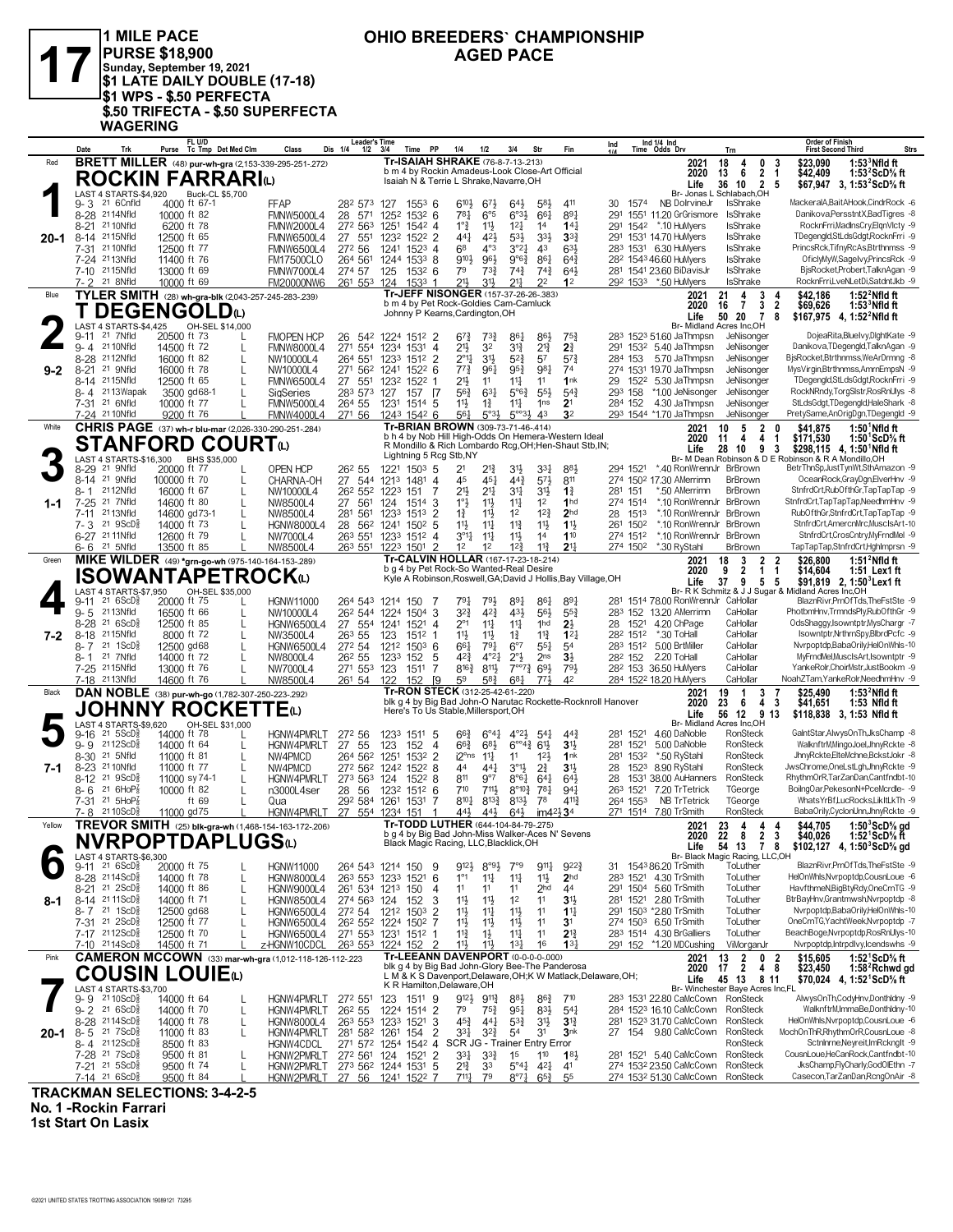1 MILE PACE **1999 CHIO BREEDERS** CHAI<br>
PURSE \$18,900 AGED PACE<br>
\$1 LATE DAILY DOUBLE (17-18) **PURSE \$18,900 Sunday, September 19, 2021 \$1 LATE DAILY DOUBLE (17-18) \$1 WPS - \$.50 PERFECTA \$.50 TRIFECTA - \$.50 SUPERFECTA WAGERING**

### **OHIO BREEDERS` CHAMPIONSHIP**

| <b>BRETT MILLER</b> (48) pur-wh-gra (2,153-339-295-251-272)<br>Tr-ISAIAH SHRAKE (76-8-7-13-.213)<br>Red<br>18<br>0<br>3<br>2021<br>4<br>\$23.090<br>b m 4 by Rockin Amadeus-Look Close-Art Official<br>2020<br>13<br>6<br>2<br>\$42,409<br>-1<br><b>ROCKIN FARRARIO</b><br>Isaiah N & Terrie L Shrake, Navarre, OH<br>36 10<br>$\overline{2}$<br>5<br>Life<br>LAST 4 STARTS-\$4,920<br><b>Buck-CL \$5,700</b><br>Br- Jonas L Schlabach, OH<br>9-3<br>21 6Cnfld<br>4000 ft 67-1<br><b>FFAP</b><br>282 573 127<br>610}<br>30 1574<br>NB DolrvineJr<br>IsShrake<br>$155^3$ 6<br>673<br>$64\frac{1}{2}$<br>581<br>411<br>8-28 2114Nfld<br>10000 ft 82<br>$78\frac{1}{4}$<br>$6^{o_{3}}\frac{1}{2}$<br>661<br>89<br>1551 11.20 GrGrismore<br><b>IsShrake</b><br><b>FMNW5000L4</b><br>28<br>571<br>1252<br>$153^2$ 6<br>$6^{\circ 5}$<br>291<br>21 10Nfld<br>$1^{\circ}$<br>$12\frac{1}{4}$<br>6200 ft 78<br>$11\frac{1}{2}$<br>1542 *.10 HuMyers<br>IsShrake<br>$8 - 21$<br><b>FMNW2000L4</b><br>272 563<br>1251<br>1542 4<br>14<br>14 <sup>1</sup><br>291<br>8-14 2115Nfld<br>421<br>$53\frac{1}{2}$<br>3 <sup>3</sup><br>12500 ft 65<br>27 551<br>$152^2$ 2<br>441<br>$3^{3}_{2}$<br>291 1531 14.70 HuMyers<br><b>IsShrake</b><br>FMNW6500L4<br>1232<br>20-1<br>3°2 <sup>1</sup><br>7-31 21 10 Nfld<br>272 56<br>1523<br>68<br>$4^{\circ}3$<br>43<br>633<br>283 1531 6.30 HuMyers<br>IsShrake<br>12500 ft 77<br><b>FMNW6500L4</b><br>1241<br>4<br>7-24 2113Nfld<br>861<br>28 <sup>2</sup> 1543 46.60 HuMyers<br>IsShrake<br>11400 ft 76<br>264 561<br>9101<br>961<br>$9°6\frac{3}{4}$<br>$64\frac{3}{4}$<br><b>FM17500CLO</b><br>1244<br>$1533$ 8<br>7-10 2115Nfld<br>13000 ft 69<br>79<br>$74\frac{3}{4}$<br>$64\frac{1}{2}$<br>281 1541 23.60 BiDavisJr<br><b>IsShrake</b><br><b>FMNW7000L4</b><br>274 57<br>125<br>1532 6<br>73}<br>$74\frac{3}{4}$<br>21 8Nfld<br>31}<br>21}<br>211<br>22<br>292 1533 *.50 HuMyers<br><b>IsShrake</b><br>$7 - 2$<br>10000 ft 69<br><b>FM20000NW6</b><br>261 553<br>124<br>1533 1<br>12<br>Tr-JEFF NISONGER (157-37-26-26-.383)<br>TYLER SMITH (28) wh-gra-blk (2,043-257-245-283-239)<br>3<br>\$42.186<br>Blue<br>2021<br>21<br>4<br>4<br>b m 4 by Pet Rock-Goldies Cam-Camluck<br>$\overline{\mathbf{2}}$<br>3<br>2020<br>16<br>$\overline{7}$<br>\$69,626<br><b>DEGENGOLD</b><br>Johnny P Kearns, Cardington, OH<br>50 20<br>8<br>Life<br>-7<br>LAST 4 STARTS-\$4,425<br>OH-SEL \$14,000<br>Br- Midland Acres Inc.OH<br>21 7Nfld<br>20500 ft 73<br>283 1523 51.60 JaThmpsn<br>JeNisonger<br><b>FMOPEN HCP</b><br>26 542 1224 1512 2<br>$6^{7}\frac{3}{4}$<br>$73\frac{3}{4}$<br>86}<br>75}<br>$9 - 11$<br>86 <sub>1</sub><br>$2^{13}$<br>21 10Nfld<br>271 554<br>32<br>$3^{12}$<br>2 <sup>3</sup><br>14500 ft 72<br><b>FMNW8000L4</b><br>1531<br>21}<br>291 1532 5.40 JaThmpsn<br>JeNisonger<br>$9 - 4$<br>L<br>1234<br>$\overline{4}$<br>31}<br>$5^{2}$<br>57<br>8-28 <sup>21</sup> 12Nfld<br>264 551<br>$\overline{2}$<br>$2^{\circ}11$<br>JeNisonger<br>16000 ft 82<br>NW10000L4<br>1233<br>$5^{7}$<br>284 153<br>5.70 JaThmpsn<br>L<br>1512<br>$95\frac{3}{4}$<br>981<br>21 9Nfld<br>16000 ft 78<br>271 562 1241<br>$152^2$ 6<br>$77\frac{3}{4}$<br>961<br>74<br>$9 - 2$<br>8-21<br>NW10000L4<br>274 1531 19.70 JaThmpsn<br>JeNisonger<br>L<br>8-14 2115Nfld<br>29 152 <sup>2</sup> 5.30 JaThmpsn<br>12500 ft 65<br>L<br>27<br>551<br>1522 1<br>21}<br>11<br>$11\frac{1}{4}$<br>11<br>1nk<br>JeNisonger<br><b>FMNW6500L4</b><br>1232<br>8-4 2113 Wapak<br>3500 gd68-1<br>$63\frac{1}{4}$<br>$5^{\circ}6^{\frac{3}{4}}$<br>$55\frac{1}{2}$<br>$5^{4}$<br>*1.00 JeNisonger<br>JeNisonger<br>SigSeries<br>283 573<br>127<br>157 [7<br>56}<br>293 158<br>7-31 21 6Nfld<br>10000 ft 77<br>11卦<br>11<br>2 <sup>1</sup><br>4.30 JaThmpsn<br>JeNisonger<br>L<br><b>FMNW5000L4</b><br>264 55<br>1231<br>1514 5<br>$1\frac{3}{4}$<br>1 <sub>ns</sub><br>284 152<br>3 <sup>2</sup><br>7-24 21 10Nfld<br>43<br>293 1544 *1.70 JaThmpsn<br>9200 ft 76<br><b>FMNW4000L4</b><br>271 56<br>1243 1542 6<br>561<br>$5^{\circ}3\frac{1}{2}$<br>$5^{\circ\circ}3\frac{1}{2}$<br>JeNisonger<br>Tr-BRIAN BROWN (309-73-71-46-.414)<br>CHRIS PAGE (37) wh-r blu-mar (2,026-330-290-251-284)<br>White<br>5<br>$\overline{2}$<br>\$41,875<br>2021<br>10<br>$\mathbf{0}$<br>b h 4 by Nob Hill High-Odds On Hemera-Western Ideal<br>4<br>4<br>\$171,530<br>2020<br>11<br>-1<br><b>STANFORD COURT</b> ധ<br>R Mondillo & Rich Lombardo Rcg, OH; Hen-Shaut Stb, IN;<br>28<br>10<br>Life<br>93<br>Lightning 5 Rcg Stb, NY<br>LAST 4 STARTS-\$16,300 BHS \$35,000<br>Br- M Dean Robinson & D E Robinson & R A Mondillo, OH<br>21 9Nfld<br>20000 ft 77<br>OPEN HCP<br>883<br>*.40 RonWrennJr BrBrown<br>26 <sup>2</sup> 55<br>1221<br>$150^3$ 5<br>21<br>21}<br>3 <sup>1</sup><br>33}<br>294 1521<br>8-29<br>L<br>8-14 <sup>21</sup> 9Nfld<br>$44\frac{3}{4}$<br>27 544<br>45<br>$45\frac{1}{4}$<br>573<br>811<br>274 1502 17.30 AMerrimn<br>100000 ft 70<br>L<br>CHARNA-OH<br>1213<br>1481<br>$\overline{4}$<br><b>BrBrown</b> | <b>Order of Finish</b><br><b>Strs</b><br><b>First Second Third</b>             |
|---------------------------------------------------------------------------------------------------------------------------------------------------------------------------------------------------------------------------------------------------------------------------------------------------------------------------------------------------------------------------------------------------------------------------------------------------------------------------------------------------------------------------------------------------------------------------------------------------------------------------------------------------------------------------------------------------------------------------------------------------------------------------------------------------------------------------------------------------------------------------------------------------------------------------------------------------------------------------------------------------------------------------------------------------------------------------------------------------------------------------------------------------------------------------------------------------------------------------------------------------------------------------------------------------------------------------------------------------------------------------------------------------------------------------------------------------------------------------------------------------------------------------------------------------------------------------------------------------------------------------------------------------------------------------------------------------------------------------------------------------------------------------------------------------------------------------------------------------------------------------------------------------------------------------------------------------------------------------------------------------------------------------------------------------------------------------------------------------------------------------------------------------------------------------------------------------------------------------------------------------------------------------------------------------------------------------------------------------------------------------------------------------------------------------------------------------------------------------------------------------------------------------------------------------------------------------------------------------------------------------------------------------------------------------------------------------------------------------------------------------------------------------------------------------------------------------------------------------------------------------------------------------------------------------------------------------------------------------------------------------------------------------------------------------------------------------------------------------------------------------------------------------------------------------------------------------------------------------------------------------------------------------------------------------------------------------------------------------------------------------------------------------------------------------------------------------------------------------------------------------------------------------------------------------------------------------------------------------------------------------------------------------------------------------------------------------------------------------------------------------------------------------------------------------------------------------------------------------------------------------------------------------------------------------------------------------------------------------------------------------------------------------------------------------------------------------------------------------------------------------------------------------------------------------------------------------------------------------------------------------------------------------------------------------------------------------------------------------------------------------------------------------------------------------------------------------------------------------------------------------------------------------------------------------------------------------------------------------------------------------------------------------------------------------------------------------------------------------------------------------------------------------------------------------------------------------------------------------------------------------------------------------------------------------------------------------------------------------------------------------------------------------------------|--------------------------------------------------------------------------------|
|                                                                                                                                                                                                                                                                                                                                                                                                                                                                                                                                                                                                                                                                                                                                                                                                                                                                                                                                                                                                                                                                                                                                                                                                                                                                                                                                                                                                                                                                                                                                                                                                                                                                                                                                                                                                                                                                                                                                                                                                                                                                                                                                                                                                                                                                                                                                                                                                                                                                                                                                                                                                                                                                                                                                                                                                                                                                                                                                                                                                                                                                                                                                                                                                                                                                                                                                                                                                                                                                                                                                                                                                                                                                                                                                                                                                                                                                                                                                                                                                                                                                                                                                                                                                                                                                                                                                                                                                                                                                                                                                                                                                                                                                                                                                                                                                                                                                                                                                                                                                                                       | $1:533$ Nfld ft<br>1:53 $2$ ScD $\%$ ft                                        |
|                                                                                                                                                                                                                                                                                                                                                                                                                                                                                                                                                                                                                                                                                                                                                                                                                                                                                                                                                                                                                                                                                                                                                                                                                                                                                                                                                                                                                                                                                                                                                                                                                                                                                                                                                                                                                                                                                                                                                                                                                                                                                                                                                                                                                                                                                                                                                                                                                                                                                                                                                                                                                                                                                                                                                                                                                                                                                                                                                                                                                                                                                                                                                                                                                                                                                                                                                                                                                                                                                                                                                                                                                                                                                                                                                                                                                                                                                                                                                                                                                                                                                                                                                                                                                                                                                                                                                                                                                                                                                                                                                                                                                                                                                                                                                                                                                                                                                                                                                                                                                                       | \$67,947 3, 1:53 <sup>2</sup> ScD% ft                                          |
|                                                                                                                                                                                                                                                                                                                                                                                                                                                                                                                                                                                                                                                                                                                                                                                                                                                                                                                                                                                                                                                                                                                                                                                                                                                                                                                                                                                                                                                                                                                                                                                                                                                                                                                                                                                                                                                                                                                                                                                                                                                                                                                                                                                                                                                                                                                                                                                                                                                                                                                                                                                                                                                                                                                                                                                                                                                                                                                                                                                                                                                                                                                                                                                                                                                                                                                                                                                                                                                                                                                                                                                                                                                                                                                                                                                                                                                                                                                                                                                                                                                                                                                                                                                                                                                                                                                                                                                                                                                                                                                                                                                                                                                                                                                                                                                                                                                                                                                                                                                                                                       | MackeralA,BaitAHook,CindrRock -6<br>Danikova, Persstnt X, Bad Tigres -8        |
|                                                                                                                                                                                                                                                                                                                                                                                                                                                                                                                                                                                                                                                                                                                                                                                                                                                                                                                                                                                                                                                                                                                                                                                                                                                                                                                                                                                                                                                                                                                                                                                                                                                                                                                                                                                                                                                                                                                                                                                                                                                                                                                                                                                                                                                                                                                                                                                                                                                                                                                                                                                                                                                                                                                                                                                                                                                                                                                                                                                                                                                                                                                                                                                                                                                                                                                                                                                                                                                                                                                                                                                                                                                                                                                                                                                                                                                                                                                                                                                                                                                                                                                                                                                                                                                                                                                                                                                                                                                                                                                                                                                                                                                                                                                                                                                                                                                                                                                                                                                                                                       | RocknFrri, MadlnsCry, ElgnVlcty -9                                             |
|                                                                                                                                                                                                                                                                                                                                                                                                                                                                                                                                                                                                                                                                                                                                                                                                                                                                                                                                                                                                                                                                                                                                                                                                                                                                                                                                                                                                                                                                                                                                                                                                                                                                                                                                                                                                                                                                                                                                                                                                                                                                                                                                                                                                                                                                                                                                                                                                                                                                                                                                                                                                                                                                                                                                                                                                                                                                                                                                                                                                                                                                                                                                                                                                                                                                                                                                                                                                                                                                                                                                                                                                                                                                                                                                                                                                                                                                                                                                                                                                                                                                                                                                                                                                                                                                                                                                                                                                                                                                                                                                                                                                                                                                                                                                                                                                                                                                                                                                                                                                                                       | TDegengld,StLdsGdgt,RocknFrri -9<br>PrincsRck,TifnyRcAs,Btrthnmss -9           |
|                                                                                                                                                                                                                                                                                                                                                                                                                                                                                                                                                                                                                                                                                                                                                                                                                                                                                                                                                                                                                                                                                                                                                                                                                                                                                                                                                                                                                                                                                                                                                                                                                                                                                                                                                                                                                                                                                                                                                                                                                                                                                                                                                                                                                                                                                                                                                                                                                                                                                                                                                                                                                                                                                                                                                                                                                                                                                                                                                                                                                                                                                                                                                                                                                                                                                                                                                                                                                                                                                                                                                                                                                                                                                                                                                                                                                                                                                                                                                                                                                                                                                                                                                                                                                                                                                                                                                                                                                                                                                                                                                                                                                                                                                                                                                                                                                                                                                                                                                                                                                                       | OficlyMyW,SageIvy,PrincsRck -9                                                 |
|                                                                                                                                                                                                                                                                                                                                                                                                                                                                                                                                                                                                                                                                                                                                                                                                                                                                                                                                                                                                                                                                                                                                                                                                                                                                                                                                                                                                                                                                                                                                                                                                                                                                                                                                                                                                                                                                                                                                                                                                                                                                                                                                                                                                                                                                                                                                                                                                                                                                                                                                                                                                                                                                                                                                                                                                                                                                                                                                                                                                                                                                                                                                                                                                                                                                                                                                                                                                                                                                                                                                                                                                                                                                                                                                                                                                                                                                                                                                                                                                                                                                                                                                                                                                                                                                                                                                                                                                                                                                                                                                                                                                                                                                                                                                                                                                                                                                                                                                                                                                                                       | BisRocket,Probert,TalknAgan -9<br>RocknFrri,LveNLetDi,SatdntJkb -9             |
|                                                                                                                                                                                                                                                                                                                                                                                                                                                                                                                                                                                                                                                                                                                                                                                                                                                                                                                                                                                                                                                                                                                                                                                                                                                                                                                                                                                                                                                                                                                                                                                                                                                                                                                                                                                                                                                                                                                                                                                                                                                                                                                                                                                                                                                                                                                                                                                                                                                                                                                                                                                                                                                                                                                                                                                                                                                                                                                                                                                                                                                                                                                                                                                                                                                                                                                                                                                                                                                                                                                                                                                                                                                                                                                                                                                                                                                                                                                                                                                                                                                                                                                                                                                                                                                                                                                                                                                                                                                                                                                                                                                                                                                                                                                                                                                                                                                                                                                                                                                                                                       | 1:52 $2$ Nfld ft                                                               |
|                                                                                                                                                                                                                                                                                                                                                                                                                                                                                                                                                                                                                                                                                                                                                                                                                                                                                                                                                                                                                                                                                                                                                                                                                                                                                                                                                                                                                                                                                                                                                                                                                                                                                                                                                                                                                                                                                                                                                                                                                                                                                                                                                                                                                                                                                                                                                                                                                                                                                                                                                                                                                                                                                                                                                                                                                                                                                                                                                                                                                                                                                                                                                                                                                                                                                                                                                                                                                                                                                                                                                                                                                                                                                                                                                                                                                                                                                                                                                                                                                                                                                                                                                                                                                                                                                                                                                                                                                                                                                                                                                                                                                                                                                                                                                                                                                                                                                                                                                                                                                                       | 1:53 $\,^{\circ}$ Nfld ft<br>\$167,975 4, 1:52 Nfld ft                         |
|                                                                                                                                                                                                                                                                                                                                                                                                                                                                                                                                                                                                                                                                                                                                                                                                                                                                                                                                                                                                                                                                                                                                                                                                                                                                                                                                                                                                                                                                                                                                                                                                                                                                                                                                                                                                                                                                                                                                                                                                                                                                                                                                                                                                                                                                                                                                                                                                                                                                                                                                                                                                                                                                                                                                                                                                                                                                                                                                                                                                                                                                                                                                                                                                                                                                                                                                                                                                                                                                                                                                                                                                                                                                                                                                                                                                                                                                                                                                                                                                                                                                                                                                                                                                                                                                                                                                                                                                                                                                                                                                                                                                                                                                                                                                                                                                                                                                                                                                                                                                                                       | DojeaRita, Bluelvy, DlghtKate -9                                               |
|                                                                                                                                                                                                                                                                                                                                                                                                                                                                                                                                                                                                                                                                                                                                                                                                                                                                                                                                                                                                                                                                                                                                                                                                                                                                                                                                                                                                                                                                                                                                                                                                                                                                                                                                                                                                                                                                                                                                                                                                                                                                                                                                                                                                                                                                                                                                                                                                                                                                                                                                                                                                                                                                                                                                                                                                                                                                                                                                                                                                                                                                                                                                                                                                                                                                                                                                                                                                                                                                                                                                                                                                                                                                                                                                                                                                                                                                                                                                                                                                                                                                                                                                                                                                                                                                                                                                                                                                                                                                                                                                                                                                                                                                                                                                                                                                                                                                                                                                                                                                                                       | Danikova, TDegengld, TalknAgan -9<br>BjsRocket,Btrthnmss,WeArDrmng -8          |
|                                                                                                                                                                                                                                                                                                                                                                                                                                                                                                                                                                                                                                                                                                                                                                                                                                                                                                                                                                                                                                                                                                                                                                                                                                                                                                                                                                                                                                                                                                                                                                                                                                                                                                                                                                                                                                                                                                                                                                                                                                                                                                                                                                                                                                                                                                                                                                                                                                                                                                                                                                                                                                                                                                                                                                                                                                                                                                                                                                                                                                                                                                                                                                                                                                                                                                                                                                                                                                                                                                                                                                                                                                                                                                                                                                                                                                                                                                                                                                                                                                                                                                                                                                                                                                                                                                                                                                                                                                                                                                                                                                                                                                                                                                                                                                                                                                                                                                                                                                                                                                       | MysVirgin, Btrthnmss, AmrnEmpsN -9                                             |
|                                                                                                                                                                                                                                                                                                                                                                                                                                                                                                                                                                                                                                                                                                                                                                                                                                                                                                                                                                                                                                                                                                                                                                                                                                                                                                                                                                                                                                                                                                                                                                                                                                                                                                                                                                                                                                                                                                                                                                                                                                                                                                                                                                                                                                                                                                                                                                                                                                                                                                                                                                                                                                                                                                                                                                                                                                                                                                                                                                                                                                                                                                                                                                                                                                                                                                                                                                                                                                                                                                                                                                                                                                                                                                                                                                                                                                                                                                                                                                                                                                                                                                                                                                                                                                                                                                                                                                                                                                                                                                                                                                                                                                                                                                                                                                                                                                                                                                                                                                                                                                       | TDegengld,StLdsGdgt,RocknFrri -9<br>RockNRndy,TorgSIstr,RosRnUlys -8           |
|                                                                                                                                                                                                                                                                                                                                                                                                                                                                                                                                                                                                                                                                                                                                                                                                                                                                                                                                                                                                                                                                                                                                                                                                                                                                                                                                                                                                                                                                                                                                                                                                                                                                                                                                                                                                                                                                                                                                                                                                                                                                                                                                                                                                                                                                                                                                                                                                                                                                                                                                                                                                                                                                                                                                                                                                                                                                                                                                                                                                                                                                                                                                                                                                                                                                                                                                                                                                                                                                                                                                                                                                                                                                                                                                                                                                                                                                                                                                                                                                                                                                                                                                                                                                                                                                                                                                                                                                                                                                                                                                                                                                                                                                                                                                                                                                                                                                                                                                                                                                                                       | StLdsGdgt,TDegengld,HaleShark -8<br>PretySame,AnOrigDgn,TDegengld -9           |
|                                                                                                                                                                                                                                                                                                                                                                                                                                                                                                                                                                                                                                                                                                                                                                                                                                                                                                                                                                                                                                                                                                                                                                                                                                                                                                                                                                                                                                                                                                                                                                                                                                                                                                                                                                                                                                                                                                                                                                                                                                                                                                                                                                                                                                                                                                                                                                                                                                                                                                                                                                                                                                                                                                                                                                                                                                                                                                                                                                                                                                                                                                                                                                                                                                                                                                                                                                                                                                                                                                                                                                                                                                                                                                                                                                                                                                                                                                                                                                                                                                                                                                                                                                                                                                                                                                                                                                                                                                                                                                                                                                                                                                                                                                                                                                                                                                                                                                                                                                                                                                       | $1:501$ Nfld ft                                                                |
|                                                                                                                                                                                                                                                                                                                                                                                                                                                                                                                                                                                                                                                                                                                                                                                                                                                                                                                                                                                                                                                                                                                                                                                                                                                                                                                                                                                                                                                                                                                                                                                                                                                                                                                                                                                                                                                                                                                                                                                                                                                                                                                                                                                                                                                                                                                                                                                                                                                                                                                                                                                                                                                                                                                                                                                                                                                                                                                                                                                                                                                                                                                                                                                                                                                                                                                                                                                                                                                                                                                                                                                                                                                                                                                                                                                                                                                                                                                                                                                                                                                                                                                                                                                                                                                                                                                                                                                                                                                                                                                                                                                                                                                                                                                                                                                                                                                                                                                                                                                                                                       | 1:50 'ScD% ft<br>\$298,115 4, 1:50 <sup>1</sup> Nfld ft                        |
|                                                                                                                                                                                                                                                                                                                                                                                                                                                                                                                                                                                                                                                                                                                                                                                                                                                                                                                                                                                                                                                                                                                                                                                                                                                                                                                                                                                                                                                                                                                                                                                                                                                                                                                                                                                                                                                                                                                                                                                                                                                                                                                                                                                                                                                                                                                                                                                                                                                                                                                                                                                                                                                                                                                                                                                                                                                                                                                                                                                                                                                                                                                                                                                                                                                                                                                                                                                                                                                                                                                                                                                                                                                                                                                                                                                                                                                                                                                                                                                                                                                                                                                                                                                                                                                                                                                                                                                                                                                                                                                                                                                                                                                                                                                                                                                                                                                                                                                                                                                                                                       | BetrThnSp,JustTynWt,SthAmazon -9                                               |
|                                                                                                                                                                                                                                                                                                                                                                                                                                                                                                                                                                                                                                                                                                                                                                                                                                                                                                                                                                                                                                                                                                                                                                                                                                                                                                                                                                                                                                                                                                                                                                                                                                                                                                                                                                                                                                                                                                                                                                                                                                                                                                                                                                                                                                                                                                                                                                                                                                                                                                                                                                                                                                                                                                                                                                                                                                                                                                                                                                                                                                                                                                                                                                                                                                                                                                                                                                                                                                                                                                                                                                                                                                                                                                                                                                                                                                                                                                                                                                                                                                                                                                                                                                                                                                                                                                                                                                                                                                                                                                                                                                                                                                                                                                                                                                                                                                                                                                                                                                                                                                       | OceanRock,GrayDgn,ElverHnv -9<br>StnfrdCrt,RubOfthGr,TapTapTap -9              |
| $21\frac{1}{4}$<br>34<br>2112Nfld<br>26 <sup>2</sup> 55 <sup>2</sup> 122 <sup>3</sup><br>151<br>21}<br>31}<br>$1\frac{3}{4}$<br>*.50 AMerrimn<br>BrBrown<br>8-1<br>16000 ft 67<br>L<br>NW10000L4<br>7<br>281 151<br>21 7Nfld<br>274 1514<br>*.10 RonWrennJr BrBrown<br>$7 - 25$<br>14600 ft 80<br>27<br>561<br>1°3<br>$11\frac{1}{2}$<br>$11\frac{1}{4}$<br>1 <sup>2</sup><br>1 <sub>hd</sub><br>$1 - 1$<br>L<br>NW8500L4<br>124<br>1514 3                                                                                                                                                                                                                                                                                                                                                                                                                                                                                                                                                                                                                                                                                                                                                                                                                                                                                                                                                                                                                                                                                                                                                                                                                                                                                                                                                                                                                                                                                                                                                                                                                                                                                                                                                                                                                                                                                                                                                                                                                                                                                                                                                                                                                                                                                                                                                                                                                                                                                                                                                                                                                                                                                                                                                                                                                                                                                                                                                                                                                                                                                                                                                                                                                                                                                                                                                                                                                                                                                                                                                                                                                                                                                                                                                                                                                                                                                                                                                                                                                                                                                                                                                                                                                                                                                                                                                                                                                                                                                                                                                                                            | StnfrdCrt,TapTapTap,NeedhmHnv -9                                               |
| $12\frac{3}{4}$<br>2113Nfld<br>14600 gd73-1<br>$11\frac{1}{2}$<br>1 <sup>2</sup><br>2 <sub>hd</sub><br>1513<br>*.10 RonWrennJr BrBrown<br>7-11<br>NW8500L4<br>281<br>561<br>1233<br>1513<br>2<br>$1\frac{3}{4}$<br>28<br>L<br>$21 \text{ } 9$ ScD $\frac{1}{2}$<br>$11\frac{3}{4}$<br>11}<br>11<br>14000 ft 73<br>$150^2$ 5<br>11}<br>$11\frac{1}{4}$<br>1502<br>*.10 RonWrennJr<br>BrBrown<br>$7 - 3$<br>L<br><b>HGNW8000L4</b><br>28 562<br>1241<br>261                                                                                                                                                                                                                                                                                                                                                                                                                                                                                                                                                                                                                                                                                                                                                                                                                                                                                                                                                                                                                                                                                                                                                                                                                                                                                                                                                                                                                                                                                                                                                                                                                                                                                                                                                                                                                                                                                                                                                                                                                                                                                                                                                                                                                                                                                                                                                                                                                                                                                                                                                                                                                                                                                                                                                                                                                                                                                                                                                                                                                                                                                                                                                                                                                                                                                                                                                                                                                                                                                                                                                                                                                                                                                                                                                                                                                                                                                                                                                                                                                                                                                                                                                                                                                                                                                                                                                                                                                                                                                                                                                                             | RubOfthGr.StnfrdCrt.TapTapTap -9<br>StnfrdCrt,AmercnMrc,MuscIsArt-10           |
| 6-27 21 11 Nfld<br>$3^{\circ}11$<br>$11\frac{1}{4}$<br>$11\frac{1}{2}$<br>14<br>110<br>274 1512<br>*.10 RonWrennJr<br>12600 ft 79<br>L<br>NW7000L4<br>263 551<br>1233<br>1512 4<br><b>BrBrown</b>                                                                                                                                                                                                                                                                                                                                                                                                                                                                                                                                                                                                                                                                                                                                                                                                                                                                                                                                                                                                                                                                                                                                                                                                                                                                                                                                                                                                                                                                                                                                                                                                                                                                                                                                                                                                                                                                                                                                                                                                                                                                                                                                                                                                                                                                                                                                                                                                                                                                                                                                                                                                                                                                                                                                                                                                                                                                                                                                                                                                                                                                                                                                                                                                                                                                                                                                                                                                                                                                                                                                                                                                                                                                                                                                                                                                                                                                                                                                                                                                                                                                                                                                                                                                                                                                                                                                                                                                                                                                                                                                                                                                                                                                                                                                                                                                                                     | StnfrdCrt,CrosCntry,MyFrndMel -9                                               |
| 6-6 <sup>21</sup> 5Nfld<br>NW8500L4<br>263 551 1223 1501 2<br>1 <sup>2</sup><br>1 <sup>2</sup><br>$12\frac{3}{4}$<br>$11\frac{3}{4}$<br>2 <sup>11</sup><br>274 1502<br>*.30 RyStahl<br>13500 ft 85<br><b>BrBrown</b><br>Tr-CALVIN HOLLAR (167-17-23-18-214)<br>MIKE WILDER (49) *grn-go-wh (975-140-164-153-289)<br>\$26,800<br>Green<br>2021<br>18<br>3<br>$\mathbf{2}$<br>2                                                                                                                                                                                                                                                                                                                                                                                                                                                                                                                                                                                                                                                                                                                                                                                                                                                                                                                                                                                                                                                                                                                                                                                                                                                                                                                                                                                                                                                                                                                                                                                                                                                                                                                                                                                                                                                                                                                                                                                                                                                                                                                                                                                                                                                                                                                                                                                                                                                                                                                                                                                                                                                                                                                                                                                                                                                                                                                                                                                                                                                                                                                                                                                                                                                                                                                                                                                                                                                                                                                                                                                                                                                                                                                                                                                                                                                                                                                                                                                                                                                                                                                                                                                                                                                                                                                                                                                                                                                                                                                                                                                                                                                         | TapTapTap,StnfrdCrt,HghImprsn -9<br>$1:512$ Nfld ft                            |
| b g 4 by Pet Rock-So Wanted-Real Desire<br>9<br>2<br>1<br>\$14,604<br>2020<br>$\mathbf{1}$<br>ISOWANTAPETROCKய<br>Kyle A Robinson, Roswell, GA; David J Hollis, Bay Village, OH<br>Life<br>37<br>-9<br>5 <sub>5</sub>                                                                                                                                                                                                                                                                                                                                                                                                                                                                                                                                                                                                                                                                                                                                                                                                                                                                                                                                                                                                                                                                                                                                                                                                                                                                                                                                                                                                                                                                                                                                                                                                                                                                                                                                                                                                                                                                                                                                                                                                                                                                                                                                                                                                                                                                                                                                                                                                                                                                                                                                                                                                                                                                                                                                                                                                                                                                                                                                                                                                                                                                                                                                                                                                                                                                                                                                                                                                                                                                                                                                                                                                                                                                                                                                                                                                                                                                                                                                                                                                                                                                                                                                                                                                                                                                                                                                                                                                                                                                                                                                                                                                                                                                                                                                                                                                                 | 1:51 Lex1 ft<br>\$91,819 2, 1:50 $^3$ Lex1 ft                                  |
| LAST 4 STARTS-\$7,950<br>OH-SEL \$35,000<br>Br- R K Schmitz & J J Sugar & Midland Acres Inc, OH<br>891<br>$216SCD_8^3$<br>20000 ft 75<br><b>HGNW11000</b><br>264 543 1214<br>150<br>791<br>791,<br>861<br>89<br>281 1514 78.00 RonWrennJr CaHollar<br>$9 - 11$<br>- 7                                                                                                                                                                                                                                                                                                                                                                                                                                                                                                                                                                                                                                                                                                                                                                                                                                                                                                                                                                                                                                                                                                                                                                                                                                                                                                                                                                                                                                                                                                                                                                                                                                                                                                                                                                                                                                                                                                                                                                                                                                                                                                                                                                                                                                                                                                                                                                                                                                                                                                                                                                                                                                                                                                                                                                                                                                                                                                                                                                                                                                                                                                                                                                                                                                                                                                                                                                                                                                                                                                                                                                                                                                                                                                                                                                                                                                                                                                                                                                                                                                                                                                                                                                                                                                                                                                                                                                                                                                                                                                                                                                                                                                                                                                                                                                 | BlaznRivr,PrnOfTds,TheFstSte -9                                                |
| 2113Nfld<br>262 544 1224<br>$1504$ 3<br>32}<br>$4^{2}\frac{3}{4}$<br>43}<br>56}<br>$55\frac{3}{4}$<br>283 152 13.20 AMerrimn<br>$9 - 5$<br>16500 ft 66<br>L<br>NW10000L4<br>CaHollar                                                                                                                                                                                                                                                                                                                                                                                                                                                                                                                                                                                                                                                                                                                                                                                                                                                                                                                                                                                                                                                                                                                                                                                                                                                                                                                                                                                                                                                                                                                                                                                                                                                                                                                                                                                                                                                                                                                                                                                                                                                                                                                                                                                                                                                                                                                                                                                                                                                                                                                                                                                                                                                                                                                                                                                                                                                                                                                                                                                                                                                                                                                                                                                                                                                                                                                                                                                                                                                                                                                                                                                                                                                                                                                                                                                                                                                                                                                                                                                                                                                                                                                                                                                                                                                                                                                                                                                                                                                                                                                                                                                                                                                                                                                                                                                                                                                  | PhotbmHnv,TrmndsPly,RubOfthGr -9                                               |
| 216SCD <sub>8</sub><br>4.20 ChPage<br>$8 - 28$<br>12500 ft 85<br>27 554 1241<br>1521<br>$2^{\circ_1}$<br>$11\frac{1}{4}$<br>$11\frac{1}{4}$<br>1hd<br>$2\frac{1}{2}$<br>28 1521<br>CaHollar<br>L<br><b>HGNW6500L4</b><br>$\overline{4}$<br>2115Nfld<br>8000 ft 72<br>$11\frac{1}{2}$<br>$11\frac{1}{2}$<br>$11\frac{3}{4}$<br>282 1512<br>*.30 ToHall<br>CaHollar<br>7-2<br>$8 - 18$<br>NW3500L4<br>263 55<br>123<br>1512<br>$1\frac{3}{4}$<br>$1^{2}$<br>L<br>-1                                                                                                                                                                                                                                                                                                                                                                                                                                                                                                                                                                                                                                                                                                                                                                                                                                                                                                                                                                                                                                                                                                                                                                                                                                                                                                                                                                                                                                                                                                                                                                                                                                                                                                                                                                                                                                                                                                                                                                                                                                                                                                                                                                                                                                                                                                                                                                                                                                                                                                                                                                                                                                                                                                                                                                                                                                                                                                                                                                                                                                                                                                                                                                                                                                                                                                                                                                                                                                                                                                                                                                                                                                                                                                                                                                                                                                                                                                                                                                                                                                                                                                                                                                                                                                                                                                                                                                                                                                                                                                                                                                     | OdsShaggy,Isowntptr,MysChargr -7<br>Isowntptr.NrthrnSpy,BlbrdPcfc -9           |
| 21 1ScD<br>791<br>CaHollar<br>$6^{\circ}7$<br>$55\frac{1}{4}$<br>283 1512 5.00 BrtMiller<br>12500 gd68<br>L<br><b>HGNW6500L4</b><br>272 54<br>1212<br>$150^3$ 6<br>$66\frac{1}{4}$<br>54<br>8-7<br>$4^{°2}$ <sup>1</sup><br>$2^{\circ}$<br>21 7Nfld<br>14000 ft 72<br>5<br>$4^{2}\frac{3}{4}$<br>2 <sub>ns</sub><br>$3\frac{1}{2}$<br>CaHollar<br>L<br>NW8000L4<br>26 <sup>2</sup> 55<br>1233<br>152<br>28 <sup>2</sup> 152 2.20 ToHall<br>8-1                                                                                                                                                                                                                                                                                                                                                                                                                                                                                                                                                                                                                                                                                                                                                                                                                                                                                                                                                                                                                                                                                                                                                                                                                                                                                                                                                                                                                                                                                                                                                                                                                                                                                                                                                                                                                                                                                                                                                                                                                                                                                                                                                                                                                                                                                                                                                                                                                                                                                                                                                                                                                                                                                                                                                                                                                                                                                                                                                                                                                                                                                                                                                                                                                                                                                                                                                                                                                                                                                                                                                                                                                                                                                                                                                                                                                                                                                                                                                                                                                                                                                                                                                                                                                                                                                                                                                                                                                                                                                                                                                                                        | Nvrpoptdp,BabaOrily,HelOnWhls-10<br>MyFrndMel,MuscIsArt,Isowntptr -9           |
| $69\frac{1}{2}$<br>7-25 2115Nfld<br>13000 ft 76<br>271 553 123<br>$8^{16}\frac{3}{4}$<br>$8^{11}\frac{1}{2}$<br>$7^{\circ}7^{\circ}7^{\circ}$<br>791<br>CaHollar<br>L<br>NW7000L4<br>1511<br>7<br>28 <sup>2</sup> 153 36.50 HuMyers                                                                                                                                                                                                                                                                                                                                                                                                                                                                                                                                                                                                                                                                                                                                                                                                                                                                                                                                                                                                                                                                                                                                                                                                                                                                                                                                                                                                                                                                                                                                                                                                                                                                                                                                                                                                                                                                                                                                                                                                                                                                                                                                                                                                                                                                                                                                                                                                                                                                                                                                                                                                                                                                                                                                                                                                                                                                                                                                                                                                                                                                                                                                                                                                                                                                                                                                                                                                                                                                                                                                                                                                                                                                                                                                                                                                                                                                                                                                                                                                                                                                                                                                                                                                                                                                                                                                                                                                                                                                                                                                                                                                                                                                                                                                                                                                   | YankeRolr,ChoirMstr,JustBookm -9                                               |
| 7-18 2113Nfld<br>14600 ft 76<br>284 1522 18.20 HuMyers<br>CaHollar<br>261 54<br><sup>[9</sup><br>59<br>$5^{8}$ <sub>4</sub><br>$6^{81}$<br>42<br>NW8500L4<br>122<br>152<br>$77\frac{1}{2}$<br>Tr-RON STECK (312-25-42-61-220)<br>DAN NOBLE (38) pur-wh-go (1,782-307-250-223-.292)<br>Black<br>$\mathbf{1}$<br>2021<br>19<br>3<br>\$25.490                                                                                                                                                                                                                                                                                                                                                                                                                                                                                                                                                                                                                                                                                                                                                                                                                                                                                                                                                                                                                                                                                                                                                                                                                                                                                                                                                                                                                                                                                                                                                                                                                                                                                                                                                                                                                                                                                                                                                                                                                                                                                                                                                                                                                                                                                                                                                                                                                                                                                                                                                                                                                                                                                                                                                                                                                                                                                                                                                                                                                                                                                                                                                                                                                                                                                                                                                                                                                                                                                                                                                                                                                                                                                                                                                                                                                                                                                                                                                                                                                                                                                                                                                                                                                                                                                                                                                                                                                                                                                                                                                                                                                                                                                            | NoahZTam,YankeRolr,NeedhmHnv -9<br>$1:532$ Nfld ft                             |
| blk g 4 by Big Bad John-O Narutac Rockette-Rocknroll Hanover<br>$\overline{4}$<br>23<br>6<br>2020<br>3<br>\$41,651<br><b>JOHNNY ROCKETTE</b> ω<br>Here's To Us Stable, Millersport, OH<br>56 12<br>9 13<br>Life                                                                                                                                                                                                                                                                                                                                                                                                                                                                                                                                                                                                                                                                                                                                                                                                                                                                                                                                                                                                                                                                                                                                                                                                                                                                                                                                                                                                                                                                                                                                                                                                                                                                                                                                                                                                                                                                                                                                                                                                                                                                                                                                                                                                                                                                                                                                                                                                                                                                                                                                                                                                                                                                                                                                                                                                                                                                                                                                                                                                                                                                                                                                                                                                                                                                                                                                                                                                                                                                                                                                                                                                                                                                                                                                                                                                                                                                                                                                                                                                                                                                                                                                                                                                                                                                                                                                                                                                                                                                                                                                                                                                                                                                                                                                                                                                                       | 1:53 Nfld ft<br>\$118,838 3, 1:53 Nfld ft                                      |
| OH-SEL \$31,000<br>Br- Midland<br>Acres Inc,OH<br>LAST 4 STARTS-\$9,620<br>21 5ScD <sup>3</sup><br>14000 ft 78<br>HGNW4PMRLT<br>272 56<br>1233<br>$66\frac{3}{4}$<br>1511 5<br>$6^{\circ}4^{\frac{1}{4}}$<br>$4^{\circ}2\frac{1}{2}$<br>$5^{41}$<br>$44\frac{3}{4}$<br>281 1521<br>4.60 DaNoble<br>RonSteck<br>9-16                                                                                                                                                                                                                                                                                                                                                                                                                                                                                                                                                                                                                                                                                                                                                                                                                                                                                                                                                                                                                                                                                                                                                                                                                                                                                                                                                                                                                                                                                                                                                                                                                                                                                                                                                                                                                                                                                                                                                                                                                                                                                                                                                                                                                                                                                                                                                                                                                                                                                                                                                                                                                                                                                                                                                                                                                                                                                                                                                                                                                                                                                                                                                                                                                                                                                                                                                                                                                                                                                                                                                                                                                                                                                                                                                                                                                                                                                                                                                                                                                                                                                                                                                                                                                                                                                                                                                                                                                                                                                                                                                                                                                                                                                                                   | GaintStar,AlwysOnTh,JksChamp -8                                                |
| $9 - 9$<br>2112ScD<br>281 1521<br>5.00 DaNoble<br><b>RonSteck</b><br>14000 ft 64<br>HGNW4PMRLT<br>27 55<br>123<br>$66\frac{3}{4}$<br>683<br>$6^{\circ 4\frac{3}{4}} 6^{1\frac{1}{2}}$<br>31<br>L<br>152<br>$\overline{4}$                                                                                                                                                                                                                                                                                                                                                                                                                                                                                                                                                                                                                                                                                                                                                                                                                                                                                                                                                                                                                                                                                                                                                                                                                                                                                                                                                                                                                                                                                                                                                                                                                                                                                                                                                                                                                                                                                                                                                                                                                                                                                                                                                                                                                                                                                                                                                                                                                                                                                                                                                                                                                                                                                                                                                                                                                                                                                                                                                                                                                                                                                                                                                                                                                                                                                                                                                                                                                                                                                                                                                                                                                                                                                                                                                                                                                                                                                                                                                                                                                                                                                                                                                                                                                                                                                                                                                                                                                                                                                                                                                                                                                                                                                                                                                                                                             | WalknftrM,MingoJoel,JhnyRckte -8                                               |
| $8 - 30$<br>21 5Nfld<br>11000 ft 81<br>281 1532<br>*.50 RyStahl<br>RonSteck<br>$\mathbf{I}$<br>NW4PMCD<br>264 562<br>1251<br>1532<br>2<br>i2°ns<br>$11\frac{1}{4}$<br>11<br>$12\frac{1}{2}$<br>1nk<br>21 10Nfld<br>$3^{01}$<br>$2\frac{3}{4}$<br>31,<br>1523 8.90 RyStahl<br>RonSteck<br>11000 ft 77<br>L<br>NW4PMCD<br>272 562<br>1242<br>1522 8<br>44<br>44 <sup>1</sup><br>28<br>7-1<br>8-23                                                                                                                                                                                                                                                                                                                                                                                                                                                                                                                                                                                                                                                                                                                                                                                                                                                                                                                                                                                                                                                                                                                                                                                                                                                                                                                                                                                                                                                                                                                                                                                                                                                                                                                                                                                                                                                                                                                                                                                                                                                                                                                                                                                                                                                                                                                                                                                                                                                                                                                                                                                                                                                                                                                                                                                                                                                                                                                                                                                                                                                                                                                                                                                                                                                                                                                                                                                                                                                                                                                                                                                                                                                                                                                                                                                                                                                                                                                                                                                                                                                                                                                                                                                                                                                                                                                                                                                                                                                                                                                                                                                                                                       | JhnyRckte,ElteMchne,BckstJokr -8<br>JwsChrome, OneLstLgh, JhnyRckte -9         |
| 811<br>$21 \text{ } 9$ ScD $\frac{1}{2}$<br>273 563<br>$9^{\circ}7$<br>$8^{\circ}6^{\frac{1}{4}}$<br>643<br>RonSteck<br>11000 sy 74-1<br>$\mathbf{I}$<br>HGNW4PMRLT<br>124<br>8<br>$64\frac{1}{4}$<br>28<br>1531 38.00 AuHanners<br>8-12<br>1522<br>21 $6HOP$<br>10000 ft 82<br>28<br>56<br>1232<br>710<br>711}<br>$8^{\circ}10\frac{3}{4}$<br>781<br>$94\frac{1}{4}$<br>263 1521<br>7.20 TrTetrick<br>L<br>n3000L4ser<br>$151^2$ 6<br>TGeorge<br>8-6                                                                                                                                                                                                                                                                                                                                                                                                                                                                                                                                                                                                                                                                                                                                                                                                                                                                                                                                                                                                                                                                                                                                                                                                                                                                                                                                                                                                                                                                                                                                                                                                                                                                                                                                                                                                                                                                                                                                                                                                                                                                                                                                                                                                                                                                                                                                                                                                                                                                                                                                                                                                                                                                                                                                                                                                                                                                                                                                                                                                                                                                                                                                                                                                                                                                                                                                                                                                                                                                                                                                                                                                                                                                                                                                                                                                                                                                                                                                                                                                                                                                                                                                                                                                                                                                                                                                                                                                                                                                                                                                                                                 | RhythmOrR,TarZanDan,Cantfndbt-10<br>BoilngOar,PekesonN+PceMcrdle- -9           |
| 21 $5HOP3$<br>$7 - 31$<br>ft 69<br>292 584 1261<br>$8^{10}$<br>$8^{13}\frac{3}{4}$<br>8133<br>78<br>$4^{11}$<br>264 1553<br><b>NB TrTetrick</b><br>TGeorge<br>1531<br>Qua<br>7                                                                                                                                                                                                                                                                                                                                                                                                                                                                                                                                                                                                                                                                                                                                                                                                                                                                                                                                                                                                                                                                                                                                                                                                                                                                                                                                                                                                                                                                                                                                                                                                                                                                                                                                                                                                                                                                                                                                                                                                                                                                                                                                                                                                                                                                                                                                                                                                                                                                                                                                                                                                                                                                                                                                                                                                                                                                                                                                                                                                                                                                                                                                                                                                                                                                                                                                                                                                                                                                                                                                                                                                                                                                                                                                                                                                                                                                                                                                                                                                                                                                                                                                                                                                                                                                                                                                                                                                                                                                                                                                                                                                                                                                                                                                                                                                                                                        | WhatsYrBf,LucRocks,LikItLkTh -9                                                |
| 7-8 2110ScD<br>11000 gd75<br>27 554 1234 151<br>441,<br>441<br>$64\frac{1}{2}$<br>$im42\frac{1}{2}$ 34<br>271 1514 7.80 TrSmith<br>RonSteck<br>HGNW4PMRLT<br>Tr-TODD LUTHER (644-104-84-79-275)<br>TREVOR SMITH (25) blk-gra-wh (1,468-154-163-172-.206)<br>Yellow<br>23<br>$\overline{4}$<br>\$44.705<br>2021<br>4<br>4                                                                                                                                                                                                                                                                                                                                                                                                                                                                                                                                                                                                                                                                                                                                                                                                                                                                                                                                                                                                                                                                                                                                                                                                                                                                                                                                                                                                                                                                                                                                                                                                                                                                                                                                                                                                                                                                                                                                                                                                                                                                                                                                                                                                                                                                                                                                                                                                                                                                                                                                                                                                                                                                                                                                                                                                                                                                                                                                                                                                                                                                                                                                                                                                                                                                                                                                                                                                                                                                                                                                                                                                                                                                                                                                                                                                                                                                                                                                                                                                                                                                                                                                                                                                                                                                                                                                                                                                                                                                                                                                                                                                                                                                                                              | BabaOrily,CyclonUnn,JhnyRckte -9<br>$1:503$ ScD <sup>5</sup> / <sub>8</sub> ad |
| 4 by Big Bad John-Miss Walker-Aces N' Sevens<br>2020<br>22 8<br>$\mathbf{2}$<br>3<br>\$40,026<br>NVRPOPTDAPLUGSω<br>Black Magic Racing, LLC, Blacklick, OH<br>54 13 7 8<br>Life                                                                                                                                                                                                                                                                                                                                                                                                                                                                                                                                                                                                                                                                                                                                                                                                                                                                                                                                                                                                                                                                                                                                                                                                                                                                                                                                                                                                                                                                                                                                                                                                                                                                                                                                                                                                                                                                                                                                                                                                                                                                                                                                                                                                                                                                                                                                                                                                                                                                                                                                                                                                                                                                                                                                                                                                                                                                                                                                                                                                                                                                                                                                                                                                                                                                                                                                                                                                                                                                                                                                                                                                                                                                                                                                                                                                                                                                                                                                                                                                                                                                                                                                                                                                                                                                                                                                                                                                                                                                                                                                                                                                                                                                                                                                                                                                                                                       | 1:52 ScD% ft                                                                   |
| Br- Black Magic Racing, LLC,OH<br>LAST 4 STARTS-\$6,300<br>$216SCD\frac{5}{8}$<br>ToLuther                                                                                                                                                                                                                                                                                                                                                                                                                                                                                                                                                                                                                                                                                                                                                                                                                                                                                                                                                                                                                                                                                                                                                                                                                                                                                                                                                                                                                                                                                                                                                                                                                                                                                                                                                                                                                                                                                                                                                                                                                                                                                                                                                                                                                                                                                                                                                                                                                                                                                                                                                                                                                                                                                                                                                                                                                                                                                                                                                                                                                                                                                                                                                                                                                                                                                                                                                                                                                                                                                                                                                                                                                                                                                                                                                                                                                                                                                                                                                                                                                                                                                                                                                                                                                                                                                                                                                                                                                                                                                                                                                                                                                                                                                                                                                                                                                                                                                                                                            | \$102,127 4, 1:50 ScD % gd<br>BlaznRivr,PrnOfTds,TheFstSte -9                  |
| 20000 ft 75<br>9123<br>$8^{\circ}9\frac{1}{2}$<br>$9^{11}\frac{1}{4}$<br>9223<br>31 1543 86.20 TrSmith<br>9-11<br><b>HGNW11000</b><br>264 543 1214 150 9<br>$7^{\circ}9$<br>8-28 2114ScD}<br>14000 ft 78<br><b>HGNW8000L4</b><br>263 553 1233<br>$1^{\circ}1$<br>11<br>$11\frac{1}{4}$<br>11号<br>2 <sub>hd</sub><br>283 1521 4.30 TrSmith<br>ToLuther<br>1521 6                                                                                                                                                                                                                                                                                                                                                                                                                                                                                                                                                                                                                                                                                                                                                                                                                                                                                                                                                                                                                                                                                                                                                                                                                                                                                                                                                                                                                                                                                                                                                                                                                                                                                                                                                                                                                                                                                                                                                                                                                                                                                                                                                                                                                                                                                                                                                                                                                                                                                                                                                                                                                                                                                                                                                                                                                                                                                                                                                                                                                                                                                                                                                                                                                                                                                                                                                                                                                                                                                                                                                                                                                                                                                                                                                                                                                                                                                                                                                                                                                                                                                                                                                                                                                                                                                                                                                                                                                                                                                                                                                                                                                                                                       | HelOnWhls.Nvrpoptdp.CousnLoue -6                                               |
| 8-21 21 2ScD <sup>5</sup><br>14000 ft 86<br>261 534 1213 150<br>1 <sup>1</sup><br>11<br>2 <sub>hd</sub><br>44<br>291 1504 5.60 TrSmith<br>ToLuther<br><b>HGNW9000L4</b><br>4<br>11<br>L<br>8-14 2111ScD <sup>5</sup><br>3<br>11}<br>$11\frac{1}{2}$<br>1 <sup>2</sup><br>11<br>31<br>281 1521 2.80 TrSmith<br>ToLuther<br>14000 ft 71<br><b>HGNW8500L4</b><br>274 563 124<br>152<br>8-1<br>L                                                                                                                                                                                                                                                                                                                                                                                                                                                                                                                                                                                                                                                                                                                                                                                                                                                                                                                                                                                                                                                                                                                                                                                                                                                                                                                                                                                                                                                                                                                                                                                                                                                                                                                                                                                                                                                                                                                                                                                                                                                                                                                                                                                                                                                                                                                                                                                                                                                                                                                                                                                                                                                                                                                                                                                                                                                                                                                                                                                                                                                                                                                                                                                                                                                                                                                                                                                                                                                                                                                                                                                                                                                                                                                                                                                                                                                                                                                                                                                                                                                                                                                                                                                                                                                                                                                                                                                                                                                                                                                                                                                                                                          | HavfthmeN,BigBtyRdy,OneCrnTG -9<br>BtrBayHnv,Grantmwsh,Nvrpoptdp -8            |
| $8 - 7$ 21 1ScD <sup>5</sup> <sub>8</sub><br>12500 gd68<br><b>HGNW6500L4</b><br>272 54<br>1212<br>1503<br>$\overline{2}$<br>$11\frac{1}{2}$<br>$11\frac{1}{4}$<br>$11\frac{1}{2}$<br>11<br>291 1503 *2.80 TrSmith<br>ToLuther<br>$1^{11}$<br>L                                                                                                                                                                                                                                                                                                                                                                                                                                                                                                                                                                                                                                                                                                                                                                                                                                                                                                                                                                                                                                                                                                                                                                                                                                                                                                                                                                                                                                                                                                                                                                                                                                                                                                                                                                                                                                                                                                                                                                                                                                                                                                                                                                                                                                                                                                                                                                                                                                                                                                                                                                                                                                                                                                                                                                                                                                                                                                                                                                                                                                                                                                                                                                                                                                                                                                                                                                                                                                                                                                                                                                                                                                                                                                                                                                                                                                                                                                                                                                                                                                                                                                                                                                                                                                                                                                                                                                                                                                                                                                                                                                                                                                                                                                                                                                                        | Nvrpoptdp,BabaOrily,HelOnWhls-10                                               |
| 7-31 <sup>21</sup> 2ScD <sup>3</sup><br>12500 ft 77<br>274 1503 6.50 TrSmith<br>ToLuther<br>26 <sup>2</sup> 55 <sup>2</sup> 122 <sup>4</sup> 150 <sup>2</sup> 7<br>11}<br>$11\frac{1}{2}$<br>$11\frac{1}{2}$<br>11<br>3 <sup>1</sup><br><b>HGNW6500L4</b><br>ToLuther<br>7-17 2112ScD <sup>3</sup><br>12500 ft 70<br>271 553 1231<br>1512 1<br>$11\frac{3}{4}$<br>$11\frac{1}{4}$<br>11<br>$2^{13}$<br>283 1514 4.30 BrGalliers<br><b>HGNW6500L4</b><br>$1\frac{1}{2}$                                                                                                                                                                                                                                                                                                                                                                                                                                                                                                                                                                                                                                                                                                                                                                                                                                                                                                                                                                                                                                                                                                                                                                                                                                                                                                                                                                                                                                                                                                                                                                                                                                                                                                                                                                                                                                                                                                                                                                                                                                                                                                                                                                                                                                                                                                                                                                                                                                                                                                                                                                                                                                                                                                                                                                                                                                                                                                                                                                                                                                                                                                                                                                                                                                                                                                                                                                                                                                                                                                                                                                                                                                                                                                                                                                                                                                                                                                                                                                                                                                                                                                                                                                                                                                                                                                                                                                                                                                                                                                                                                                | OneCrnTG.YachtWeek.Nvrpoptdp -7<br>BeachBoge, Nvrpoptdp, RosRnUlys-10          |
| ViMorganJr<br>7-10 2114ScD <sup>3</sup><br>14500 ft 71<br>z-HGNW10CDCL<br>263 553 1224 152<br>$\overline{2}$<br>11}<br>11}<br>$13\frac{1}{4}$<br>16<br>13 <sup>1</sup><br>291 152 *1.20 MDCushing<br>Tr-LEEANN DAVENPORT (0-0-0-0-000)                                                                                                                                                                                                                                                                                                                                                                                                                                                                                                                                                                                                                                                                                                                                                                                                                                                                                                                                                                                                                                                                                                                                                                                                                                                                                                                                                                                                                                                                                                                                                                                                                                                                                                                                                                                                                                                                                                                                                                                                                                                                                                                                                                                                                                                                                                                                                                                                                                                                                                                                                                                                                                                                                                                                                                                                                                                                                                                                                                                                                                                                                                                                                                                                                                                                                                                                                                                                                                                                                                                                                                                                                                                                                                                                                                                                                                                                                                                                                                                                                                                                                                                                                                                                                                                                                                                                                                                                                                                                                                                                                                                                                                                                                                                                                                                                | Nvrpoptdp, Intrpdlvy, Icendswhs -9                                             |
| <b>CAMERON MCCOWN</b> (33) mar-wh-gra (1,012-118-126-112-223<br>$\overline{2}$<br>0<br>\$15,605<br>Pink<br>2021<br>13<br>2<br>blk g 4 by Big Bad John-Glory Bee-The Panderosa<br>$17 \quad 2 \quad 4$<br>8<br>2020<br>\$23,450<br><b>COUSIN LOUIE</b> (L)                                                                                                                                                                                                                                                                                                                                                                                                                                                                                                                                                                                                                                                                                                                                                                                                                                                                                                                                                                                                                                                                                                                                                                                                                                                                                                                                                                                                                                                                                                                                                                                                                                                                                                                                                                                                                                                                                                                                                                                                                                                                                                                                                                                                                                                                                                                                                                                                                                                                                                                                                                                                                                                                                                                                                                                                                                                                                                                                                                                                                                                                                                                                                                                                                                                                                                                                                                                                                                                                                                                                                                                                                                                                                                                                                                                                                                                                                                                                                                                                                                                                                                                                                                                                                                                                                                                                                                                                                                                                                                                                                                                                                                                                                                                                                                             | 1:52 <sup>1</sup> ScD% ft<br>1:58 <sup>2</sup> Rchwd gd                        |
| L M & K S Davenport, Delaware, OH; K W Matlack, Delaware, OH;<br>Life<br>45 13 8 11<br>K R Hamilton, Delaware, OH<br>LAST 4 STARTS-\$3,700<br>Br- Winchester Baye Acres Inc,FL                                                                                                                                                                                                                                                                                                                                                                                                                                                                                                                                                                                                                                                                                                                                                                                                                                                                                                                                                                                                                                                                                                                                                                                                                                                                                                                                                                                                                                                                                                                                                                                                                                                                                                                                                                                                                                                                                                                                                                                                                                                                                                                                                                                                                                                                                                                                                                                                                                                                                                                                                                                                                                                                                                                                                                                                                                                                                                                                                                                                                                                                                                                                                                                                                                                                                                                                                                                                                                                                                                                                                                                                                                                                                                                                                                                                                                                                                                                                                                                                                                                                                                                                                                                                                                                                                                                                                                                                                                                                                                                                                                                                                                                                                                                                                                                                                                                        | \$70,024 4, 1:52 ScD% ft                                                       |
| $9 - 9$ 21 10 ScD <sup>5</sup> <sub>8</sub><br>14000 ft 64<br>283 1531 22.80 CaMcCown RonSteck<br>HGNW4PMRLT<br>272 551<br>123<br>1511 9<br>$9^{12}\frac{1}{2}$<br>$9^{11}\frac{3}{4}$<br>$8^{8}\frac{1}{2}$<br>$86\frac{3}{4}$<br>$7^{10}$<br>$95\frac{1}{4}$<br>$83\frac{1}{2}$<br>$9 - 2$ 21 6 ScD <sup>3</sup><br>14000 ft 70<br>26 <sup>2</sup> 55<br>1224 1514 2<br>79<br>$5^{4}$<br>284 1523 16.10 CaMcCown<br>RonSteck<br>HGNW4PMRLT<br>$75\frac{3}{4}$<br>L                                                                                                                                                                                                                                                                                                                                                                                                                                                                                                                                                                                                                                                                                                                                                                                                                                                                                                                                                                                                                                                                                                                                                                                                                                                                                                                                                                                                                                                                                                                                                                                                                                                                                                                                                                                                                                                                                                                                                                                                                                                                                                                                                                                                                                                                                                                                                                                                                                                                                                                                                                                                                                                                                                                                                                                                                                                                                                                                                                                                                                                                                                                                                                                                                                                                                                                                                                                                                                                                                                                                                                                                                                                                                                                                                                                                                                                                                                                                                                                                                                                                                                                                                                                                                                                                                                                                                                                                                                                                                                                                                                  | AlwysOnTh,CodyHnv,Donthldny -9                                                 |
| $5^{3}{}_{4}^{3}$<br>8-28 2114ScD<br>3<br>$45\frac{3}{4}$<br>$3^{11}$<br>$3^{12}$<br>281 1523 31.70 CaMcCown<br>RonSteck<br>14000 ft 78<br>263 553 1233<br>1521<br>441<br>L<br>HGNW8000L4                                                                                                                                                                                                                                                                                                                                                                                                                                                                                                                                                                                                                                                                                                                                                                                                                                                                                                                                                                                                                                                                                                                                                                                                                                                                                                                                                                                                                                                                                                                                                                                                                                                                                                                                                                                                                                                                                                                                                                                                                                                                                                                                                                                                                                                                                                                                                                                                                                                                                                                                                                                                                                                                                                                                                                                                                                                                                                                                                                                                                                                                                                                                                                                                                                                                                                                                                                                                                                                                                                                                                                                                                                                                                                                                                                                                                                                                                                                                                                                                                                                                                                                                                                                                                                                                                                                                                                                                                                                                                                                                                                                                                                                                                                                                                                                                                                             | WalknftrM,ImmaBe,Donthldny-10                                                  |
| $8 - 5$ 21 7 ScD <sup>5</sup><br>11000 ft 83<br>HGNW4PMRLT<br>281 582 1261<br>154<br>$\overline{2}$<br>$3^{3}$<br>$3^{2^{3}}$<br>5 <sup>4</sup><br>31<br>27 154 9.80 CaMcCown<br>RonSteck<br>3 <sub>nk</sub><br>$20 - 1$<br>L<br>$8 - 4$ 2112ScD <sup>5</sup><br>271 572 1254 1542 4 SCR JG - Trainer Entry Error<br>RonSteck<br>8500 ft 83<br>HGNW4CDCL                                                                                                                                                                                                                                                                                                                                                                                                                                                                                                                                                                                                                                                                                                                                                                                                                                                                                                                                                                                                                                                                                                                                                                                                                                                                                                                                                                                                                                                                                                                                                                                                                                                                                                                                                                                                                                                                                                                                                                                                                                                                                                                                                                                                                                                                                                                                                                                                                                                                                                                                                                                                                                                                                                                                                                                                                                                                                                                                                                                                                                                                                                                                                                                                                                                                                                                                                                                                                                                                                                                                                                                                                                                                                                                                                                                                                                                                                                                                                                                                                                                                                                                                                                                                                                                                                                                                                                                                                                                                                                                                                                                                                                                                              | HelOnWhls,Nvrpoptdp,CousnLoue -6                                               |
| RonSteck<br>7-28 21 7 ScD <sup>3</sup><br>9500 ft 81<br>HGNW2PMRLT<br>1521<br>$3^{31}$<br>281 1521 5.40 CaMcCown<br>272 561 124<br>2<br>$3^{3}_{4}$<br>15<br>110<br>$18\frac{1}{2}$<br>RonSteck<br>7-21 21 5ScD <sup>5</sup><br>9500 ft 74<br>273 562 1244 1531 5<br>$2^{13}$<br>33<br>$5^{\circ}4\frac{1}{4}$ 42 $\frac{1}{4}$<br>274 1532 23.50 CaMcCown<br>HGNW2PMRLT<br>41<br>L                                                                                                                                                                                                                                                                                                                                                                                                                                                                                                                                                                                                                                                                                                                                                                                                                                                                                                                                                                                                                                                                                                                                                                                                                                                                                                                                                                                                                                                                                                                                                                                                                                                                                                                                                                                                                                                                                                                                                                                                                                                                                                                                                                                                                                                                                                                                                                                                                                                                                                                                                                                                                                                                                                                                                                                                                                                                                                                                                                                                                                                                                                                                                                                                                                                                                                                                                                                                                                                                                                                                                                                                                                                                                                                                                                                                                                                                                                                                                                                                                                                                                                                                                                                                                                                                                                                                                                                                                                                                                                                                                                                                                                                   | MochOnThR,RhythmOrR,CousnLoue -8<br>Sctninrne, Neyreit, Im Roknglt -9          |
| Casecon, TarZanDan, RcngOnAir -8<br>$7-14$ 21 6ScD <sup>3</sup><br>27 56 1241 1522 7<br>7111<br>79<br>$8^{\circ}7\frac{1}{4}$<br>$65\frac{3}{4}$<br>5 <sup>5</sup><br>274 1532 51.30 CaMcCown<br>RonSteck<br>9500 ft 84<br>HGNW2PMRLT<br><b>FLEATIOUS</b>                                                                                                                                                                                                                                                                                                                                                                                                                                                                                                                                                                                                                                                                                                                                                                                                                                                                                                                                                                                                                                                                                                                                                                                                                                                                                                                                                                                                                                                                                                                                                                                                                                                                                                                                                                                                                                                                                                                                                                                                                                                                                                                                                                                                                                                                                                                                                                                                                                                                                                                                                                                                                                                                                                                                                                                                                                                                                                                                                                                                                                                                                                                                                                                                                                                                                                                                                                                                                                                                                                                                                                                                                                                                                                                                                                                                                                                                                                                                                                                                                                                                                                                                                                                                                                                                                                                                                                                                                                                                                                                                                                                                                                                                                                                                                                             | CousnLoue,HeCanRock,Cantfndbt-10<br>JksChamp,FlyCharly,GodOlEthn -7            |

**TRACKMAN SELECTIONS: 3-4-2-5**

**No. 1 -Rockin Farrari 1st Start On Lasix**

©2021 UNITED STATES TROTTING ASSOCIATION 19089121 73295